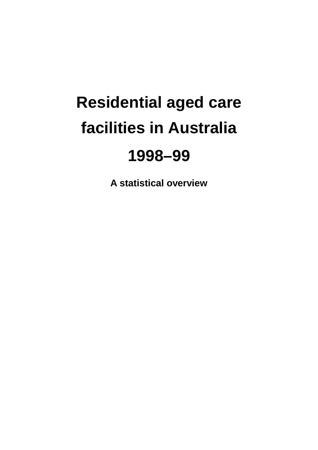# **Residential aged care facilities in Australia**

## **1998–99**

**A statistical overview**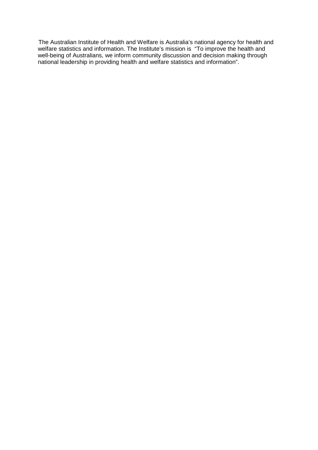The Australian Institute of Health and Welfare is Australia's national agency for health and welfare statistics and information. The Institute's mission is "To improve the health and well-being of Australians, we inform community discussion and decision making through national leadership in providing health and welfare statistics and information".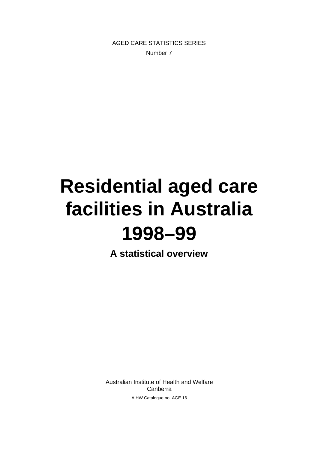AGED CARE STATISTICS SERIES Number 7

# **Residential aged care facilities in Australia 1998–99**

**A statistical overview**

Australian Institute of Health and Welfare Canberra AIHW Catalogue no. AGE 16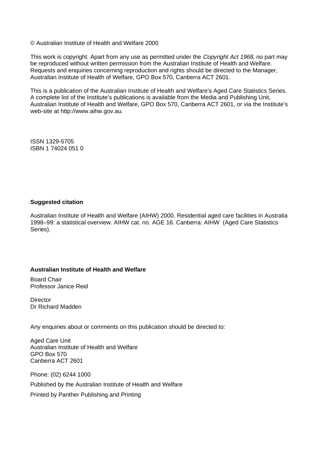© Australian Institute of Health and Welfare 2000

This work is copyright. Apart from any use as permitted under the *Copyright Act 1968*, no part may be reproduced without written permission from the Australian Institute of Health and Welfare. Requests and enquiries concerning reproduction and rights should be directed to the Manager, Australian Institute of Health of Welfare, GPO Box 570, Canberra ACT 2601.

This is a publication of the Australian Institute of Health and Welfare's Aged Care Statistics Series. A complete list of the Institute's publications is available from the Media and Publishing Unit, Australian Institute of Health and Welfare, GPO Box 570, Canberra ACT 2601, or via the Institute's web-site at http://www.aihw.gov.au.

ISSN 1329-5705 ISBN 1 74024 051 0

#### **Suggested citation**

Australian Institute of Health and Welfare (AIHW) 2000. Residential aged care facilities in Australia 1998–99: a statistical overview. AIHW cat. no. AGE 16. Canberra: AIHW (Aged Care Statistics Series).

#### **Australian Institute of Health and Welfare**

Board Chair Professor Janice Reid

**Director** Dr Richard Madden

Any enquiries about or comments on this publication should be directed to:

Aged Care Unit Australian Institute of Health and Welfare GPO Box 570 Canberra ACT 2601

Phone: (02) 6244 1000 Published by the Australian Institute of Health and Welfare Printed by Panther Publishing and Printing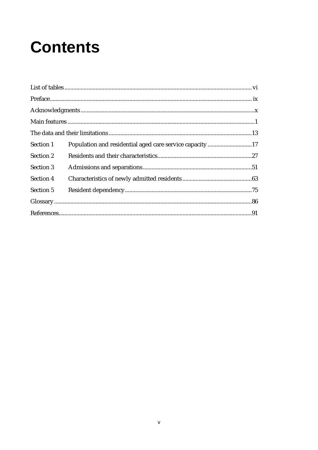# **Contents**

| Section 1 | Population and residential aged care service capacity17 |  |
|-----------|---------------------------------------------------------|--|
| Section 2 |                                                         |  |
| Section 3 |                                                         |  |
| Section 4 |                                                         |  |
| Section 5 |                                                         |  |
|           |                                                         |  |
|           |                                                         |  |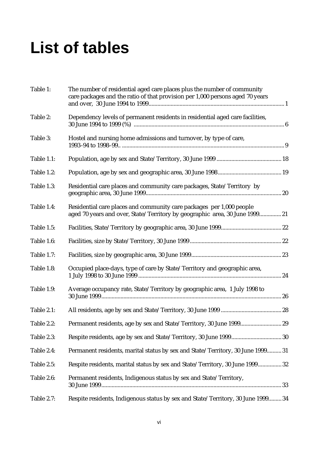# **List of tables**

| Table 1:          | The number of residential aged care places plus the number of community<br>care packages and the ratio of that provision per 1,000 persons aged 70 years |  |
|-------------------|----------------------------------------------------------------------------------------------------------------------------------------------------------|--|
| Table 2:          | Dependency levels of permanent residents in residential aged care facilities,                                                                            |  |
| Table 3:          | Hostel and nursing home admissions and turnover, by type of care,                                                                                        |  |
| Table 1.1:        |                                                                                                                                                          |  |
| Table 1.2:        |                                                                                                                                                          |  |
| Table 1.3:        | Residential care places and community care packages, State/Territory by                                                                                  |  |
| Table 1.4:        | Residential care places and community care packages per 1,000 people<br>aged 70 years and over, State/Territory by geographic area, 30 June 1999 21      |  |
| Table 1.5:        |                                                                                                                                                          |  |
| Table 1.6:        |                                                                                                                                                          |  |
| Table 1.7:        |                                                                                                                                                          |  |
| Table 1.8:        | Occupied place-days, type of care by State/Territory and geographic area,                                                                                |  |
| Table 1.9:        | Average occupancy rate, State/Territory by geographic area, 1 July 1998 to                                                                               |  |
| Table 2.1:        |                                                                                                                                                          |  |
| Table 2.2:        |                                                                                                                                                          |  |
| Table 2.3:        |                                                                                                                                                          |  |
| Table 2.4:        | Permanent residents, marital status by sex and State/Territory, 30 June 1999 31                                                                          |  |
| Table 2.5:        | Respite residents, marital status by sex and State/Territory, 30 June 1999 32                                                                            |  |
| Table 2.6:        | Permanent residents, Indigenous status by sex and State/Territory,                                                                                       |  |
| <b>Table 2.7:</b> | Respite residents, Indigenous status by sex and State/Territory, 30 June 1999 34                                                                         |  |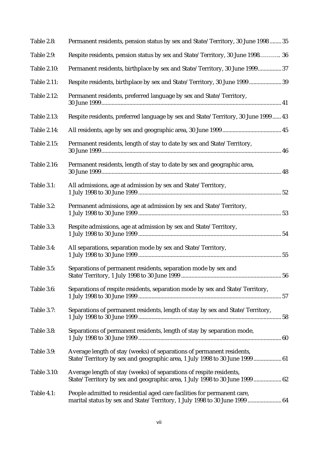| Table 2.8:         | Permanent residents, pension status by sex and State/Territory, 30 June 1998  35                                                                      |
|--------------------|-------------------------------------------------------------------------------------------------------------------------------------------------------|
| Table 2.9:         | Respite residents, pension status by sex and State/Territory, 30 June 1998 36                                                                         |
| <b>Table 2.10:</b> | Permanent residents, birthplace by sex and State/Territory, 30 June 1999 37                                                                           |
| <b>Table 2.11:</b> | Respite residents, birthplace by sex and State/Territory, 30 June 1999 39                                                                             |
| <b>Table 2.12:</b> | Permanent residents, preferred language by sex and State/Territory,                                                                                   |
| <b>Table 2.13:</b> | Respite residents, preferred language by sex and State/Territory, 30 June 1999  43                                                                    |
| <b>Table 2.14:</b> |                                                                                                                                                       |
| <b>Table 2.15:</b> | Permanent residents, length of stay to date by sex and State/Territory,                                                                               |
| <b>Table 2.16:</b> | Permanent residents, length of stay to date by sex and geographic area,                                                                               |
| Table 3.1:         | All admissions, age at admission by sex and State/Territory,                                                                                          |
| Table 3.2:         | Permanent admissions, age at admission by sex and State/Territory,                                                                                    |
| Table 3.3:         | Respite admissions, age at admission by sex and State/Territory,                                                                                      |
| Table 3.4:         | All separations, separation mode by sex and State/Territory,                                                                                          |
| Table 3.5:         | Separations of permanent residents, separation mode by sex and                                                                                        |
| Table 3.6:         | Separations of respite residents, separation mode by sex and State/Territory,                                                                         |
| Table 3.7:         | Separations of permanent residents, length of stay by sex and State/Territory,                                                                        |
| Table 3.8:         | Separations of permanent residents, length of stay by separation mode,                                                                                |
| Table 3.9:         | Average length of stay (weeks) of separations of permanent residents,<br>State/Territory by sex and geographic area, 1 July 1998 to 30 June 1999  61  |
| <b>Table 3.10:</b> | Average length of stay (weeks) of separations of respite residents,<br>State/Territory by sex and geographic area, 1 July 1998 to 30 June 1999  62    |
| Table 4.1:         | People admitted to residential aged care facilities for permanent care,<br>marital status by sex and State/Territory, 1 July 1998 to 30 June 1999  64 |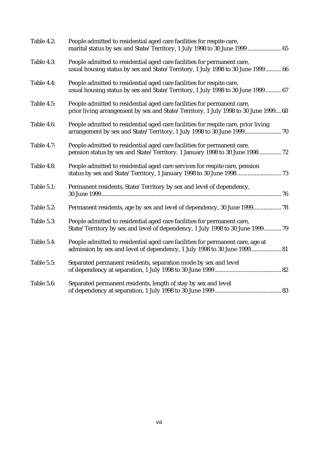| Table 4.2: | People admitted to residential aged care facilities for respite care,<br>marital status by sex and State/Territory, 1 July 1998 to 30 June 1999  65            |
|------------|----------------------------------------------------------------------------------------------------------------------------------------------------------------|
| Table 4.3: | People admitted to residential aged care facilities for permanent care,<br>usual housing status by sex and State/Territory, 1 July 1998 to 30 June 1999 66     |
| Table 4.4: | People admitted to residential aged care facilities for respite care,<br>usual housing status by sex and State/Territory, 1 July 1998 to 30 June 1999 67       |
| Table 4.5: | People admitted to residential aged care facilities for permanent care,<br>prior living arrangement by sex and State/Territory, 1 July 1998 to 30 June 1999 68 |
| Table 4.6: | People admitted to residential aged care facilities for respite care, prior living<br>arrangement by sex and State/Territory, 1 July 1998 to 30 June 1999 70   |
| Table 4.7: | People admitted to residential aged care facilities for permanent care,<br>pension status by sex and State/Territory, 1 January 1998 to 30 June 1998  72       |
| Table 4.8: | People admitted to residential aged care services for respite care, pension                                                                                    |
| Table 5.1: | Permanent residents, State/Territory by sex and level of dependency,                                                                                           |
| Table 5.2: | Permanent residents, age by sex and level of dependency, 30 June 1999 78                                                                                       |
| Table 5.3: | People admitted to residential aged care facilities for permanent care,<br>State/Territory by sex and level of dependency, 1 July 1998 to 30 June 1999 79      |
| Table 5.4: | People admitted to residential aged care facilities for permanent care, age at<br>admission by sex and level of dependency, 1 July 1998 to 30 June 1999 81     |
| Table 5.5: | Separated permanent residents, separation mode by sex and level                                                                                                |
| Table 5.6: | Separated permanent residents, length of stay by sex and level                                                                                                 |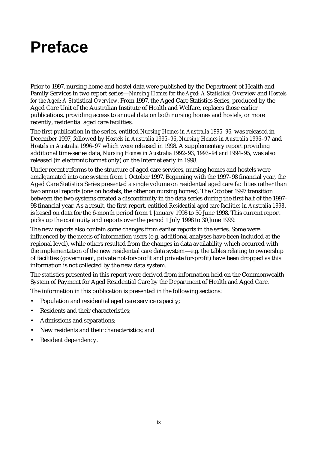# **Preface**

Prior to 1997, nursing home and hostel data were published by the Department of Health and Family Services in two report series—*Nursing Homes for the Aged: A Statistical Overview* and *Hostels for the Aged: A Statistical Overview*. From 1997, the Aged Care Statistics Series, produced by the Aged Care Unit of the Australian Institute of Health and Welfare, replaces those earlier publications, providing access to annual data on both nursing homes and hostels, or more recently, residential aged care facilities.

The first publication in the series, entitled *Nursing Homes in Australia 1995–96,* was released in December 1997, followed by *Hostels in Australia 1995–96*, *Nursing Homes in Australia 1996–97* and *Hostels in Australia 1996–97* which were released in 1998. A supplementary report providing additional time-series data, *Nursing Homes in Australia 1992–93, 1993–94 and 1994–95,* was also released (in electronic format only) on the Internet early in 1998.

Under recent reforms to the structure of aged care services, nursing homes and hostels were amalgamated into one system from 1 October 1997. Beginning with the 1997–98 financial year, the Aged Care Statistics Series presented a single volume on residential aged care facilities rather than two annual reports (one on hostels, the other on nursing homes). The October 1997 transition between the two systems created a discontinuity in the data series during the first half of the 1997– 98 financial year. As a result, the first report, entitled *Residential aged care facilities in Australia 1998*, is based on data for the 6-month period from 1 January 1998 to 30 June 1998. This current report picks up the continuity and reports over the period 1 July 1998 to 30 June 1999.

The new reports also contain some changes from earlier reports in the series. Some were influenced by the needs of information users (e.g. additional analyses have been included at the regional level), while others resulted from the changes in data availability which occurred with the implementation of the new residential care data system—e.g. the tables relating to ownership of facilities (government, private not-for-profit and private for-profit) have been dropped as this information is not collected by the new data system.

The statistics presented in this report were derived from information held on the Commonwealth System of Payment for Aged Residential Care by the Department of Health and Aged Care.

The information in this publication is presented in the following sections:

- Population and residential aged care service capacity;
- Residents and their characteristics:
- Admissions and separations;
- New residents and their characteristics; and
- Resident dependency.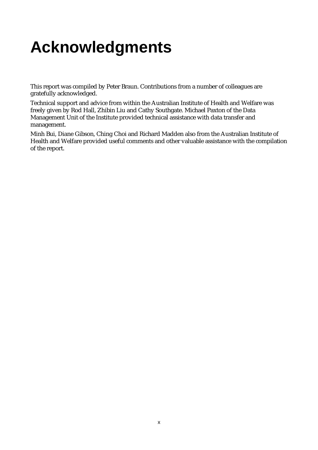# **Acknowledgments**

This report was compiled by Peter Braun. Contributions from a number of colleagues are gratefully acknowledged.

Technical support and advice from within the Australian Institute of Health and Welfare was freely given by Rod Hall, Zhibin Liu and Cathy Southgate. Michael Paxton of the Data Management Unit of the Institute provided technical assistance with data transfer and management.

Minh Bui, Diane Gibson, Ching Choi and Richard Madden also from the Australian Institute of Health and Welfare provided useful comments and other valuable assistance with the compilation of the report.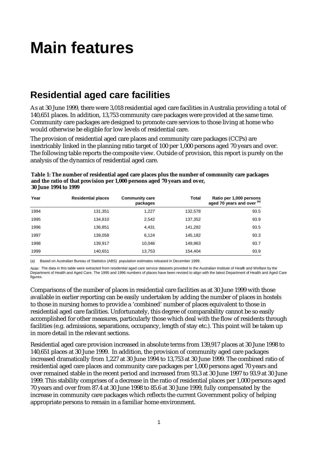# **Main features**

## **Residential aged care facilities**

As at 30 June 1999, there were 3,018 residential aged care facilities in Australia providing a total of 140,651 places. In addition, 13,753 community care packages were provided at the same time. Community care packages are designed to promote care services to those living at home who would otherwise be eligible for low levels of residential care.

The provision of residential aged care places and community care packages (CCPs) are inextricably linked in the planning ratio target of 100 per 1,000 persons aged 70 years and over. The following table reports the composite view. Outside of provision, this report is purely on the analysis of the dynamics of residential aged care.

| Year | <b>Residential places</b> | <b>Community care</b><br>packages | <b>Total</b> | Ratio per 1,000 persons<br>aged 70 years and over (a) |
|------|---------------------------|-----------------------------------|--------------|-------------------------------------------------------|
| 1994 | 131,351                   | 1,227                             | 132,578      | 93.5                                                  |
| 1995 | 134,810                   | 2,542                             | 137,352      | 93.9                                                  |
| 1996 | 136,851                   | 4,431                             | 141,282      | 93.5                                                  |
| 1997 | 139,058                   | 6,124                             | 145,182      | 93.3                                                  |
| 1998 | 139,917                   | 10,046                            | 149,963      | 93.7                                                  |
| 1999 | 140,651                   | 13,753                            | 154,404      | 93.9                                                  |

**Table 1: The number of residential aged care places plus the number of community care packages and the ratio of that provision per 1,000 persons aged 70 years and over, 30 June 1994 to 1999**

(a) Based on Australian Bureau of Statistics (ABS) population estimates released in December 1999.

Note: The data in this table were extracted from residential aged care service datasets provided to the Australian Institute of Healh and Welfare by the Department of Health and Aged Care. The 1995 and 1996 numbers of places have been revised to align with the latest Department of Health and Aged Care figures.

Comparisons of the number of places in residential care facilities as at 30 June 1999 with those available in earlier reporting can be easily undertaken by adding the number of places in hostels to those in nursing homes to provide a 'combined' number of places equivalent to those in residential aged care facilities. Unfortunately, this degree of comparability cannot be so easily accomplished for other measures, particularly those which deal with the flow of residents through facilities (e.g. admissions, separations, occupancy, length of stay etc.). This point will be taken up in more detail in the relevant sections.

Residential aged care provision increased in absolute terms from 139,917 places at 30 June 1998 to 140,651 places at 30 June 1999. In addition, the provision of community aged care packages increased dramatically from 1,227 at 30 June 1994 to 13,753 at 30 June 1999. The combined ratio of residential aged care places and community care packages per 1,000 persons aged 70 years and over remained stable in the recent period and increased from 93.3 at 30 June 1997 to 93.9 at 30 June 1999. This stability comprises of a decrease in the ratio of residential places per 1,000 persons aged 70 years and over from 87.4 at 30 June 1998 to 85.6 at 30 June 1999, fully compensated by the increase in community care packages which reflects the current Government policy of helping appropriate persons to remain in a familiar home environment.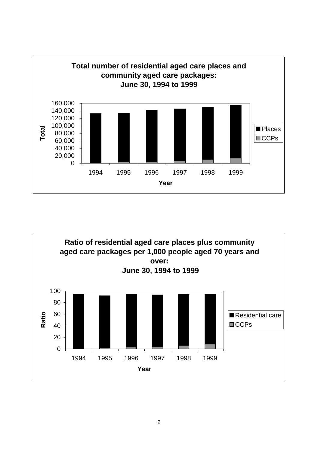

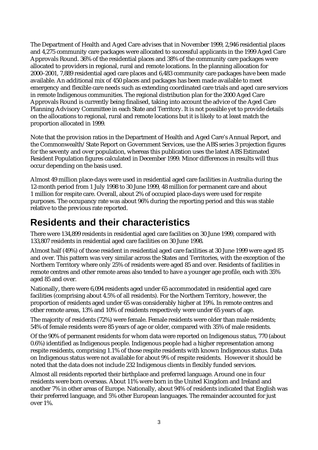The Department of Health and Aged Care advises that in November 1999, 2,946 residential places and 4,275 community care packages were allocated to successful applicants in the 1999 Aged Care Approvals Round. 36% of the residential places and 38% of the community care packages were allocated to providers in regional, rural and remote locations. In the planning allocation for 2000–2001, 7,889 residential aged care places and 6,483 community care packages have been made available. An additional mix of 450 places and packages has been made available to meet emergency and flexible care needs such as extending coordinated care trials and aged care services in remote Indigenous communities. The regional distribution plan for the 2000 Aged Care Approvals Round is currently being finalised, taking into account the advice of the Aged Care Planning Advisory Committee in each State and Territory. It is not possible yet to provide details on the allocations to regional, rural and remote locations but it is likely to at least match the proportion allocated in 1999.

Note that the provision ratios in the Department of Health and Aged Care's Annual Report, and the Commonwealth/State Report on Government Services, use the ABS series 3 projection figures for the seventy and over population, whereas this publication uses the latest ABS Estimated Resident Population figures calculated in December 1999. Minor differences in results will thus occur depending on the basis used.

Almost 49 million place-days were used in residential aged care facilities in Australia during the 12-month period from 1 July 1998 to 30 June 1999, 48 million for permanent care and about 1 million for respite care. Overall, about 2% of occupied place-days were used for respite purposes. The occupancy rate was about 96% during the reporting period and this was stable relative to the previous rate reported.

## **Residents and their characteristics**

There were 134,899 residents in residential aged care facilities on 30 June 1999, compared with 133,807 residents in residential aged care facilities on 30 June 1998.

Almost half (49%) of those resident in residential aged care facilities at 30 June 1999 were aged 85 and over. This pattern was very similar across the States and Territories, with the exception of the Northern Territory where only 25% of residents were aged 85 and over. Residents of facilities in remote centres and other remote areas also tended to have a younger age profile, each with 35% aged 85 and over.

Nationally, there were 6,094 residents aged under 65 accommodated in residential aged care facilities (comprising about 4.5% of all residents). For the Northern Territory, however, the proportion of residents aged under 65 was considerably higher at 19%. In remote centres and other remote areas, 13% and 10% of residents respectively were under 65 years of age.

The majority of residents (72%) were female. Female residents were older than male residents; 54% of female residents were 85 years of age or older, compared with 35% of male residents.

Of the 90% of permanent residents for whom data were reported on Indigenous status, 770 (about 0.6%) identified as Indigenous people. Indigenous people had a higher representation among respite residents, comprising 1.1% of those respite residents with known Indigenous status. Data on Indigenous status were not available for about 9% of respite residents. However it should be noted that the data does not include 232 Indigenous clients in flexibly funded services.

Almost all residents reported their birthplace and preferred language. Around one in four residents were born overseas. About 11% were born in the United Kingdom and Ireland and another 7% in other areas of Europe. Nationally, about 94% of residents indicated that English was their preferred language, and 5% other European languages. The remainder accounted for just over 1%.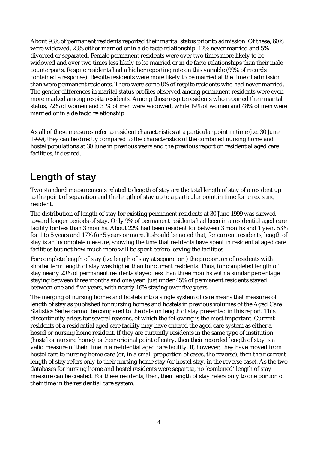About 93% of permanent residents reported their marital status prior to admission. Of these, 60% were widowed, 23% either married or in a de facto relationship, 12% never married and 5% divorced or separated. Female permanent residents were over two times more likely to be widowed and over two times less likely to be married or in de facto relationships than their male counterparts. Respite residents had a higher reporting rate on this variable (99% of records contained a response). Respite residents were more likely to be married at the time of admission than were permanent residents. There were some 8% of respite residents who had never married. The gender differences in marital status profiles observed among permanent residents were even more marked among respite residents. Among those respite residents who reported their marital status, 72% of women and 31% of men were widowed, while 19% of women and 48% of men were married or in a de facto relationship.

As all of these measures refer to resident characteristics at a particular point in time (i.e. 30 June 1999), they can be directly compared to the characteristics of the combined nursing home and hostel populations at 30 June in previous years and the previous report on residential aged care facilities, if desired.

## **Length of stay**

Two standard measurements related to length of stay are the total length of stay of a resident up to the point of separation and the length of stay up to a particular point in time for an existing resident.

The distribution of length of stay for existing permanent residents at 30 June 1999 was skewed toward longer periods of stay. Only 9% of permanent residents had been in a residential aged care facility for less than 3 months. About 22% had been resident for between 3 months and 1 year, 53% for 1 to 5 years and 17% for 5 years or more. It should be noted that, for current residents, length of stay is an incomplete measure, showing the time that residents have spent in residential aged care facilities but not how much more will be spent before leaving the facilities.

For complete length of stay (i.e. length of stay at separation ) the proportion of residents with shorter term length of stay was higher than for current residents. Thus, for completed length of stay nearly 20% of permanent residents stayed less than three months with a similar percentage staying between three months and one year. Just under 45% of permanent residents stayed between one and five years, with nearly 16% staying over five years.

The merging of nursing homes and hostels into a single system of care means that measures of length of stay as published for nursing homes and hostels in previous volumes of the Aged Care Statistics Series cannot be compared to the data on length of stay presented in this report. This discontinuity arises for several reasons, of which the following is the most important. Current residents of a residential aged care facility may have entered the aged care system as either a hostel or nursing home resident. If they are currently residents in the same type of institution (hostel or nursing home) as their original point of entry, then their recorded length of stay is a valid measure of their time in a residential aged care facility. If, however, they have moved from hostel care to nursing home care (or, in a small proportion of cases, the reverse), then their current length of stay refers only to their nursing home stay (or hostel stay, in the reverse case). As the two databases for nursing home and hostel residents were separate, no 'combined' length of stay measure can be created. For these residents, then, their length of stay refers only to one portion of their time in the residential care system.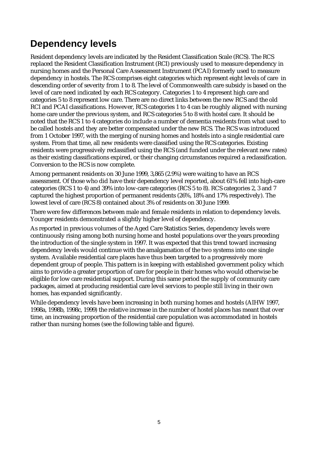## **Dependency levels**

Resident dependency levels are indicated by the Resident Classification Scale (RCS). The RCS replaced the Resident Classification Instrument (RCI) previously used to measure dependency in nursing homes and the Personal Care Assessment Instrument (PCAI) formerly used to measure dependency in hostels. The RCS comprises eight categories which represent eight levels of care in descending order of severity from 1 to 8. The level of Commonwealth care subsidy is based on the level of care need indicated by each RCS category. Categories 1 to 4 represent high care and categories 5 to 8 represent low care. There are no direct links between the new RCS and the old RCI and PCAI classifications. However, RCS categories 1 to 4 can be roughly aligned with nursing home care under the previous system, and RCS categories 5 to 8 with hostel care. It should be noted that the RCS 1 to 4 categories do include a number of dementia residents from what used to be called hostels and they are better compensated under the new RCS. The RCS was introduced from 1 October 1997, with the merging of nursing homes and hostels into a single residential care system. From that time, all new residents were classified using the RCS categories. Existing residents were progressively reclassified using the RCS (and funded under the relevant new rates) as their existing classifications expired, or their changing circumstances required a reclassification. Conversion to the RCS is now complete.

Among permanent residents on 30 June 1999, 3,865 (2.9%) were waiting to have an RCS assessment. Of those who did have their dependency level reported, about 61% fell into high-care categories (RCS 1 to 4) and 39% into low-care categories (RCS 5 to 8). RCS categories 2, 3 and 7 captured the highest proportion of permanent residents (26%, 18% and 17% respectively). The lowest level of care (RCS 8) contained about 3% of residents on 30 June 1999.

There were few differences between male and female residents in relation to dependency levels. Younger residents demonstrated a slightly higher level of dependency.

As reported in previous volumes of the Aged Care Statistics Series, dependency levels were continuously rising among both nursing home and hostel populations over the years preceding the introduction of the single system in 1997. It was expected that this trend toward increasing dependency levels would continue with the amalgamation of the two systems into one single system. Available residential care places have thus been targeted to a progressively more dependent group of people. This pattern is in keeping with established government policy which aims to provide a greater proportion of care for people in their homes who would otherwise be eligible for low care residential support. During this same period the supply of community care packages, aimed at producing residential care level services to people still living in their own homes, has expanded significantly.

While dependency levels have been increasing in both nursing homes and hostels (AIHW 1997, 1998a, 1998b, 1998c, 1999) the relative increase in the number of hostel places has meant that over time, an increasing proportion of the residential care population was accommodated in hostels rather than nursing homes (see the following table and figure).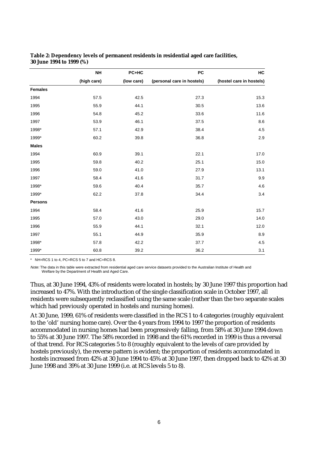|                | <b>NH</b>   | PC+HC      | PC                         | HC                       |
|----------------|-------------|------------|----------------------------|--------------------------|
|                | (high care) | (low care) | (personal care in hostels) | (hostel care in hostels) |
| <b>Females</b> |             |            |                            |                          |
| 1994           | 57.5        | 42.5       | 27.3                       | 15.3                     |
| 1995           | 55.9        | 44.1       | 30.5                       | 13.6                     |
| 1996           | 54.8        | 45.2       | 33.6                       | 11.6                     |
| 1997           | 53.9        | 46.1       | 37.5                       | $\bf 8.6$                |
| 1998*          | 57.1        | 42.9       | 38.4                       | 4.5                      |
| 1999*          | 60.2        | 39.8       | 36.8                       | 2.9                      |
| <b>Males</b>   |             |            |                            |                          |
| 1994           | 60.9        | 39.1       | 22.1                       | 17.0                     |
| 1995           | 59.8        | 40.2       | 25.1                       | 15.0                     |
| 1996           | 59.0        | 41.0       | 27.9                       | 13.1                     |
| 1997           | 58.4        | 41.6       | 31.7                       | 9.9                      |
| 1998*          | 59.6        | 40.4       | 35.7                       | 4.6                      |
| 1999*          | 62.2        | 37.8       | 34.4                       | 3.4                      |
| <b>Persons</b> |             |            |                            |                          |
| 1994           | 58.4        | 41.6       | 25.9                       | 15.7                     |
| 1995           | 57.0        | 43.0       | 29.0                       | 14.0                     |
| 1996           | 55.9        | 44.1       | 32.1                       | 12.0                     |
| 1997           | 55.1        | 44.9       | 35.9                       | 8.9                      |
| 1998*          | 57.8        | 42.2       | 37.7                       | 4.5                      |
| 1999*          | 60.8        | 39.2       | 36.2                       | 3.1                      |

**Table 2: Dependency levels of permanent residents in residential aged care facilities, 30 June 1994 to 1999 (%)**

\* NH=RCS 1 to 4, PC=RCS 5 to 7 and HC=RCS 8.

Note: The data in this table were extracted from residential aged care service datasets provided to the Australian Institute of Health and Welfare by the Department of Health and Aged Care.

Thus, at 30 June 1994, 43% of residents were located in hostels; by 30 June 1997 this proportion had increased to 47%. With the introduction of the single classification scale in October 1997, all residents were subsequently reclassified using the same scale (rather than the two separate scales which had previously operated in hostels and nursing homes).

At 30 June, 1999, 61% of residents were classified in the RCS 1 to 4 categories (roughly equivalent to the 'old' nursing home care). Over the 4 years from 1994 to 1997 the proportion of residents accommodated in nursing homes had been progressively falling, from 58% at 30 June 1994 down to 55% at 30 June 1997. The 58% recorded in 1998 and the 61% recorded in 1999 is thus a reversal of that trend. For RCS categories 5 to 8 (roughly equivalent to the levels of care provided by hostels previously), the reverse pattern is evident; the proportion of residents accommodated in hostels increased from 42% at 30 June 1994 to 45% at 30 June 1997, then dropped back to 42% at 30 June 1998 and 39% at 30 June 1999 (i.e. at RCS levels 5 to 8).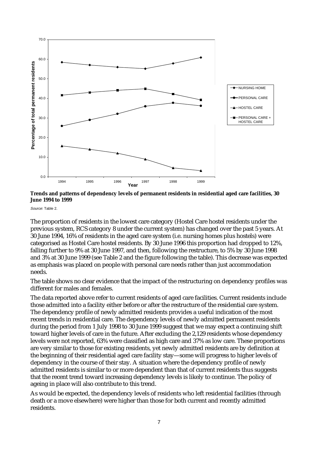



Source: Table 2.

The proportion of residents in the lowest care category (Hostel Care hostel residents under the previous system, RCS category 8 under the current system) has changed over the past 5 years. At 30 June 1994, 16% of residents in the aged care system (i.e. nursing homes plus hostels) were categorised as Hostel Care hostel residents. By 30 June 1996 this proportion had dropped to 12%, falling further to 9% at 30 June 1997, and then, following the restructure, to 5% by 30 June 1998 and 3% at 30 June 1999 (see Table 2 and the figure following the table). This decrease was expected as emphasis was placed on people with personal care needs rather than just accommodation needs.

The table shows no clear evidence that the impact of the restructuring on dependency profiles was different for males and females.

The data reported above refer to current residents of aged care facilities. Current residents include those admitted into a facility either before or after the restructure of the residential care system. The dependency profile of newly admitted residents provides a useful indication of the most recent trends in residential care. The dependency levels of newly admitted permanent residents during the period from 1 July 1998 to 30 June 1999 suggest that we may expect a continuing shift toward higher levels of care in the future. After excluding the 2,129 residents whose dependency levels were not reported, 63% were classified as high care and 37% as low care. These proportions are very similar to those for existing residents, yet newly admitted residents are by definition at the beginning of their residential aged care facility stay—some will progress to higher levels of dependency in the course of their stay. A situation where the dependency profile of newly admitted residents is similar to or more dependent than that of current residents thus suggests that the recent trend toward increasing dependency levels is likely to continue. The policy of ageing in place will also contribute to this trend.

As would be expected, the dependency levels of residents who left residential facilities (through death or a move elsewhere) were higher than those for both current and recently admitted residents.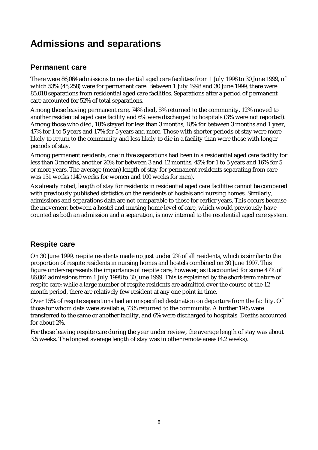## **Admissions and separations**

#### **Permanent care**

There were 86,064 admissions to residential aged care facilities from 1 July 1998 to 30 June 1999, of which 53% (45,258) were for permanent care. Between 1 July 1998 and 30 June 1999, there were 85,018 separations from residential aged care facilities. Separations after a period of permanent care accounted for 52% of total separations.

Among those leaving permanent care, 74% died, 5% returned to the community, 12% moved to another residential aged care facility and 6% were discharged to hospitals (3% were not reported). Among those who died, 18% stayed for less than 3 months, 18% for between 3 months and 1 year, 47% for 1 to 5 years and 17% for 5 years and more. Those with shorter periods of stay were more likely to return to the community and less likely to die in a facility than were those with longer periods of stay.

Among permanent residents, one in five separations had been in a residential aged care facility for less than 3 months, another 20% for between 3 and 12 months, 45% for 1 to 5 years and 16% for 5 or more years. The average (mean) length of stay for permanent residents separating from care was 131 weeks (149 weeks for women and 100 weeks for men).

As already noted, length of stay for residents in residential aged care facilities cannot be compared with previously published statistics on the residents of hostels and nursing homes. Similarly, admissions and separations data are not comparable to those for earlier years. This occurs because the movement between a hostel and nursing home level of care, which would previously have counted as both an admission and a separation, is now internal to the residential aged care system.

#### **Respite care**

On 30 June 1999, respite residents made up just under 2% of all residents, which is similar to the proportion of respite residents in nursing homes and hostels combined on 30 June 1997. This figure under-represents the importance of respite care, however, as it accounted for some 47% of 86,064 admissions from 1 July 1998 to 30 June 1999. This is explained by the short-term nature of respite care; while a large number of respite residents are admitted over the course of the 12 month period, there are relatively few resident at any one point in time.

Over 15% of respite separations had an unspecified destination on departure from the facility. Of those for whom data were available, 73% returned to the community. A further 19% were transferred to the same or another facility, and 6% were discharged to hospitals. Deaths accounted for about 2%.

For those leaving respite care during the year under review, the average length of stay was about 3.5 weeks. The longest average length of stay was in other remote areas (4.2 weeks).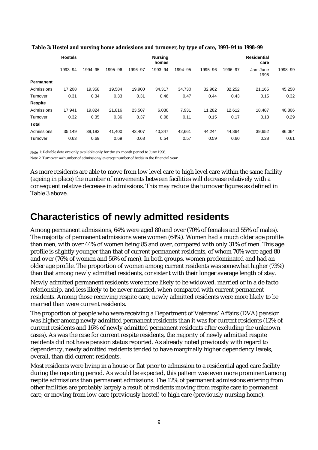|                  | <b>Hostels</b> |         |         |         | <b>Nursing</b><br>homes |         |         |         | <b>Residential</b><br>care |         |
|------------------|----------------|---------|---------|---------|-------------------------|---------|---------|---------|----------------------------|---------|
|                  | 1993-94        | 1994-95 | 1995-96 | 1996-97 | 1993-94                 | 1994-95 | 1995-96 | 1996-97 | Jan-June<br>1998           | 1998-99 |
| <b>Permanent</b> |                |         |         |         |                         |         |         |         |                            |         |
| Admissions       | 17,208         | 19,358  | 19.584  | 19,900  | 34,317                  | 34,730  | 32,962  | 32,252  | 21,165                     | 45,258  |
| Turnover         | 0.31           | 0.34    | 0.33    | 0.31    | 0.46                    | 0.47    | 0.44    | 0.43    | 0.15                       | 0.32    |
| <b>Respite</b>   |                |         |         |         |                         |         |         |         |                            |         |
| Admissions       | 17.941         | 19.824  | 21.816  | 23.507  | 6,030                   | 7,931   | 11,282  | 12,612  | 18.487                     | 40,806  |
| Turnover         | 0.32           | 0.35    | 0.36    | 0.37    | 0.08                    | 0.11    | 0.15    | 0.17    | 0.13                       | 0.29    |
| <b>Total</b>     |                |         |         |         |                         |         |         |         |                            |         |
| Admissions       | 35,149         | 39,182  | 41,400  | 43,407  | 40,347                  | 42,661  | 44,244  | 44,864  | 39,652                     | 86,064  |
| Turnover         | 0.63           | 0.69    | 0.69    | 0.68    | 0.54                    | 0.57    | 0.59    | 0.60    | 0.28                       | 0.61    |

 **Table 3: Hostel and nursing home admissions and turnover, by type of care, 1993–94 to 1998–99**

*Note* 1: Reliable data are only available only for the six month period to June 1998.

*Note 2*: Turnover = (number of admissions/average number of beds) in the financial year.

As more residents are able to move from low level care to high level care within the same facility (ageing in place) the number of movements between facilities will decrease relatively with a consequent relative decrease in admissions. This may reduce the turnover figures as defined in Table 3 above.

### **Characteristics of newly admitted residents**

Among permanent admissions, 64% were aged 80 and over (70% of females and 55% of males). The majority of permanent admissions were women (64%). Women had a much older age profile than men, with over 44% of women being 85 and over, compared with only 31% of men. This age profile is slightly younger than that of current permanent residents, of whom 70% were aged 80 and over (76% of women and 56% of men). In both groups, women predominated and had an older age profile. The proportion of women among current residents was somewhat higher (73%) than that among newly admitted residents, consistent with their longer average length of stay.

Newly admitted permanent residents were more likely to be widowed, married or in a de facto relationship, and less likely to be never married, when compared with current permanent residents. Among those receiving respite care, newly admitted residents were more likely to be married than were current residents.

The proportion of people who were receiving a Department of Veterans' Affairs (DVA) pension was higher among newly admitted permanent residents than it was for current residents (12% of current residents and 16% of newly admitted permanent residents after excluding the unknown cases). As was the case for current respite residents, the majority of newly admitted respite residents did not have pension status reported. As already noted previously with regard to dependency, newly admitted residents tended to have marginally higher dependency levels, overall, than did current residents.

Most residents were living in a house or flat prior to admission to a residential aged care facility during the reporting period. As would be expected, this pattern was even more prominent among respite admissions than permanent admissions. The 12% of permanent admissions entering from other facilities are probably largely a result of residents moving from respite care to permanent care, or moving from low care (previously hostel) to high care (previously nursing home).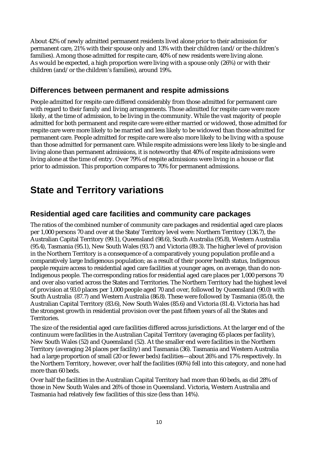About 42% of newly admitted permanent residents lived alone prior to their admission for permanent care, 21% with their spouse only and 13% with their children (and/or the children's families). Among those admitted for respite care, 40% of new residents were living alone. As would be expected, a high proportion were living with a spouse only (26%) or with their children (and/or the children's families), around 19%.

#### **Differences between permanent and respite admissions**

People admitted for respite care differed considerably from those admitted for permanent care with regard to their family and living arrangements. Those admitted for respite care were more likely, at the time of admission, to be living in the community. While the vast majority of people admitted for both permanent and respite care were either married or widowed, those admitted for respite care were more likely to be married and less likely to be widowed than those admitted for permanent care. People admitted for respite care were also more likely to be living with a spouse than those admitted for permanent care. While respite admissions were less likely to be single and living alone than permanent admissions, it is noteworthy that 40% of respite admissions were living alone at the time of entry. Over 79% of respite admissions were living in a house or flat prior to admission. This proportion compares to 70% for permanent admissions.

### **State and Territory variations**

#### **Residential aged care facilities and community care packages**

The ratios of the combined number of community care packages and residential aged care places per 1,000 persons 70 and over at the State/Territory level were: Northern Territory (136.7), the Australian Capital Territory (99.1), Queensland (98.6), South Australia (95.8), Western Australia (95.4), Tasmania (95.1), New South Wales (93.7) and Victoria (89.3). The higher level of provision in the Northern Territory is a consequence of a comparatively young population profile and a comparatively large Indigenous population; as a result of their poorer health status, Indigenous people require access to residential aged care facilities at younger ages, on average, than do non-Indigenous people. The corresponding ratios for residential aged care places per 1,000 persons 70 and over also varied across the States and Territories. The Northern Territory had the highest level of provision at 93.0 places per 1,000 people aged 70 and over, followed by Queensland (90.0) with South Australia (87.7) and Western Australia (86.8). These were followed by Tasmania (85.0), the Australian Capital Territory (83.6), New South Wales (85.6) and Victoria (81.4). Victoria has had the strongest growth in residential provision over the past fifteen years of all the States and Territories.

The size of the residential aged care facilities differed across jurisdictions. At the larger end of the continuum were facilities in the Australian Capital Territory (averaging 65 places per facility), New South Wales (52) and Queensland (52). At the smaller end were facilities in the Northern Territory (averaging 24 places per facility) and Tasmania (36). Tasmania and Western Australia had a large proportion of small (20 or fewer beds) facilities—about 26% and 17% respectively. In the Northern Territory, however, over half the facilities (60%) fell into this category, and none had more than 60 beds.

Over half the facilities in the Australian Capital Territory had more than 60 beds, as did 28% of those in New South Wales and 26% of those in Queensland. Victoria, Western Australia and Tasmania had relatively few facilities of this size (less than 14%).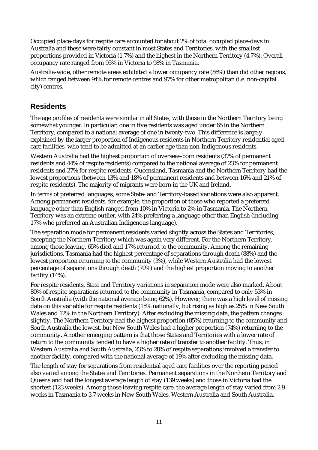Occupied place-days for respite care accounted for about 2% of total occupied place-days in Australia and these were fairly constant in most States and Territories, with the smallest proportions provided in Victoria (1.7%) and the highest in the Northern Territory (4.7%). Overall occupancy rate ranged from 95% in Victoria to 98% in Tasmania.

Australia-wide, other remote areas exhibited a lower occupancy rate (86%) than did other regions, which ranged between 94% for remote centres and 97% for other metropolitan (i.e. non-capital city) centres.

#### **Residents**

The age profiles of residents were similar in all States, with those in the Northern Territory being somewhat younger. In particular, one in five residents was aged under 65 in the Northern Territory, compared to a national average of one in twenty-two. This difference is largely explained by the larger proportion of Indigenous residents in Northern Territory residential aged care facilities, who tend to be admitted at an earlier age than non-Indigenous residents.

Western Australia had the highest proportion of overseas-born residents (37% of permanent residents and 44% of respite residents) compared to the national average of 23% for permanent residents and 27% for respite residents. Queensland, Tasmania and the Northern Territory had the lowest proportions (between 13% and 18% of permanent residents and between 16% and 21% of respite residents). The majority of migrants were born in the UK and Ireland.

In terms of preferred languages, some State- and Territory-based variations were also apparent. Among permanent residents, for example, the proportion of those who reported a preferred language other than English ranged from 10% in Victoria to 2% in Tasmania. The Northern Territory was an extreme outlier, with 24% preferring a language other than English (including 17% who preferred an Australian Indigenous language).

The separation mode for permanent residents varied slightly across the States and Territories, excepting the Northern Territory which was again very different. For the Northern Territory, among those leaving, 65% died and 17% returned to the community. Among the remaining jurisdictions, Tasmania had the highest percentage of separations through death (88%) and the lowest proportion returning to the community (3%), while Western Australia had the lowest percentage of separations through death (70%) and the highest proportion moving to another facility (14%).

For respite residents, State and Territory variations in separation mode were also marked. About 80% of respite separations returned to the community in Tasmania, compared to only 53% in South Australia (with the national average being 62%). However, there was a high level of missing data on this variable for respite residents (15% nationally, but rising as high as 25% in New South Wales and 12% in the Northern Territory). After excluding the missing data, the pattern changes slightly. The Northern Territory had the highest proportion (85%) returning to the community and South Australia the lowest, but New South Wales had a higher proportion (74%) returning to the community. Another emerging pattern is that those States and Territories with a lower rate of return to the community tended to have a higher rate of transfer to another facility. Thus, in Western Australia and South Australia, 23% to 28% of respite separations involved a transfer to another facility, compared with the national average of 19% after excluding the missing data.

The length of stay for separations from residential aged care facilities over the reporting period also varied among the States and Territories. Permanent separations in the Northern Territory and Queensland had the longest average length of stay (139 weeks) and those in Victoria had the shortest (123 weeks). Among those leaving respite care, the average length of stay varied from 2.9 weeks in Tasmania to 3.7 weeks in New South Wales, Western Australia and South Australia.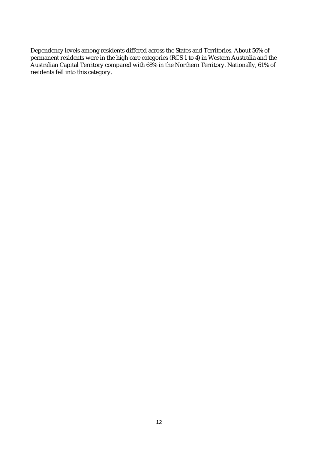Dependency levels among residents differed across the States and Territories. About 56% of permanent residents were in the high care categories (RCS 1 to 4) in Western Australia and the Australian Capital Territory compared with 68% in the Northern Territory. Nationally, 61% of residents fell into this category.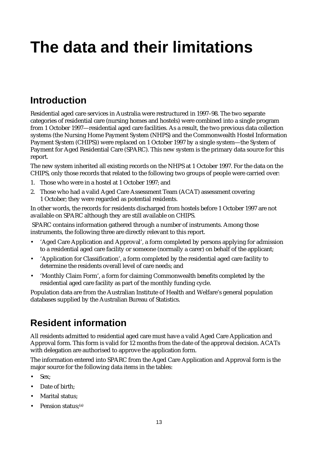# **The data and their limitations**

## **Introduction**

Residential aged care services in Australia were restructured in 1997–98. The two separate categories of residential care (nursing homes and hostels) were combined into a single program from 1 October 1997—residential aged care facilities. As a result, the two previous data collection systems (the Nursing Home Payment System (NHPS) and the Commonwealth Hostel Information Payment System (CHIPS)) were replaced on 1 October 1997 by a single system—the System of Payment for Aged Residential Care (SPARC). This new system is the primary data source for this report.

The new system inherited all existing records on the NHPS at 1 October 1997. For the data on the CHIPS, only those records that related to the following two groups of people were carried over:

- 1. Those who were in a hostel at 1 October 1997; and
- 2. Those who had a valid Aged Care Assessment Team (ACAT) assessment covering 1 October; they were regarded as potential residents.

In other words, the records for residents discharged from hostels before 1 October 1997 are not available on SPARC although they are still available on CHIPS.

 SPARC contains information gathered through a number of instruments. Among those instruments, the following three are directly relevant to this report.

- 'Aged Care Application and Approval', a form completed by persons applying for admission to a residential aged care facility or someone (normally a carer) on behalf of the applicant;
- 'Application for Classification', a form completed by the residential aged care facility to determine the residents overall level of care needs; and
- 'Monthly Claim Form', a form for claiming Commonwealth benefits completed by the residential aged care facility as part of the monthly funding cycle.

Population data are from the Australian Institute of Health and Welfare's general population databases supplied by the Australian Bureau of Statistics.

## **Resident information**

All residents admitted to residential aged care must have a valid Aged Care Application and Approval form. This form is valid for 12 months from the date of the approval decision. ACATs with delegation are authorised to approve the application form.

The information entered into SPARC from the Aged Care Application and Approval form is the major source for the following data items in the tables:

- Sex;
- Date of birth:
- Marital status;
- Pension status;<sup>(a)</sup>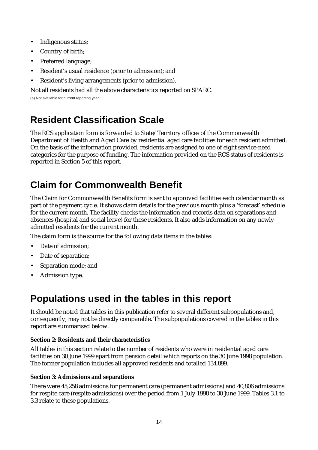- Indigenous status;
- Country of birth;
- Preferred language;
- Resident's usual residence (prior to admission); and
- Resident's living arrangements (prior to admission).

Not all residents had all the above characteristics reported on SPARC.

(a) Not available for current reporting year.

## **Resident Classification Scale**

The RCS application form is forwarded to State/Territory offices of the Commonwealth Department of Health and Aged Care by residential aged care facilities for each resident admitted. On the basis of the information provided, residents are assigned to one of eight service-need categories for the purpose of funding. The information provided on the RCS status of residents is reported in Section 5 of this report.

## **Claim for Commonwealth Benefit**

The Claim for Commonwealth Benefits form is sent to approved facilities each calendar month as part of the payment cycle. It shows claim details for the previous month plus a 'forecast' schedule for the current month. The facility checks the information and records data on separations and absences (hospital and social leave) for these residents. It also adds information on any newly admitted residents for the current month.

The claim form is the source for the following data items in the tables:

- Date of admission;
- Date of separation;
- Separation mode; and
- Admission type.

## **Populations used in the tables in this report**

It should be noted that tables in this publication refer to several different subpopulations and, consequently, may not be directly comparable. The subpopulations covered in the tables in this report are summarised below.

#### **Section 2: Residents and their characteristics**

All tables in this section relate to the number of residents who were in residential aged care facilities on 30 June 1999 apart from pension detail which reports on the 30 June 1998 population. The former population includes all approved residents and totalled 134,899.

#### **Section 3: Admissions and separations**

There were 45,258 admissions for permanent care (permanent admissions) and 40,806 admissions for respite care (respite admissions) over the period from 1 July 1998 to 30 June 1999. Tables 3.1 to 3.3 relate to these populations.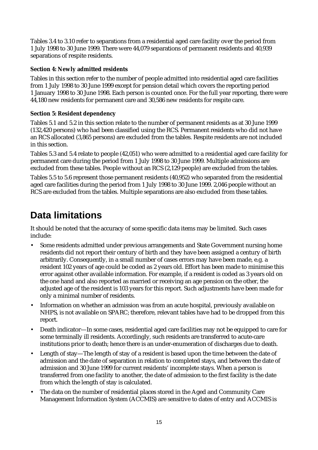Tables 3.4 to 3.10 refer to separations from a residential aged care facility over the period from 1 July 1998 to 30 June 1999. There were 44,079 separations of permanent residents and 40,939 separations of respite residents.

#### **Section 4: Newly admitted residents**

Tables in this section refer to the number of people admitted into residential aged care facilities from 1 July 1998 to 30 June 1999 except for pension detail which covers the reporting period 1 January 1998 to 30 June 1998. Each person is counted once. For the full year reporting, there were 44,180 new residents for permanent care and 30,586 new residents for respite care.

#### **Section 5: Resident dependency**

Tables 5.1 and 5.2 in this section relate to the number of permanent residents as at 30 June 1999 (132,420 persons) who had been classified using the RCS. Permanent residents who did not have an RCS allocated (3,865 persons) are excluded from the tables. Respite residents are not included in this section.

Tables 5.3 and 5.4 relate to people (42,051) who were admitted to a residential aged care facility for permanent care during the period from 1 July 1998 to 30 June 1999. Multiple admissions are excluded from these tables. People without an RCS (2,129 people) are excluded from the tables.

Tables 5.5 to 5.6 represent those permanent residents (40,952) who separated from the residential aged care facilities during the period from 1 July 1998 to 30 June 1999. 2,046 people without an RCS are excluded from the tables. Multiple separations are also excluded from these tables.

## **Data limitations**

It should be noted that the accuracy of some specific data items may be limited. Such cases include:

- Some residents admitted under previous arrangements and State Government nursing home residents did not report their century of birth and they have been assigned a century of birth arbitrarily. Consequently, in a small number of cases errors may have been made, e.g. a resident 102 years of age could be coded as 2 years old. Effort has been made to minimise this error against other available information. For example, if a resident is coded as 3 years old on the one hand and also reported as married or receiving an age pension on the other, the adjusted age of the resident is 103 years for this report. Such adjustments have been made for only a minimal number of residents.
- Information on whether an admission was from an acute hospital, previously available on NHPS, is not available on SPARC; therefore, relevant tables have had to be dropped from this report.
- Death indicator—In some cases, residential aged care facilities may not be equipped to care for some terminally ill residents. Accordingly, such residents are transferred to acute-care institutions prior to death; hence there is an under-enumeration of discharges due to death.
- Length of stay—The length of stay of a resident is based upon the time between the date of admission and the date of separation in relation to completed stays, and between the date of admission and 30 June 1999 for current residents' incomplete stays. When a person is transferred from one facility to another, the date of admission to the first facility is the date from which the length of stay is calculated.
- The data on the number of residential places stored in the Aged and Community Care Management Information System (ACCMIS) are sensitive to dates of entry and ACCMIS is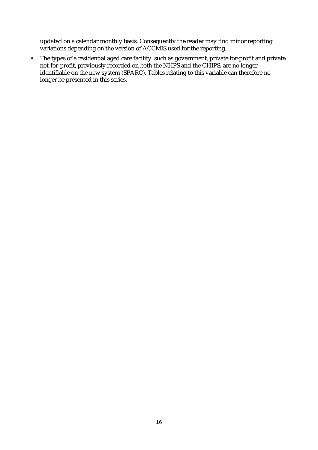updated on a calendar monthly basis. Consequently the reader may find minor reporting variations depending on the version of ACCMIS used for the reporting.

• The types of a residential aged care facility, such as government, private for-profit and private not-for-profit, previously recorded on both the NHPS and the CHIPS, are no longer identifiable on the new system (SPARC). Tables relating to this variable can therefore no longer be presented in this series.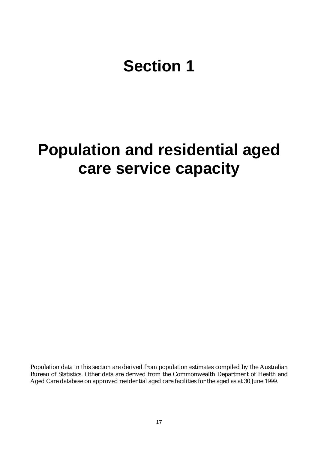# **Section 1**

## **Population and residential aged care service capacity**

Population data in this section are derived from population estimates compiled by the Australian Bureau of Statistics. Other data are derived from the Commonwealth Department of Health and Aged Care database on approved residential aged care facilities for the aged as at 30 June 1999.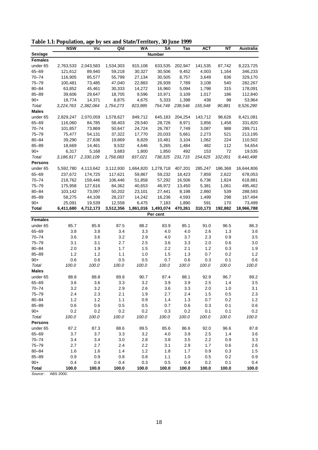|  |  |  |  |  |  |  |  |  |  |  |  |  | Table 1.1: Population, age by sex and State/Territory, 30 June 1999 |  |  |  |  |
|--|--|--|--|--|--|--|--|--|--|--|--|--|---------------------------------------------------------------------|--|--|--|--|
|--|--|--|--|--|--|--|--|--|--|--|--|--|---------------------------------------------------------------------|--|--|--|--|

|                | <b>NSW</b> | Vic       | Qld       | <b>WA</b> | SΑ            | Tas     | ACT     | NΤ      | Australia  |
|----------------|------------|-----------|-----------|-----------|---------------|---------|---------|---------|------------|
| Sex/age        |            |           |           |           | <b>Number</b> |         |         |         |            |
| <b>Females</b> |            |           |           |           |               |         |         |         |            |
| under 65       | 2,763,533  | 2,043,583 | 1,534,303 | 815,108   | 633,535       | 202,947 | 141,535 | 87,742  | 8,223,725  |
| 65-69          | 121,612    | 89,940    | 59,218    | 30,327    | 30,506        | 9,452   | 4,003   | 1,164   | 346,233    |
| 70-74          | 116,905    | 85,577    | 55,799    | 27,134    | 30,505        | 8,757   | 3,649   | 836     | 329,170    |
| 75-79          | 100,481    | 73,485    | 47,040    | 22,883    | 26,939        | 7,789   | 3,108   | 540     | 282,267    |
| 80-84          | 63,852     | 45,461    | 30,333    | 14,272    | 16,960        | 5,094   | 1,798   | 315     | 178,091    |
| 85-89          | 39,606     | 29,647    | 18,705    | 9,596     | 10,971        | 3,109   | 1,017   | 186     | 112,840    |
| $90+$          | 18,774     | 14,371    | 8,875     | 4,675     | 5,333         | 1,398   | 438     | 98      | 53,964     |
| Total          | 3,224,763  | 2,382,064 | 1,754,273 | 923,995   | 754,749       | 238,546 | 155,548 | 90,881  | 9,526,290  |
| <b>Males</b>   |            |           |           |           |               |         |         |         |            |
| under 65       | 2,829,247  | 2,070,059 | 1,578,627 | 849,712   | 645,183       | 204,254 | 143,712 | 98,626  | 8,421,081  |
| 65-69          | 116,060    | 84,785    | 58,403    | 29,540    | 28,726        | 8,971   | 3,856   | 1,458   | 331,820    |
| 70-74          | 101,857    | 73,869    | 50,647    | 24,724    | 26,787        | 7,749   | 3,087   | 988     | 289,711    |
| 75-79          | 75,477     | 54,131    | 37,322    | 17,770    | 20,033        | 5,661   | 2,273   | 521     | 213,195    |
| $80 - 84$      | 39,290     | 27,636    | 19,869    | 8,829     | 10,481        | 3,104   | 1,062   | 224     | 110,502    |
| 85-89          | 18,669     | 14,461    | 9,532     | 4,646     | 5,265         | 1,484   | 482     | 112     | 54,654     |
| $90+$          | 6,317      | 5,168     | 3,683     | 1,800     | 1,850         | 492     | 153     | 72      | 19,535     |
| Total          | 3,186,917  | 2,330,109 | 1,758,083 | 937,021   | 738,325       | 231,715 | 154,625 | 102,001 | 9,440,498  |
| <b>Persons</b> |            |           |           |           |               |         |         |         |            |
| under 65       | 5,592,780  | 4,113,642 | 3,112,930 | 1,664,820 | 1,278,718     | 407,201 | 285,247 | 186,368 | 16,644,806 |
| 65-69          | 237,672    | 174,725   | 117,621   | 59,867    | 59,232        | 18,423  | 7,859   | 2,622   | 678,053    |
| 70-74          | 218,762    | 159,446   | 106,446   | 51,858    | 57,292        | 16,506  | 6,736   | 1,824   | 618,881    |
| 75–79          | 175,958    | 127,616   | 84,362    | 40,653    | 46,972        | 13,450  | 5,381   | 1,061   | 495,462    |
| $80 - 84$      | 103,142    | 73,097    | 50,202    | 23,101    | 27,441        | 8,198   | 2,860   | 539     | 288,593    |
| $85 - 89$      | 58,275     | 44,108    | 28,237    | 14,242    | 16,236        | 4,593   | 1,499   | 298     | 167,494    |
| $90+$          | 25,091     | 19,539    | 12,558    | 6,475     | 7,183         | 1,890   | 591     | 170     | 73,499     |
| Total          | 6,411,680  | 4,712,173 | 3,512,356 | 1,861,016 | 1,493,074     | 470,261 | 310,173 | 192,882 | 18,966,788 |
|                |            |           |           |           | Per cent      |         |         |         |            |
| <b>Females</b> |            |           |           |           |               |         |         |         |            |
| under 65       | 85.7       | 85.8      | 87.5      | 88.2      | 83.9          | 85.1    | 91.0    | 96.5    | 86.3       |
| 65-69          | 3.8        | 3.8       | 3.4       | 3.3       | 4.0           | 4.0     | 2.6     | 1.3     | 3.6        |
| $70 - 74$      | 3.6        | 3.6       | 3.2       | 2.9       | 4.0           | 3.7     | 2.3     | 0.9     | 3.5        |
| $75 - 79$      | 3.1        | 3.1       | 2.7       | 2.5       | 3.6           | 3.3     | 2.0     | 0.6     | 3.0        |
| $80 - 84$      | 2.0        | 1.9       | 1.7       | 1.5       | 2.2           | 2.1     | 1.2     | 0.3     | 1.9        |
| $85 - 89$      | 1.2        | 1.2       | 1.1       | 1.0       | 1.5           | 1.3     | 0.7     | 0.2     | 1.2        |
| $90+$          | 0.6        | 0.6       | 0.5       | 0.5       | 0.7           | 0.6     | 0.3     | 0.1     | 0.6        |
| Total          | 100.0      | 100.0     | 100.0     | 100.0     | 100.0         | 100.0   | 100.0   | 100.0   | 100.0      |
| <b>Males</b>   |            |           |           |           |               |         |         |         |            |
| under 65       | 88.8       | 88.8      | 89.8      | 90.7      | 87.4          | 88.1    | 92.9    | 96.7    | 89.2       |
| 65-69          | 3.6        | 3.6       | 3.3       | 3.2       | 3.9           | 3.9     | 2.5     | 1.4     | 3.5        |
| $70 - 74$      | 3.2        | 3.2       | 2.9       | 2.6       | 3.6           | 3.3     | 2.0     | 1.0     | 3.1        |
| $75 - 79$      | 2.4        | 2.3       | 2.1       | 1.9       | 2.7           | 2.4     | 1.5     | 0.5     | 2.3        |
| $80 - 84$      | $1.2$      | 1.2       | 1.1       | 0.9       | 1.4           | 1.3     | 0.7     | 0.2     | 1.2        |
| $85 - 89$      | 0.6        | 0.6       | 0.5       | 0.5       | 0.7           | 0.6     | 0.3     | 0.1     | 0.6        |
| $90+$          | 0.2        | 0.2       | 0.2       | 0.2       | 0.3           | 0.2     | 0.1     | 0.1     | 0.2        |
| Total          | 100.0      | 100.0     | 100.0     | 100.0     | 100.0         | 100.0   | 100.0   | 100.0   | 100.0      |
| <b>Persons</b> |            |           |           |           |               |         |         |         |            |
| under 65       | 87.2       | 87.3      | 88.6      | 89.5      | 85.6          | 86.6    | 92.0    | 96.6    | 87.8       |
| 65-69          | 3.7        | 3.7       | 3.3       | 3.2       | 4.0           | 3.9     | 2.5     | 1.4     | 3.6        |
| $70 - 74$      | 3.4        | 3.4       | 3.0       | 2.8       | 3.8           | 3.5     | 2.2     | 0.9     | 3.3        |
| $75 - 79$      | 2.7        | 2.7       | 2.4       | 2.2       | 3.1           | 2.9     | 1.7     | 0.6     | 2.6        |
| $80 - 84$      | 1.6        | 1.6       | 1.4       | 1.2       | 1.8           | 1.7     | 0.9     | 0.3     | 1.5        |
| $85 - 89$      | 0.9        | 0.9       | 0.8       | 0.8       | 1.1           | 1.0     | 0.5     | 0.2     | 0.9        |
| $90+$          | 0.4        | 0.4       | 0.4       | 0.3       | 0.5           | 0.4     | 0.2     | 0.1     | 0.4        |
| <b>Total</b>   | 100.0      | 100.0     | 100.0     | 100.0     | 100.0         | 100.0   | 100.0   | 100.0   | 100.0      |

Source: ABS 2000.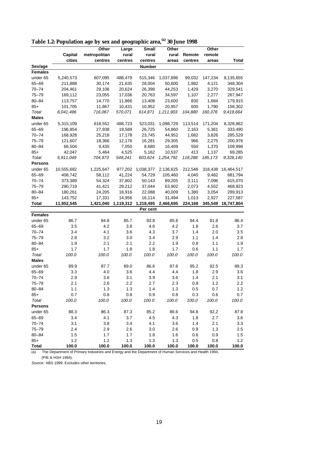|  |  | Table 1.2: Population age by sex and geographic area, <sup>(a)</sup> 30 June 1998 |
|--|--|-----------------------------------------------------------------------------------|
|  |  |                                                                                   |

|                    |            | o            |           |              |           |         |          |              |
|--------------------|------------|--------------|-----------|--------------|-----------|---------|----------|--------------|
|                    |            | Other        | Large     | <b>Small</b> | Other     |         | Other    |              |
|                    | Capital    | metropolitan | rural     | rural        | rural     | Remote  | remote   | <b>Total</b> |
|                    | cities     | centres      | centres   | centres      | areas     | centres | areas    |              |
| Sex/age<br>Females |            |              |           | Number       |           |         |          |              |
|                    |            |              |           |              |           |         |          |              |
| under 65           | 5,240,573  | 607,095      | 488,479   | 515,346      | 1,037,896 | 99,032  | 147,234  | 8,135,655    |
| $65 - 69$          | 211,888    | 30,174       | 21,635    | 28,004       | 50,600    | 1,882   | 4,121    | 348,304      |
| $70 - 74$          | 204,461    | 29,106       | 20,624    | 26,398       | 44,253    | 1,429   | 3,270    | 329,541      |
| 75–79              | 169,112    | 23,055       | 17,036    | 20,763       | 34,597    | 1,107   | 2,277    | 267,947      |
| $80 - 84$          | 113,757    | 14,770       | 11,866    | 13,408       | 23,600    | 830     | 1,684    | 179,915      |
| $85+$              | 101,705    | 11,867       | 10,431    | 10,952       | 20,957    | 600     | 1,790    | 158,302      |
| Total              | 6,041,496  | 716,067      | 570,071   | 614,871      | 1,211,903 | 104,880 | 160,376  | 9,419,664    |
| <b>Males</b>       |            |              |           |              |           |         |          |              |
| under 65           | 5,315,109  | 618,552      | 488,723   | 523,031      | 1,098,729 | 113,514 | 171,204  | 8,328,862    |
| $65 - 69$          | 196,854    | 27,938       | 19,589    | 26,725       | 54,860    | 2,163   | 5,361    | 333,490      |
| $70 - 74$          | 168,928    | 25,218       | 17,178    | 23,745       | 44,952    | 1,682   | 3,826    | 285,529      |
| 75-79              | 121,607    | 18,366       | 12,176    | 16,281       | 29,305    | 966     | 2,275    | 200,976      |
| $80 - 84$          | 66,504     | 9,435        | 7,050     | 8,680        | 16,409    | 550     | 1,370    | 109,998      |
| $85+$              | 42,047     | 5,464        | 4,525     | 5,162        | 10,537    | 413     | 1,137    | 69,285       |
| Total              | 5,911,049  | 704,973      | 549,241   | 603,624      | 1,254,792 | 119,288 | 185, 173 | 9,328,140    |
| <b>Persons</b>     |            |              |           |              |           |         |          |              |
| under 65           | 10,555,682 | 1,225,647    | 977,202   | 1,038,377    | 2,136,625 | 212,546 | 318,438  | 16,464,517   |
| 65-69              | 408,742    | 58,112       | 41,224    | 54,729       | 105,460   | 4,045   | 9,482    | 681,794      |
| $70 - 74$          | 373,389    | 54,324       | 37,802    | 50,143       | 89,205    | 3,111   | 7,096    | 615,070      |
| $75 - 79$          | 290,719    | 41,421       | 29,212    | 37,044       | 63,902    | 2,073   | 4,552    | 468,923      |
| $80 - 84$          | 180,261    | 24,205       | 18,916    | 22,088       | 40,009    | 1,380   | 3,054    | 289,913      |
| $85+$              | 143,752    | 17,331       | 14,956    | 16,114       | 31,494    | 1,013   | 2,927    | 227,587      |
| Total              | 11,952,545 | 1,421,040    | 1,119,312 | 1,218,495    | 2,466,695 | 224,168 | 345,549  | 18,747,804   |
|                    |            |              |           | Per cent     |           |         |          |              |
| <b>Females</b>     |            |              |           |              |           |         |          |              |
| under 65           | 86.7       | 84.8         | 85.7      | 83.8         | 85.6      | 94.4    | 91.8     | 86.4         |
| 65-69              | 3.5        | 4.2          | 3.8       | 4.6          | 4.2       | 1.8     | 2.6      | 3.7          |
| $70 - 74$          | 3.4        | 4.1          | 3.6       | 4.3          | 3.7       | 1.4     | 2.0      | 3.5          |
| 75–79              | 2.8        | 3.2          | 3.0       | 3.4          | 2.9       | 1.1     | 1.4      | 2.8          |
| $80 - 84$          | 1.9        | 2.1          | 2.1       | 2.2          | 1.9       | 0.8     | 1.1      | 1.9          |
| $85+$              | 1.7        | 1.7          | 1.8       | 1.8          | 1.7       | 0.6     | 1.1      | 1.7          |
| Total              | 100.0      | 100.0        | 100.0     | 100.0        | 100.0     | 100.0   | 100.0    | 100.0        |
| <b>Males</b>       |            |              |           |              |           |         |          |              |
| under 65           | 89.9       | 87.7         | 89.0      | 86.6         | 87.6      | 95.2    | 92.5     | 89.3         |
| $65 - 69$          | 3.3        | 4.0          | 3.6       | 4.4          | 4.4       | 1.8     | 2.9      | 3.6          |
| $70 - 74$          | 2.9        | 3.6          | 3.1       | 3.9          | 3.6       | 1.4     | 2.1      | 3.1          |
| $75 - 79$          | 2.1        | 2.6          | 2.2       | 2.7          | 2.3       | 0.8     | 1.2      | 2.2          |
| 80-84              | 1.1        | 1.3          | 1.3       | 1.4          | 1.3       | 0.5     | 0.7      | 1.2          |
| $85+$              | 0.7        | 0.8          | 0.8       | 0.9          | 0.8       | 0.3     | 0.6      | 0.7          |
| Total              | 100.0      | 100.0        | 100.0     | 100.0        | 100.0     | 100.0   | 100.0    | 100.0        |
| <b>Persons</b>     |            |              |           |              |           |         |          |              |
| under 65           | 88.3       | 86.3         | 87.3      | 85.2         | 86.6      | 94.8    | 92.2     | 87.8         |
| 65-69              | 3.4        | 4.1          | 3.7       | 4.5          | 4.3       | 1.8     | 2.7      | 3.6          |
| $70 - 74$          | 3.1        | 3.8          | 3.4       | 4.1          | 3.6       | 1.4     | 2.1      | 3.3          |
| $75 - 79$          | 2.4        | 2.9          | 2.6       | 3.0          | 2.6       | 0.9     | 1.3      | 2.5          |
| $80 - 84$          | 1.5        | 1.7          | 1.7       | 1.8          | 1.6       | 0.6     | 0.9      | 1.5          |
| $85+$              | 1.2        | 1.2          | 1.3       | 1.3          | 1.3       | 0.5     | 0.8      | 1.2          |
| <b>Total</b>       | 100.0      | 100.0        | 100.0     | 100.0        | 100.0     | 100.0   | 100.0    | 100.0        |

(a) The Department of Primary Industries and Energy and the Department of Human Services and Health 1994, (PIE & HSH 1994).

Source: ABS 1999. Excludes other territories.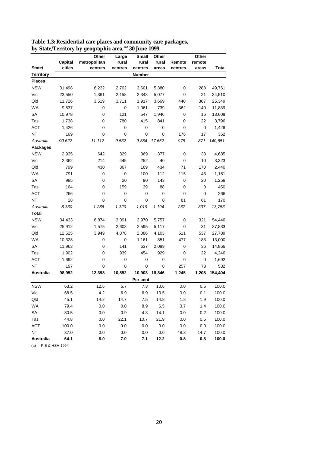|                  |         | Other        | Large   | <b>Small</b> | Other  |         | Other       |         |
|------------------|---------|--------------|---------|--------------|--------|---------|-------------|---------|
|                  | Capital | metropolitan | rural   | rural        | rural  | Remote  | remote      |         |
| State/           | cities  | centres      | centres | centres      | areas  | centres | areas       | Total   |
| <b>Territory</b> |         |              |         | Number       |        |         |             |         |
| <b>Places</b>    |         |              |         |              |        |         |             |         |
| <b>NSW</b>       | 31,498  | 6,232        | 2,762   | 3,601        | 5,380  | 0       | 288         | 49,761  |
| Vic              | 23,550  | 1,361        | 2,158   | 2,343        | 5,077  | 0       | 21          | 34,510  |
| Qld              | 11,726  | 3,519        | 3,711   | 1,917        | 3,669  | 440     | 367         | 25,349  |
| <b>WA</b>        | 9,537   | 0            | 0       | 1,061        | 739    | 362     | 140         | 11,839  |
| SА               | 10,978  | 0            | 121     | 547          | 1,946  | 0       | 16          | 13,608  |
| Tas              | 1,738   | 0            | 780     | 415          | 841    | 0       | 22          | 3,796   |
| <b>ACT</b>       | 1,426   | 0            | 0       | 0            | 0      | 0       | 0           | 1,426   |
| ΝT               | 169     | 0            | 0       | 0            | 0      | 176     | 17          | 362     |
| Australia        | 90,622  | 11,112       | 9,532   | 9,884        | 17,652 | 978     | 871         | 140,651 |
| <b>Packages</b>  |         |              |         |              |        |         |             |         |
| <b>NSW</b>       | 2,935   | 642          | 329     | 369          | 377    | 0       | 33          | 4,685   |
| Vic              | 2,362   | 214          | 445     | 252          | 40     | 0       | 10          | 3,323   |
| Qld              | 799     | 430          | 367     | 169          | 434    | 71      | 170         | 2,440   |
| <b>WA</b>        | 791     | 0            | 0       | 100          | 112    | 115     | 43          | 1,161   |
| SА               | 985     | 0            | 20      | 90           | 143    | 0       | 20          | 1,258   |
| Tas              | 164     | 0            | 159     | 39           | 88     | 0       | 0           | 450     |
| <b>ACT</b>       | 266     | 0            | 0       | 0            | 0      | 0       | $\mathbf 0$ | 266     |
| <b>NT</b>        | 28      | 0            | 0       | 0            | 0      | 81      | 61          | 170     |
| Australia        | 8,330   | 1,286        | 1,320   | 1,019        | 1,194  | 267     | 337         | 13,753  |
| Total            |         |              |         |              |        |         |             |         |
| <b>NSW</b>       | 34,433  | 6,874        | 3,091   | 3,970        | 5,757  | 0       | 321         | 54,446  |
| Vic              | 25,912  | 1,575        | 2,603   | 2,595        | 5,117  | 0       | 31          | 37,833  |
| Qld              | 12,525  | 3,949        | 4,078   | 2,086        | 4,103  | 511     | 537         | 27,789  |
| WA               | 10,328  | 0            | 0       | 1,161        | 851    | 477     | 183         | 13,000  |
| SA               | 11,963  | 0            | 141     | 637          | 2,089  | 0       | 36          | 14,866  |
| Tas              | 1,902   | 0            | 939     | 454          | 929    | 0       | 22          | 4,246   |
| <b>ACT</b>       | 1,692   | 0            | 0       | 0            | 0      | 0       | 0           | 1,692   |
| ΝT               | 197     | 0            | 0       | 0            | 0      | 257     | 78          | 532     |
| Australia        | 98,952  | 12,398       | 10,852  | 10,903       | 18,846 | 1,245   | 1,208       | 154,404 |
|                  |         |              |         | Per cent     |        |         |             |         |
| <b>NSW</b>       | 63.2    | 12.6         | 5.7     | 7.3          | 10.6   | 0.0     | 0.6         | 100.0   |
| Vic              | 68.5    | 4.2          | 6.9     | 6.9          | 13.5   | 0.0     | 0.1         | 100.0   |
| Qld              | 45.1    | 14.2         | 14.7    | $7.5$        | 14.8   | 1.8     | 1.9         | 100.0   |
| <b>WA</b>        | 79.4    | 0.0          | $0.0\,$ | 8.9          | 6.5    | 3.7     | 1.4         | 100.0   |
| SA               | 80.5    | 0.0          | 0.9     | 4.3          | 14.1   | 0.0     | 0.2         | 100.0   |
| Tas              | 44.8    | 0.0          | 22.1    | 10.7         | 21.9   | 0.0     | 0.5         | 100.0   |
| ACT              | 100.0   | 0.0          | $0.0\,$ | $0.0\,$      | 0.0    | 0.0     | 0.0         | 100.0   |
| NT               | 37.0    | 0.0          | 0.0     | 0.0          | 0.0    | 48.3    | 14.7        | 100.0   |
| <b>Australia</b> | 64.1    | 8.0          | 7.0     | 7.1          | 12.2   | 0.8     | 0.8         | 100.0   |

**Table 1.3: Residential care places and community care packages, by State/Territory by geographic area,(a) 30 June 1999**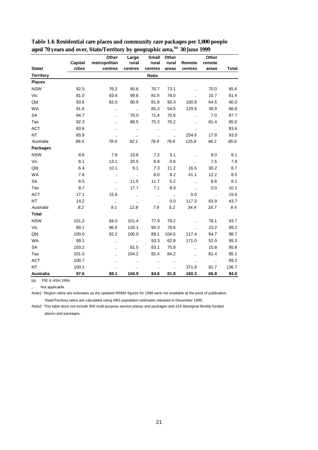|                  |         | Other                | Large                | <b>Small</b>         | Other                |                      | Other                |              |
|------------------|---------|----------------------|----------------------|----------------------|----------------------|----------------------|----------------------|--------------|
|                  | Capital | metropolitan         | rural                | rural                | rural                | Remote               | remote               |              |
| State/           | cities  | centres              | centres              | centres              | areas                | centres              | areas                | <b>Total</b> |
| <b>Territory</b> |         |                      |                      | Ratio                |                      |                      |                      |              |
| <b>Places</b>    |         |                      |                      |                      |                      |                      |                      |              |
| <b>NSW</b>       | 92.5    | 76.2                 | 90.6                 | 70.7                 | 73.1                 | $\ddot{\phantom{a}}$ | 70.0                 | 85.6         |
| Vic              | 81.0    | 83.4                 | 99.6                 | 81.5                 | 78.0                 |                      | 15.7                 | 81.4         |
| Qld              | 93.6    | 82.0                 | 90.9                 | 81.8                 | 93.3                 | 100.9                | 64.5                 | 90.0         |
| <b>WA</b>        | 91.6    | $\ddotsc$            | $\ddotsc$            | 85.3                 | 54.5                 | 129.9                | 39.9                 | 86.8         |
| SA               | 94.7    | $\ddot{\phantom{a}}$ | 70.0                 | 71.4                 | 70.6                 | $\ddot{\phantom{a}}$ | 7.0                  | 87.7         |
| Tas              | 92.3    |                      | 86.5                 | 75.3                 | 76.2                 | $\ddot{\phantom{a}}$ | 81.4                 | 85.0         |
| <b>ACT</b>       | 83.6    | $\ddotsc$            | $\ldots$             |                      | $\ddotsc$            | $\ddot{\phantom{a}}$ | $\ldots$             | 83.6         |
| <b>NT</b>        | 85.9    | $\ddot{\phantom{a}}$ | $\ldots$             | $\ddot{\phantom{a}}$ | $\ddotsc$            | 254.6                | 17.8                 | 93.0         |
| Australia        | 89.4    | 78.9                 | 92.1                 | 76.9                 | 76.6                 | 125.8                | 48.2                 | 85.6         |
| <b>Packages</b>  |         |                      |                      |                      |                      |                      |                      |              |
| <b>NSW</b>       | 8.6     | 7.8                  | 10.8                 | 7.2                  | 5.1                  | $\ddot{\phantom{a}}$ | 8.0                  | 8.1          |
| Vic              | 8.1     | 13.1                 | 20.5                 | 8.8                  | 0.6                  | $\ddot{\phantom{a}}$ | 7.5                  | 7.8          |
| Qld              | 6.4     | 10.1                 | 9.1                  | 7.3                  | 11.2                 | 16.5                 | 30.2                 | 8.7          |
| <b>WA</b>        | 7.6     | $\ddot{\phantom{a}}$ | $\ddot{\phantom{a}}$ | 8.0                  | 8.2                  | 41.1                 | 12.2                 | 8.5          |
| SA               | 8.5     | $\ddot{\phantom{a}}$ | 11.5                 | 11.7                 | 5.2                  | $\ddotsc$            | 8.8                  | 8.1          |
| Tas              | 8.7     | $\ddot{\phantom{a}}$ | 17.7                 | 7.1                  | 8.0                  | $\ddot{\phantom{a}}$ | 0.0                  | 10.1         |
| <b>ACT</b>       | 17.1    | 15.6                 | $\ddot{\phantom{a}}$ | $\ddotsc$            | $\sim$ $\sim$        | 0.0                  | $\ddot{\phantom{a}}$ | 15.6         |
| <b>NT</b>        | 14.2    | $\ddotsc$            | $\cdot$              | $\ddot{\phantom{a}}$ | 0.0                  | 117.3                | 63.9                 | 43.7         |
| Australia        | 8.2     | 9.1                  | 12.8                 | 7.9                  | 5.2                  | 34.4                 | 18.7                 | 8.4          |
| <b>Total</b>     |         |                      |                      |                      |                      |                      |                      |              |
| <b>NSW</b>       | 101.2   | 84.0                 | 101.4                | 77.9                 | 78.2                 | $\ddot{\phantom{a}}$ | 78.1                 | 93.7         |
| Vic              | 89.1    | 96.6                 | 120.1                | 90.3                 | 78.6                 | $\ddot{\phantom{a}}$ | 23.2                 | 89.2         |
| Qld              | 100.0   | 92.2                 | 100.0                | 89.1                 | 104.5                | 117.4                | 94.7                 | 98.7         |
| <b>WA</b>        | 99.1    |                      | $\ddotsc$            | 93.3                 | 62.8                 | 171.0                | 52.0                 | 95.3         |
| SA               | 103.2   |                      | 81.5                 | 83.1                 | 75.8                 | $\ddotsc$            | 15.8                 | 95.8         |
| Tas              | 101.0   | $\ddot{\phantom{a}}$ | 104.2                | 82.4                 | 84.2                 | $\ddot{\phantom{a}}$ | 81.4                 | 95.1         |
| <b>ACT</b>       | 100.7   | $\ddot{\phantom{a}}$ | $\ddot{\phantom{a}}$ | $\ddot{\phantom{a}}$ | Ω.                   |                      | $\ldots$             | 99.2         |
| <b>NT</b>        | 100.1   |                      |                      |                      | $\ddot{\phantom{a}}$ | 371.9                | 81.7                 | 136.7        |
| Australia        | 97.6    | 88.1                 | 104.9                | 84.8                 | 81.8                 | 160.3                | 66.8                 | 94.0         |

**Table 1.4: Residential care places and community care packages per 1,000 people aged 70 years and over, State/Territory by geographic area,(a) 30 June 1999** 

Not applicable.

Note1: Region ratios are estimates as the updated RRMA figures for 1999 were not available at the point of publication.

State/Territory ratios are calculated using ABS population estimates released in December 1999.

Note2: This table does not include 958 multi-purpose service places and packages and 314 Aboriginal flexibly funded places and packages.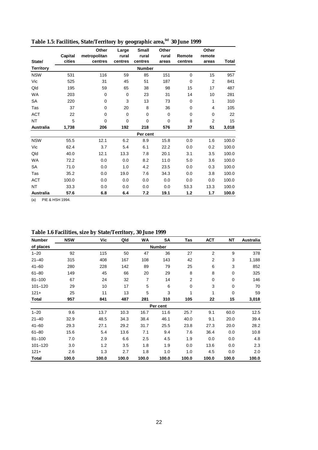|                  |         | Other        | Large       | <b>Small</b>  | Other       |             | Other          |       |
|------------------|---------|--------------|-------------|---------------|-------------|-------------|----------------|-------|
|                  | Capital | metropolitan | rural       | rural         | rural       | Remote      | remote         |       |
| State/           | cities  | centres      | centres     | centres       | areas       | centres     | areas          | Total |
| <b>Territory</b> |         |              |             | <b>Number</b> |             |             |                |       |
| <b>NSW</b>       | 531     | 116          | 59          | 85            | 151         | $\mathbf 0$ | 15             | 957   |
| Vic              | 525     | 31           | 45          | 51            | 187         | 0           | $\overline{2}$ | 841   |
| Qld              | 195     | 59           | 65          | 38            | 98          | 15          | 17             | 487   |
| WA               | 203     | 0            | $\mathbf 0$ | 23            | 31          | 14          | 10             | 281   |
| SA               | 220     | 0            | 3           | 13            | 73          | 0           | 1              | 310   |
| Tas              | 37      | $\Omega$     | 20          | 8             | 36          | 0           | 4              | 105   |
| <b>ACT</b>       | 22      | 0            | $\mathbf 0$ | 0             | $\mathbf 0$ | 0           | 0              | 22    |
| <b>NT</b>        | 5       | $\Omega$     | $\Omega$    | $\mathbf 0$   | $\mathbf 0$ | 8           | $\overline{2}$ | 15    |
| <b>Australia</b> | 1.738   | 206          | 192         | 218           | 576         | 37          | 51             | 3,018 |
|                  |         |              |             | Per cent      |             |             |                |       |
| <b>NSW</b>       | 55.5    | 12.1         | 6.2         | 8.9           | 15.8        | 0.0         | 1.6            | 100.0 |
| Vic              | 62.4    | 3.7          | 5.4         | 6.1           | 22.2        | 0.0         | 0.2            | 100.0 |
| Qld              | 40.0    | 12.1         | 13.3        | 7.8           | 20.1        | 3.1         | 3.5            | 100.0 |
| <b>WA</b>        | 72.2    | 0.0          | 0.0         | 8.2           | 11.0        | 5.0         | 3.6            | 100.0 |
| <b>SA</b>        | 71.0    | 0.0          | 1.0         | 4.2           | 23.5        | 0.0         | 0.3            | 100.0 |
| Tas              | 35.2    | 0.0          | 19.0        | 7.6           | 34.3        | 0.0         | 3.8            | 100.0 |
| <b>ACT</b>       | 100.0   | 0.0          | 0.0         | 0.0           | 0.0         | 0.0         | 0.0            | 100.0 |
| <b>NT</b>        | 33.3    | 0.0          | 0.0         | 0.0           | 0.0         | 53.3        | 13.3           | 100.0 |
| <b>Australia</b> | 57.6    | 6.8          | 6.4         | 7.2           | 19.1        | 1.2         | 1.7            | 100.0 |

**Table 1.5: Facilities, State/Territory by geographic area,(a) 30 June 1999**

|  | Table 1.6 Facilities, size by State/Territory, 30 June 1999 |  |
|--|-------------------------------------------------------------|--|
|  |                                                             |  |

| <b>Number</b> | <b>NSW</b> | Vic   | Qld   | WA             | SA       | Tas          | <b>ACT</b>     | ΝT          | Australia |
|---------------|------------|-------|-------|----------------|----------|--------------|----------------|-------------|-----------|
| of places     |            |       |       |                |          |              |                |             |           |
| $1 - 20$      | 92         | 115   | 50    | 47             | 36       | 27           | 2              | 9           | 378       |
| $21 - 40$     | 315        | 408   | 167   | 108            | 143      | 42           | $\overline{2}$ | 3           | 1,188     |
| $41 - 60$     | 280        | 228   | 142   | 89             | 79       | 25           | 6              | 3           | 852       |
| $61 - 80$     | 149        | 45    | 66    | 20             | 29       | 8            | 8              | 0           | 325       |
| $81 - 100$    | 67         | 24    | 32    | $\overline{7}$ | 14       | $\mathbf{2}$ | 0              | 0           | 146       |
| $101 - 120$   | 29         | 10    | 17    | 5              | 6        | 0            | 3              | 0           | 70        |
| $121 +$       | 25         | 11    | 13    | 5              | 3        | 1            | 1              | $\mathbf 0$ | 59        |
| <b>Total</b>  | 957        | 841   | 487   | 281            | 310      | 105          | 22             | 15          | 3,018     |
|               |            |       |       |                | Per cent |              |                |             |           |
| $1 - 20$      | 9.6        | 13.7  | 10.3  | 16.7           | 11.6     | 25.7         | 9.1            | 60.0        | 12.5      |
| $21 - 40$     | 32.9       | 48.5  | 34.3  | 38.4           | 46.1     | 40.0         | 9.1            | 20.0        | 39.4      |
| $41 - 60$     | 29.3       | 27.1  | 29.2  | 31.7           | 25.5     | 23.8         | 27.3           | 20.0        | 28.2      |
| $61 - 80$     | 15.6       | 5.4   | 13.6  | 7.1            | 9.4      | 7.6          | 36.4           | 0.0         | 10.8      |
| $81 - 100$    | 7.0        | 2.9   | 6.6   | 2.5            | 4.5      | 1.9          | 0.0            | 0.0         | 4.8       |
| $101 - 120$   | 3.0        | 1.2   | 3.5   | 1.8            | 1.9      | 0.0          | 13.6           | 0.0         | 2.3       |
| $121 +$       | 2.6        | 1.3   | 2.7   | 1.8            | 1.0      | 1.0          | 4.5            | 0.0         | 2.0       |
| <b>Total</b>  | 100.0      | 100.0 | 100.0 | 100.0          | 100.0    | 100.0        | 100.0          | 100.0       | 100.0     |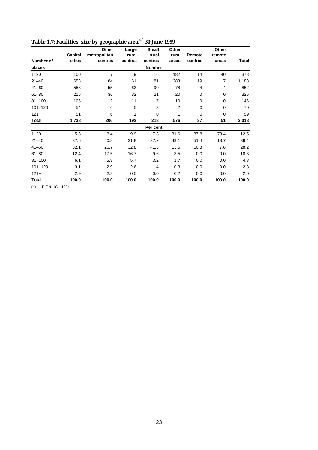|              |         | Other          | Large   | <b>Small</b>   | Other          |             | Other          |       |
|--------------|---------|----------------|---------|----------------|----------------|-------------|----------------|-------|
|              | Capital | metropolitan   | rural   | rural          | rural          | Remote      | remote         |       |
| Number of    | cities  | centres        | centres | centres        | areas          | centres     | areas          | Total |
| places       |         |                |         | <b>Number</b>  |                |             |                |       |
| $1 - 20$     | 100     | $\overline{7}$ | 19      | 16             | 182            | 14          | 40             | 378   |
| $21 - 40$    | 653     | 84             | 61      | 81             | 283            | 19          | $\overline{7}$ | 1,188 |
| $41 - 60$    | 558     | 55             | 63      | 90             | 78             | 4           | 4              | 852   |
| $61 - 80$    | 216     | 36             | 32      | 21             | 20             | 0           | $\mathbf 0$    | 325   |
| $81 - 100$   | 106     | 12             | 11      | $\overline{7}$ | 10             | $\mathbf 0$ | $\mathbf 0$    | 146   |
| $101 - 120$  | 54      | 6              | 5       | 3              | $\overline{2}$ | $\mathbf 0$ | 0              | 70    |
| $121 +$      | 51      | 6              | 1       | $\Omega$       | 1              | $\Omega$    | $\Omega$       | 59    |
| <b>Total</b> | 1,738   | 206            | 192     | 218            | 576            | 37          | 51             | 3,018 |
|              |         |                |         | Per cent       |                |             |                |       |
| $1 - 20$     | 5.8     | 3.4            | 9.9     | 7.3            | 31.6           | 37.8        | 78.4           | 12.5  |
| $21 - 40$    | 37.6    | 40.8           | 31.8    | 37.2           | 49.1           | 51.4        | 13.7           | 39.4  |
| $41 - 60$    | 32.1    | 26.7           | 32.8    | 41.3           | 13.5           | 10.8        | 7.8            | 28.2  |
| $61 - 80$    | 12.4    | 17.5           | 16.7    | 9.6            | 3.5            | 0.0         | 0.0            | 10.8  |
| $81 - 100$   | 6.1     | 5.8            | 5.7     | 3.2            | 1.7            | 0.0         | 0.0            | 4.8   |
| $101 - 120$  | 3.1     | 2.9            | 2.6     | 1.4            | 0.3            | 0.0         | 0.0            | 2.3   |
| $121 +$      | 2.9     | 2.9            | 0.5     | 0.0            | 0.2            | 0.0         | 0.0            | 2.0   |
| <b>Total</b> | 100.0   | 100.0          | 100.0   | 100.0          | 100.0          | 100.0       | 100.0          | 100.0 |

**Table 1.7: Facilities, size by geographic area,(a) 30 June 1999**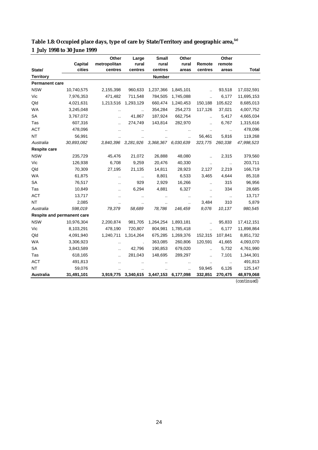|                            |                   | Other                   | Large            | <b>Small</b>        | Other                |                      | Other                |                           |
|----------------------------|-------------------|-------------------------|------------------|---------------------|----------------------|----------------------|----------------------|---------------------------|
| State/                     | Capital<br>cities | metropolitan<br>centres | rural<br>centres | rural<br>centres    | rural<br>areas       | Remote<br>centres    | remote<br>areas      | <b>Total</b>              |
| <b>Territory</b>           |                   |                         |                  | <b>Number</b>       |                      |                      |                      |                           |
| <b>Permanent care</b>      |                   |                         |                  |                     |                      |                      |                      |                           |
| <b>NSW</b>                 | 10,740,575        | 2,155,398               | 960,633          | 1,237,366           | 1,845,101            | $\ddot{\phantom{a}}$ | 93,518               | 17,032,591                |
| Vic                        | 7,976,353         | 471,482                 | 711,548          | 784,505             | 1,745,088            | ä.                   | 6,177                | 11,695,153                |
| Qld                        | 4,021,631         | 1,213,516               | 1,293,129        | 660,474             | 1,240,453            | 150,188              | 105,622              | 8,685,013                 |
| <b>WA</b>                  | 3,245,048         | $\ddotsc$               | Ω.               | 354,284             | 254,273              | 117,126              | 37,021               | 4,007,752                 |
| SA                         | 3,767,072         | $\ddot{\phantom{a}}$    | 41,867           | 187,924             | 662,754              | $\ddotsc$            | 5,417                | 4,665,034                 |
| Tas                        | 607,316           |                         | 274,749          | 143,814             | 282,970              | $\ddot{\phantom{a}}$ | 6,767                | 1,315,616                 |
| <b>ACT</b>                 | 478,096           |                         |                  |                     |                      |                      | $\ddot{\phantom{a}}$ | 478,096                   |
| NT                         | 56,991            |                         |                  |                     |                      | 56,461               | 5,816                | 119,268                   |
| Australia                  | 30,893,082        | 3,840,396               | 3,281,926        | 3,368,367 6,030,639 |                      | 323,775              | 260,338              | 47,998,523                |
| <b>Respite care</b>        |                   |                         |                  |                     |                      |                      |                      |                           |
| <b>NSW</b>                 | 235,729           | 45,476                  | 21,072           | 26,888              | 48,080               | $\ddot{\phantom{a}}$ | 2,315                | 379,560                   |
| Vic                        | 126,938           | 6,708                   | 9,259            | 20,476              | 40,330               | $\ddot{\phantom{a}}$ | $\ddot{\phantom{a}}$ | 203,711                   |
| Qld                        | 70,309            | 27,195                  | 21,135           | 14,811              | 28,923               | 2,127                | 2,219                | 166,719                   |
| <b>WA</b>                  | 61,875            | $\ddot{\phantom{a}}$    | $\sim$           | 8,801               | 6,533                | 3,465                | 4,644                | 85,318                    |
| SA                         | 76,517            | $\ddot{\phantom{a}}$    | 929              | 2,929               | 16,266               | $\ddot{\phantom{a}}$ | 315                  | 96,956                    |
| Tas                        | 10,849            |                         | 6,294            | 4,881               | 6,327                | $\ddot{\phantom{a}}$ | 334                  | 28,685                    |
| <b>ACT</b>                 | 13,717            |                         |                  |                     | $\ddot{\phantom{a}}$ |                      | $\ddot{\phantom{a}}$ | 13,717                    |
| <b>NT</b>                  | 2,085             |                         |                  |                     | $\ddot{\phantom{a}}$ | 3,484                | 310                  | 5,879                     |
| Australia                  | 598,019           | 79,379                  | 58,689           | 78,786              | 146,459              | 9,076                | 10,137               | 980,545                   |
| Respite and permanent care |                   |                         |                  |                     |                      |                      |                      |                           |
| <b>NSW</b>                 | 10,976,304        | 2,200,874               | 981,705          | 1,264,254           | 1,893,181            |                      | 95,833               | 17,412,151                |
| Vic                        | 8,103,291         | 478,190                 | 720,807          | 804,981             | 1,785,418            | $\ddot{\phantom{a}}$ | 6,177                | 11,898,864                |
| Qld                        | 4,091,940         | 1,240,711               | 1,314,264        | 675,285             | 1,269,376            | 152,315              | 107,841              | 8,851,732                 |
| <b>WA</b>                  | 3,306,923         | $\ddot{\phantom{a}}$    |                  | 363,085             | 260,806              | 120,591              | 41,665               | 4,093,070                 |
| SA                         | 3,843,589         | $\ddot{\phantom{a}}$    | 42,796           | 190,853             | 679,020              | $\ddot{\phantom{a}}$ | 5,732                | 4,761,990                 |
| Tas                        | 618,165           |                         | 281,043          | 148,695             | 289,297              | Ω.                   | 7,101                | 1,344,301                 |
| <b>ACT</b>                 | 491,813           |                         |                  |                     |                      |                      |                      | 491,813                   |
| <b>NT</b>                  | 59,076            |                         |                  |                     |                      | 59,945               | 6,126                | 125,147                   |
| Australia                  | 31,491,101        | 3,919,775               | 3,340,615        | 3,447,153           | 6,177,098            | 332,851              | 270,475              | 48,979,068<br>(continued) |

| Table 1.8: Occupied place days, type of care by State/Territory and geographic area, <sup>(a)</sup> |  |
|-----------------------------------------------------------------------------------------------------|--|
| 1 July 1998 to 30 June 1999                                                                         |  |

*(continued)*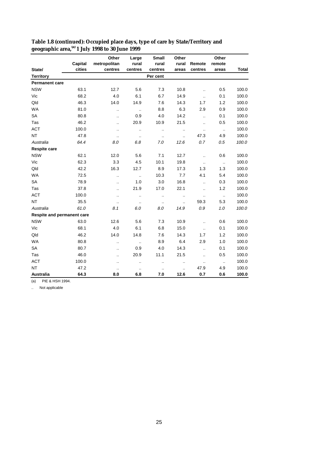|                            |         | Other                | Large                | Small                | Other                |                      | Other                      |              |
|----------------------------|---------|----------------------|----------------------|----------------------|----------------------|----------------------|----------------------------|--------------|
|                            | Capital | metropolitan         | rural                | rural                | rural                | Remote               | remote                     |              |
| State/                     | cities  | centres              | centres              | centres              | areas                | centres              | areas                      | <b>Total</b> |
| <b>Territory</b>           |         |                      |                      | Per cent             |                      |                      |                            |              |
| <b>Permanent care</b>      |         |                      |                      |                      |                      |                      |                            |              |
| <b>NSW</b>                 | 63.1    | 12.7                 | 5.6                  | 7.3                  | 10.8                 | $\ddot{\phantom{a}}$ | 0.5                        | 100.0        |
| Vic                        | 68.2    | 4.0                  | 6.1                  | 6.7                  | 14.9                 | $\ddotsc$            | 0.1                        | 100.0        |
| Qld                        | 46.3    | 14.0                 | 14.9                 | 7.6                  | 14.3                 | 1.7                  | 1.2                        | 100.0        |
| <b>WA</b>                  | 81.0    | $\ddotsc$            | $\ldots$             | 8.8                  | 6.3                  | 2.9                  | 0.9                        | 100.0        |
| <b>SA</b>                  | 80.8    | $\ddot{\phantom{a}}$ | 0.9                  | 4.0                  | 14.2                 | $\ddot{\phantom{a}}$ | 0.1                        | 100.0        |
| Tas                        | 46.2    | $\ddot{\phantom{a}}$ | 20.9                 | 10.9                 | 21.5                 | ă.                   | 0.5                        | 100.0        |
| <b>ACT</b>                 | 100.0   | $\ddotsc$            | $\ddot{\phantom{a}}$ | $\ddot{\phantom{a}}$ | $\cdot$ .            | $\ddot{\phantom{a}}$ | $\sim$                     | 100.0        |
| <b>NT</b>                  | 47.8    | $\ldots$             | $\cdot$ .            | $\cdot$ .            |                      | 47.3                 | 4.9                        | 100.0        |
| Australia                  | 64.4    | 8.0                  | 6.8                  | 7.0                  | 12.6                 | 0.7                  | 0.5                        | 100.0        |
| <b>Respite care</b>        |         |                      |                      |                      |                      |                      |                            |              |
| <b>NSW</b>                 | 62.1    | 12.0                 | 5.6                  | 7.1                  | 12.7                 | $\ddotsc$            | 0.6                        | 100.0        |
| Vic                        | 62.3    | 3.3                  | 4.5                  | 10.1                 | 19.8                 | $\ddot{\phantom{a}}$ | $\ddotsc$                  | 100.0        |
| Qld                        | 42.2    | 16.3                 | 12.7                 | 8.9                  | 17.3                 | 1.3                  | 1.3                        | 100.0        |
| <b>WA</b>                  | 72.5    | $\ddotsc$            | $\ddotsc$            | 10.3                 | 7.7                  | 4.1                  | 5.4                        | 100.0        |
| SA                         | 78.9    | $\ddot{\phantom{a}}$ | 1.0                  | 3.0                  | 16.8                 | $\ddot{\phantom{a}}$ | 0.3                        | 100.0        |
| Tas                        | 37.8    | $\ddot{\phantom{a}}$ | 21.9                 | 17.0                 | 22.1                 | $\ddotsc$            | 1.2                        | 100.0        |
| <b>ACT</b>                 | 100.0   | $\ddotsc$            | $\ddot{\phantom{a}}$ | $\ddot{\phantom{a}}$ | $\ldots$             | $\ddot{\phantom{a}}$ | $\ldots$                   | 100.0        |
| <b>NT</b>                  | 35.5    | $\ddotsc$            | $\ddot{\phantom{a}}$ | $\ddotsc$            | $\ddot{\phantom{a}}$ | 59.3                 | 5.3                        | 100.0        |
| Australia                  | 61.0    | 8.1                  | 6.0                  | 8.0                  | 14.9                 | 0.9                  | 1.0                        | 100.0        |
| Respite and permanent care |         |                      |                      |                      |                      |                      |                            |              |
| <b>NSW</b>                 | 63.0    | 12.6                 | 5.6                  | 7.3                  | 10.9                 | $\ddotsc$            | 0.6                        | 100.0        |
| Vic                        | 68.1    | 4.0                  | 6.1                  | 6.8                  | 15.0                 | $\ddotsc$            | 0.1                        | 100.0        |
| Qld                        | 46.2    | 14.0                 | 14.8                 | 7.6                  | 14.3                 | 1.7                  | 1.2                        | 100.0        |
| <b>WA</b>                  | 80.8    | $\ddotsc$            | $\ddotsc$            | 8.9                  | 6.4                  | 2.9                  | 1.0                        | 100.0        |
| SA                         | 80.7    | $\ddot{\phantom{a}}$ | 0.9                  | 4.0                  | 14.3                 | $\ddotsc$            | 0.1                        | 100.0        |
| Tas                        | 46.0    | $\ddot{\phantom{a}}$ | 20.9                 | 11.1                 | 21.5                 | $\ddot{\phantom{a}}$ | 0.5                        | 100.0        |
| <b>ACT</b>                 | 100.0   | $\ddot{\phantom{a}}$ | $\ddot{\phantom{a}}$ | $\ddot{\phantom{a}}$ | $\ddotsc$            | $\ddot{\phantom{a}}$ | $\mathcal{L}_{\mathbf{r}}$ | 100.0        |
| <b>NT</b>                  | 47.2    |                      | $\ddotsc$            | $\cdot$ .            |                      | 47.9                 | 4.9                        | 100.0        |
| Australia                  | 64.3    | 8.0                  | 6.8                  | 7.0                  | 12.6                 | 0.7                  | 0.6                        | 100.0        |

**Table 1.8 (continued): Occupied place days, type of care by State/Territory and geographic area,(a) 1 July 1998 to 30 June 1999**

.. Not applicable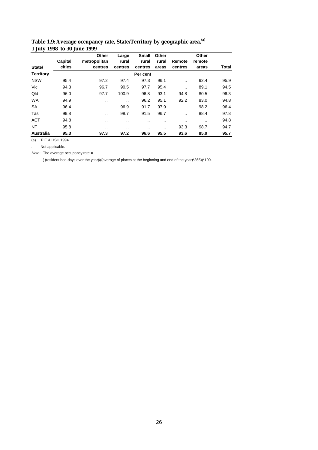|                  | Capital | Other<br>metropolitan | Large<br>rural | <b>Small</b><br>rural | Other<br>rural | Remote        | Other<br>remote |       |
|------------------|---------|-----------------------|----------------|-----------------------|----------------|---------------|-----------------|-------|
| State/           | cities  | centres               | centres        | centres               | areas          | centres       | areas           | Total |
| <b>Territory</b> |         |                       |                | Per cent              |                |               |                 |       |
| <b>NSW</b>       | 95.4    | 97.2                  | 97.4           | 97.3                  | 96.1           | $\cdot$ .     | 92.4            | 95.9  |
| Vic              | 94.3    | 96.7                  | 90.5           | 97.7                  | 95.4           |               | 89.1            | 94.5  |
| Qld              | 96.0    | 97.7                  | 100.9          | 96.8                  | 93.1           | 94.8          | 80.5            | 96.3  |
| <b>WA</b>        | 94.9    |                       |                | 96.2                  | 95.1           | 92.2          | 83.0            | 94.8  |
| SA               | 96.4    | $\cdot$               | 96.9           | 91.7                  | 97.9           |               | 98.2            | 96.4  |
| Tas              | 99.8    |                       | 98.7           | 91.5                  | 96.7           |               | 88.4            | 97.8  |
| <b>ACT</b>       | 94.8    | $\cdot$               |                | . .                   | . .            | $\sim$ $\sim$ | $\cdot$         | 94.8  |
| <b>NT</b>        | 95.8    |                       |                | $\cdot$ .             | $\cdot$        | 93.3          | 98.7            | 94.7  |
| <b>Australia</b> | 95.3    | 97.3                  | 97.2           | 96.6                  | 95.5           | 93.6          | 85.9            | 95.7  |

#### **Table 1.9: Average occupancy rate, State/Territory by geographic area,(a) 1 July 1998 to 30 June 1999**

(a) PIE & HSH 1994.

.. Not applicable.

Note: The average occupancy rate =

( (resident bed-days over the year)/((average of places at the beginning and end of the year)\*365))\*100.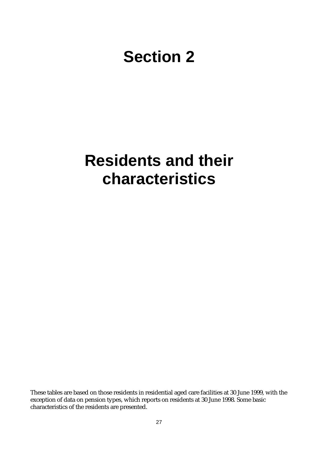## **Section 2**

## **Residents and their characteristics**

These tables are based on those residents in residential aged care facilities at 30 June 1999, with the exception of data on pension types, which reports on residents at 30 June 1998. Some basic characteristics of the residents are presented.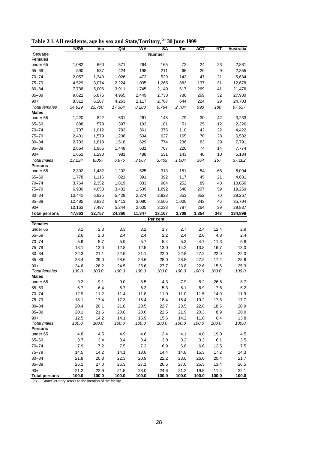| Table 2.1: All residents, age by sex and State/Territory, <sup>(a)</sup> 30 June 1999 |  |  |  |
|---------------------------------------------------------------------------------------|--|--|--|
|---------------------------------------------------------------------------------------|--|--|--|

|                               | <b>NSW</b>    | Vic            | Qld           | WA            | SA            | Tas           | <b>ACT</b>    | NΤ            | Australia     |
|-------------------------------|---------------|----------------|---------------|---------------|---------------|---------------|---------------|---------------|---------------|
| Sex/age                       |               |                |               |               | <b>Number</b> |               |               |               |               |
| <b>Females</b>                |               |                |               |               |               |               |               |               |               |
| under 65                      | 1,082         | 660            | 571           | 264           | 165           | 72            | 24            | 23            | 2,861         |
| 65-69                         | 890           | 537            | 424           | 198           | 211           | 66            | 20            | 9             | 2,355         |
| $70 - 74$                     | 2,057         | 1,340          | 1,026         | 472           | 529           | 142           | 47            | 21            | 5,634         |
| $75 - 79$                     | 4,529         | 3,074          | 2,224         | 1,035         | 1,265         | 383           | 137           | 31            | 12,678        |
| $80 - 84$                     | 7,738         | 5,006          | 3,911         | 1,745         | 2,149         | 617           | 269           | 41            | 21,476        |
| $85 - 89$                     | 9,821         | 6,876          | 4,965         | 2,449         | 2,738         | 780           | 269           | 32            | 27,930        |
| $90+$                         | 8,512         | 6,207          | 4,263         | 2,117         | 2,707         | 644           | 224           | 29            | 24,703        |
| Total females<br><b>Males</b> | 34,629        | 23,700         | 17,384        | 8,280         | 9,764         | 2,704         | 990           | 186           | 97,637        |
| under 65                      | 1,220         | 822            | 631           | 261           | 148           | 79            | 30            | 42            | 3,233         |
| 65-69                         | 888           | 579            | 397           | 193           | 181           | 51            | 25            | 12            | 2,326         |
| $70 - 74$                     | 1,707         | 1,012          | 793           | 361           | 375           | 110           | 42            | 22            | 4,422         |
| $75 - 79$                     | 2,401         | 1,579          | 1,208         | 504           | 627           | 165           | 70            | 28            | 6,582         |
| $80 - 84$                     | 2,703         | 1,819          | 1,518         | 629           | 774           | 236           | 83            | 29            | 7,791         |
| $85 - 89$                     | 2,664         | 1,956          | 1,448         | 631           | 767           | 220           | 74            | 14            | 7,774         |
| $90+$                         | 1,651         | 1,290          | 981           | 488           | 531           | 143           | 40            | 10            | 5,134         |
| Total males                   | 13,234        | 9,057          | 6,976         | 3,067         | 3,403         | 1,004         | 364           | 157           | 37,262        |
| <b>Persons</b>                |               |                |               |               |               |               |               |               |               |
| under 65                      | 2,302         | 1,482          | 1,202         | 525           | 313           | 151           | 54            | 65            | 6,094         |
| 65-69                         | 1,778         | 1,116          | 821           | 391           | 392           | 117           | 45            | 21            | 4,681         |
| $70 - 74$                     | 3,764         | 2,352          | 1,819         | 833           | 904           | 252           | 89            | 43            | 10,056        |
| $75 - 79$                     | 6,930         | 4,653          | 3,432         | 1,539         | 1,892         | 548           | 207           | 59            | 19,260        |
| $80 - 84$                     | 10,441        | 6,825          | 5,429         | 2,374         | 2,923         | 853           | 352           | 70            | 29,267        |
| $85 - 89$                     | 12,485        | 8,832          | 6,413         | 3,080         | 3,505         | 1,000         | 343           | 46            | 35,704        |
| $90+$                         | 10,163        | 7,497          | 5,244         | 2,605         | 3,238         | 787           | 264           | 39            | 29,837        |
| <b>Total persons</b>          | 47,863        | 32,757         | 24,360        | 11,347        | 13,167        | 3,708         | 1,354         | 343           | 134,899       |
| <b>Females</b>                |               |                |               |               | Per cent      |               |               |               |               |
| under 65                      | 3.1           | 2.8            | 3.3           | 3.2           | 1.7           | 2.7           | 2.4           | 12.4          | 2.9           |
| 65-69                         | 2.6           | 2.3            | 2.4           | 2.4           | 2.2           | 2.4           | 2.0           | 4.8           | 2.4           |
| $70 - 74$                     | 5.9           | 5.7            | 5.9           | 5.7           | 5.4           | 5.3           | 4.7           | 11.3          | 5.8           |
| $75 - 79$                     | 13.1          | 13.0           | 12.8          | 12.5          | 13.0          | 14.2          | 13.8          | 16.7          | 13.0          |
| $80 - 84$                     | 22.3          | 21.1           | 22.5          | 21.1          | 22.0          | 22.8          | 27.2          | 22.0          | 22.0          |
| $85 - 89$                     | 28.4          | 29.0           | 28.6          | 29.6          | 28.0          | 28.8          | 27.2          | 17.2          | 28.6          |
| $90+$                         | 24.6          | 26.2           | 24.5          | 25.6          | 27.7          | 23.8          | 22.6          | 15.6          | 25.3          |
| <b>Total females</b>          | 100.0         | 100.0          | 100.0         | 100.0         | 100.0         | 100.0         | 100.0         | 100.0         | 100.0         |
| <b>Males</b>                  |               |                |               |               |               |               |               |               |               |
| under 65                      | 9.2           | 9.1            | 9.0           | 8.5           | 4.3           | 7.9           | 8.2           | 26.8          | 8.7           |
| 65-69                         | 6.7           | 6.4            | 5.7           | 6.3           | 5.3           | 5.1           | 6.9           | 7.6           | 6.2           |
| $70 - 74$                     | 12.9          | 11.2           | 11.4          | 11.8          | 11.0          | 11.0          | 11.5          | 14.0          | 11.9          |
| $75 - 79$                     | 18.1          | 17.4           | 17.3          | 16.4          | 18.4          | 16.4          | 19.2          | 17.8          | 17.7          |
| $80 - 84$                     | 20.4          | 20.1           | 21.8          | 20.5          | 22.7          | 23.5          | 22.8          | 18.5          | 20.9          |
| $85 - 89$                     | 20.1          | 21.6           | 20.8          | 20.6          | 22.5          | 21.9          | 20.3          | 8.9           | 20.9          |
| $90+$                         | 12.5          | 14.2           | 14.1          | 15.9          | 15.6          | 14.2          | 11.0          | 6.4           | 13.8          |
| <b>Total males</b>            | 100.0         | 100.0          | 100.0         | 100.0         | 100.0         | 100.0         | 100.0         | 100.0         | 100.0         |
| <b>Persons</b><br>under 65    | 4.8           | 4.5            | 4.9           | 4.6           | 2.4           | 4.1           | 4.0           | 19.0          | 4.5           |
|                               |               |                |               |               |               |               |               |               |               |
| 65-69<br>$70 - 74$            | 3.7           | 3.4<br>$7.2\,$ | 3.4           | 3.4           | 3.0<br>6.9    | 3.2           | 3.3           | 6.1           | 3.5           |
| $75 - 79$                     | 7.9           |                | 7.5           | 7.3           |               | 6.8           | 6.6           | 12.5          | 7.5           |
|                               | 14.5          | 14.2           | 14.1          | 13.6          | 14.4          | 14.8          | 15.3          | 17.2          | 14.3          |
| 80-84                         | 21.8          | 20.8           | 22.3          | 20.9          | 22.2          | 23.0          | 26.0          | 20.4          | 21.7          |
| $85 - 89$<br>$90+$            | 26.1          | 27.0           | 26.3          | 27.1          | 26.6          | 27.0          | 25.3          | 13.4          | 26.5          |
| <b>Total persons</b>          | 21.2<br>100.0 | 22.9<br>100.0  | 21.5<br>100.0 | 23.0<br>100.0 | 24.6<br>100.0 | 21.2<br>100.0 | 19.5<br>100.0 | 11.4<br>100.0 | 22.1<br>100.0 |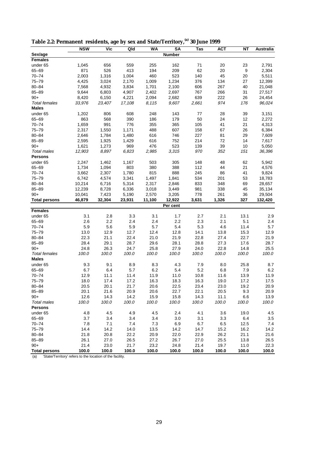|                        | <b>NSW</b>  | Vic        | Qld         | <b>WA</b>  | <b>SA</b>     | Tas         | <b>ACT</b> | ΝT    | Australia  |
|------------------------|-------------|------------|-------------|------------|---------------|-------------|------------|-------|------------|
| Sex/age                |             |            |             |            | <b>Number</b> |             |            |       |            |
| Females                |             |            |             |            |               |             |            |       |            |
| under 65               | 1,045       | 656        | 559         | 255        | 162           | 71          | 20         | 23    | 2,791      |
| 65-69                  | 871         | 526        | 413         | 194        | 209           | 62          | 20         | 9     | 2,304      |
| $70 - 74$              | 2,003       | 1,316      | 1,004       | 460        | 523           | 140         | 45         | 20    | 5,511      |
| $75 - 79$              | 4,425       | 3,024      | 2,170       | 1,009      | 1,234         | 376         | 134        | 27    | 12,399     |
| $80 - 84$              | 7,568       | 4,932      | 3,834       | 1,701      | 2,100         | 606         | 267        | 40    | 21,048     |
| $85 - 89$              | 9,644       | 6,803      | 4,907       | 2,402      | 2,697         | 767         | 266        | 31    | 27,517     |
| $90+$                  | 8,420       | 6,150      | 4,221       | 2,094      | 2,682         | 639         | 222        | 26    | 24,454     |
| <b>Total females</b>   | 33,976      | 23,407     | 17,108      | 8,115      | 9,607         | 2,661       | 974        | 176   | 96,024     |
| <b>Males</b>           |             |            |             |            |               |             |            |       |            |
| under 65               | 1,202       | 806        | 608         | 248        | 143           | 77          | 28         | 39    | 3,151      |
| $65 - 69$              | 863         | 568        | 390         | 186        | 179           | 50          | 24         | 12    | 2,272      |
| 70-74                  | 1,659       | 991        | 776         | 355        | 365           | 105         | 41         | 21    | 4,313      |
| $75 - 79$              | 2,317       | 1,550      | 1,171       | 488        | 607           | 158         | 67         | 26    | 6,384      |
| $80 - 84$              | 2,646       | 1,784      | 1,480       | 616        | 746           | 227         | 81         | 29    | 7,609      |
| $85 - 89$              | 2,595       | 1,925      | 1,429       | 616        | 752           | 214         | 72         | 14    | 7,617      |
| $90+$                  | 1,621       | 1,273      | 969         | 476        | 523           | 139         | 39         | 10    | 5,050      |
| <b>Total males</b>     | 12,903      | 8,897      | 6,823       | 2,985      | 3,315         | 970         | 352        | 151   | 36,396     |
| <b>Persons</b>         |             |            |             |            |               |             |            |       |            |
| under 65               | 2,247       | 1,462      | 1,167       | 503        | 305           | 148         | 48         | 62    | 5,942      |
| 65-69                  | 1,734       | 1,094      | 803         | 380        | 388           | 112         | 44         | 21    | 4,576      |
| $70 - 74$              | 3,662       | 2,307      | 1,780       | 815        | 888           | 245         | 86         | 41    | 9,824      |
| $75 - 79$              | 6,742       | 4,574      | 3,341       | 1,497      | 1,841         | 534         | 201        | 53    | 18,783     |
| $80 - 84$              | 10,214      | 6,716      | 5,314       | 2,317      | 2,846         | 833         | 348        | 69    | 28,657     |
| $85 - 89$              | 12,239      | 8,728      | 6,336       | 3,018      | 3,449         | 981         | 338        | 45    | 35,134     |
| $90+$                  | 10,041      | 7,423      | 5,190       | 2,570      | 3,205         | 778         | 261        | 36    | 29,504     |
| <b>Total persons</b>   | 46,879      | 32,304     | 23,931      | 11,100     | 12,922        | 3,631       | 1,326      | 327   | 132,420    |
|                        |             |            |             |            | Per cent      |             |            |       |            |
| <b>Females</b>         | 3.1         |            |             | 3.1        | 1.7           | 2.7         | 2.1        | 13.1  |            |
| under 65               |             | 2.8        | 3.3         |            |               |             | 2.1        | 5.1   | 2.9        |
| $65 - 69$<br>$70 - 74$ | 2.6         | 2.2<br>5.6 | 2.4         | 2.4<br>5.7 | 2.2<br>5.4    | 2.3         | 4.6        | 11.4  | 2.4<br>5.7 |
| $75 - 79$              | 5.9<br>13.0 | 12.9       | 5.9<br>12.7 | 12.4       | 12.8          | 5.3<br>14.1 | 13.8       | 15.3  | 12.9       |
| $80 - 84$              | 22.3        | 21.1       | 22.4        | 21.0       | 21.9          | 22.8        | 27.4       | 22.7  | 21.9       |
| $85 - 89$              | 28.4        | 29.1       | 28.7        | 29.6       | 28.1          | 28.8        | 27.3       | 17.6  | 28.7       |
| $90+$                  | 24.8        | 26.3       | 24.7        | 25.8       | 27.9          | 24.0        | 22.8       | 14.8  | 25.5       |
| <b>Total females</b>   | 100.0       | 100.0      | 100.0       | 100.0      | 100.0         | 100.0       | 100.0      | 100.0 | 100.0      |
| <b>Males</b>           |             |            |             |            |               |             |            |       |            |
| under 65               | 9.3         | 9.1        | 8.9         | 8.3        | 4.3           | 7.9         | 8.0        | 25.8  | 8.7        |
| 65-69                  | 6.7         | 6.4        | 5.7         | 6.2        | 5.4           | 5.2         | 6.8        | 7.9   | 6.2        |
| $70 - 74$              | 12.9        | 11.1       | 11.4        | 11.9       | 11.0          | 10.8        | 11.6       | 13.9  | 11.9       |
| $75 - 79$              | 18.0        | 17.4       | 17.2        | 16.3       | 18.3          | 16.3        | 19.0       | 17.2  | 17.5       |
| 80-84                  | 20.5        | 20.1       | 21.7        | 20.6       | 22.5          | 23.4        | 23.0       | 19.2  | 20.9       |
| $85 - 89$              | 20.1        | 21.6       | 20.9        | 20.6       | 22.7          | 22.1        | 20.5       | 9.3   | 20.9       |
| $90+$                  | 12.6        | 14.3       | 14.2        | 15.9       | 15.8          | 14.3        | 11.1       | 6.6   | 13.9       |
| <b>Total males</b>     | 100.0       | 100.0      | 100.0       | 100.0      | 100.0         | 100.0       | 100.0      | 100.0 | 100.0      |
| <b>Persons</b>         |             |            |             |            |               |             |            |       |            |
| under 65               | 4.8         | 4.5        | 4.9         | 4.5        | 2.4           | 4.1         | 3.6        | 19.0  | 4.5        |
| 65-69                  | 3.7         | 3.4        | 3.4         | 3.4        | 3.0           | 3.1         | 3.3        | 6.4   | 3.5        |
| $70 - 74$              | 7.8         | 7.1        | 7.4         | 7.3        | 6.9           | 6.7         | 6.5        | 12.5  | 7.4        |
| $75 - 79$              | 14.4        | 14.2       | 14.0        | 13.5       | 14.2          | 14.7        | 15.2       | 16.2  | 14.2       |
| $80 - 84$              | 21.8        | 20.8       | 22.2        | 20.9       | 22.0          | 22.9        | 26.2       | 21.1  | 21.6       |
| 85-89                  | 26.1        | 27.0       | 26.5        | 27.2       | 26.7          | 27.0        | 25.5       | 13.8  | 26.5       |
| $90+$                  | 21.4        | 23.0       | 21.7        | 23.2       | 24.8          | 21.4        | 19.7       | 11.0  | 22.3       |
| <b>Total persons</b>   | 100.0       | 100.0      | 100.0       | 100.0      | 100.0         | 100.0       | 100.0      | 100.0 | 100.0      |

**Table 2.2: Permanent residents, age by sex and State/Territory,(a) 30 June 1999**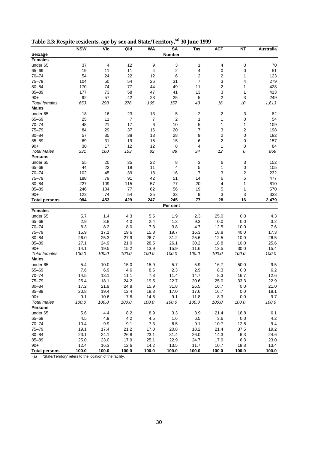| Table 2.3: Respite residents, age by sex and State/Territory, <sup>(a)</sup> 30 June 1999 |  |
|-------------------------------------------------------------------------------------------|--|
|-------------------------------------------------------------------------------------------|--|

|                      | <b>NSW</b> | Vic      | Qld            | <b>WA</b> | <b>SA</b>               | Tas            | <b>ACT</b>              | ΝT             | <b>Australia</b> |
|----------------------|------------|----------|----------------|-----------|-------------------------|----------------|-------------------------|----------------|------------------|
| Sex/age              |            |          |                |           | <b>Number</b>           |                |                         |                |                  |
| <b>Females</b>       |            |          |                |           |                         |                |                         |                |                  |
| under 65             | 37         | 4        | 12             | 9         | 3                       | 1              | 4                       | 0              | 70               |
| 65-69                | 19         | 11       | 11             | 4         | $\overline{\mathbf{c}}$ | 4              | $\mathbf 0$             | 0              | 51               |
| $70 - 74$            | 54         | 24       | 22             | 12        | 6                       | 2              | 2                       | 1              | 123              |
| $75 - 79$            | 104        | 50       | 54             | 26        | 31                      | 7              | 3                       | 4              | 279              |
| $80 - 84$            | 170        | 74       | 77             | 44        | 49                      | 11             | 2                       | 1              | 428              |
| $85 - 89$            | 177        | 73       | 58             | 47        | 41                      | 13             | 3                       | 1              | 413              |
| $90+$                | 92         | 57       | 42             | 23        | 25                      | 5              | $\overline{2}$          | 3              | 249              |
| <b>Total females</b> | 653        | 293      | 276            | 165       | 157                     | 43             | 16                      | 10             | 1,613            |
| <b>Males</b>         |            |          |                |           |                         |                |                         |                |                  |
| under 65             | 18         | 16       | 23             | 13        | 5                       | 2              | $\boldsymbol{2}$        | 3              | 82               |
| $65 - 69$            | 25         | 11       | $\overline{7}$ | 7         | $\overline{2}$          | 1              | $\mathbf{1}$            | 0              | 54               |
| $70 - 74$            | 48         | 21       | 17             | 6         | 10                      | 5              | $\mathbf{1}$            | 1              | 109              |
| $75 - 79$            | 84         | 29       | 37             | 16        | 20                      | 7              | 3                       | $\overline{2}$ | 198              |
| $80 - 84$            | 57         | 35       | 38             | 13        | 28                      | 9              | $\overline{\mathbf{c}}$ | 0              | 182              |
| $85 - 89$            | 69         | 31       | 19             | 15        | 15                      | 6              | $\overline{2}$          | 0              | 157              |
| $90+$                | 30         | 17       | 12             | 12        | 8                       | 4              | $\mathbf{1}$            | 0              | 84               |
| <b>Total Males</b>   | 331        | 160      | 153            | 82        | 88                      | 34             | 12                      | 6              | 866              |
| <b>Persons</b>       |            |          |                |           |                         |                |                         |                |                  |
|                      | 55         |          |                | 22        |                         |                |                         |                |                  |
| under 65             | 44         | 20<br>22 | 35<br>18       | 11        | 8<br>4                  | 3<br>5         | 6<br>1                  | 3              | 152              |
| 65-69                |            |          |                |           |                         | $\overline{7}$ |                         | 0              | 105              |
| $70 - 74$            | 102        | 45       | 39             | 18        | 16                      |                | 3                       | 2              | 232              |
| $75 - 79$            | 188        | 79       | 91             | 42        | 51                      | 14             | 6                       | 6              | 477              |
| $80 - 84$            | 227        | 109      | 115            | 57        | 77                      | 20             | 4                       | 1              | 610              |
| $85 - 89$            | 246        | 104      | 77             | 62        | 56                      | 19             | 5                       | 1              | 570              |
| $90+$                | 122        | 74       | 54             | 35        | 33                      | 9              | 3                       | 3              | 333              |
| <b>Total persons</b> | 984        | 453      | 429            | 247       | 245                     | 77             | 28                      | 16             | 2,479            |
| <b>Females</b>       |            |          |                |           | Per cent                |                |                         |                |                  |
| under 65             | 5.7        | 1.4      | 4.3            | 5.5       | 1.9                     | 2.3            | 25.0                    | 0.0            | 4.3              |
| $65 - 69$            | 2.9        | 3.8      | 4.0            | 2.4       | 1.3                     | 9.3            | 0.0                     | 0.0            | 3.2              |
| $70 - 74$            | 8.3        | 8.2      | 8.0            | 7.3       | 3.8                     | 4.7            | 12.5                    | 10.0           | 7.6              |
| $75 - 79$            |            |          |                | 15.8      |                         |                |                         |                |                  |
|                      | 15.9       | 17.1     | 19.6           | 26.7      | 19.7                    | 16.3           | 18.8                    | 40.0           | 17.3             |
| 80-84<br>$85 - 89$   | 26.0       | 25.3     | 27.9           |           | 31.2                    | 25.6           | 12.5                    | 10.0           | 26.5             |
|                      | 27.1       | 24.9     | 21.0           | 28.5      | 26.1                    | 30.2           | 18.8                    | 10.0           | 25.6             |
| $90+$                | 14.1       | 19.5     | 15.2           | 13.9      | 15.9                    | 11.6           | 12.5                    | 30.0           | 15.4             |
| <b>Total females</b> | 100.0      | 100.0    | 100.0          | 100.0     | 100.0                   | 100.0          | 100.0                   | 100.0          | 100.0            |
| <b>Males</b>         |            |          |                |           |                         |                |                         |                |                  |
| under 65             | 5.4        | 10.0     | 15.0           | 15.9      | 5.7                     | 5.9            | 16.7                    | 50.0           | 9.5              |
| $65 - 69$            | 7.6        | 6.9      | 4.6            | 8.5       | 2.3                     | 2.9            | 8.3                     | 0.0            | 6.2              |
| $70 - 74$            | 14.5       | 13.1     | 11.1           | 7.3       | 11.4                    | 14.7           | 8.3                     | 16.7           | 12.6             |
| $75 - 79$            | 25.4       | 18.1     | 24.2           | 19.5      | 22.7                    | 20.6           | 25.0                    | 33.3           | 22.9             |
| 80–84                | 17.2       | 21.9     | 24.8           | 15.9      | 31.8                    | 26.5           | 16.7                    | 0.0            | 21.0             |
| $85 - 89$            | 20.8       | 19.4     | 12.4           | 18.3      | 17.0                    | 17.6           | 16.7                    | 0.0            | 18.1             |
| $90+$                | 9.1        | 10.6     | 7.8            | 14.6      | 9.1                     | 11.8           | 8.3                     | 0.0            | 9.7              |
| <b>Total males</b>   | 100.0      | 100.0    | 100.0          | 100.0     | 100.0                   | 100.0          | 100.0                   | 100.0          | 100.0            |
| <b>Persons</b>       |            |          |                |           |                         |                |                         |                |                  |
| under 65             | 5.6        | 4.4      | 8.2            | 8.9       | 3.3                     | 3.9            | 21.4                    | 18.8           | 6.1              |
| 65-69                | 4.5        | 4.9      | 4.2            | 4.5       | 1.6                     | 6.5            | 3.6                     | 0.0            | 4.2              |
| $70 - 74$            | 10.4       | 9.9      | 9.1            | 7.3       | 6.5                     | 9.1            | 10.7                    | 12.5           | 9.4              |
| $75 - 79$            | 19.1       | 17.4     | 21.2           | 17.0      | 20.8                    | 18.2           | 21.4                    | 37.5           | 19.2             |
| $80 - 84$            | 23.1       | 24.1     | 26.8           | 23.1      | 31.4                    | 26.0           | 14.3                    | 6.3            | 24.6             |
| 85-89                | 25.0       | 23.0     | 17.9           | 25.1      | 22.9                    | 24.7           | 17.9                    | 6.3            | 23.0             |
| $90+$                | 12.4       | 16.3     | 12.6           | 14.2      | 13.5                    | 11.7           | 10.7                    | 18.8           | 13.4             |
| <b>Total persons</b> | 100.0      | 100.0    | 100.0          | 100.0     | 100.0                   | 100.0          | 100.0                   | 100.0          | 100.0            |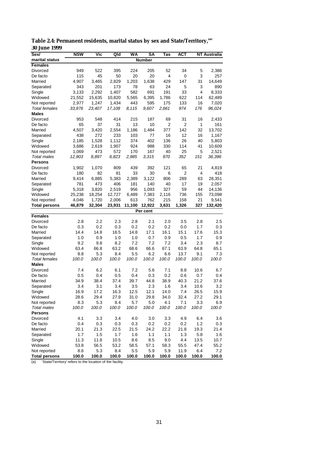| Sex/                 | <b>NSW</b>  | Vic         | Qld    | <b>WA</b> | SΑ            | Tas   | АСТ   |       | <b>NT Australia</b> |
|----------------------|-------------|-------------|--------|-----------|---------------|-------|-------|-------|---------------------|
| marital status       |             |             |        |           | <b>Number</b> |       |       |       |                     |
| <b>Females</b>       |             |             |        |           |               |       |       |       |                     |
| Divorced             | 949         | 522         | 395    | 224       | 205           | 52    | 34    | 5     | 2,386               |
| De facto             | 115         | 45          | 50     | 20        | 20            | 4     | 0     | 3     | 257                 |
| Married              | 4,907       | 3,465       | 2,829  | 1,203     | 1,638         | 429   | 147   | 31    | 14,649              |
| Separated            | 343         | 201         | 173    | 78        | 63            | 24    | 5     | 3     | 890                 |
| Single               | 3,133       | 2,292       | 1,407  | 582       | 691           | 191   | 33    | 4     | 8,333               |
| Widowed              | 21,552      | 15,635      | 10,820 | 5,565     | 6,395         | 1,786 | 622   | 114   | 62,489              |
| Not reported         | 2,977       | 1,247       | 1,434  | 443       | 595           | 175   | 133   | 16    | 7,020               |
| <b>Total females</b> | 33,976      | 23,407      | 17,108 | 8,115     | 9,607         | 2,661 | 974   | 176   | 96,024              |
| <b>Males</b>         |             |             |        |           |               |       |       |       |                     |
| Divorced             | 953         | 548         | 414    | 215       | 187           | 69    | 31    | 16    | 2,433               |
| De facto             | 65          | 37          | 31     | 13        | 10            | 2     | 2     | 1     | 161                 |
| Married              | 4,507       | 3,420       | 2,554  | 1,186     | 1,484         | 377   | 142   | 32    | 13,702              |
| Separated            | 438         | 272         | 233    | 103       | 77            | 16    | 12    | 16    | 1,167               |
| Single               | 2,185       | 1,528       | 1,112  | 374       | 402           | 136   | 26    | 40    | 5,803               |
| Widowed              | 3,686       | 2,619       | 1,907  | 924       | 988           | 330   | 114   | 41    | 10,609              |
| Not reported         | 1,069       | 473         | 572    | 170       | 167           | 40    | 25    | 5     | 2,521               |
| Total males          | 12,903      | 8,897       | 6,823  | 2,985     | 3,315         | 970   | 352   | 151   | 36,396              |
| <b>Persons</b>       |             |             |        |           |               |       |       |       |                     |
| <b>Divorced</b>      | 1,902       | 1,070       | 809    | 439       | 392           | 121   | 65    | 21    | 4,819               |
| De facto             | 180         | 82          | 81     | 33        | 30            | 6     | 2     | 4     | 418                 |
| Married              | 9,414       | 6,885       | 5,383  | 2,389     | 3,122         | 806   | 289   | 63    | 28,351              |
| Separated            | 781         | 473         | 406    | 181       | 140           | 40    | 17    | 19    | 2,057               |
| Single               | 5,318       | 3,820       | 2,519  | 956       | 1,093         | 327   | 59    | 44    | 14,136              |
| Widowed              | 25,238      | 18,254      | 12,727 | 6,489     | 7,383         | 2,116 | 736   | 155   | 73,098              |
| Not reported         | 4,046       | 1,720       | 2,006  | 613       | 762           | 215   | 158   | 21    | 9,541               |
| <b>Total persons</b> | 46,879      | 32,304      | 23,931 | 11,100    | 12,922        | 3,631 | 1,326 | 327   | 132,420             |
|                      |             |             |        |           | Per cent      |       |       |       |                     |
| <b>Females</b>       |             |             |        |           |               |       |       |       |                     |
| Divorced             | 2.8         | 2.2         | 2.3    | 2.8       | 2.1           | 2.0   | 3.5   | 2.8   | 2.5                 |
| De facto             | 0.3         | 0.2         | 0.3    | 0.2       | 0.2           | 0.2   | 0.0   | 1.7   | 0.3                 |
| Married              | 14.4        | 14.8        | 16.5   | 14.8      | 17.1          | 16.1  | 15.1  | 17.6  | 15.3                |
| Separated            | 1.0         | 0.9         | 1.0    | 1.0       | 0.7           | 0.9   | 0.5   | 1.7   | 0.9                 |
| Single               | 9.2         | 9.8         | 8.2    | 7.2       | 7.2           | 7.2   | 3.4   | 2.3   | 8.7                 |
| Widowed              | 63.4        | 66.8        | 63.2   | 68.6      | 66.6          | 67.1  | 63.9  | 64.8  | 65.1                |
| Not reported         | 8.8         | 5.3         | 8.4    | 5.5       | 6.2           | 6.6   | 13.7  | 9.1   | 7.3                 |
| <b>Total females</b> | 100.0       | 100.0       | 100.0  | 100.0     | 100.0         | 100.0 | 100.0 | 100.0 | 100.0               |
| <b>Males</b>         |             |             |        |           |               |       |       |       |                     |
| Divorced             | 7.4         | 6.2         | 6.1    | 7.2       | 5.6           | 7.1   | 8.8   | 10.6  | 6.7                 |
| De facto             | 0.5         | 0.4         | 0.5    | 0.4       | 0.3           | 0.2   | 0.6   | 0.7   | 0.4                 |
| Married              | 34.9        | 38.4        | 37.4   | 39.7      | 44.8          | 38.9  | 40.3  | 21.2  | 37.6                |
| Separated            | 3.4         | 3.1         | 3.4    | 3.5       | 2.3           | 1.6   | 3.4   | 10.6  | 3.2                 |
| Single               | 16.9        | 17.2        | 16.3   | 12.5      | 12.1          | 14.0  | 7.4   | 26.5  | 15.9                |
| Widowed              | 28.6        | 29.4        | 27.9   | 31.0      | 29.8          | 34.0  | 32.4  | 27.2  | 29.1                |
| Not reported         | 8.3         | 5.3         | 8.4    | 5.7       | 5.0           | 4.1   | 7.1   | 3.3   | 6.9                 |
| Total males          | 100.0       | 100.0       | 100.0  | 100.0     | 100.0         | 100.0 | 100.0 | 100.0 | 100.0               |
| <b>Persons</b>       |             |             |        |           |               |       |       |       |                     |
| Divorced             | 4.1         | 3.3         | 3.4    | 4.0       | 3.0           | 3.3   | 4.9   | 6.4   | 3.6                 |
| De facto             | 0.4         | 0.3         | 0.3    | 0.3       | 0.2           | 0.2   | 0.2   | 1.2   | 0.3                 |
| Married              | 20.1        | 21.3        | 22.5   | 21.5      | 24.2          | 22.2  | 21.8  | 19.3  | 21.4                |
| Separated            | 1.7         | 1.5         | 1.7    | 1.6       | 1.1           | 1.1   | 1.3   | 5.8   | 1.6                 |
| Single               | 11.3        | 11.8        | 10.5   | 8.6       | 8.5           | 9.0   | 4.4   | 13.5  | 10.7                |
| Widowed              |             |             | 53.2   | 58.5      |               | 58.3  | 55.5  | 47.4  |                     |
|                      | 53.8<br>8.6 | 56.5<br>5.3 | 8.4    | 5.5       | 57.1<br>5.9   | 5.9   | 11.9  | 6.4   | 55.2<br>7.2         |
| Not reported         |             |             |        |           |               | 100.0 |       |       |                     |
| <b>Total persons</b> | 100.0       | 100.0       | 100.0  | 100.0     | 100.0         |       | 100.0 | 100.0 | 100.0               |

**Table 2.4: Permanent residents, marital status by sex and State/Territory,(a) 30 June 1999**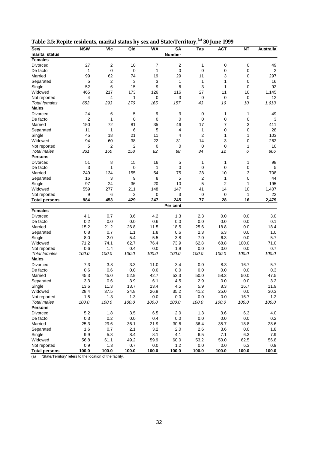| marital status<br><b>Number</b><br><b>Females</b><br>7<br>$\overline{2}$<br>27<br>$\overline{2}$<br>10<br>0<br>$\mathbf 0$<br>49<br>1<br>Divorced<br>1<br>0<br>0<br>1<br>0<br>$\mathbf 0$<br>0<br>$\mathbf 0$<br>2<br>De facto<br>99<br>62<br>29<br>3<br>297<br>Married<br>74<br>19<br>11<br>0<br>2<br>3<br>5<br>3<br>1<br>1<br>$\mathbf 0$<br>16<br>1<br>Separated<br>52<br>6<br>15<br>9<br>6<br>3<br>1<br>$\mathbf 0$<br>92<br>Single<br>465<br>173<br>126<br>116<br>27<br>11<br>10<br>Widowed<br>217<br>1,145<br>3<br>4<br>0<br>12<br>4<br>1<br>0<br>0<br>0<br>Not reported<br>1,613<br>653<br>293<br>276<br>165<br>157<br>43<br>16<br><b>Total females</b><br>10<br><b>Males</b><br>24<br>5<br>9<br>3<br>49<br>6<br>0<br>1<br>1<br>Divorced<br>$\overline{2}$<br>0<br>0<br>1<br>0<br>$\mathbf 0$<br>0<br>$\mathbf 0$<br>3<br>De facto<br>150<br>72<br>81<br>35<br>46<br>17<br>7<br>3<br>411<br>Married<br>11<br>1<br>6<br>5<br>4<br>0<br>$\mathbf 0$<br>28<br>1<br>Separated<br>45<br>18<br>2<br>103<br>Single<br>21<br>11<br>4<br>1<br>1<br>94<br>60<br>38<br>22<br>14<br>3<br>$\mathbf 0$<br>262<br>Widowed<br>31<br>5<br>2<br>2<br>$\mathbf 0$<br>0<br>0<br>0<br>10<br>1<br>Not reported<br>153<br>160<br>82<br>88<br>12<br>6<br>866<br>Total males<br>331<br>34<br><b>Persons</b><br>51<br>8<br>15<br>16<br>5<br>1<br>1<br>1<br>98<br>Divorced<br>3<br>0<br>0<br>0<br>0<br>$\mathbf 0$<br>De facto<br>1<br>1<br>5<br>155<br>54<br>75<br>28<br>10<br>3<br>Married<br>249<br>134<br>708<br>5<br>16<br>3<br>9<br>8<br>2<br>$\mathbf 0$<br>44<br>1<br>Separated<br>97<br>24<br>36<br>20<br>10<br>5<br>2<br>195<br>Single<br>1<br>559<br>211<br>1,407<br>277<br>148<br>147<br>41<br>14<br>10<br>Widowed<br>9<br>3<br>$\mathbf 0$<br>3<br>22<br>6<br>0<br>0<br>1<br>Not reported<br>984<br>453<br>429<br>247<br>245<br>28<br>16<br>2,479<br>77<br><b>Total persons</b><br>Per cent<br><b>Females</b><br>4.2<br>2.3<br>0.0<br>3.0<br>4.1<br>0.7<br>3.6<br>1.3<br>0.0<br>Divorced<br>0.2<br>0.0<br>0.0<br>0.6<br>0.0<br>0.0<br>0.1<br>De facto<br>0.0<br>0.0<br>15.2<br>21.2<br>26.8<br>25.6<br>0.0<br>18.4<br>Married<br>11.5<br>18.5<br>18.8<br>0.8<br>1.8<br>2.3<br>0.7<br>1.1<br>0.6<br>6.3<br>0.0<br>1.0<br>Separated<br>8.0<br>2.0<br>5.4<br>5.5<br>3.8<br>7.0<br>5.7<br>Single<br>6.3<br>0.0<br>71.2<br>62.7<br>76.4<br>73.9<br>68.8<br>100.0<br>71.0<br>Widowed<br>74.1<br>62.8<br>0.6<br>0.0<br>0.7<br>1.4<br>0.4<br>0.0<br>1.9<br>0.0<br>0.0<br>Not reported<br>100.0<br>100.0<br>100.0<br>100.0<br>100.0<br>100.0<br>100.0<br>100.0<br><b>Total females</b><br>100.0<br><b>Males</b><br>7.3<br>3.3<br>3.8<br>11.0<br>3.4<br>0.0<br>8.3<br>16.7<br>5.7<br>Divorced<br>0.6<br>0.6<br>0.0<br>0.3<br>De facto<br>0.0<br>0.0<br>0.0<br>0.0<br>0.0<br>42.7<br>47.5<br>Married<br>45.3<br>45.0<br>52.9<br>52.3<br>50.0<br>58.3<br>50.0<br>3.3<br>3.9<br>6.1<br>2.9<br>3.2<br>0.6<br>4.5<br>0.0<br>0.0<br>Separated<br>11.3<br>13.7<br>13.4<br>5.9<br>8.3<br>16.7<br>11.9<br>Single<br>13.6<br>4.5<br>28.4<br>24.8<br>26.8<br>35.2<br>25.0<br>30.3<br>Widowed<br>37.5<br>41.2<br>0.0<br>1.5<br>1.3<br>1.3<br>0.0<br>0.0<br>$0.0\,$<br>0.0<br>16.7<br>1.2<br>Not reported<br>100.0<br>100.0<br>100.0<br>100.0<br>100.0<br>100.0<br>100.0<br>100.0<br>100.0<br>Total males<br><b>Persons</b><br>5.2<br>3.5<br>Divorced<br>1.8<br>6.5<br>2.0<br>1.3<br>3.6<br>6.3<br>4.0<br>0.3<br>0.2<br>0.0<br>0.4<br>0.0<br>$0.0\,$<br>0.0<br>0.0<br>$0.2\,$<br>De facto<br>25.3<br>29.6<br>36.1<br>21.9<br>30.6<br>36.4<br>35.7<br>18.8<br>28.6<br>Married<br>1.6<br>0.7<br>2.1<br>3.2<br>Separated<br>2.0<br>2.6<br>3.6<br>0.0<br>1.8<br>9.9<br>5.3<br>8.4<br>8.1<br>4.1<br>$7.9$<br>Single<br>6.5<br>7.1<br>6.3<br>61.1<br>49.2<br>59.9<br>50.0<br>56.8<br>Widowed<br>56.8<br>60.0<br>53.2<br>62.5<br>0.9<br>$1.3$<br>0.7<br>$0.0\,$<br>$0.0\,$<br>$0.0\,$<br>6.3<br>0.9<br>Not reported<br>1.2 | Sex/ | <b>NSW</b> | Vic | Qld | WA | <b>SA</b> | Tas | <b>ACT</b> | ΝT | Australia |
|---------------------------------------------------------------------------------------------------------------------------------------------------------------------------------------------------------------------------------------------------------------------------------------------------------------------------------------------------------------------------------------------------------------------------------------------------------------------------------------------------------------------------------------------------------------------------------------------------------------------------------------------------------------------------------------------------------------------------------------------------------------------------------------------------------------------------------------------------------------------------------------------------------------------------------------------------------------------------------------------------------------------------------------------------------------------------------------------------------------------------------------------------------------------------------------------------------------------------------------------------------------------------------------------------------------------------------------------------------------------------------------------------------------------------------------------------------------------------------------------------------------------------------------------------------------------------------------------------------------------------------------------------------------------------------------------------------------------------------------------------------------------------------------------------------------------------------------------------------------------------------------------------------------------------------------------------------------------------------------------------------------------------------------------------------------------------------------------------------------------------------------------------------------------------------------------------------------------------------------------------------------------------------------------------------------------------------------------------------------------------------------------------------------------------------------------------------------------------------------------------------------------------------------------------------------------------------------------------------------------------------------------------------------------------------------------------------------------------------------------------------------------------------------------------------------------------------------------------------------------------------------------------------------------------------------------------------------------------------------------------------------------------------------------------------------------------------------------------------------------------------------------------------------------------------------------------------------------------------------------------------------------------------------------------------------------------------------------------------------------------------------------------------------------------------------------------------------------------------------------------------------------------------------------------------------------------------------------------------------------------------------------------------------------------------------------------------------------------------------------------------------------------------------------------------------------------------------------------------------------------------------|------|------------|-----|-----|----|-----------|-----|------------|----|-----------|
|                                                                                                                                                                                                                                                                                                                                                                                                                                                                                                                                                                                                                                                                                                                                                                                                                                                                                                                                                                                                                                                                                                                                                                                                                                                                                                                                                                                                                                                                                                                                                                                                                                                                                                                                                                                                                                                                                                                                                                                                                                                                                                                                                                                                                                                                                                                                                                                                                                                                                                                                                                                                                                                                                                                                                                                                                                                                                                                                                                                                                                                                                                                                                                                                                                                                                                                                                                                                                                                                                                                                                                                                                                                                                                                                                                                                                                                                                       |      |            |     |     |    |           |     |            |    |           |
|                                                                                                                                                                                                                                                                                                                                                                                                                                                                                                                                                                                                                                                                                                                                                                                                                                                                                                                                                                                                                                                                                                                                                                                                                                                                                                                                                                                                                                                                                                                                                                                                                                                                                                                                                                                                                                                                                                                                                                                                                                                                                                                                                                                                                                                                                                                                                                                                                                                                                                                                                                                                                                                                                                                                                                                                                                                                                                                                                                                                                                                                                                                                                                                                                                                                                                                                                                                                                                                                                                                                                                                                                                                                                                                                                                                                                                                                                       |      |            |     |     |    |           |     |            |    |           |
|                                                                                                                                                                                                                                                                                                                                                                                                                                                                                                                                                                                                                                                                                                                                                                                                                                                                                                                                                                                                                                                                                                                                                                                                                                                                                                                                                                                                                                                                                                                                                                                                                                                                                                                                                                                                                                                                                                                                                                                                                                                                                                                                                                                                                                                                                                                                                                                                                                                                                                                                                                                                                                                                                                                                                                                                                                                                                                                                                                                                                                                                                                                                                                                                                                                                                                                                                                                                                                                                                                                                                                                                                                                                                                                                                                                                                                                                                       |      |            |     |     |    |           |     |            |    |           |
|                                                                                                                                                                                                                                                                                                                                                                                                                                                                                                                                                                                                                                                                                                                                                                                                                                                                                                                                                                                                                                                                                                                                                                                                                                                                                                                                                                                                                                                                                                                                                                                                                                                                                                                                                                                                                                                                                                                                                                                                                                                                                                                                                                                                                                                                                                                                                                                                                                                                                                                                                                                                                                                                                                                                                                                                                                                                                                                                                                                                                                                                                                                                                                                                                                                                                                                                                                                                                                                                                                                                                                                                                                                                                                                                                                                                                                                                                       |      |            |     |     |    |           |     |            |    |           |
|                                                                                                                                                                                                                                                                                                                                                                                                                                                                                                                                                                                                                                                                                                                                                                                                                                                                                                                                                                                                                                                                                                                                                                                                                                                                                                                                                                                                                                                                                                                                                                                                                                                                                                                                                                                                                                                                                                                                                                                                                                                                                                                                                                                                                                                                                                                                                                                                                                                                                                                                                                                                                                                                                                                                                                                                                                                                                                                                                                                                                                                                                                                                                                                                                                                                                                                                                                                                                                                                                                                                                                                                                                                                                                                                                                                                                                                                                       |      |            |     |     |    |           |     |            |    |           |
|                                                                                                                                                                                                                                                                                                                                                                                                                                                                                                                                                                                                                                                                                                                                                                                                                                                                                                                                                                                                                                                                                                                                                                                                                                                                                                                                                                                                                                                                                                                                                                                                                                                                                                                                                                                                                                                                                                                                                                                                                                                                                                                                                                                                                                                                                                                                                                                                                                                                                                                                                                                                                                                                                                                                                                                                                                                                                                                                                                                                                                                                                                                                                                                                                                                                                                                                                                                                                                                                                                                                                                                                                                                                                                                                                                                                                                                                                       |      |            |     |     |    |           |     |            |    |           |
|                                                                                                                                                                                                                                                                                                                                                                                                                                                                                                                                                                                                                                                                                                                                                                                                                                                                                                                                                                                                                                                                                                                                                                                                                                                                                                                                                                                                                                                                                                                                                                                                                                                                                                                                                                                                                                                                                                                                                                                                                                                                                                                                                                                                                                                                                                                                                                                                                                                                                                                                                                                                                                                                                                                                                                                                                                                                                                                                                                                                                                                                                                                                                                                                                                                                                                                                                                                                                                                                                                                                                                                                                                                                                                                                                                                                                                                                                       |      |            |     |     |    |           |     |            |    |           |
|                                                                                                                                                                                                                                                                                                                                                                                                                                                                                                                                                                                                                                                                                                                                                                                                                                                                                                                                                                                                                                                                                                                                                                                                                                                                                                                                                                                                                                                                                                                                                                                                                                                                                                                                                                                                                                                                                                                                                                                                                                                                                                                                                                                                                                                                                                                                                                                                                                                                                                                                                                                                                                                                                                                                                                                                                                                                                                                                                                                                                                                                                                                                                                                                                                                                                                                                                                                                                                                                                                                                                                                                                                                                                                                                                                                                                                                                                       |      |            |     |     |    |           |     |            |    |           |
|                                                                                                                                                                                                                                                                                                                                                                                                                                                                                                                                                                                                                                                                                                                                                                                                                                                                                                                                                                                                                                                                                                                                                                                                                                                                                                                                                                                                                                                                                                                                                                                                                                                                                                                                                                                                                                                                                                                                                                                                                                                                                                                                                                                                                                                                                                                                                                                                                                                                                                                                                                                                                                                                                                                                                                                                                                                                                                                                                                                                                                                                                                                                                                                                                                                                                                                                                                                                                                                                                                                                                                                                                                                                                                                                                                                                                                                                                       |      |            |     |     |    |           |     |            |    |           |
|                                                                                                                                                                                                                                                                                                                                                                                                                                                                                                                                                                                                                                                                                                                                                                                                                                                                                                                                                                                                                                                                                                                                                                                                                                                                                                                                                                                                                                                                                                                                                                                                                                                                                                                                                                                                                                                                                                                                                                                                                                                                                                                                                                                                                                                                                                                                                                                                                                                                                                                                                                                                                                                                                                                                                                                                                                                                                                                                                                                                                                                                                                                                                                                                                                                                                                                                                                                                                                                                                                                                                                                                                                                                                                                                                                                                                                                                                       |      |            |     |     |    |           |     |            |    |           |
|                                                                                                                                                                                                                                                                                                                                                                                                                                                                                                                                                                                                                                                                                                                                                                                                                                                                                                                                                                                                                                                                                                                                                                                                                                                                                                                                                                                                                                                                                                                                                                                                                                                                                                                                                                                                                                                                                                                                                                                                                                                                                                                                                                                                                                                                                                                                                                                                                                                                                                                                                                                                                                                                                                                                                                                                                                                                                                                                                                                                                                                                                                                                                                                                                                                                                                                                                                                                                                                                                                                                                                                                                                                                                                                                                                                                                                                                                       |      |            |     |     |    |           |     |            |    |           |
|                                                                                                                                                                                                                                                                                                                                                                                                                                                                                                                                                                                                                                                                                                                                                                                                                                                                                                                                                                                                                                                                                                                                                                                                                                                                                                                                                                                                                                                                                                                                                                                                                                                                                                                                                                                                                                                                                                                                                                                                                                                                                                                                                                                                                                                                                                                                                                                                                                                                                                                                                                                                                                                                                                                                                                                                                                                                                                                                                                                                                                                                                                                                                                                                                                                                                                                                                                                                                                                                                                                                                                                                                                                                                                                                                                                                                                                                                       |      |            |     |     |    |           |     |            |    |           |
|                                                                                                                                                                                                                                                                                                                                                                                                                                                                                                                                                                                                                                                                                                                                                                                                                                                                                                                                                                                                                                                                                                                                                                                                                                                                                                                                                                                                                                                                                                                                                                                                                                                                                                                                                                                                                                                                                                                                                                                                                                                                                                                                                                                                                                                                                                                                                                                                                                                                                                                                                                                                                                                                                                                                                                                                                                                                                                                                                                                                                                                                                                                                                                                                                                                                                                                                                                                                                                                                                                                                                                                                                                                                                                                                                                                                                                                                                       |      |            |     |     |    |           |     |            |    |           |
|                                                                                                                                                                                                                                                                                                                                                                                                                                                                                                                                                                                                                                                                                                                                                                                                                                                                                                                                                                                                                                                                                                                                                                                                                                                                                                                                                                                                                                                                                                                                                                                                                                                                                                                                                                                                                                                                                                                                                                                                                                                                                                                                                                                                                                                                                                                                                                                                                                                                                                                                                                                                                                                                                                                                                                                                                                                                                                                                                                                                                                                                                                                                                                                                                                                                                                                                                                                                                                                                                                                                                                                                                                                                                                                                                                                                                                                                                       |      |            |     |     |    |           |     |            |    |           |
|                                                                                                                                                                                                                                                                                                                                                                                                                                                                                                                                                                                                                                                                                                                                                                                                                                                                                                                                                                                                                                                                                                                                                                                                                                                                                                                                                                                                                                                                                                                                                                                                                                                                                                                                                                                                                                                                                                                                                                                                                                                                                                                                                                                                                                                                                                                                                                                                                                                                                                                                                                                                                                                                                                                                                                                                                                                                                                                                                                                                                                                                                                                                                                                                                                                                                                                                                                                                                                                                                                                                                                                                                                                                                                                                                                                                                                                                                       |      |            |     |     |    |           |     |            |    |           |
|                                                                                                                                                                                                                                                                                                                                                                                                                                                                                                                                                                                                                                                                                                                                                                                                                                                                                                                                                                                                                                                                                                                                                                                                                                                                                                                                                                                                                                                                                                                                                                                                                                                                                                                                                                                                                                                                                                                                                                                                                                                                                                                                                                                                                                                                                                                                                                                                                                                                                                                                                                                                                                                                                                                                                                                                                                                                                                                                                                                                                                                                                                                                                                                                                                                                                                                                                                                                                                                                                                                                                                                                                                                                                                                                                                                                                                                                                       |      |            |     |     |    |           |     |            |    |           |
|                                                                                                                                                                                                                                                                                                                                                                                                                                                                                                                                                                                                                                                                                                                                                                                                                                                                                                                                                                                                                                                                                                                                                                                                                                                                                                                                                                                                                                                                                                                                                                                                                                                                                                                                                                                                                                                                                                                                                                                                                                                                                                                                                                                                                                                                                                                                                                                                                                                                                                                                                                                                                                                                                                                                                                                                                                                                                                                                                                                                                                                                                                                                                                                                                                                                                                                                                                                                                                                                                                                                                                                                                                                                                                                                                                                                                                                                                       |      |            |     |     |    |           |     |            |    |           |
|                                                                                                                                                                                                                                                                                                                                                                                                                                                                                                                                                                                                                                                                                                                                                                                                                                                                                                                                                                                                                                                                                                                                                                                                                                                                                                                                                                                                                                                                                                                                                                                                                                                                                                                                                                                                                                                                                                                                                                                                                                                                                                                                                                                                                                                                                                                                                                                                                                                                                                                                                                                                                                                                                                                                                                                                                                                                                                                                                                                                                                                                                                                                                                                                                                                                                                                                                                                                                                                                                                                                                                                                                                                                                                                                                                                                                                                                                       |      |            |     |     |    |           |     |            |    |           |
|                                                                                                                                                                                                                                                                                                                                                                                                                                                                                                                                                                                                                                                                                                                                                                                                                                                                                                                                                                                                                                                                                                                                                                                                                                                                                                                                                                                                                                                                                                                                                                                                                                                                                                                                                                                                                                                                                                                                                                                                                                                                                                                                                                                                                                                                                                                                                                                                                                                                                                                                                                                                                                                                                                                                                                                                                                                                                                                                                                                                                                                                                                                                                                                                                                                                                                                                                                                                                                                                                                                                                                                                                                                                                                                                                                                                                                                                                       |      |            |     |     |    |           |     |            |    |           |
|                                                                                                                                                                                                                                                                                                                                                                                                                                                                                                                                                                                                                                                                                                                                                                                                                                                                                                                                                                                                                                                                                                                                                                                                                                                                                                                                                                                                                                                                                                                                                                                                                                                                                                                                                                                                                                                                                                                                                                                                                                                                                                                                                                                                                                                                                                                                                                                                                                                                                                                                                                                                                                                                                                                                                                                                                                                                                                                                                                                                                                                                                                                                                                                                                                                                                                                                                                                                                                                                                                                                                                                                                                                                                                                                                                                                                                                                                       |      |            |     |     |    |           |     |            |    |           |
|                                                                                                                                                                                                                                                                                                                                                                                                                                                                                                                                                                                                                                                                                                                                                                                                                                                                                                                                                                                                                                                                                                                                                                                                                                                                                                                                                                                                                                                                                                                                                                                                                                                                                                                                                                                                                                                                                                                                                                                                                                                                                                                                                                                                                                                                                                                                                                                                                                                                                                                                                                                                                                                                                                                                                                                                                                                                                                                                                                                                                                                                                                                                                                                                                                                                                                                                                                                                                                                                                                                                                                                                                                                                                                                                                                                                                                                                                       |      |            |     |     |    |           |     |            |    |           |
|                                                                                                                                                                                                                                                                                                                                                                                                                                                                                                                                                                                                                                                                                                                                                                                                                                                                                                                                                                                                                                                                                                                                                                                                                                                                                                                                                                                                                                                                                                                                                                                                                                                                                                                                                                                                                                                                                                                                                                                                                                                                                                                                                                                                                                                                                                                                                                                                                                                                                                                                                                                                                                                                                                                                                                                                                                                                                                                                                                                                                                                                                                                                                                                                                                                                                                                                                                                                                                                                                                                                                                                                                                                                                                                                                                                                                                                                                       |      |            |     |     |    |           |     |            |    |           |
|                                                                                                                                                                                                                                                                                                                                                                                                                                                                                                                                                                                                                                                                                                                                                                                                                                                                                                                                                                                                                                                                                                                                                                                                                                                                                                                                                                                                                                                                                                                                                                                                                                                                                                                                                                                                                                                                                                                                                                                                                                                                                                                                                                                                                                                                                                                                                                                                                                                                                                                                                                                                                                                                                                                                                                                                                                                                                                                                                                                                                                                                                                                                                                                                                                                                                                                                                                                                                                                                                                                                                                                                                                                                                                                                                                                                                                                                                       |      |            |     |     |    |           |     |            |    |           |
|                                                                                                                                                                                                                                                                                                                                                                                                                                                                                                                                                                                                                                                                                                                                                                                                                                                                                                                                                                                                                                                                                                                                                                                                                                                                                                                                                                                                                                                                                                                                                                                                                                                                                                                                                                                                                                                                                                                                                                                                                                                                                                                                                                                                                                                                                                                                                                                                                                                                                                                                                                                                                                                                                                                                                                                                                                                                                                                                                                                                                                                                                                                                                                                                                                                                                                                                                                                                                                                                                                                                                                                                                                                                                                                                                                                                                                                                                       |      |            |     |     |    |           |     |            |    |           |
|                                                                                                                                                                                                                                                                                                                                                                                                                                                                                                                                                                                                                                                                                                                                                                                                                                                                                                                                                                                                                                                                                                                                                                                                                                                                                                                                                                                                                                                                                                                                                                                                                                                                                                                                                                                                                                                                                                                                                                                                                                                                                                                                                                                                                                                                                                                                                                                                                                                                                                                                                                                                                                                                                                                                                                                                                                                                                                                                                                                                                                                                                                                                                                                                                                                                                                                                                                                                                                                                                                                                                                                                                                                                                                                                                                                                                                                                                       |      |            |     |     |    |           |     |            |    |           |
|                                                                                                                                                                                                                                                                                                                                                                                                                                                                                                                                                                                                                                                                                                                                                                                                                                                                                                                                                                                                                                                                                                                                                                                                                                                                                                                                                                                                                                                                                                                                                                                                                                                                                                                                                                                                                                                                                                                                                                                                                                                                                                                                                                                                                                                                                                                                                                                                                                                                                                                                                                                                                                                                                                                                                                                                                                                                                                                                                                                                                                                                                                                                                                                                                                                                                                                                                                                                                                                                                                                                                                                                                                                                                                                                                                                                                                                                                       |      |            |     |     |    |           |     |            |    |           |
|                                                                                                                                                                                                                                                                                                                                                                                                                                                                                                                                                                                                                                                                                                                                                                                                                                                                                                                                                                                                                                                                                                                                                                                                                                                                                                                                                                                                                                                                                                                                                                                                                                                                                                                                                                                                                                                                                                                                                                                                                                                                                                                                                                                                                                                                                                                                                                                                                                                                                                                                                                                                                                                                                                                                                                                                                                                                                                                                                                                                                                                                                                                                                                                                                                                                                                                                                                                                                                                                                                                                                                                                                                                                                                                                                                                                                                                                                       |      |            |     |     |    |           |     |            |    |           |
|                                                                                                                                                                                                                                                                                                                                                                                                                                                                                                                                                                                                                                                                                                                                                                                                                                                                                                                                                                                                                                                                                                                                                                                                                                                                                                                                                                                                                                                                                                                                                                                                                                                                                                                                                                                                                                                                                                                                                                                                                                                                                                                                                                                                                                                                                                                                                                                                                                                                                                                                                                                                                                                                                                                                                                                                                                                                                                                                                                                                                                                                                                                                                                                                                                                                                                                                                                                                                                                                                                                                                                                                                                                                                                                                                                                                                                                                                       |      |            |     |     |    |           |     |            |    |           |
|                                                                                                                                                                                                                                                                                                                                                                                                                                                                                                                                                                                                                                                                                                                                                                                                                                                                                                                                                                                                                                                                                                                                                                                                                                                                                                                                                                                                                                                                                                                                                                                                                                                                                                                                                                                                                                                                                                                                                                                                                                                                                                                                                                                                                                                                                                                                                                                                                                                                                                                                                                                                                                                                                                                                                                                                                                                                                                                                                                                                                                                                                                                                                                                                                                                                                                                                                                                                                                                                                                                                                                                                                                                                                                                                                                                                                                                                                       |      |            |     |     |    |           |     |            |    |           |
|                                                                                                                                                                                                                                                                                                                                                                                                                                                                                                                                                                                                                                                                                                                                                                                                                                                                                                                                                                                                                                                                                                                                                                                                                                                                                                                                                                                                                                                                                                                                                                                                                                                                                                                                                                                                                                                                                                                                                                                                                                                                                                                                                                                                                                                                                                                                                                                                                                                                                                                                                                                                                                                                                                                                                                                                                                                                                                                                                                                                                                                                                                                                                                                                                                                                                                                                                                                                                                                                                                                                                                                                                                                                                                                                                                                                                                                                                       |      |            |     |     |    |           |     |            |    |           |
|                                                                                                                                                                                                                                                                                                                                                                                                                                                                                                                                                                                                                                                                                                                                                                                                                                                                                                                                                                                                                                                                                                                                                                                                                                                                                                                                                                                                                                                                                                                                                                                                                                                                                                                                                                                                                                                                                                                                                                                                                                                                                                                                                                                                                                                                                                                                                                                                                                                                                                                                                                                                                                                                                                                                                                                                                                                                                                                                                                                                                                                                                                                                                                                                                                                                                                                                                                                                                                                                                                                                                                                                                                                                                                                                                                                                                                                                                       |      |            |     |     |    |           |     |            |    |           |
|                                                                                                                                                                                                                                                                                                                                                                                                                                                                                                                                                                                                                                                                                                                                                                                                                                                                                                                                                                                                                                                                                                                                                                                                                                                                                                                                                                                                                                                                                                                                                                                                                                                                                                                                                                                                                                                                                                                                                                                                                                                                                                                                                                                                                                                                                                                                                                                                                                                                                                                                                                                                                                                                                                                                                                                                                                                                                                                                                                                                                                                                                                                                                                                                                                                                                                                                                                                                                                                                                                                                                                                                                                                                                                                                                                                                                                                                                       |      |            |     |     |    |           |     |            |    |           |
|                                                                                                                                                                                                                                                                                                                                                                                                                                                                                                                                                                                                                                                                                                                                                                                                                                                                                                                                                                                                                                                                                                                                                                                                                                                                                                                                                                                                                                                                                                                                                                                                                                                                                                                                                                                                                                                                                                                                                                                                                                                                                                                                                                                                                                                                                                                                                                                                                                                                                                                                                                                                                                                                                                                                                                                                                                                                                                                                                                                                                                                                                                                                                                                                                                                                                                                                                                                                                                                                                                                                                                                                                                                                                                                                                                                                                                                                                       |      |            |     |     |    |           |     |            |    |           |
|                                                                                                                                                                                                                                                                                                                                                                                                                                                                                                                                                                                                                                                                                                                                                                                                                                                                                                                                                                                                                                                                                                                                                                                                                                                                                                                                                                                                                                                                                                                                                                                                                                                                                                                                                                                                                                                                                                                                                                                                                                                                                                                                                                                                                                                                                                                                                                                                                                                                                                                                                                                                                                                                                                                                                                                                                                                                                                                                                                                                                                                                                                                                                                                                                                                                                                                                                                                                                                                                                                                                                                                                                                                                                                                                                                                                                                                                                       |      |            |     |     |    |           |     |            |    |           |
|                                                                                                                                                                                                                                                                                                                                                                                                                                                                                                                                                                                                                                                                                                                                                                                                                                                                                                                                                                                                                                                                                                                                                                                                                                                                                                                                                                                                                                                                                                                                                                                                                                                                                                                                                                                                                                                                                                                                                                                                                                                                                                                                                                                                                                                                                                                                                                                                                                                                                                                                                                                                                                                                                                                                                                                                                                                                                                                                                                                                                                                                                                                                                                                                                                                                                                                                                                                                                                                                                                                                                                                                                                                                                                                                                                                                                                                                                       |      |            |     |     |    |           |     |            |    |           |
|                                                                                                                                                                                                                                                                                                                                                                                                                                                                                                                                                                                                                                                                                                                                                                                                                                                                                                                                                                                                                                                                                                                                                                                                                                                                                                                                                                                                                                                                                                                                                                                                                                                                                                                                                                                                                                                                                                                                                                                                                                                                                                                                                                                                                                                                                                                                                                                                                                                                                                                                                                                                                                                                                                                                                                                                                                                                                                                                                                                                                                                                                                                                                                                                                                                                                                                                                                                                                                                                                                                                                                                                                                                                                                                                                                                                                                                                                       |      |            |     |     |    |           |     |            |    |           |
|                                                                                                                                                                                                                                                                                                                                                                                                                                                                                                                                                                                                                                                                                                                                                                                                                                                                                                                                                                                                                                                                                                                                                                                                                                                                                                                                                                                                                                                                                                                                                                                                                                                                                                                                                                                                                                                                                                                                                                                                                                                                                                                                                                                                                                                                                                                                                                                                                                                                                                                                                                                                                                                                                                                                                                                                                                                                                                                                                                                                                                                                                                                                                                                                                                                                                                                                                                                                                                                                                                                                                                                                                                                                                                                                                                                                                                                                                       |      |            |     |     |    |           |     |            |    |           |
|                                                                                                                                                                                                                                                                                                                                                                                                                                                                                                                                                                                                                                                                                                                                                                                                                                                                                                                                                                                                                                                                                                                                                                                                                                                                                                                                                                                                                                                                                                                                                                                                                                                                                                                                                                                                                                                                                                                                                                                                                                                                                                                                                                                                                                                                                                                                                                                                                                                                                                                                                                                                                                                                                                                                                                                                                                                                                                                                                                                                                                                                                                                                                                                                                                                                                                                                                                                                                                                                                                                                                                                                                                                                                                                                                                                                                                                                                       |      |            |     |     |    |           |     |            |    |           |
|                                                                                                                                                                                                                                                                                                                                                                                                                                                                                                                                                                                                                                                                                                                                                                                                                                                                                                                                                                                                                                                                                                                                                                                                                                                                                                                                                                                                                                                                                                                                                                                                                                                                                                                                                                                                                                                                                                                                                                                                                                                                                                                                                                                                                                                                                                                                                                                                                                                                                                                                                                                                                                                                                                                                                                                                                                                                                                                                                                                                                                                                                                                                                                                                                                                                                                                                                                                                                                                                                                                                                                                                                                                                                                                                                                                                                                                                                       |      |            |     |     |    |           |     |            |    |           |
|                                                                                                                                                                                                                                                                                                                                                                                                                                                                                                                                                                                                                                                                                                                                                                                                                                                                                                                                                                                                                                                                                                                                                                                                                                                                                                                                                                                                                                                                                                                                                                                                                                                                                                                                                                                                                                                                                                                                                                                                                                                                                                                                                                                                                                                                                                                                                                                                                                                                                                                                                                                                                                                                                                                                                                                                                                                                                                                                                                                                                                                                                                                                                                                                                                                                                                                                                                                                                                                                                                                                                                                                                                                                                                                                                                                                                                                                                       |      |            |     |     |    |           |     |            |    |           |
|                                                                                                                                                                                                                                                                                                                                                                                                                                                                                                                                                                                                                                                                                                                                                                                                                                                                                                                                                                                                                                                                                                                                                                                                                                                                                                                                                                                                                                                                                                                                                                                                                                                                                                                                                                                                                                                                                                                                                                                                                                                                                                                                                                                                                                                                                                                                                                                                                                                                                                                                                                                                                                                                                                                                                                                                                                                                                                                                                                                                                                                                                                                                                                                                                                                                                                                                                                                                                                                                                                                                                                                                                                                                                                                                                                                                                                                                                       |      |            |     |     |    |           |     |            |    |           |
|                                                                                                                                                                                                                                                                                                                                                                                                                                                                                                                                                                                                                                                                                                                                                                                                                                                                                                                                                                                                                                                                                                                                                                                                                                                                                                                                                                                                                                                                                                                                                                                                                                                                                                                                                                                                                                                                                                                                                                                                                                                                                                                                                                                                                                                                                                                                                                                                                                                                                                                                                                                                                                                                                                                                                                                                                                                                                                                                                                                                                                                                                                                                                                                                                                                                                                                                                                                                                                                                                                                                                                                                                                                                                                                                                                                                                                                                                       |      |            |     |     |    |           |     |            |    |           |
|                                                                                                                                                                                                                                                                                                                                                                                                                                                                                                                                                                                                                                                                                                                                                                                                                                                                                                                                                                                                                                                                                                                                                                                                                                                                                                                                                                                                                                                                                                                                                                                                                                                                                                                                                                                                                                                                                                                                                                                                                                                                                                                                                                                                                                                                                                                                                                                                                                                                                                                                                                                                                                                                                                                                                                                                                                                                                                                                                                                                                                                                                                                                                                                                                                                                                                                                                                                                                                                                                                                                                                                                                                                                                                                                                                                                                                                                                       |      |            |     |     |    |           |     |            |    |           |
|                                                                                                                                                                                                                                                                                                                                                                                                                                                                                                                                                                                                                                                                                                                                                                                                                                                                                                                                                                                                                                                                                                                                                                                                                                                                                                                                                                                                                                                                                                                                                                                                                                                                                                                                                                                                                                                                                                                                                                                                                                                                                                                                                                                                                                                                                                                                                                                                                                                                                                                                                                                                                                                                                                                                                                                                                                                                                                                                                                                                                                                                                                                                                                                                                                                                                                                                                                                                                                                                                                                                                                                                                                                                                                                                                                                                                                                                                       |      |            |     |     |    |           |     |            |    |           |
|                                                                                                                                                                                                                                                                                                                                                                                                                                                                                                                                                                                                                                                                                                                                                                                                                                                                                                                                                                                                                                                                                                                                                                                                                                                                                                                                                                                                                                                                                                                                                                                                                                                                                                                                                                                                                                                                                                                                                                                                                                                                                                                                                                                                                                                                                                                                                                                                                                                                                                                                                                                                                                                                                                                                                                                                                                                                                                                                                                                                                                                                                                                                                                                                                                                                                                                                                                                                                                                                                                                                                                                                                                                                                                                                                                                                                                                                                       |      |            |     |     |    |           |     |            |    |           |
|                                                                                                                                                                                                                                                                                                                                                                                                                                                                                                                                                                                                                                                                                                                                                                                                                                                                                                                                                                                                                                                                                                                                                                                                                                                                                                                                                                                                                                                                                                                                                                                                                                                                                                                                                                                                                                                                                                                                                                                                                                                                                                                                                                                                                                                                                                                                                                                                                                                                                                                                                                                                                                                                                                                                                                                                                                                                                                                                                                                                                                                                                                                                                                                                                                                                                                                                                                                                                                                                                                                                                                                                                                                                                                                                                                                                                                                                                       |      |            |     |     |    |           |     |            |    |           |
|                                                                                                                                                                                                                                                                                                                                                                                                                                                                                                                                                                                                                                                                                                                                                                                                                                                                                                                                                                                                                                                                                                                                                                                                                                                                                                                                                                                                                                                                                                                                                                                                                                                                                                                                                                                                                                                                                                                                                                                                                                                                                                                                                                                                                                                                                                                                                                                                                                                                                                                                                                                                                                                                                                                                                                                                                                                                                                                                                                                                                                                                                                                                                                                                                                                                                                                                                                                                                                                                                                                                                                                                                                                                                                                                                                                                                                                                                       |      |            |     |     |    |           |     |            |    |           |
|                                                                                                                                                                                                                                                                                                                                                                                                                                                                                                                                                                                                                                                                                                                                                                                                                                                                                                                                                                                                                                                                                                                                                                                                                                                                                                                                                                                                                                                                                                                                                                                                                                                                                                                                                                                                                                                                                                                                                                                                                                                                                                                                                                                                                                                                                                                                                                                                                                                                                                                                                                                                                                                                                                                                                                                                                                                                                                                                                                                                                                                                                                                                                                                                                                                                                                                                                                                                                                                                                                                                                                                                                                                                                                                                                                                                                                                                                       |      |            |     |     |    |           |     |            |    |           |
|                                                                                                                                                                                                                                                                                                                                                                                                                                                                                                                                                                                                                                                                                                                                                                                                                                                                                                                                                                                                                                                                                                                                                                                                                                                                                                                                                                                                                                                                                                                                                                                                                                                                                                                                                                                                                                                                                                                                                                                                                                                                                                                                                                                                                                                                                                                                                                                                                                                                                                                                                                                                                                                                                                                                                                                                                                                                                                                                                                                                                                                                                                                                                                                                                                                                                                                                                                                                                                                                                                                                                                                                                                                                                                                                                                                                                                                                                       |      |            |     |     |    |           |     |            |    |           |
|                                                                                                                                                                                                                                                                                                                                                                                                                                                                                                                                                                                                                                                                                                                                                                                                                                                                                                                                                                                                                                                                                                                                                                                                                                                                                                                                                                                                                                                                                                                                                                                                                                                                                                                                                                                                                                                                                                                                                                                                                                                                                                                                                                                                                                                                                                                                                                                                                                                                                                                                                                                                                                                                                                                                                                                                                                                                                                                                                                                                                                                                                                                                                                                                                                                                                                                                                                                                                                                                                                                                                                                                                                                                                                                                                                                                                                                                                       |      |            |     |     |    |           |     |            |    |           |
|                                                                                                                                                                                                                                                                                                                                                                                                                                                                                                                                                                                                                                                                                                                                                                                                                                                                                                                                                                                                                                                                                                                                                                                                                                                                                                                                                                                                                                                                                                                                                                                                                                                                                                                                                                                                                                                                                                                                                                                                                                                                                                                                                                                                                                                                                                                                                                                                                                                                                                                                                                                                                                                                                                                                                                                                                                                                                                                                                                                                                                                                                                                                                                                                                                                                                                                                                                                                                                                                                                                                                                                                                                                                                                                                                                                                                                                                                       |      |            |     |     |    |           |     |            |    |           |
|                                                                                                                                                                                                                                                                                                                                                                                                                                                                                                                                                                                                                                                                                                                                                                                                                                                                                                                                                                                                                                                                                                                                                                                                                                                                                                                                                                                                                                                                                                                                                                                                                                                                                                                                                                                                                                                                                                                                                                                                                                                                                                                                                                                                                                                                                                                                                                                                                                                                                                                                                                                                                                                                                                                                                                                                                                                                                                                                                                                                                                                                                                                                                                                                                                                                                                                                                                                                                                                                                                                                                                                                                                                                                                                                                                                                                                                                                       |      |            |     |     |    |           |     |            |    |           |
|                                                                                                                                                                                                                                                                                                                                                                                                                                                                                                                                                                                                                                                                                                                                                                                                                                                                                                                                                                                                                                                                                                                                                                                                                                                                                                                                                                                                                                                                                                                                                                                                                                                                                                                                                                                                                                                                                                                                                                                                                                                                                                                                                                                                                                                                                                                                                                                                                                                                                                                                                                                                                                                                                                                                                                                                                                                                                                                                                                                                                                                                                                                                                                                                                                                                                                                                                                                                                                                                                                                                                                                                                                                                                                                                                                                                                                                                                       |      |            |     |     |    |           |     |            |    |           |
|                                                                                                                                                                                                                                                                                                                                                                                                                                                                                                                                                                                                                                                                                                                                                                                                                                                                                                                                                                                                                                                                                                                                                                                                                                                                                                                                                                                                                                                                                                                                                                                                                                                                                                                                                                                                                                                                                                                                                                                                                                                                                                                                                                                                                                                                                                                                                                                                                                                                                                                                                                                                                                                                                                                                                                                                                                                                                                                                                                                                                                                                                                                                                                                                                                                                                                                                                                                                                                                                                                                                                                                                                                                                                                                                                                                                                                                                                       |      |            |     |     |    |           |     |            |    |           |
|                                                                                                                                                                                                                                                                                                                                                                                                                                                                                                                                                                                                                                                                                                                                                                                                                                                                                                                                                                                                                                                                                                                                                                                                                                                                                                                                                                                                                                                                                                                                                                                                                                                                                                                                                                                                                                                                                                                                                                                                                                                                                                                                                                                                                                                                                                                                                                                                                                                                                                                                                                                                                                                                                                                                                                                                                                                                                                                                                                                                                                                                                                                                                                                                                                                                                                                                                                                                                                                                                                                                                                                                                                                                                                                                                                                                                                                                                       |      |            |     |     |    |           |     |            |    |           |
|                                                                                                                                                                                                                                                                                                                                                                                                                                                                                                                                                                                                                                                                                                                                                                                                                                                                                                                                                                                                                                                                                                                                                                                                                                                                                                                                                                                                                                                                                                                                                                                                                                                                                                                                                                                                                                                                                                                                                                                                                                                                                                                                                                                                                                                                                                                                                                                                                                                                                                                                                                                                                                                                                                                                                                                                                                                                                                                                                                                                                                                                                                                                                                                                                                                                                                                                                                                                                                                                                                                                                                                                                                                                                                                                                                                                                                                                                       |      |            |     |     |    |           |     |            |    |           |
| 100.0<br>100.0<br>100.0<br>100.0<br>100.0<br><b>Total persons</b><br>100.0<br>100.0<br>100.0<br>100.0                                                                                                                                                                                                                                                                                                                                                                                                                                                                                                                                                                                                                                                                                                                                                                                                                                                                                                                                                                                                                                                                                                                                                                                                                                                                                                                                                                                                                                                                                                                                                                                                                                                                                                                                                                                                                                                                                                                                                                                                                                                                                                                                                                                                                                                                                                                                                                                                                                                                                                                                                                                                                                                                                                                                                                                                                                                                                                                                                                                                                                                                                                                                                                                                                                                                                                                                                                                                                                                                                                                                                                                                                                                                                                                                                                                 |      |            |     |     |    |           |     |            |    |           |

**Table 2.5: Repite residents, marital status by sex and State/Territory,(a) 30 June 1999**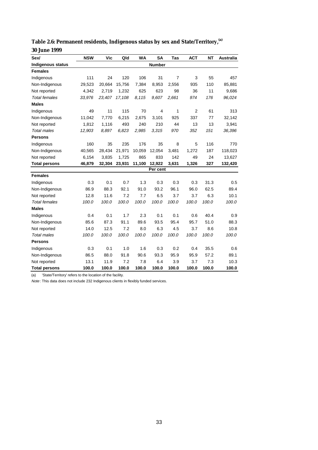| Sex/                     | <b>NSW</b> | Vic    | Qld    | <b>WA</b> | <b>SA</b>     | Tas            | <b>ACT</b>     | <b>NT</b> | <b>Australia</b> |
|--------------------------|------------|--------|--------|-----------|---------------|----------------|----------------|-----------|------------------|
| <b>Indigenous status</b> |            |        |        |           | <b>Number</b> |                |                |           |                  |
| <b>Females</b>           |            |        |        |           |               |                |                |           |                  |
| Indigenous               | 111        | 24     | 120    | 106       | 31            | $\overline{7}$ | 3              | 55        | 457              |
| Non-Indigenous           | 29,523     | 20,664 | 15,756 | 7,384     | 8,953         | 2,556          | 935            | 110       | 85,881           |
| Not reported             | 4,342      | 2.719  | 1,232  | 625       | 623           | 98             | 36             | 11        | 9,686            |
| <b>Total females</b>     | 33,976     | 23,407 | 17,108 | 8.115     | 9.607         | 2,661          | 974            | 176       | 96,024           |
| <b>Males</b>             |            |        |        |           |               |                |                |           |                  |
| Indigenous               | 49         | 11     | 115    | 70        | 4             | 1              | $\overline{2}$ | 61        | 313              |
| Non-Indigenous           | 11,042     | 7,770  | 6,215  | 2,675     | 3,101         | 925            | 337            | 77        | 32,142           |
| Not reported             | 1,812      | 1,116  | 493    | 240       | 210           | 44             | 13             | 13        | 3,941            |
| <b>Total males</b>       | 12,903     | 8,897  | 6,823  | 2,985     | 3.315         | 970            | 352            | 151       | 36,396           |
| <b>Persons</b>           |            |        |        |           |               |                |                |           |                  |
| Indigenous               | 160        | 35     | 235    | 176       | 35            | 8              | 5              | 116       | 770              |
| Non-Indigenous           | 40,565     | 28,434 | 21,971 | 10,059    | 12,054        | 3,481          | 1,272          | 187       | 118,023          |
| Not reported             | 6,154      | 3,835  | 1,725  | 865       | 833           | 142            | 49             | 24        | 13,627           |
| <b>Total persons</b>     | 46,879     | 32,304 | 23,931 | 11,100    | 12,922        | 3,631          | 1,326          | 327       | 132,420          |
|                          |            |        |        |           | Per cent      |                |                |           |                  |
| <b>Females</b>           |            |        |        |           |               |                |                |           |                  |
| Indigenous               | 0.3        | 0.1    | 0.7    | 1.3       | 0.3           | 0.3            | 0.3            | 31.3      | 0.5              |
| Non-Indigenous           | 86.9       | 88.3   | 92.1   | 91.0      | 93.2          | 96.1           | 96.0           | 62.5      | 89.4             |
| Not reported             | 12.8       | 11.6   | 7.2    | 7.7       | 6.5           | 3.7            | 3.7            | 6.3       | 10.1             |
| <b>Total females</b>     | 100.0      | 100.0  | 100.0  | 100.0     | 100.0         | 100.0          | 100.0          | 100.0     | 100.0            |
| <b>Males</b>             |            |        |        |           |               |                |                |           |                  |
| Indigenous               | 0.4        | 0.1    | 1.7    | 2.3       | 0.1           | 0.1            | 0.6            | 40.4      | 0.9              |
| Non-Indigenous           | 85.6       | 87.3   | 91.1   | 89.6      | 93.5          | 95.4           | 95.7           | 51.0      | 88.3             |
| Not reported             | 14.0       | 12.5   | 7.2    | 8.0       | 6.3           | 4.5            | 3.7            | 8.6       | 10.8             |
| <b>Total males</b>       | 100.0      | 100.0  | 100.0  | 100.0     | 100.0         | 100.0          | 100.0          | 100.0     | 100.0            |
| <b>Persons</b>           |            |        |        |           |               |                |                |           |                  |
| Indigenous               | 0.3        | 0.1    | 1.0    | 1.6       | 0.3           | 0.2            | 0.4            | 35.5      | 0.6              |
| Non-Indigenous           | 86.5       | 88.0   | 91.8   | 90.6      | 93.3          | 95.9           | 95.9           | 57.2      | 89.1             |
| Not reported             | 13.1       | 11.9   | 7.2    | 7.8       | 6.4           | 3.9            | 3.7            | 7.3       | 10.3             |
| <b>Total persons</b>     | 100.0      | 100.0  | 100.0  | 100.0     | 100.0         | 100.0          | 100.0          | 100.0     | 100.0            |

**Table 2.6: Permanent residents, Indigenous status by sex and State/Territory,(a) 30 June 1999**

Note: This data does not include 232 Indigenous clients in flexibly funded services.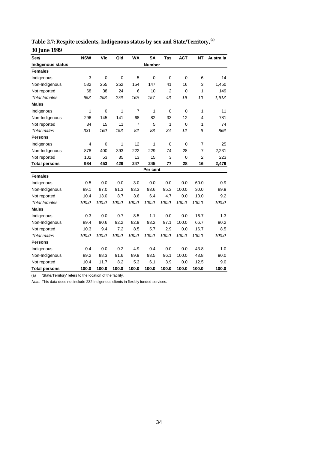| Sex/                     | <b>NSW</b>     | Vic         | Qld         | <b>WA</b>      | <b>SA</b>     | Tas            | <b>ACT</b>     | <b>NT</b>      | Australia |
|--------------------------|----------------|-------------|-------------|----------------|---------------|----------------|----------------|----------------|-----------|
| <b>Indigenous status</b> |                |             |             |                | <b>Number</b> |                |                |                |           |
| <b>Females</b>           |                |             |             |                |               |                |                |                |           |
| Indigenous               | 3              | $\mathbf 0$ | $\mathbf 0$ | 5              | $\mathbf 0$   | $\mathbf 0$    | $\mathbf 0$    | 6              | 14        |
| Non-Indigenous           | 582            | 255         | 252         | 154            | 147           | 41             | 16             | 3              | 1,450     |
| Not reported             | 68             | 38          | 24          | 6              | 10            | $\overline{2}$ | $\Omega$       | 1              | 149       |
| <b>Total females</b>     | 653            | 293         | 276         | 165            | 157           | 43             | 16             | 10             | 1,613     |
| <b>Males</b>             |                |             |             |                |               |                |                |                |           |
| Indigenous               | 1              | $\mathbf 0$ | 1           | $\overline{7}$ | 1             | $\mathbf 0$    | $\mathbf 0$    | 1              | 11        |
| Non-Indigenous           | 296            | 145         | 141         | 68             | 82            | 33             | 12             | 4              | 781       |
| Not reported             | 34             | 15          | 11          | $\overline{7}$ | 5             | 1              | $\overline{0}$ | 1              | 74        |
| <b>Total males</b>       | 331            | 160         | 153         | 82             | 88            | 34             | 12             | 6              | 866       |
| <b>Persons</b>           |                |             |             |                |               |                |                |                |           |
| Indigenous               | $\overline{4}$ | $\mathbf 0$ | 1           | 12             | 1             | $\mathbf 0$    | 0              | $\overline{7}$ | 25        |
| Non-Indigenous           | 878            | 400         | 393         | 222            | 229           | 74             | 28             | 7              | 2,231     |
| Not reported             | 102            | 53          | 35          | 13             | 15            | 3              | $\overline{0}$ | $\overline{2}$ | 223       |
| <b>Total persons</b>     | 984            | 453         | 429         | 247            | 245           | 77             | 28             | 16             | 2,479     |
|                          |                |             |             |                | Per cent      |                |                |                |           |
| <b>Females</b>           |                |             |             |                |               |                |                |                |           |
| Indigenous               | 0.5            | 0.0         | 0.0         | 3.0            | 0.0           | 0.0            | 0.0            | 60.0           | 0.9       |
| Non-Indigenous           | 89.1           | 87.0        | 91.3        | 93.3           | 93.6          | 95.3           | 100.0          | 30.0           | 89.9      |
| Not reported             | 10.4           | 13.0        | 8.7         | 3.6            | 6.4           | 4.7            | 0.0            | 10.0           | 9.2       |
| <b>Total females</b>     | 100.0          | 100.0       | 100.0       | 100.0          | 100.0         | 100.0          | 100.0          | 100.0          | 100.0     |
| <b>Males</b>             |                |             |             |                |               |                |                |                |           |
| Indigenous               | 0.3            | 0.0         | 0.7         | 8.5            | 1.1           | 0.0            | 0.0            | 16.7           | 1.3       |
| Non-Indigenous           | 89.4           | 90.6        | 92.2        | 82.9           | 93.2          | 97.1           | 100.0          | 66.7           | 90.2      |
| Not reported             | 10.3           | 9.4         | 7.2         | 8.5            | 5.7           | 2.9            | 0.0            | 16.7           | 8.5       |
| <b>Total males</b>       | 100.0          | 100.0       | 100.0       | 100.0          | 100.0         | 100.0          | 100.0          | 100.0          | 100.0     |
| <b>Persons</b>           |                |             |             |                |               |                |                |                |           |
| Indigenous               | 0.4            | 0.0         | 0.2         | 4.9            | 0.4           | 0.0            | 0.0            | 43.8           | 1.0       |
| Non-Indigenous           | 89.2           | 88.3        | 91.6        | 89.9           | 93.5          | 96.1           | 100.0          | 43.8           | 90.0      |
| Not reported             | 10.4           | 11.7        | 8.2         | 5.3            | 6.1           | 3.9            | 0.0            | 12.5           | 9.0       |
| <b>Total persons</b>     | 100.0          | 100.0       | 100.0       | 100.0          | 100.0         | 100.0          | 100.0          | 100.0          | 100.0     |

**Table 2.7: Respite residents, Indigenous status by sex and State/Territory,(a) 30 June 1999**

Note: This data does not include 232 Indigenous clients in flexibly funded services.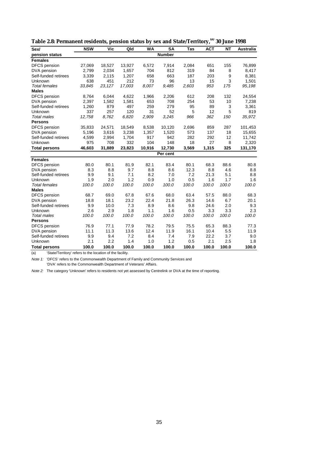| Sex/                 | <b>NSW</b> | Vic    | Qld    | <b>WA</b> | <b>SA</b>     | Tas   | <b>ACT</b> | <b>NT</b> | <b>Australia</b> |
|----------------------|------------|--------|--------|-----------|---------------|-------|------------|-----------|------------------|
| pension status       |            |        |        |           | <b>Number</b> |       |            |           |                  |
| <b>Females</b>       |            |        |        |           |               |       |            |           |                  |
| DFCS pension         | 27,069     | 18,527 | 13,927 | 6,572     | 7,914         | 2,084 | 651        | 155       | 76,899           |
| DVA pension          | 2,799      | 2,034  | 1,657  | 704       | 812           | 319   | 84         | 8         | 8,417            |
| Self-funded retirees | 3,339      | 2,115  | 1,207  | 658       | 663           | 187   | 203        | 9         | 8,381            |
| Unknown              | 638        | 451    | 212    | 73        | 96            | 13    | 15         | 3         | 1,501            |
| <b>Total females</b> | 33,845     | 23,127 | 17,003 | 8.007     | 9,485         | 2,603 | 953        | 175       | 95,198           |
| <b>Males</b>         |            |        |        |           |               |       |            |           |                  |
| DFCS pension         | 8,764      | 6,044  | 4,622  | 1,966     | 2,206         | 612   | 208        | 132       | 24,554           |
| DVA pension          | 2,397      | 1,582  | 1,581  | 653       | 708           | 254   | 53         | 10        | 7,238            |
| Self-funded retirees | 1,260      | 879    | 497    | 259       | 279           | 95    | 89         | 3         | 3,361            |
| Unknown              | 337        | 257    | 120    | 31        | 52            | 5     | 12         | 5         | 819              |
| <b>Total males</b>   | 12,758     | 8,762  | 6,820  | 2,909     | 3,245         | 966   | 362        | 150       | 35,972           |
| <b>Persons</b>       |            |        |        |           |               |       |            |           |                  |
| <b>DFCS</b> pension  | 35,833     | 24,571 | 18,549 | 8,538     | 10,120        | 2,696 | 859        | 287       | 101,453          |
| DVA pension          | 5,196      | 3,616  | 3,238  | 1,357     | 1,520         | 573   | 137        | 18        | 15,655           |
| Self-funded retirees | 4,599      | 2,994  | 1,704  | 917       | 942           | 282   | 292        | 12        | 11,742           |
| Unknown              | 975        | 708    | 332    | 104       | 148           | 18    | 27         | 8         | 2,320            |
| <b>Total persons</b> | 46,603     | 31,889 | 23,823 | 10,916    | 12,730        | 3,569 | 1,315      | 325       | 131,170          |
|                      |            |        |        |           | Per cent      |       |            |           |                  |
| <b>Females</b>       |            |        |        |           |               |       |            |           |                  |
| <b>DFCS</b> pension  | 80.0       | 80.1   | 81.9   | 82.1      | 83.4          | 80.1  | 68.3       | 88.6      | 80.8             |
| DVA pension          | 8.3        | 8.8    | 9.7    | 8.8       | 8.6           | 12.3  | 8.8        | 4.6       | 8.8              |
| Self-funded retirees | 9.9        | 9.1    | 7.1    | 8.2       | 7.0           | 7.2   | 21.3       | 5.1       | 8.8              |
| Unknown              | 1.9        | 2.0    | 1.2    | 0.9       | 1.0           | 0.5   | 1.6        | 1.7       | 1.6              |
| <b>Total females</b> | 100.0      | 100.0  | 100.0  | 100.0     | 100.0         | 100.0 | 100.0      | 100.0     | 100.0            |
| <b>Males</b>         |            |        |        |           |               |       |            |           |                  |
| DFCS pension         | 68.7       | 69.0   | 67.8   | 67.6      | 68.0          | 63.4  | 57.5       | 88.0      | 68.3             |
| DVA pension          | 18.8       | 18.1   | 23.2   | 22.4      | 21.8          | 26.3  | 14.6       | 6.7       | 20.1             |
| Self-funded retirees | 9.9        | 10.0   | 7.3    | 8.9       | 8.6           | 9.8   | 24.6       | 2.0       | 9.3              |
| Unknown              | 2.6        | 2.9    | 1.8    | 1.1       | 1.6           | 0.5   | 3.3        | 3.3       | 2.3              |
| <b>Total males</b>   | 100.0      | 100.0  | 100.0  | 100.0     | 100.0         | 100.0 | 100.0      | 100.0     | 100.0            |
| <b>Persons</b>       |            |        |        |           |               |       |            |           |                  |
| DFCS pension         | 76.9       | 77.1   | 77.9   | 78.2      | 79.5          | 75.5  | 65.3       | 88.3      | 77.3             |
| DVA pension          | 11.1       | 11.3   | 13.6   | 12.4      | 11.9          | 16.1  | 10.4       | 5.5       | 11.9             |
| Self-funded retirees | 9.9        | 9.4    | 7.2    | 8.4       | 7.4           | 7.9   | 22.2       | 3.7       | 9.0              |
| Unknown              | 2.1        | 2.2    | 1.4    | 1.0       | 1.2           | 0.5   | 2.1        | 2.5       | 1.8              |
| <b>Total persons</b> | 100.0      | 100.0  | 100.0  | 100.0     | 100.0         | 100.0 | 100.0      | 100.0     | 100.0            |

| Table 2.8: Permanent residents, pension status by sex and State/Territory, <sup>(a)</sup> 30 June 1998 |
|--------------------------------------------------------------------------------------------------------|
|--------------------------------------------------------------------------------------------------------|

Note 1: 'DFCS' refers to the Commonwealth Department of Family and Community Services and 'DVA' refers to the Commonwealth Department of Veterans' Affairs.

Note 2: The category 'Unknown' refers to residents not yet assessed by Centrelink or DVA at the time of reporting.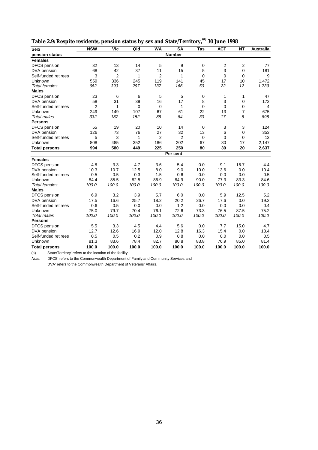| Table 2.9: Respite residents, pension status by sex and State/Territory, <sup>(a)</sup> 30 June 1998 |  |
|------------------------------------------------------------------------------------------------------|--|

| Sex/                 | <b>NSW</b>     | Vic            | Qld         | <b>WA</b>      | $\overline{\text{SA}}$ | Tas         | <b>ACT</b>  | $\overline{NT}$ | <b>Australia</b> |  |
|----------------------|----------------|----------------|-------------|----------------|------------------------|-------------|-------------|-----------------|------------------|--|
| pension status       |                | <b>Number</b>  |             |                |                        |             |             |                 |                  |  |
| <b>Females</b>       |                |                |             |                |                        |             |             |                 |                  |  |
| DFCS pension         | 32             | 13             | 14          | 5              | 9                      | 0           | 2           | $\overline{2}$  | 77               |  |
| DVA pension          | 68             | 42             | 37          | 11             | 15                     | 5           | 3           | $\mathbf 0$     | 181              |  |
| Self-funded retirees | 3              | $\overline{2}$ | 1           | $\overline{2}$ | 1                      | $\mathbf 0$ | 0           | 0               | 9                |  |
| <b>Unknown</b>       | 559            | 336            | 245         | 119            | 141                    | 45          | 17          | 10              | 1,472            |  |
| <b>Total females</b> | 662            | 393            | 297         | 137            | 166                    | 50          | 22          | 12              | 1,739            |  |
| <b>Males</b>         |                |                |             |                |                        |             |             |                 |                  |  |
| <b>DFCS</b> pension  | 23             | 6              | 6           | 5              | 5                      | 0           | 1           | 1               | 47               |  |
| DVA pension          | 58             | 31             | 39          | 16             | 17                     | 8           | 3           | 0               | 172              |  |
| Self-funded retirees | $\overline{2}$ | 1              | $\mathbf 0$ | 0              | 1                      | 0           | 0           | 0               | 4                |  |
| <b>Unknown</b>       | 249            | 149            | 107         | 67             | 61                     | 22          | 13          | $\overline{7}$  | 675              |  |
| <b>Total males</b>   | 332            | 187            | 152         | 88             | 84                     | 30          | 17          | 8               | 898              |  |
| <b>Persons</b>       |                |                |             |                |                        |             |             |                 |                  |  |
| DFCS pension         | 55             | 19             | 20          | 10             | 14                     | 0           | 3           | 3               | 124              |  |
| DVA pension          | 126            | 73             | 76          | 27             | 32                     | 13          | 6           | 0               | 353              |  |
| Self-funded retirees | 5              | 3              | 1           | $\overline{2}$ | $\overline{2}$         | $\mathbf 0$ | $\mathbf 0$ | 0               | 13               |  |
| Unknown              | 808            | 485            | 352         | 186            | 202                    | 67          | 30          | 17              | 2,147            |  |
| <b>Total persons</b> | 994            | 580            | 449         | 225            | 250                    | 80          | 39          | 20              | 2,637            |  |
|                      |                |                |             |                | Per cent               |             |             |                 |                  |  |
| <b>Females</b>       |                |                |             |                |                        |             |             |                 |                  |  |
| <b>DFCS</b> pension  | 4.8            | 3.3            | 4.7         | 3.6            | 5.4                    | 0.0         | 9.1         | 16.7            | 4.4              |  |
| DVA pension          | 10.3           | 10.7           | 12.5        | 8.0            | 9.0                    | 10.0        | 13.6        | 0.0             | 10.4             |  |
| Self-funded retirees | 0.5            | 0.5            | 0.3         | 1.5            | 0.6                    | 0.0         | 0.0         | 0.0             | 0.5              |  |
| Unknown              | 84.4           | 85.5           | 82.5        | 86.9           | 84.9                   | 90.0        | 77.3        | 83.3            | 84.6             |  |
| <b>Total females</b> | 100.0          | 100.0          | 100.0       | 100.0          | 100.0                  | 100.0       | 100.0       | 100.0           | 100.0            |  |
| <b>Males</b>         |                |                |             |                |                        |             |             |                 |                  |  |
| DFCS pension         | 6.9            | 3.2            | 3.9         | 5.7            | 6.0                    | 0.0         | 5.9         | 12.5            | 5.2              |  |
| DVA pension          | 17.5           | 16.6           | 25.7        | 18.2           | 20.2                   | 26.7        | 17.6        | 0.0             | 19.2             |  |
| Self-funded retirees | 0.6            | 0.5            | 0.0         | 0.0            | 1.2                    | 0.0         | 0.0         | 0.0             | 0.4              |  |
| <b>Unknown</b>       | 75.0           | 79.7           | 70.4        | 76.1           | 72.6                   | 73.3        | 76.5        | 87.5            | 75.2             |  |
| <b>Total males</b>   | 100.0          | 100.0          | 100.0       | 100.0          | 100.0                  | 100.0       | 100.0       | 100.0           | 100.0            |  |
| <b>Persons</b>       |                |                |             |                |                        |             |             |                 |                  |  |
| DFCS pension         | 5.5            | 3.3            | 4.5         | 4.4            | 5.6                    | 0.0         | 7.7         | 15.0            | 4.7              |  |
| DVA pension          | 12.7           | 12.6           | 16.9        | 12.0           | 12.8                   | 16.3        | 15.4        | 0.0             | 13.4             |  |
| Self-funded retirees | 0.5            | 0.5            | 0.2         | 0.9            | 0.8                    | 0.0         | 0.0         | 0.0             | 0.5              |  |
| Unknown              | 81.3           | 83.6           | 78.4        | 82.7           | 80.8                   | 83.8        | 76.9        | 85.0            | 81.4             |  |
| <b>Total persons</b> | 100.0          | 100.0          | 100.0       | 100.0          | 100.0                  | 100.0       | 100.0       | 100.0           | 100.0            |  |

Note: 'DFCS' refers to the Commonwealth Department of Family and Community Services and

'DVA' refers to the Commonwealth Department of Veterans' Affairs.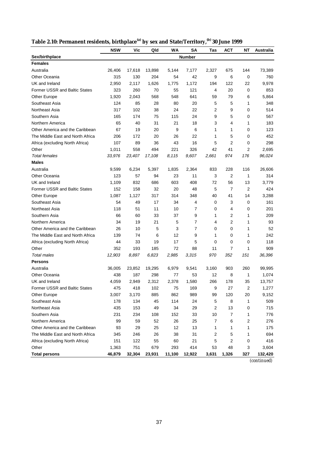|                                      | <b>NSW</b> | Vic    | Qld    | WA     | SA             | Tas   | <b>ACT</b>     | NΤ             | <b>Australia</b> |
|--------------------------------------|------------|--------|--------|--------|----------------|-------|----------------|----------------|------------------|
| Sex/birthplace                       |            |        |        |        | Number         |       |                |                |                  |
| <b>Females</b>                       |            |        |        |        |                |       |                |                |                  |
| Australia                            | 26,406     | 17,618 | 13,898 | 5,144  | 7,177          | 2,327 | 675            | 144            | 73,389           |
| <b>Other Oceania</b>                 | 315        | 130    | 204    | 54     | 42             | 9     | 6              | 0              | 760              |
| UK and Ireland                       | 2,950      | 2,117  | 1,626  | 1,775  | 1,172          | 194   | 122            | 22             | 9,978            |
| <b>Former USSR and Baltic States</b> | 323        | 260    | 70     | 55     | 121            | 4     | 20             | 0              | 853              |
| Other Europe                         | 1,920      | 2,043  | 568    | 548    | 641            | 59    | 79             | 6              | 5,864            |
| Southeast Asia                       | 124        | 85     | 28     | 80     | 20             | 5     | 5              | 1              | 348              |
| Northeast Asia                       | 317        | 102    | 38     | 24     | 22             | 2     | 9              | 0              | 514              |
| Southern Asia                        | 165        | 174    | 75     | 115    | 24             | 9     | 5              | 0              | 567              |
| Northern America                     | 65         | 40     | 31     | 21     | 18             | 3     | 4              | 1              | 183              |
| Other America and the Caribbean      | 67         | 19     | 20     | 9      | 6              | 1     | 1              | 0              | 123              |
| The Middle East and North Africa     | 206        | 172    | 20     | 26     | 22             | 1     | 5              | 0              | 452              |
| Africa (excluding North Africa)      | 107        | 89     | 36     | 43     | 16             | 5     | $\overline{2}$ | 0              | 298              |
| Other                                | 1.011      | 558    | 494    | 221    | 326            | 42    | 41             | 2              | 2,695            |
| <b>Total females</b>                 | 33,976     | 23,407 | 17,108 | 8,115  | 9,607          | 2,661 | 974            | 176            | 96,024           |
| <b>Males</b>                         |            |        |        |        |                |       |                |                |                  |
| Australia                            | 9,599      | 6,234  | 5,397  | 1,835  | 2,364          | 833   | 228            | 116            | 26,606           |
| <b>Other Oceania</b>                 | 123        | 57     | 94     | 23     | 11             | 3     | $\overline{2}$ | 1              | 314              |
| UK and Ireland                       | 1,109      | 832    | 686    | 603    | 408            | 72    | 56             | 13             | 3,779            |
| <b>Former USSR and Baltic States</b> | 152        | 158    | 32     | 20     | 48             | 5     | $\overline{7}$ | $\overline{2}$ | 424              |
| Other Europe                         | 1,087      | 1,127  | 317    | 314    | 348            | 40    | 41             | 14             | 3,288            |
| Southeast Asia                       | 54         | 49     | 17     | 34     | 4              | 0     | 3              | 0              | 161              |
| Northeast Asia                       | 118        | 51     | 11     | 10     | 7              | 0     | 4              | 0              | 201              |
| Southern Asia                        | 66         | 60     | 33     | 37     | 9              | 1     | 2              | 1              | 209              |
| Northern America                     | 34         | 19     | 21     | 5      | 7              | 4     | 2              | 1              | 93               |
| Other America and the Caribbean      | 26         | 10     | 5      | 3      | $\overline{7}$ | 0     | 0              | 1              | 52               |
| The Middle East and North Africa     | 139        | 74     | 6      | 12     | 9              | 1     | 0              | 1              | 242              |
| Africa (excluding North Africa)      | 44         | 33     | 19     | 17     | 5              | 0     | 0              | 0              | 118              |
| Other                                | 352        | 193    | 185    | 72     | 88             | 11    | 7              | 1              | 909              |
| <b>Total males</b>                   | 12,903     | 8,897  | 6,823  | 2,985  | 3.315          | 970   | 352            | 151            | 36,396           |
| <b>Persons</b>                       |            |        |        |        |                |       |                |                |                  |
| Australia                            | 36,005     | 23,852 | 19,295 | 6,979  | 9,541          | 3,160 | 903            | 260            | 99,995           |
| Other Oceania                        | 438        | 187    | 298    | 77     | 53             | 12    | 8              | 1              | 1,074            |
| UK and Ireland                       | 4,059      | 2,949  | 2,312  | 2,378  | 1,580          | 266   | 178            | 35             | 13,757           |
| Former USSR and Baltic States        | 475        | 418    | 102    | 75     | 169            | 9     | 27             | 2              | 1,277            |
| Other Europe                         | 3,007      | 3,170  | 885    | 862    | 989            | 99    | 120            | 20             | 9,152            |
| Southeast Asia                       | 178        | 134    | 45     | 114    | 24             | 5     | 8              | 1              | 509              |
| Northeast Asia                       | 435        | 153    | 49     | 34     | 29             | 2     | 13             | 0              | 715              |
| Southern Asia                        | 231        | 234    | 108    | 152    | 33             | 10    | 7              | 1              | 776              |
| Northern America                     | 99         | 59     | 52     | 26     | 25             | 7     | 6              | 2              | 276              |
| Other America and the Caribbean      | 93         | 29     | 25     | 12     | 13             | 1     | 1              | 1              | 175              |
| The Middle East and North Africa     | 345        | 246    | 26     | 38     | 31             | 2     | 5              | 1              | 694              |
| Africa (excluding North Africa)      | 151        | 122    | 55     | 60     | 21             | 5     | 2              | 0              | 416              |
| Other                                | 1,363      | 751    | 679    | 293    | 414            | 53    | 48             | 3              | 3,604            |
| <b>Total persons</b>                 | 46,879     | 32,304 | 23,931 | 11,100 | 12,922         | 3,631 | 1,326          | 327            | 132,420          |

**Table 2.10: Permanent residents, birthplace(a) by sex and State/Territory,(b) 30 June 1999**

*(continued)*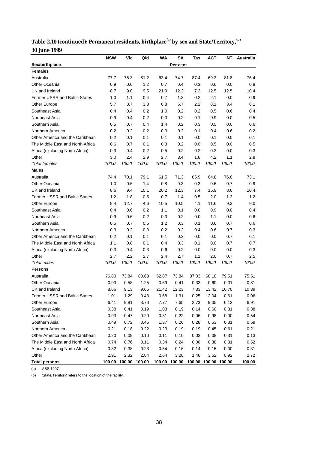| Table 2.10 (continued): Permanent residents, birthplace <sup>(a)</sup> by sex and State/Territory, <sup>(b)</sup> |  |
|-------------------------------------------------------------------------------------------------------------------|--|
| <b>30 June 1999</b>                                                                                               |  |

|                                      | <b>NSW</b> | Vic                  | Qld   | WA    | SΑ                                 | Tas   | АСТ   | ΝT    | Australia |
|--------------------------------------|------------|----------------------|-------|-------|------------------------------------|-------|-------|-------|-----------|
| Sex/birthplace                       |            |                      |       |       | Per cent                           |       |       |       |           |
| <b>Females</b>                       |            |                      |       |       |                                    |       |       |       |           |
| Australia                            | 77.7       | 75.3                 | 81.2  | 63.4  | 74.7                               | 87.4  | 69.3  | 81.8  | 76.4      |
| Other Oceania                        | 0.9        | 0.6                  | 1.2   | 0.7   | 0.4                                | 0.3   | 0.6   | 0.0   | 0.8       |
| UK and Ireland                       | 8.7        | 9.0                  | 9.5   | 21.9  | 12.2                               | 7.3   | 12.5  | 12.5  | 10.4      |
| <b>Former USSR and Baltic States</b> | 1.0        | 1.1                  | 0.4   | 0.7   | 1.3                                | 0.2   | 2.1   | 0.0   | 0.9       |
| Other Europe                         | 5.7        | 8.7                  | 3.3   | 6.8   | 6.7                                | 2.2   | 8.1   | 3.4   | 6.1       |
| Southeast Asia                       | 0.4        | 0.4                  | 0.2   | 1.0   | 0.2                                | 0.2   | 0.5   | 0.6   | 0.4       |
| Northeast Asia                       | 0.9        | 0.4                  | 0.2   | 0.3   | 0.2                                | 0.1   | 0.9   | 0.0   | 0.5       |
| Southern Asia                        | 0.5        | 0.7                  | 0.4   | 1.4   | 0.2                                | 0.3   | 0.5   | 0.0   | 0.6       |
| Northern America                     | 0.2        | 0.2                  | 0.2   | 0.3   | 0.2                                | 0.1   | 0.4   | 0.6   | 0.2       |
| Other America and the Caribbean      | 0.2        | 0.1                  | 0.1   | 0.1   | 0.1                                | 0.0   | 0.1   | 0.0   | 0.1       |
| The Middle East and North Africa     | 0.6        | 0.7                  | 0.1   | 0.3   | 0.2                                | 0.0   | 0.5   | 0.0   | 0.5       |
| Africa (excluding North Africa)      | 0.3        | 0.4                  | 0.2   | 0.5   | 0.2                                | 0.2   | 0.2   | 0.0   | 0.3       |
| Other                                | 3.0        | 2.4                  | 2.9   | 2.7   | 3.4                                | 1.6   | 4.2   | 1.1   | 2.8       |
| <b>Total females</b>                 | 100.0      | 100.0                | 100.0 | 100.0 | 100.0                              | 100.0 | 100.0 | 100.0 | 100.0     |
| <b>Males</b>                         |            |                      |       |       |                                    |       |       |       |           |
| Australia                            | 74.4       | 70.1                 | 79.1  | 61.5  | 71.3                               | 85.9  | 64.8  | 76.8  | 73.1      |
| Other Oceania                        | 1.0        | 0.6                  | 1.4   | 0.8   | 0.3                                | 0.3   | 0.6   | 0.7   | 0.9       |
| UK and Ireland                       | 8.6        | 9.4                  | 10.1  | 20.2  | 12.3                               | 7.4   | 15.9  | 8.6   | 10.4      |
| <b>Former USSR and Baltic States</b> | 1.2        | 1.8                  | 0.5   | 0.7   | 1.4                                | 0.5   | 2.0   | 1.3   | 1.2       |
| Other Europe                         | 8.4        | 12.7                 | 4.6   | 10.5  | 10.5                               | 4.1   | 11.6  | 9.3   | 9.0       |
| Southeast Asia                       | 0.4        | 0.6                  | 0.2   | 1.1   | 0.1                                | 0.0   | 0.9   | 0.0   | 0.4       |
| Northeast Asia                       | 0.9        | 0.6                  | 0.2   | 0.3   | 0.2                                | 0.0   | 1.1   | 0.0   | 0.6       |
| Southern Asia                        | 0.5        | 0.7                  | 0.5   | 1.2   | 0.3                                | 0.1   | 0.6   | 0.7   | 0.6       |
| Northern America                     | 0.3        | 0.2                  | 0.3   | 0.2   | 0.2                                | 0.4   | 0.6   | 0.7   | 0.3       |
| Other America and the Caribbean      | 0.2        | 0.1                  | 0.1   | 0.1   | 0.2                                | 0.0   | 0.0   | 0.7   | 0.1       |
| The Middle East and North Africa     | 1.1        | 0.8                  | 0.1   | 0.4   | 0.3                                | 0.1   | 0.0   | 0.7   | 0.7       |
| Africa (excluding North Africa)      | 0.3        | 0.4                  | 0.3   | 0.6   | 0.2                                | 0.0   | 0.0   | 0.0   | 0.3       |
| Other                                | 2.7        | 2.2                  | 2.7   | 2.4   | 2.7                                | 1.1   | 2.0   | 0.7   | 2.5       |
| <b>Total males</b>                   | 100.0      | 100.0                | 100.0 | 100.0 | 100.0                              | 100.0 | 100.0 | 100.0 | 100.0     |
| <b>Persons</b>                       |            |                      |       |       |                                    |       |       |       |           |
| Australia                            | 76.80      | 73.84                | 80.63 | 62.87 | 73.84                              | 87.03 | 68.10 | 79.51 | 75.51     |
| Other Oceania                        | 0.93       | 0.58                 | 1.25  | 0.69  | 0.41                               | 0.33  | 0.60  | 0.31  | 0.81      |
| UK and Ireland                       | 8.66       | 9.13                 | 9.66  | 21.42 | 12.23                              | 7.33  | 13.42 | 10.70 | 10.39     |
| Former USSR and Baltic States        | 1.01       | 1.29                 | 0.43  | 0.68  | 1.31                               | 0.25  | 2.04  | 0.61  | 0.96      |
| Other Europe                         | 6.41       | 9.81                 | 3.70  | 7.77  | 7.65                               | 2.73  | 9.05  | 6.12  | 6.91      |
| Southeast Asia                       | 0.38       | 0.41                 | 0.19  | 1.03  | 0.19                               | 0.14  | 0.60  | 0.31  | 0.38      |
| Northeast Asia                       | 0.93       | 0.47                 | 0.20  | 0.31  | 0.22                               | 0.06  | 0.98  | 0.00  | 0.54      |
| Southern Asia                        | 0.49       | 0.72                 | 0.45  | 1.37  | 0.26                               | 0.28  | 0.53  | 0.31  | 0.59      |
| Northern America                     | 0.21       | 0.18                 | 0.22  | 0.23  | 0.19                               | 0.19  | 0.45  | 0.61  | 0.21      |
| Other America and the Caribbean      | 0.20       | 0.09                 | 0.10  | 0.11  | 0.10                               | 0.03  | 0.08  | 0.31  | 0.13      |
| The Middle East and North Africa     | 0.74       | 0.76                 | 0.11  | 0.34  | 0.24                               | 0.06  | 0.38  | 0.31  | 0.52      |
| Africa (excluding North Africa)      | 0.32       | 0.38                 | 0.23  | 0.54  | 0.16                               | 0.14  | 0.15  | 0.00  | 0.31      |
| Other                                | 2.91       | 2.32                 | 2.84  | 2.64  | 3.20                               | 1.46  | 3.62  | 0.92  | 2.72      |
| <b>Total persons</b>                 |            | 100.00 100.00 100.00 |       |       | 100.00 100.00 100.00 100.00 100.00 |       |       |       | 100.00    |

(a) ABS 1997.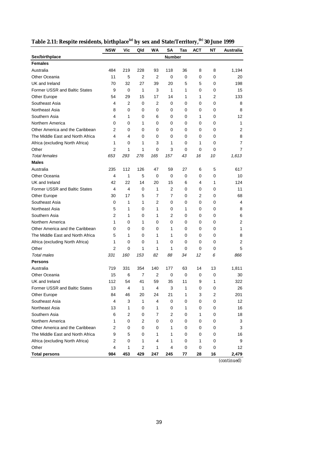|                                      | <b>NSW</b>     | Vic | Qld            | WA  | <b>SA</b>     | Tas | <b>ACT</b> | NΤ        | Australia      |
|--------------------------------------|----------------|-----|----------------|-----|---------------|-----|------------|-----------|----------------|
| Sex/birthplace                       |                |     |                |     | <b>Number</b> |     |            |           |                |
| <b>Females</b>                       |                |     |                |     |               |     |            |           |                |
| Australia                            | 484            | 219 | 228            | 93  | 118           | 36  | 8          | 8         | 1,194          |
| Other Oceania                        | 11             | 5   | 2              | 2   | 0             | 0   | 0          | 0         | 20             |
| UK and Ireland                       | 70             | 32  | 27             | 39  | 20            | 5   | 5          | 0         | 198            |
| <b>Former USSR and Baltic States</b> | 9              | 0   | 1              | 3   | 1             | 1   | 0          | 0         | 15             |
| Other Europe                         | 54             | 29  | 15             | 17  | 14            | 1   | 1          | 2         | 133            |
| Southeast Asia                       | 4              | 2   | 0              | 2   | 0             | 0   | 0          | 0         | 8              |
| Northeast Asia                       | 8              | 0   | 0              | 0   | 0             | 0   | 0          | 0         | 8              |
| Southern Asia                        | 4              | 1   | 0              | 6   | 0             | 0   | 1          | 0         | 12             |
| Northern America                     | 0              | 0   | 1              | 0   | 0             | 0   | 0          | 0         | 1              |
| Other America and the Caribbean      | 2              | 0   | 0              | 0   | 0             | 0   | 0          | 0         | 2              |
| The Middle East and North Africa     | 4              | 4   | 0              | 0   | 0             | 0   | 0          | 0         | 8              |
| Africa (excluding North Africa)      | 1              | 0   | 1              | 3   | 1             | 0   | 1          | 0         | 7              |
| Other                                | 2              | 1   | 1              | 0   | 3             | 0   | 0          | 0         | $\overline{7}$ |
| <b>Total females</b>                 | 653            | 293 | 276            | 165 | 157           | 43  | 16         | 10        | 1,613          |
| <b>Males</b>                         |                |     |                |     |               |     |            |           |                |
| Australia                            | 235            | 112 | 126            | 47  | 59            | 27  | 6          | 5         | 617            |
| Other Oceania                        | 4              | 1   | 5              | 0   | 0             | 0   | 0          | 0         | 10             |
| UK and Ireland                       | 42             | 22  | 14             | 20  | 15            | 6   | 4          | 1         | 124            |
| <b>Former USSR and Baltic States</b> | 4              | 4   | 0              | 1   | 2             | 0   | 0          | 0         | 11             |
| Other Europe                         | 30             | 17  | 5              | 7   | 7             | 0   | 2          | 0         | 68             |
| Southeast Asia                       | 0              | 1   | 1              | 2   | 0             | 0   | 0          | 0         | 4              |
| Northeast Asia                       | 5              | 1   | 0              | 1   | 0             | 1   | 0          | 0         | 8              |
| Southern Asia                        | 2              | 1   | 0              | 1   | 2             | 0   | 0          | 0         | 6              |
| Northern America                     | 1              | 0   | 1              | 0   | 0             | 0   | 0          | 0         | 2              |
| Other America and the Caribbean      | 0              | 0   | 0              | 0   | 1             | 0   | 0          | 0         | 1              |
| The Middle East and North Africa     | 5              | 1   | 0              | 1   | 1             | 0   | 0          | 0         | 8              |
| Africa (excluding North Africa)      | 1              | 0   | 0              | 1   | 0             | 0   | 0          | 0         | 2              |
| Other                                | 2              | 0   | 1              | 1   | 1             | 0   | 0          | 0         | 5              |
| <b>Total males</b>                   | 331            | 160 | 153            | 82  | 88            | 34  | 12         | 6         | 866            |
| <b>Persons</b>                       |                |     |                |     |               |     |            |           |                |
| Australia                            | 719            | 331 | 354            | 140 | 177           | 63  | 14         | 13        | 1,811          |
| Other Oceania                        | 15             | 6   | 7              | 2   | 0             | 0   | 0          | 0         | 30             |
| UK and Ireland                       | 112            | 54  | 41             | 59  | 35            | 11  | 9          | 1         | 322            |
| Former USSR and Baltic States        | 13             | 4   | 1              | 4   | 3             | 1   | 0          | 0         | 26             |
| Other Europe                         | 84             | 46  | 20             | 24  | 21            | 1   | 3          | 2         | 201            |
| Southeast Asia                       | 4              | 3   | 1              | 4   | 0             | 0   | 0          | $\pmb{0}$ | 12             |
| Northeast Asia                       | 13             | 1   | 0              | 1   | 0             | 1   | 0          | 0         | 16             |
| Southern Asia                        | 6              | 2   | 0              | 7   | 2             | 0   | 1          | $\pmb{0}$ | 18             |
| Northern America                     | 1              | 0   | 2              | 0   | 0             | 0   | 0          | 0         | 3              |
| Other America and the Caribbean      | $\overline{2}$ | 0   | 0              | 0   | 1             | 0   | 0          | 0         | 3              |
| The Middle East and North Africa     | 9              | 5   | 0              | 1   | 1             | 0   | 0          | 0         | 16             |
| Africa (excluding North Africa)      | 2              | 0   | 1              | 4   | 1             | 0   | 1          | 0         | 9              |
| Other                                | 4              | 1   | $\overline{2}$ | 1   | 4             | 0   | 0          | 0         | 12             |
| <b>Total persons</b>                 | 984            | 453 | 429            | 247 | 245           | 77  | 28         | 16        | 2,479          |

|--|

*(continued)*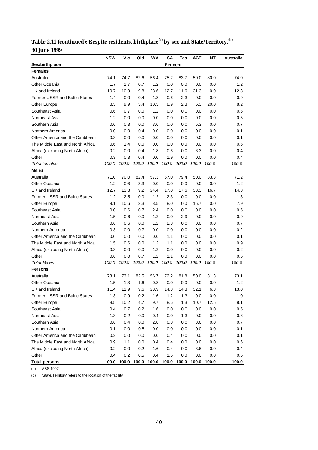| Table 2.11 (continued): Respite residents, birthplace <sup>(a)</sup> by sex and State/Territory, <sup>(b)</sup> |  |
|-----------------------------------------------------------------------------------------------------------------|--|
| <b>30 June 1999</b>                                                                                             |  |

|                                      | <b>NSW</b> | Vic   | Qld         | WA    | SΑ          | Tas   | АСТ   | ΝT    | Australia |
|--------------------------------------|------------|-------|-------------|-------|-------------|-------|-------|-------|-----------|
| Sex/birthplace                       |            |       |             |       | Per cent    |       |       |       |           |
| <b>Females</b>                       |            |       |             |       |             |       |       |       |           |
| Australia                            | 74.1       | 74.7  | 82.6        | 56.4  | 75.2        | 83.7  | 50.0  | 80.0  | 74.0      |
| Other Oceania                        | 1.7        | 1.7   | 0.7         | 1.2   | 0.0         | 0.0   | 0.0   | 0.0   | 1.2       |
| UK and Ireland                       | 10.7       | 10.9  | 9.8         | 23.6  | 12.7        | 11.6  | 31.3  | 0.0   | 12.3      |
| <b>Former USSR and Baltic States</b> | 1.4        | 0.0   | 0.4         | 1.8   | 0.6         | 2.3   | 0.0   | 0.0   | 0.9       |
| Other Europe                         | 8.3        | 9.9   | 5.4         | 10.3  | 8.9         | 2.3   | 6.3   | 20.0  | 8.2       |
| Southeast Asia                       | 0.6        | 0.7   | 0.0         | 1.2   | 0.0         | 0.0   | 0.0   | 0.0   | 0.5       |
| Northeast Asia                       | 1.2        | 0.0   | 0.0         | 0.0   | 0.0         | 0.0   | 0.0   | 0.0   | 0.5       |
| Southern Asia                        | 0.6        | 0.3   | 0.0         | 3.6   | 0.0         | 0.0   | 6.3   | 0.0   | 0.7       |
| Northern America                     | 0.0        | 0.0   | 0.4         | 0.0   | 0.0         | 0.0   | 0.0   | 0.0   | 0.1       |
| Other America and the Caribbean      | 0.3        | 0.0   | 0.0         | 0.0   | 0.0         | 0.0   | 0.0   | 0.0   | 0.1       |
| The Middle East and North Africa     | 0.6        | 1.4   | 0.0         | 0.0   | 0.0         | 0.0   | 0.0   | 0.0   | $0.5\,$   |
| Africa (excluding North Africa)      | 0.2        | 0.0   | 0.4         | 1.8   | 0.6         | 0.0   | 6.3   | 0.0   | 0.4       |
| Other                                | 0.3        | 0.3   | 0.4         | 0.0   | 1.9         | 0.0   | 0.0   | 0.0   | 0.4       |
| <b>Total females</b>                 | 100.0      | 100.0 | 100.0       | 100.0 | 100.0       | 100.0 | 100.0 | 100.0 | 100.0     |
| <b>Males</b>                         |            |       |             |       |             |       |       |       |           |
| Australia                            | 71.0       | 70.0  | 82.4        | 57.3  | 67.0        | 79.4  | 50.0  | 83.3  | 71.2      |
| Other Oceania                        | 1.2        | 0.6   | 3.3         | 0.0   | 0.0         | 0.0   | 0.0   | 0.0   | 1.2       |
| UK and Ireland                       | 12.7       | 13.8  | 9.2         | 24.4  | 17.0        | 17.6  | 33.3  | 16.7  | 14.3      |
| <b>Former USSR and Baltic States</b> | 1.2        | 2.5   | 0.0         | 1.2   | 2.3         | 0.0   | 0.0   | 0.0   | 1.3       |
| Other Europe                         | 9.1        | 10.6  | 3.3         | 8.5   | 8.0         | 0.0   | 16.7  | 0.0   | 7.9       |
| Southeast Asia                       | 0.0        | 0.6   | 0.7         | 2.4   | 0.0         | 0.0   | 0.0   | 0.0   | 0.5       |
| Northeast Asia                       | 1.5        | 0.6   | 0.0         | 1.2   | 0.0         | 2.9   | 0.0   | 0.0   | 0.9       |
| Southern Asia                        | 0.6        | 0.6   | 0.0         | 1.2   | 2.3         | 0.0   | 0.0   | 0.0   | 0.7       |
| Northern America                     | 0.3        | 0.0   | 0.7         | 0.0   | 0.0         | 0.0   | 0.0   | 0.0   | 0.2       |
| Other America and the Caribbean      | 0.0        | 0.0   | 0.0         | 0.0   | 1.1         | 0.0   | 0.0   | 0.0   | 0.1       |
| The Middle East and North Africa     | 1.5        | 0.6   | 0.0         | 1.2   | 1.1         | 0.0   | 0.0   | 0.0   | 0.9       |
| Africa (excluding North Africa)      | 0.3        | 0.0   | 0.0         | 1.2   | 0.0         | 0.0   | 0.0   | 0.0   | 0.2       |
| Other                                | 0.6        | 0.0   | 0.7         | 1.2   | 1.1         | 0.0   | 0.0   | 0.0   | 0.6       |
| <b>Total Males</b>                   | 100.0      | 100.0 | 100.0       | 100.0 | 100.0       | 100.0 | 100.0 | 100.0 | 100.0     |
| <b>Persons</b>                       |            |       |             |       |             |       |       |       |           |
| Australia                            | 73.1       | 73.1  | 82.5        | 56.7  | 72.2        | 81.8  | 50.0  | 81.3  | 73.1      |
| <b>Other Oceania</b>                 | 1.5        | 1.3   | 1.6         | 0.8   | 0.0         | 0.0   | 0.0   | 0.0   | 1.2       |
| UK and Ireland                       | 11.4       | 11.9  | 9.6         | 23.9  | 14.3        | 14.3  | 32.1  | 6.3   | 13.0      |
| Former USSR and Baltic States        | 1.3        | 0.9   | 0.2         | 1.6   | 1.2         | 1.3   | 0.0   | 0.0   | 1.0       |
| Other Europe                         | 8.5        | 10.2  | 4.7         | 9.7   | 8.6         | 1.3   | 10.7  | 12.5  | 8.1       |
| Southeast Asia                       | 0.4        | 0.7   | 0.2         | 1.6   | 0.0         | 0.0   | 0.0   | 0.0   | 0.5       |
| Northeast Asia                       | 1.3        | 0.2   | 0.0         | 0.4   | 0.0         | 1.3   | 0.0   | 0.0   | 0.6       |
| Southern Asia                        | 0.6        | 0.4   | 0.0         | 2.8   | 0.8         | 0.0   | 3.6   | 0.0   | 0.7       |
| Northern America                     | 0.1        | 0.0   | 0.5         | 0.0   | 0.0         | 0.0   | 0.0   | 0.0   | 0.1       |
| Other America and the Caribbean      | 0.2        | 0.0   | 0.0         | 0.0   | 0.4         | 0.0   | 0.0   | 0.0   | 0.1       |
| The Middle East and North Africa     | 0.9        | 1.1   | 0.0         | 0.4   | 0.4         | 0.0   | 0.0   | 0.0   | 0.6       |
| Africa (excluding North Africa)      | 0.2        | 0.0   | 0.2         | 1.6   | 0.4         | 0.0   | 3.6   | 0.0   | 0.4       |
| Other                                | 0.4        | 0.2   | 0.5         | 0.4   | 1.6         | 0.0   | 0.0   | 0.0   | 0.5       |
| <b>Total persons</b>                 | 100.0      |       | 100.0 100.0 |       | 100.0 100.0 | 100.0 | 100.0 | 100.0 | 100.0     |

(a) ABS 1997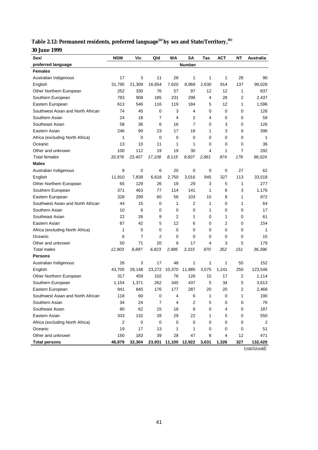| Table 2.12: Permanent residents, preferred language <sup>(a)</sup> by sex and State/Territory, <sup>(b)</sup> |  |  |
|---------------------------------------------------------------------------------------------------------------|--|--|
|                                                                                                               |  |  |

**30 June 1999**

| Sex/                              | <b>NSW</b>              | Vic    | Qld       | WA          | SA             | Tas   | АСТ   | NΤ        | Australia |
|-----------------------------------|-------------------------|--------|-----------|-------------|----------------|-------|-------|-----------|-----------|
| preferred language                | <b>Number</b>           |        |           |             |                |       |       |           |           |
| <b>Females</b>                    |                         |        |           |             |                |       |       |           |           |
| Australian Indigenous             | 17                      | 3      | 11        | 28          | 1              | 1     | 1     | 28        | 90        |
| English                           | 31,795                  | 21,309 | 16,654    | 7,620       | 8,969          | 2,630 | 914   | 137       | 90,028    |
| Other Northern European           | 252                     | 330    | 76        | 57          | 97             | 12    | 12    | 1         | 837       |
| Southern European                 | 783                     | 908    | 185       | 231         | 296            | 4     | 28    | 2         | 2,437     |
| Eastern European                  | 613                     | 546    | 116       | 119         | 184            | 5     | 12    | 1         | 1,596     |
| Southwest Asian and North African | 74                      | 45     | 0         | 3           | 4              | 0     | 0     | 0         | 126       |
| Southern Asian                    | 24                      | 18     | 7         | 4           | 2              | 4     | 0     | 0         | 59        |
| Southeast Asian                   | 58                      | 36     | 6         | 16          | $\overline{7}$ | 0     | 3     | 0         | 126       |
| Eastern Asian                     | 246                     | 90     | 23        | 17          | 16             | 1     | 3     | 0         | 396       |
| Africa (excluding North Africa)   | 1                       | 0      | 0         | 0           | 0              | 0     | 0     | 0         | 1         |
| Oceanic                           | 13                      | 10     | 11        | 1           | 1              | 0     | 0     | 0         | 36        |
| Other and unknown                 | 100                     | 112    | 19        | 19          | 30             | 4     | 1     | 7         | 292       |
| <b>Total females</b>              | 33,976                  | 23,407 | 17,108    | 8,115       | 9,607          | 2,661 | 974   | 176       | 96,024    |
| <b>Males</b>                      |                         |        |           |             |                |       |       |           |           |
| Australian Indigenous             | 9                       | 0      | 6         | 20          | 0              | 0     | 0     | 27        | 62        |
| English                           | 11,910                  | 7,839  | 6,618     | 2,750       | 3,016          | 945   | 327   | 113       | 33,518    |
| Other Northern European           | 65                      | 129    | 26        | 19          | 29             | 3     | 5     | 1         | 277       |
| Southern European                 | 371                     | 463    | 77        | 114         | 141            | 1     | 6     | 3         | 1,176     |
| Eastern European                  | 328                     | 299    | 60        | 58          | 103            | 15    | 8     | 1         | 872       |
| Southwest Asian and North African | 44                      | 15     | 0         | 1           | 2              | 1     | 0     | 1         | 64        |
| Southern Asian                    | 10                      | 6      | 0         | 0           | 0              | 1     | 0     | 0         | 17        |
| Southeast Asian                   | 22                      | 26     | 9         | 2           | 1              | 0     | 1     | 0         | 61        |
| Eastern Asian                     | 87                      | 42     | 5         | 12          | 6              | 0     | 2     | 0         | 154       |
| Africa (excluding North Africa)   | 1                       | 0      | 0         | $\mathbf 0$ | 0              | 0     | 0     | 0         | 1         |
| Oceanic                           | 6                       | 7      | 2         | 0           | 0              | 0     | 0     | 0         | 15        |
| Other and unknown                 | 50                      | 71     | 20        | 9           | 17             | 4     | 3     | 5         | 179       |
| <b>Total males</b>                | 12,903                  | 8,897  | 6,823     | 2,985       | 3,315          | 970   | 352   | 151       | 36,396    |
| <b>Persons</b>                    |                         |        |           |             |                |       |       |           |           |
| Australian Indigenous             | 26                      | 3      | 17        | 48          | 1              | 1     | 1     | 55        | 152       |
| English                           | 43,705                  | 29,148 | 23,272    | 10,370      | 11,985         | 3,575 | 1,241 | 250       | 123,546   |
| Other Northern European           | 317                     | 459    | 102       | 76          | 126            | 15    | 17    | 2         | 1,114     |
| Southern European                 | 1,154                   | 1,371  | 262       | 345         | 437            | 5     | 34    | 5         | 3,613     |
| Eastern European                  | 941                     | 845    | 176       | 177         | 287            | 20    | 20    | 2         | 2,468     |
| Southwest Asian and North African | 118                     | 60     | 0         | 4           | 6              | 1     | 0     | 1         | 190       |
| Southern Asian                    | 34                      | 24     | 7         | 4           | 2              | 5     | 0     | 0         | 76        |
| Southeast Asian                   | 80                      | 62     | 15        | 18          | 8              | 0     | 4     | $\pmb{0}$ | 187       |
| Eastern Asian                     | 333                     | 132    | 28        | 29          | 22             | 1     | 5     | 0         | 550       |
| Africa (excluding North Africa)   | $\overline{\mathbf{c}}$ | 0      | $\pmb{0}$ | $\pmb{0}$   | 0              | 0     | 0     | 0         | 2         |
| Oceanic                           | 19                      | 17     | 13        | 1           | 1              | 0     | 0     | 0         | 51        |
| Other and unknown                 | 150                     | 183    | 39        | 28          | 47             | 8     | 4     | 12        | 471       |
| <b>Total persons</b>              | 46,879                  | 32,304 | 23,931    | 11,100      | 12,922         | 3,631 | 1,326 | 327       | 132,420   |

*(continued)*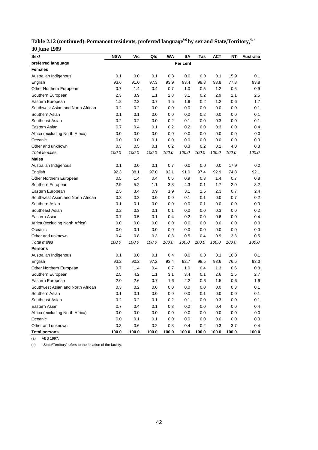| Sex/                              | <b>NSW</b> | Vic   | Qld   | WΑ    | SΑ       | Tas     | <b>ACT</b> | NΤ    | Australia |
|-----------------------------------|------------|-------|-------|-------|----------|---------|------------|-------|-----------|
| preferred language                |            |       |       |       | Per cent |         |            |       |           |
| <b>Females</b>                    |            |       |       |       |          |         |            |       |           |
| Australian Indigenous             | 0.1        | 0.0   | 0.1   | 0.3   | 0.0      | 0.0     | 0.1        | 15.9  | 0.1       |
| English                           | 93.6       | 91.0  | 97.3  | 93.9  | 93.4     | 98.8    | 93.8       | 77.8  | 93.8      |
| Other Northern European           | 0.7        | 1.4   | 0.4   | 0.7   | 1.0      | 0.5     | 1.2        | 0.6   | 0.9       |
| Southern European                 | 2.3        | 3.9   | 1.1   | 2.8   | 3.1      | 0.2     | 2.9        | 1.1   | 2.5       |
| Eastern European                  | 1.8        | 2.3   | 0.7   | 1.5   | 1.9      | 0.2     | 1.2        | 0.6   | 1.7       |
| Southwest Asian and North African | 0.2        | 0.2   | 0.0   | 0.0   | 0.0      | 0.0     | 0.0        | 0.0   | 0.1       |
| Southern Asian                    | 0.1        | 0.1   | 0.0   | 0.0   | 0.0      | 0.2     | 0.0        | 0.0   | 0.1       |
| Southeast Asian                   | 0.2        | 0.2   | 0.0   | 0.2   | 0.1      | 0.0     | 0.3        | 0.0   | 0.1       |
| Eastern Asian                     | 0.7        | 0.4   | 0.1   | 0.2   | 0.2      | 0.0     | 0.3        | 0.0   | 0.4       |
| Africa (excluding North Africa)   | 0.0        | 0.0   | 0.0   | 0.0   | 0.0      | 0.0     | 0.0        | 0.0   | 0.0       |
| Oceanic                           | 0.0        | 0.0   | 0.1   | 0.0   | 0.0      | 0.0     | 0.0        | 0.0   | 0.0       |
| Other and unknown                 | 0.3        | 0.5   | 0.1   | 0.2   | 0.3      | 0.2     | 0.1        | 4.0   | 0.3       |
| <b>Total females</b>              | 100.0      | 100.0 | 100.0 | 100.0 | 100.0    | 100.0   | 100.0      | 100.0 | 100.0     |
| <b>Males</b>                      |            |       |       |       |          |         |            |       |           |
| Australian Indigenous             | 0.1        | 0.0   | 0.1   | 0.7   | 0.0      | 0.0     | 0.0        | 17.9  | 0.2       |
| English                           | 92.3       | 88.1  | 97.0  | 92.1  | 91.0     | 97.4    | 92.9       | 74.8  | 92.1      |
| Other Northern European           | 0.5        | 1.4   | 0.4   | 0.6   | 0.9      | 0.3     | 1.4        | 0.7   | 0.8       |
| Southern European                 | 2.9        | 5.2   | 1.1   | 3.8   | 4.3      | 0.1     | 1.7        | 2.0   | 3.2       |
| Eastern European                  | 2.5        | 3.4   | 0.9   | 1.9   | 3.1      | 1.5     | 2.3        | 0.7   | 2.4       |
| Southwest Asian and North African | 0.3        | 0.2   | 0.0   | 0.0   | 0.1      | 0.1     | 0.0        | 0.7   | 0.2       |
| Southern Asian                    | 0.1        | 0.1   | 0.0   | 0.0   | 0.0      | 0.1     | 0.0        | 0.0   | 0.0       |
| Southeast Asian                   | 0.2        | 0.3   | 0.1   | 0.1   | 0.0      | 0.0     | 0.3        | 0.0   | 0.2       |
| Eastern Asian                     | 0.7        | 0.5   | 0.1   | 0.4   | 0.2      | 0.0     | 0.6        | 0.0   | 0.4       |
| Africa (excluding North Africa)   | 0.0        | 0.0   | 0.0   | 0.0   | 0.0      | 0.0     | 0.0        | 0.0   | 0.0       |
| Oceanic                           | 0.0        | 0.1   | 0.0   | 0.0   | 0.0      | 0.0     | 0.0        | 0.0   | 0.0       |
| Other and unknown                 | 0.4        | 0.8   | 0.3   | 0.3   | 0.5      | 0.4     | 0.9        | 3.3   | 0.5       |
| <b>Total males</b>                | 100.0      | 100.0 | 100.0 | 100.0 | 100.0    | 100.0   | 100.0      | 100.0 | 100.0     |
| Persons                           |            |       |       |       |          |         |            |       |           |
| Australian Indigenous             | 0.1        | 0.0   | 0.1   | 0.4   | 0.0      | 0.0     | 0.1        | 16.8  | 0.1       |
| English                           | 93.2       | 90.2  | 97.2  | 93.4  | 92.7     | 98.5    | 93.6       | 76.5  | 93.3      |
| Other Northern European           | 0.7        | 1.4   | 0.4   | 0.7   | 1.0      | 0.4     | 1.3        | 0.6   | 0.8       |
| Southern European                 | 2.5        | 4.2   | 1.1   | 3.1   | 3.4      | 0.1     | 2.6        | 1.5   | 2.7       |
| Eastern European                  | 2.0        | 2.6   | 0.7   | 1.6   | 2.2      | 0.6     | 1.5        | 0.6   | 1.9       |
| Southwest Asian and North African | 0.3        | 0.2   | 0.0   | 0.0   | 0.0      | 0.0     | 0.0        | 0.3   | 0.1       |
| Southern Asian                    | 0.1        | 0.1   | 0.0   | 0.0   | 0.0      | 0.1     | 0.0        | 0.0   | 0.1       |
| Southeast Asian                   | 0.2        | 0.2   | 0.1   | 0.2   | 0.1      | 0.0     | 0.3        | 0.0   | 0.1       |
| Eastern Asian                     | 0.7        | 0.4   | 0.1   | 0.3   | 0.2      | 0.0     | 0.4        | 0.0   | 0.4       |
| Africa (excluding North Africa)   | 0.0        | 0.0   | 0.0   | 0.0   | 0.0      | $0.0\,$ | 0.0        | 0.0   | 0.0       |
| Oceanic                           | 0.0        | 0.1   | 0.1   | 0.0   | 0.0      | 0.0     | 0.0        | 0.0   | 0.0       |
| Other and unknown                 | 0.3        | 0.6   | 0.2   | 0.3   | 0.4      | 0.2     | 0.3        | 3.7   | 0.4       |
| <b>Total persons</b>              | 100.0      | 100.0 | 100.0 | 100.0 | 100.0    | 100.0   | 100.0      | 100.0 | 100.0     |

**Table 2.12 (continued): Permanent residents, preferred language(a) by sex and State/Territory,(b) 30 June 1999**

(a) ABS 1997.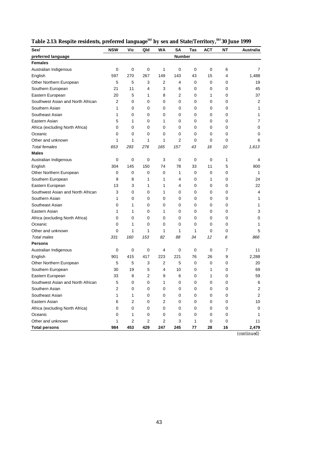| Table 2.13: Respite residents, preferred language <sup>(a)</sup> by sex and State/Territory, <sup>(b)</sup> 30 June 1999 |  |  |
|--------------------------------------------------------------------------------------------------------------------------|--|--|
|                                                                                                                          |  |  |

| Sex/                              | <b>NSW</b>              | Vic            | Qld                     | WA             | SΑ                        | Tas         | <b>ACT</b> | ΝT             | Australia      |
|-----------------------------------|-------------------------|----------------|-------------------------|----------------|---------------------------|-------------|------------|----------------|----------------|
| preferred language                |                         |                |                         |                | Number                    |             |            |                |                |
| <b>Females</b>                    |                         |                |                         |                |                           |             |            |                |                |
| Australian Indigenous             | 0                       | 0              | 0                       | 1              | 0                         | 0           | 0          | 6              | 7              |
| English                           | 597                     | 270            | 267                     | 149            | 143                       | 43          | 15         | $\overline{4}$ | 1,488          |
| Other Northern European           | 5                       | 5              | 3                       | 2              | 4                         | 0           | 0          | 0              | 19             |
| Southern European                 | 21                      | 11             | 4                       | 3              | 6                         | 0           | 0          | 0              | 45             |
| Eastern European                  | 20                      | 5              | 1                       | 8              | 2                         | 0           | 1          | 0              | 37             |
| Southwest Asian and North African | 2                       | 0              | 0                       | 0              | 0                         | 0           | 0          | 0              | 2              |
| Southern Asian                    | 1                       | 0              | 0                       | 0              | 0                         | 0           | 0          | 0              | 1              |
| Southeast Asian                   | 1                       | 0              | 0                       | 0              | 0                         | 0           | 0          | 0              | 1              |
| Eastern Asian                     | 5                       | 1              | 0                       | 1              | 0                         | 0           | 0          | 0              | 7              |
| Africa (excluding North Africa)   | 0                       | 0              | 0                       | 0              | 0                         | 0           | 0          | 0              | 0              |
| Oceanic                           | 0                       | 0              | 0                       | 0              | 0                         | 0           | 0          | 0              | 0              |
| Other and unknown                 | 1                       | 1              | 1                       | 1              | $\overline{2}$            | 0           | 0          | 0              | 6              |
| <b>Total females</b>              | 653                     | 293            | 276                     | 165            | 157                       | 43          | 16         | 10             | 1,613          |
| <b>Males</b>                      |                         |                |                         |                |                           |             |            |                |                |
| Australian Indigenous             | 0                       | 0              | 0                       | 3              | $\mathbf 0$               | $\mathbf 0$ | 0          | $\mathbf{1}$   | 4              |
| English                           | 304                     | 145            | 150                     | 74             | 78                        | 33          | 11         | 5              | 800            |
| Other Northern European           | 0                       | 0              | 0                       | 0              | 1                         | 0           | 0          | 0              | 1              |
| Southern European                 | 9                       | 8              | 1                       | 1              | 4                         | 0           | 1          | 0              | 24             |
| Eastern European                  | 13                      | 3              | 1                       | 1              | 4                         | 0           | 0          | 0              | 22             |
| Southwest Asian and North African | 3                       | 0              | 0                       | $\mathbf{1}$   | 0                         | 0           | 0          | 0              | 4              |
| Southern Asian                    | 1                       | 0              | 0                       | 0              | 0                         | 0           | 0          | 0              | 1              |
| Southeast Asian                   | 0                       | 1              | 0                       | 0              | 0                         | 0           | 0          | 0              | 1              |
| Eastern Asian                     | 1                       | 1              | 0                       | $\mathbf{1}$   | 0                         | 0           | 0          | 0              | 3              |
| Africa (excluding North Africa)   | 0                       | 0              | 0                       | 0              | 0                         | 0           | 0          | 0              | 0              |
| Oceanic                           | 0                       | 1              | 0                       | 0              | 0                         | 0           | 0          | 0              | 1              |
| Other and unknown                 | 0                       | 1              | 1                       | 1              | 1                         | 1           | 0          | 0              | 5              |
| <b>Total males</b>                | 331                     | 160            | 153                     | 82             | 88                        | 34          | 12         | 6              | 866            |
| <b>Persons</b>                    |                         |                |                         |                |                           |             |            |                |                |
| Australian Indigenous             | 0                       | 0              | 0                       | 4              | 0                         | 0           | 0          | $\overline{7}$ | 11             |
| English                           | 901                     | 415            | 417                     | 223            | 221                       | 76          | 26         | 9              | 2,288          |
| Other Northern European           | 5                       | 5              | 3                       | 2              | 5                         | 0           | 0          | 0              | 20             |
| Southern European                 | 30                      | 19             | 5                       | 4              | 10                        | 0           | 1          | 0              | 69             |
| Eastern European                  | 33                      | 8              | 2                       | 9              | 6                         | 0           | 1          | 0              | 59             |
| Southwest Asian and North African | 5                       | 0              | $\Omega$                | 1              | $\Omega$                  | 0           | 0          | $\Omega$       | 6              |
| Southern Asian                    | $\overline{\mathbf{c}}$ | 0              | 0                       | $\pmb{0}$      | $\pmb{0}$                 | $\pmb{0}$   | $\pmb{0}$  | 0              | $\overline{c}$ |
| Southeast Asian                   | 1                       | 1              | 0                       | 0              | 0                         | 0           | 0          | 0              | $\overline{2}$ |
| Eastern Asian                     | 6                       | $\overline{c}$ | 0                       | 2              | 0                         | 0           | 0          | 0              | 10             |
| Africa (excluding North Africa)   | 0                       | 0              | 0                       | 0              | 0                         | 0           | 0          | 0              | $\mathbf 0$    |
| Oceanic                           | 0                       | 1              | 0                       | 0              | 0                         | 0           | 0          | 0              | 1              |
| Other and unknown                 | 1                       | $\sqrt{2}$     | $\overline{\mathbf{c}}$ | $\overline{2}$ | $\ensuremath{\mathsf{3}}$ | 1           | 0          | 0              | 11             |
| <b>Total persons</b>              | 984                     | 453            | 429                     | 247            | 245                       | 77          | 28         | 16             | 2,479          |

*(continued)*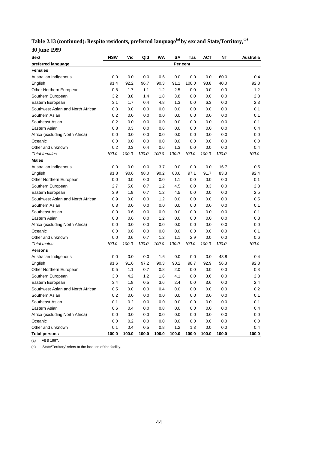| Table 2.13 (continued): Respite residents, preferred language <sup>(a)</sup> by sex and State/Territory, <sup>(b)</sup> |  |
|-------------------------------------------------------------------------------------------------------------------------|--|
| <b>30 June 1999</b>                                                                                                     |  |

| Sex/                              | <b>NSW</b> | Vic   | Qld   | WA    | SΑ       | Tas   | АСТ   | ΝT    | Australia |
|-----------------------------------|------------|-------|-------|-------|----------|-------|-------|-------|-----------|
| preferred language                |            |       |       |       | Per cent |       |       |       |           |
| <b>Females</b>                    |            |       |       |       |          |       |       |       |           |
| Australian Indigenous             | 0.0        | 0.0   | 0.0   | 0.6   | 0.0      | 0.0   | 0.0   | 60.0  | 0.4       |
| English                           | 91.4       | 92.2  | 96.7  | 90.3  | 91.1     | 100.0 | 93.8  | 40.0  | 92.3      |
| Other Northern European           | 0.8        | 1.7   | 1.1   | 1.2   | 2.5      | 0.0   | 0.0   | 0.0   | 1.2       |
| Southern European                 | 3.2        | 3.8   | 1.4   | 1.8   | 3.8      | 0.0   | 0.0   | 0.0   | 2.8       |
| Eastern European                  | 3.1        | 1.7   | 0.4   | 4.8   | 1.3      | 0.0   | 6.3   | 0.0   | 2.3       |
| Southwest Asian and North African | 0.3        | 0.0   | 0.0   | 0.0   | 0.0      | 0.0   | 0.0   | 0.0   | 0.1       |
| Southern Asian                    | 0.2        | 0.0   | 0.0   | 0.0   | 0.0      | 0.0   | 0.0   | 0.0   | 0.1       |
| Southeast Asian                   | 0.2        | 0.0   | 0.0   | 0.0   | 0.0      | 0.0   | 0.0   | 0.0   | 0.1       |
| Eastern Asian                     | 0.8        | 0.3   | 0.0   | 0.6   | 0.0      | 0.0   | 0.0   | 0.0   | 0.4       |
| Africa (excluding North Africa)   | 0.0        | 0.0   | 0.0   | 0.0   | 0.0      | 0.0   | 0.0   | 0.0   | 0.0       |
| Oceanic                           | 0.0        | 0.0   | 0.0   | 0.0   | 0.0      | 0.0   | 0.0   | 0.0   | 0.0       |
| Other and unknown                 | 0.2        | 0.3   | 0.4   | 0.6   | 1.3      | 0.0   | 0.0   | 0.0   | 0.4       |
| <b>Total females</b>              | 100.0      | 100.0 | 100.0 | 100.0 | 100.0    | 100.0 | 100.0 | 100.0 | 100.0     |
| Males                             |            |       |       |       |          |       |       |       |           |
| Australian Indigenous             | 0.0        | 0.0   | 0.0   | 3.7   | 0.0      | 0.0   | 0.0   | 16.7  | 0.5       |
| English                           | 91.8       | 90.6  | 98.0  | 90.2  | 88.6     | 97.1  | 91.7  | 83.3  | 92.4      |
| Other Northern European           | 0.0        | 0.0   | 0.0   | 0.0   | 1.1      | 0.0   | 0.0   | 0.0   | 0.1       |
| Southern European                 | 2.7        | 5.0   | 0.7   | 1.2   | 4.5      | 0.0   | 8.3   | 0.0   | 2.8       |
| Eastern European                  | 3.9        | 1.9   | 0.7   | 1.2   | 4.5      | 0.0   | 0.0   | 0.0   | 2.5       |
| Southwest Asian and North African | 0.9        | 0.0   | 0.0   | 1.2   | 0.0      | 0.0   | 0.0   | 0.0   | $0.5\,$   |
| Southern Asian                    | 0.3        | 0.0   | 0.0   | 0.0   | 0.0      | 0.0   | 0.0   | 0.0   | 0.1       |
| Southeast Asian                   | 0.0        | 0.6   | 0.0   | 0.0   | 0.0      | 0.0   | 0.0   | 0.0   | 0.1       |
| Eastern Asian                     | 0.3        | 0.6   | 0.0   | 1.2   | 0.0      | 0.0   | 0.0   | 0.0   | 0.3       |
| Africa (excluding North Africa)   | 0.0        | 0.0   | 0.0   | 0.0   | 0.0      | 0.0   | 0.0   | 0.0   | 0.0       |
| Oceanic                           | 0.0        | 0.6   | 0.0   | 0.0   | 0.0      | 0.0   | 0.0   | 0.0   | 0.1       |
| Other and unknown                 | 0.0        | 0.6   | 0.7   | 1.2   | 1.1      | 2.9   | 0.0   | 0.0   | 0.6       |
| <b>Total males</b>                | 100.0      | 100.0 | 100.0 | 100.0 | 100.0    | 100.0 | 100.0 | 100.0 | 100.0     |
| <b>Persons</b>                    |            |       |       |       |          |       |       |       |           |
| Australian Indigenous             | 0.0        | 0.0   | 0.0   | 1.6   | 0.0      | 0.0   | 0.0   | 43.8  | 0.4       |
| English                           | 91.6       | 91.6  | 97.2  | 90.3  | 90.2     | 98.7  | 92.9  | 56.3  | 92.3      |
| Other Northern European           | 0.5        | 1.1   | 0.7   | 0.8   | 2.0      | 0.0   | 0.0   | 0.0   | 0.8       |
| Southern European                 | 3.0        | 4.2   | 1.2   | 1.6   | 4.1      | 0.0   | 3.6   | 0.0   | 2.8       |
| Eastern European                  | 3.4        | 1.8   | 0.5   | 3.6   | 2.4      | 0.0   | 3.6   | 0.0   | 2.4       |
| Southwest Asian and North African | 0.5        | 0.0   | 0.0   | 0.4   | 0.0      | 0.0   | 0.0   | 0.0   | 0.2       |
| Southern Asian                    | 0.2        | 0.0   | 0.0   | 0.0   | 0.0      | 0.0   | 0.0   | 0.0   | 0.1       |
| Southeast Asian                   | 0.1        | 0.2   | 0.0   | 0.0   | 0.0      | 0.0   | 0.0   | 0.0   | 0.1       |
| Eastern Asian                     | 0.6        | 0.4   | 0.0   | 0.8   | 0.0      | 0.0   | 0.0   | 0.0   | 0.4       |
| Africa (excluding North Africa)   | 0.0        | 0.0   | 0.0   | 0.0   | 0.0      | 0.0   | 0.0   | 0.0   | 0.0       |
| Oceanic                           | 0.0        | 0.2   | 0.0   | 0.0   | 0.0      | 0.0   | 0.0   | 0.0   | 0.0       |
| Other and unknown                 | 0.1        | 0.4   | 0.5   | 0.8   | 1.2      | 1.3   | 0.0   | 0.0   | 0.4       |
| <b>Total persons</b>              | 100.0      | 100.0 | 100.0 | 100.0 | 100.0    | 100.0 | 100.0 | 100.0 | 100.0     |

(a) ABS 1997.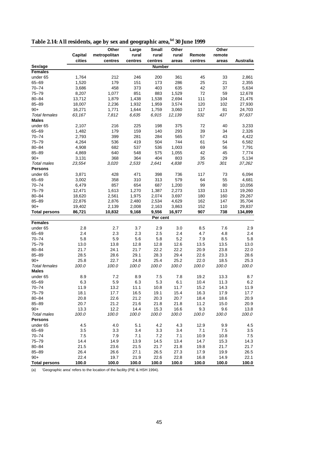|  | Table 2.14: All residents, age by sex and geographic area, <sup>(a)</sup> 30 June 1999 |  |
|--|----------------------------------------------------------------------------------------|--|
|--|----------------------------------------------------------------------------------------|--|

|                      |         | Other        | Large   | <b>Small</b>      | Other  |            | Other  |                  |
|----------------------|---------|--------------|---------|-------------------|--------|------------|--------|------------------|
|                      | Capital | metropolitan | rural   | rural             | rural  | Remote     | remote |                  |
|                      | cities  | centres      | centres | centres           | areas  | centres    | areas  | Australia        |
| Sex/age              |         |              |         | <b>Number</b>     |        |            |        |                  |
| <b>Females</b>       |         |              |         |                   |        |            |        |                  |
| under 65             | 1,764   | 212          | 246     | 200               | 361    | 45         | 33     | 2,861            |
| $65 - 69$            | 1,520   | 179          | 151     | 173               | 286    | 25         | 21     | 2,355            |
| $70 - 74$            | 3,686   | 458          | 373     | 403               | 635    | 42         | 37     | 5,634            |
| $75 - 79$            | 8,207   | 1,077        | 851     | 883               | 1,529  | 72         | 59     | 12,678           |
| $80 - 84$            | 13,712  | 1,879        | 1,438   | 1,538             | 2,694  | 111        | 104    | 21,476           |
| $85 - 89$            | 18,007  | 2,236        | 1,932   | 1,959             | 3,574  | 120        | 102    | 27,930           |
| $90+$                | 16,271  | 1,771        | 1,644   | 1,759             | 3,060  | 117        | 81     | 24,703           |
| <b>Total females</b> | 63,167  | 7,812        | 6,635   | 6,915             | 12,139 | 532        | 437    | 97,637           |
| <b>Males</b>         |         |              |         |                   |        |            |        |                  |
| under 65             | 2,107   | 216          | 225     | 198               | 375    | 72         | 40     | 3,233            |
| 65-69                | 1,482   | 179          | 159     | 140               | 293    | 39         | 34     | 2,326            |
| $70 - 74$            | 2,793   | 399          | 281     | 284               | 565    | 57         | 43     | 4,422            |
| $75 - 79$            | 4,264   | 536          | 419     | 504               | 744    | 61         | 54     | 6,582            |
| 80-84                | 4,908   | 682          | 537     | 536               | 1,003  | 69         | 56     | 7,791            |
| $85 - 89$            | 4,869   | 640          | 548     | 575               | 1,055  | 42         | 45     | 7,774            |
| $90+$                | 3,131   | 368          | 364     | 404               | 803    | 35         | 29     | 5,134            |
| Total males          | 23,554  | 3,020        | 2,533   | 2,641             | 4,838  | 375        | 301    | 37,262           |
| <b>Persons</b>       |         |              |         |                   |        |            |        |                  |
| under 65             | 3,871   | 428          | 471     | 398               | 736    | 117        | 73     | 6,094            |
| 65-69                | 3,002   | 358          | 310     | 313               | 579    | 64         | 55     | 4,681            |
| $70 - 74$            | 6,479   | 857          | 654     | 687               | 1,200  | 99         | 80     | 10,056           |
| $75 - 79$            | 12,471  | 1,613        | 1,270   | 1,387             | 2,273  | 133        | 113    |                  |
|                      |         |              |         |                   |        |            |        | 19,260<br>29,267 |
| 80-84                | 18,620  | 2,561        | 1,975   | 2,074             | 3,697  | 180        | 160    |                  |
| $85 - 89$            | 22,876  | 2,876        | 2,480   | 2,534             | 4,629  | 162        | 147    | 35,704           |
| $90+$                | 19,402  | 2,139        | 2,008   | 2,163             | 3,863  | 152<br>907 | 110    | 29,837           |
| <b>Total persons</b> | 86,721  | 10,832       | 9,168   | 9,556<br>Per cent | 16,977 |            | 738    | 134,899          |
| <b>Females</b>       |         |              |         |                   |        |            |        |                  |
| under 65             | 2.8     | 2.7          | 3.7     | 2.9               | 3.0    | 8.5        | 7.6    | 2.9              |
| $65 - 69$            | 2.4     | 2.3          | 2.3     | 2.5               | 2.4    | 4.7        | 4.8    | 2.4              |
| $70 - 74$            | 5.8     | 5.9          | 5.6     | 5.8               | 5.2    | 7.9        | 8.5    | 5.8              |
| $75 - 79$            | 13.0    | 13.8         | 12.8    | 12.8              | 12.6   | 13.5       | 13.5   | 13.0             |
| 80-84                | 21.7    | 24.1         | 21.7    | 22.2              | 22.2   | 20.9       | 23.8   | 22.0             |
| $85 - 89$            | 28.5    | 28.6         | 29.1    | 28.3              | 29.4   | 22.6       | 23.3   | 28.6             |
| $90+$                | 25.8    | 22.7         | 24.8    | 25.4              | 25.2   | 22.0       | 18.5   | 25.3             |
| <b>Total females</b> | 100.0   | 100.0        | 100.0   | 100.0             | 100.0  | 100.0      | 100.0  | 100.0            |
| <b>Males</b>         |         |              |         |                   |        |            |        |                  |
|                      |         |              |         |                   |        |            |        |                  |
| under 65             | 8.9     | 7.2          | 8.9     | 7.5               | 7.8    | 19.2       | 13.3   | 8.7              |
| 65-69                | 6.3     | 5.9          | 6.3     | 5.3               | 6.1    | 10.4       | 11.3   | 6.2              |
| $70 - 74$            | 11.9    | 13.2         | 11.1    | 10.8              | 11.7   | 15.2       | 14.3   | 11.9             |
| $75 - 79$            | 18.1    | 17.7         | 16.5    | 19.1              | 15.4   | 16.3       | 17.9   | 17.7             |
| 80-84                | 20.8    | 22.6         | 21.2    | 20.3              | 20.7   | 18.4       | 18.6   | 20.9             |
| $85 - 89$            | 20.7    | 21.2         | 21.6    | 21.8              | 21.8   | 11.2       | 15.0   | 20.9             |
| $90+$                | 13.3    | 12.2         | 14.4    | 15.3              | 16.6   | 9.3        | 9.6    | 13.8             |
| <b>Total males</b>   | 100.0   | 100.0        | 100.0   | 100.0             | 100.0  | 100.0      | 100.0  | 100.0            |
| <b>Persons</b>       |         |              |         |                   |        |            |        |                  |
| under 65             | 4.5     | 4.0          | 5.1     | 4.2               | 4.3    | 12.9       | 9.9    | 4.5              |
| 65-69                | 3.5     | 3.3          | 3.4     | 3.3               | 3.4    | 7.1        | 7.5    | 3.5              |
| $70 - 74$            | 7.5     | 7.9          | 7.1     | 7.2               | 7.1    | 10.9       | 10.8   | 7.5              |
| $75 - 79$            | 14.4    | 14.9         | 13.9    | 14.5              | 13.4   | 14.7       | 15.3   | 14.3             |
| 80-84                | 21.5    | 23.6         | 21.5    | 21.7              | 21.8   | 19.8       | 21.7   | 21.7             |
| $85 - 89$            | 26.4    | 26.6         | 27.1    | 26.5              | 27.3   | 17.9       | 19.9   | 26.5             |
| $90+$                | 22.4    | 19.7         | 21.9    | 22.6              | 22.8   | 16.8       | 14.9   | 22.1             |
| <b>Total persons</b> | 100.0   | 100.0        | 100.0   | 100.0             | 100.0  | 100.0      | 100.0  | 100.0            |

(a) 'Geographic area' refers to the location of the facility (PIE & HSH 1994).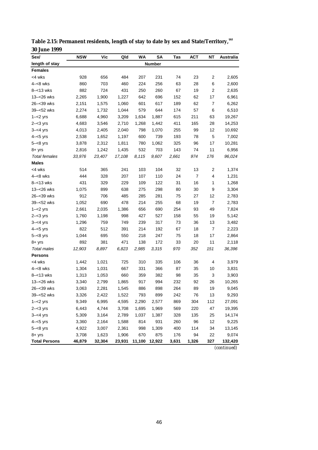| Sex/                 | <b>NSW</b> | Vic    | Qld    | WA     | SA            | Tas   | <b>ACT</b>     | ΝT                      | Australia   |
|----------------------|------------|--------|--------|--------|---------------|-------|----------------|-------------------------|-------------|
| length of stay       |            |        |        |        | <b>Number</b> |       |                |                         |             |
| <b>Females</b>       |            |        |        |        |               |       |                |                         |             |
| <4 wks               | 928        | 656    | 484    | 207    | 231           | 74    | 23             | 2                       | 2,605       |
| $4 - 8$ wks          | 860        | 703    | 460    | 224    | 256           | 63    | 28             | 6                       | 2,600       |
| $8 - 13$ wks         | 882        | 724    | 431    | 250    | 260           | 67    | 19             | $\mathbf 2$             | 2,635       |
| 13-<26 wks           | 2,265      | 1,900  | 1,227  | 642    | 696           | 152   | 62             | 17                      | 6,961       |
| 26–<39 wks           | 2,151      | 1,575  | 1,060  | 601    | 617           | 189   | 62             | 7                       | 6,262       |
| 39-<52 wks           | 2,274      | 1,732  | 1,044  | 579    | 644           | 174   | 57             | 6                       | 6,510       |
| $1 - 2$ yrs          | 6,688      | 4,960  | 3,209  | 1,634  | 1,887         | 615   | 211            | 63                      | 19,267      |
| $2 - 3$ yrs          | 4,683      | 3,546  | 2,710  | 1,268  | 1,442         | 411   | 165            | 28                      | 14,253      |
| $3 - < 4$ yrs        | 4,013      | 2,405  | 2,040  | 798    | 1,070         | 255   | 99             | 12                      | 10,692      |
| $4 - 5$ yrs          | 2,538      | 1,652  | 1,197  | 600    | 739           | 193   | 78             | 5                       | 7,002       |
| $5 - < 8$ yrs        | 3,878      | 2,312  | 1,811  | 780    | 1,062         | 325   | 96             | 17                      | 10,281      |
| $8 + yrs$            | 2,816      | 1,242  | 1,435  | 532    | 703           | 143   | 74             | 11                      | 6,956       |
| Total females        | 33,976     | 23,407 | 17,108 | 8,115  | 9,607         | 2,661 | 974            | 176                     | 96,024      |
| <b>Males</b>         |            |        |        |        |               |       |                |                         |             |
| <4 wks               | 514        | 365    | 241    | 103    | 104           | 32    | 13             | $\overline{\mathbf{c}}$ | 1,374       |
| $4 - 8$ wks          | 444        | 328    | 207    | 107    | 110           | 24    | $\overline{7}$ | 4                       | 1,231       |
| $8 - 13$ wks         | 431        | 329    | 229    | 109    | 122           | 31    | 16             | 1                       | 1,268       |
| 13-<26 wks           | 1,075      | 899    | 638    | 275    | 298           | 80    | 30             | 9                       | 3,304       |
| 26-<39 wks           | 912        | 706    | 485    | 285    | 281           | 75    | 27             | 12                      | 2,783       |
| 39-<52 wks           | 1,052      | 690    | 478    | 214    | 255           | 68    | 19             | $\overline{7}$          | 2,783       |
| $1 - 2$ yrs          | 2,661      | 2,035  | 1,386  | 656    | 690           | 254   | 93             | 49                      | 7,824       |
| $2 - 3$ yrs          | 1,760      | 1,198  | 998    | 427    | 527           | 158   | 55             | 19                      | 5,142       |
| $3 - 4$ yrs          | 1,296      | 759    | 749    | 239    | 317           | 73    | 36             | 13                      | 3,482       |
| $4 - 5$ yrs          | 822        | 512    | 391    | 214    | 192           | 67    | 18             | $\overline{7}$          | 2,223       |
| $5 - < 8$ yrs        | 1,044      | 695    | 550    | 218    | 247           | 75    | 18             | 17                      | 2,864       |
| $8 + yrs$            | 892        | 381    | 471    | 138    | 172           | 33    | 20             | 11                      | 2,118       |
| Total males          | 12,903     | 8,897  | 6,823  | 2,985  | 3,315         | 970   | 352            | 151                     | 36,396      |
| <b>Persons</b>       |            |        |        |        |               |       |                |                         |             |
| <4 wks               | 1,442      | 1,021  | 725    | 310    | 335           | 106   | 36             | 4                       | 3,979       |
| $4 - 8$ wks          | 1,304      | 1,031  | 667    | 331    | 366           | 87    | 35             | 10                      | 3,831       |
| $8 - 13$ wks         | 1,313      | 1,053  | 660    | 359    | 382           | 98    | 35             | 3                       | 3,903       |
| 13-<26 wks           | 3,340      | 2,799  | 1,865  | 917    | 994           | 232   | 92             | 26                      | 10,265      |
| 26-<39 wks           | 3,063      | 2,281  | 1,545  | 886    | 898           | 264   | 89             | 19                      | 9,045       |
| 39-<52 wks           | 3,326      | 2,422  | 1,522  | 793    | 899           | 242   | 76             | 13                      | 9,293       |
| $1 - 2$ yrs          | 9,349      | 6,995  | 4,595  | 2,290  | 2,577         | 869   | 304            | 112                     | 27,091      |
| $2 - < 3$ yrs        | 6,443      | 4,744  | 3,708  | 1,695  | 1,969         | 569   | 220            | 47                      | 19,395      |
| $3 - 4$ yrs          | 5,309      | 3,164  | 2,789  | 1,037  | 1,387         | 328   | 135            | 25                      | 14,174      |
| $4 - 5$ yrs          | 3,360      | 2,164  | 1,588  | 814    | 931           | 260   | 96             | 12                      | 9,225       |
| $5 - < 8$ yrs        | 4,922      | 3,007  | 2,361  | 998    | 1,309         | 400   | 114            | 34                      | 13,145      |
| $8 + yrs$            | 3,708      | 1,623  | 1,906  | 670    | 875           | 176   | 94             | 22                      | 9,074       |
| <b>Total Persons</b> | 46,879     | 32,304 | 23,931 | 11,100 | 12,922        | 3,631 | 1,326          | 327                     | 132,420     |
|                      |            |        |        |        |               |       |                |                         | (continued) |

**Table 2.15: Permanent residents, length of stay to date by sex and State/Territory,(a) 30 June 1999**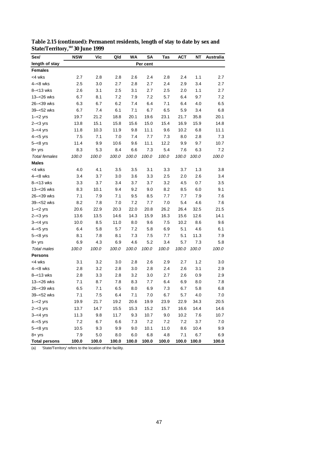| Sex/                 | <b>NSW</b> | Vic   | Qld   | <b>WA</b> | <b>SA</b> | Tas   | АСТ     | NΤ    | Australia |
|----------------------|------------|-------|-------|-----------|-----------|-------|---------|-------|-----------|
| length of stay       |            |       |       |           | Per cent  |       |         |       |           |
| <b>Females</b>       |            |       |       |           |           |       |         |       |           |
| <4 wks               | 2.7        | 2.8   | 2.8   | 2.6       | 2.4       | 2.8   | 2.4     | 1.1   | 2.7       |
| $4 - 8$ wks          | 2.5        | 3.0   | 2.7   | 2.8       | 2.7       | 2.4   | 2.9     | 3.4   | 2.7       |
| $8 - 13$ wks         | 2.6        | 3.1   | 2.5   | 3.1       | 2.7       | 2.5   | 2.0     | 1.1   | 2.7       |
| 13-<26 wks           | 6.7        | 8.1   | 7.2   | 7.9       | 7.2       | 5.7   | 6.4     | 9.7   | 7.2       |
| 26–<39 wks           | 6.3        | 6.7   | 6.2   | 7.4       | 6.4       | 7.1   | 6.4     | 4.0   | 6.5       |
| 39-<52 wks           | 6.7        | 7.4   | 6.1   | 7.1       | 6.7       | 6.5   | 5.9     | 3.4   | 6.8       |
| $1 - 2$ yrs          | 19.7       | 21.2  | 18.8  | 20.1      | 19.6      | 23.1  | 21.7    | 35.8  | 20.1      |
| $2 - 3$ yrs          | 13.8       | 15.1  | 15.8  | 15.6      | 15.0      | 15.4  | 16.9    | 15.9  | 14.8      |
| $3 - 4$ yrs          | 11.8       | 10.3  | 11.9  | 9.8       | 11.1      | 9.6   | 10.2    | 6.8   | 11.1      |
| $4 - 5$ yrs          | 7.5        | 7.1   | 7.0   | 7.4       | 7.7       | 7.3   | 8.0     | 2.8   | 7.3       |
| $5 - < 8$ yrs        | 11.4       | 9.9   | 10.6  | 9.6       | 11.1      | 12.2  | 9.9     | 9.7   | 10.7      |
| $8 + yrs$            | 8.3        | 5.3   | 8.4   | 6.6       | 7.3       | 5.4   | 7.6     | 6.3   | 7.2       |
| <b>Total females</b> | 100.0      | 100.0 | 100.0 | 100.0     | 100.0     | 100.0 | 100.0   | 100.0 | 100.0     |
| <b>Males</b>         |            |       |       |           |           |       |         |       |           |
| <4 wks               | 4.0        | 4.1   | 3.5   | 3.5       | 3.1       | 3.3   | 3.7     | 1.3   | 3.8       |
| $4 - 8$ wks          | 3.4        | 3.7   | 3.0   | 3.6       | 3.3       | 2.5   | 2.0     | 2.6   | 3.4       |
| $8 - 13$ wks         | 3.3        | 3.7   | 3.4   | 3.7       | 3.7       | 3.2   | 4.5     | 0.7   | 3.5       |
| 13-<26 wks           | 8.3        | 10.1  | 9.4   | 9.2       | 9.0       | 8.2   | 8.5     | 6.0   | 9.1       |
| 26-<39 wks           | 7.1        | 7.9   | 7.1   | 9.5       | 8.5       | 7.7   | 7.7     | 7.9   | 7.6       |
| 39-<52 wks           | 8.2        | 7.8   | 7.0   | 7.2       | 7.7       | 7.0   | 5.4     | 4.6   | 7.6       |
| $1 - 2$ yrs          | 20.6       | 22.9  | 20.3  | 22.0      | 20.8      | 26.2  | 26.4    | 32.5  | 21.5      |
| $2 - < 3$ yrs        | 13.6       | 13.5  | 14.6  | 14.3      | 15.9      | 16.3  | 15.6    | 12.6  | 14.1      |
| $3 - < 4$ yrs        | 10.0       | 8.5   | 11.0  | 8.0       | 9.6       | 7.5   | 10.2    | 8.6   | 9.6       |
| $4 - 5$ yrs          | 6.4        | 5.8   | 5.7   | 7.2       | 5.8       | 6.9   | 5.1     | 4.6   | 6.1       |
| $5 - < 8$ yrs        | 8.1        | 7.8   | 8.1   | 7.3       | 7.5       | 7.7   | 5.1     | 11.3  | 7.9       |
| $8 + yrs$            | 6.9        | 4.3   | 6.9   | 4.6       | 5.2       | 3.4   | 5.7     | 7.3   | 5.8       |
| Total males          | 100.0      | 100.0 | 100.0 | 100.0     | 100.0     | 100.0 | 100.0   | 100.0 | 100.0     |
| <b>Persons</b>       |            |       |       |           |           |       |         |       |           |
| <4 wks               | 3.1        | 3.2   | 3.0   | 2.8       | 2.6       | 2.9   | 2.7     | 1.2   | 3.0       |
| $4 - 8$ wks          | 2.8        | 3.2   | 2.8   | 3.0       | 2.8       | 2.4   | 2.6     | 3.1   | 2.9       |
| $8 - 13$ wks         | 2.8        | 3.3   | 2.8   | 3.2       | 3.0       | 2.7   | 2.6     | 0.9   | 2.9       |
| 13-<26 wks           | 7.1        | 8.7   | 7.8   | 8.3       | 7.7       | 6.4   | 6.9     | 8.0   | 7.8       |
| 26-<39 wks           | 6.5        | 7.1   | 6.5   | 8.0       | 6.9       | 7.3   | 6.7     | 5.8   | 6.8       |
| 39-<52 wks           | 7.1        | 7.5   | 6.4   | 7.1       | 7.0       | 6.7   | 5.7     | 4.0   | 7.0       |
| $1 - 2$ yrs          | 19.9       | 21.7  | 19.2  | 20.6      | 19.9      | 23.9  | 22.9    | 34.3  | 20.5      |
| $2 - < 3$ yrs        | 13.7       | 14.7  | 15.5  | 15.3      | 15.2      | 15.7  | 16.6    | 14.4  | 14.6      |
| $3 - 4$ yrs          | 11.3       | 9.8   | 11.7  | 9.3       | 10.7      | 9.0   | 10.2    | 7.6   | 10.7      |
| $4 - 5$ yrs          | 7.2        | 6.7   | 6.6   | 7.3       | 7.2       | 7.2   | $7.2\,$ | 3.7   | 7.0       |
| $5 - <8$ yrs         | 10.5       | 9.3   | 9.9   | 9.0       | 10.1      | 11.0  | 8.6     | 10.4  | 9.9       |
| $8 + yrs$            | 7.9        | 5.0   | 8.0   | 6.0       | 6.8       | 4.8   | 7.1     | 6.7   | 6.9       |
| <b>Total persons</b> | 100.0      | 100.0 | 100.0 | 100.0     | 100.0     | 100.0 | 100.0   | 100.0 | 100.0     |

**Table 2.15 (continued): Permanent residents, length of stay to date by sex and State/Territory,(a) 30 June 1999**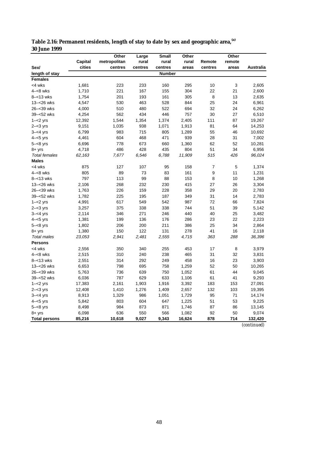|                      |         | Other        | Large   | <b>Small</b> | Other  |         | Other  |                  |
|----------------------|---------|--------------|---------|--------------|--------|---------|--------|------------------|
|                      | Capital | metropolitan | rural   | rural        | rural  | Remote  | remote |                  |
| Sex/                 | cities  | centres      | centres | centres      | areas  | centres | areas  | <b>Australia</b> |
| length of stay       |         |              |         | Number       |        |         |        |                  |
| <b>Females</b>       |         |              |         |              |        |         |        |                  |
| <4 wks               | 1,681   | 223          | 233     | 160          | 295    | 10      | 3      | 2,605            |
| $4 - 8$ wks          | 1,710   | 221          | 167     | 155          | 304    | 22      | 21     | 2,600            |
| $8 - 13$ wks         | 1,754   | 201          | 193     | 161          | 305    | 8       | 13     | 2,635            |
| 13-<26 wks           | 4,547   | 530          | 463     | 528          | 844    | 25      | 24     | 6,961            |
| 26-<39 wks           | 4,000   | 510          | 480     | 522          | 694    | 32      | 24     | 6,262            |
| 39-<52 wks           | 4,254   | 562          | 434     | 446          | 757    | 30      | 27     | 6,510            |
| $1 - 2$ yrs          | 12,392  | 1,544        | 1,354   | 1,374        | 2,405  | 111     | 87     | 19,267           |
| $2 - < 3$ yrs        | 9,151   | 1,035        | 938     | 1,071        | 1,913  | 81      | 64     | 14,253           |
| $3 - < 4$ yrs        | 6,799   | 983          | 715     | 805          | 1,289  | 55      | 46     | 10,692           |
| $4 - 5$ yrs          | 4,461   | 604          | 468     | 471          | 939    | 28      | 31     | 7,002            |
| $5 - < 8$ yrs        | 6,696   | 778          | 673     | 660          | 1,360  | 62      | 52     | 10,281           |
| $8 + yrs$            | 4,718   | 486          | 428     | 435          | 804    | 51      | 34     | 6,956            |
| <b>Total females</b> | 62,163  | 7,677        | 6,546   | 6,788        | 11,909 | 515     | 426    | 96,024           |
| <b>Males</b>         |         |              |         |              |        |         |        |                  |
| <4 wks               | 875     | 127          | 107     | 95           | 158    | 7       | 5      | 1,374            |
| $4 - 8$ wks          | 805     | 89           | 73      | 83           | 161    | 9       | 11     | 1,231            |
| $8 - 13$ wks         | 797     | 113          | 99      | 88           | 153    | 8       | 10     | 1,268            |
| 13-<26 wks           | 2,106   | 268          | 232     | 230          | 415    | 27      | 26     | 3,304            |
| 26-<39 wks           | 1,763   | 226          | 159     | 228          | 358    | 29      | 20     | 2,783            |
| 39-<52 wks           | 1,782   | 225          | 195     | 187          | 349    | 31      | 14     | 2,783            |
| $1 - 2$ yrs          | 4,991   | 617          | 549     | 542          | 987    | 72      | 66     | 7,824            |
| $2 - 3$ yrs          | 3,257   | 375          | 338     | 338          | 744    | 51      | 39     | 5,142            |
| $3 - 4$ yrs          | 2,114   | 346          | 271     | 246          | 440    | 40      | 25     | 3,482            |
| $4 - 5$ yrs          | 1,381   | 199          | 136     | 176          | 286    | 23      | 22     | 2,223            |
| $5 - < 8$ yrs        | 1,802   | 206          | 200     | 211          | 386    | 25      | 34     | 2,864            |
| $8 + yrs$            | 1,380   | 150          | 122     | 131          | 278    | 41      | 16     | 2,118            |
| <b>Total males</b>   | 23,053  | 2,941        | 2,481   | 2,555        | 4,715  | 363     | 288    | 36,396           |
| <b>Persons</b>       |         |              |         |              |        |         |        |                  |
| <4 wks               | 2,556   | 350          | 340     | 255          | 453    | 17      | 8      | 3,979            |
| $4 - 8$ wks          | 2,515   | 310          | 240     | 238          | 465    | 31      | 32     | 3,831            |
| $8 - 13$ wks         | 2,551   | 314          | 292     | 249          | 458    | 16      | 23     | 3,903            |
| 13-<26 wks           | 6,653   | 798          | 695     | 758          | 1,259  | 52      | 50     | 10,265           |
| 26-<39 wks           | 5,763   | 736          | 639     | 750          | 1,052  | 61      | 44     | 9,045            |
| 39-<52 wks           | 6,036   | 787          | 629     | 633          | 1,106  | 61      | 41     | 9,293            |
| $1 - 2$ yrs          | 17,383  | 2,161        | 1,903   | 1,916        | 3,392  | 183     | 153    | 27,091           |
| $2 - 3$ yrs          | 12,408  | 1,410        | 1,276   | 1,409        | 2,657  | 132     | 103    | 19,395           |
| $3 - < 4$ yrs        | 8,913   | 1,329        | 986     | 1,051        | 1,729  | 95      | 71     | 14,174           |
| $4 - 5$ yrs          | 5,842   | 803          | 604     | 647          | 1,225  | 51      | 53     | 9,225            |
| $5 - < 8$ yrs        | 8,498   | 984          | 873     | 871          | 1,746  | 87      | 86     | 13,145           |
| $8 + yrs$            | 6,098   | 636          | 550     | 566          | 1,082  | 92      | 50     | 9,074            |
| <b>Total persons</b> | 85,216  | 10,618       | 9,027   | 9,343        | 16,624 | 878     | 714    | 132,420          |

| Table 2.16: Permanent residents, length of stay to date by sex and geographic area, (a) |  |
|-----------------------------------------------------------------------------------------|--|
| <b>30 June 1999</b>                                                                     |  |

*(continued)*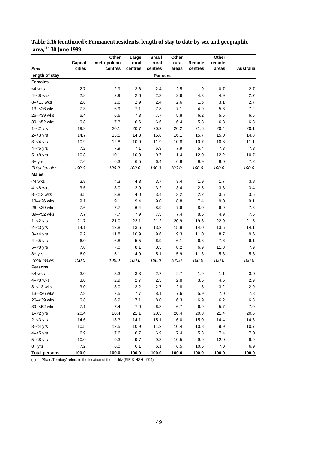|                      |         | Other        | Large   | <b>Small</b> | Other |         | Other  |           |
|----------------------|---------|--------------|---------|--------------|-------|---------|--------|-----------|
|                      | Capital | metropolitan | rural   | rural        | rural | Remote  | remote |           |
| Sex/                 | cities  | centres      | centres | centres      | areas | centres | areas  | Australia |
| length of stay       |         |              |         | Per cent     |       |         |        |           |
| <b>Females</b>       |         |              |         |              |       |         |        |           |
| <4 wks               | 2.7     | 2.9          | 3.6     | 2.4          | 2.5   | 1.9     | 0.7    | 2.7       |
| $4 - 8$ wks          | 2.8     | 2.9          | 2.6     | 2.3          | 2.6   | 4.3     | 4.9    | 2.7       |
| $8 - 13$ wks         | 2.8     | 2.6          | 2.9     | 2.4          | 2.6   | 1.6     | 3.1    | 2.7       |
| 13-<26 wks           | 7.3     | 6.9          | 7.1     | 7.8          | 7.1   | 4.9     | 5.6    | 7.2       |
| 26-<39 wks           | 6.4     | 6.6          | 7.3     | 7.7          | 5.8   | 6.2     | 5.6    | 6.5       |
| 39-<52 wks           | 6.8     | 7.3          | 6.6     | 6.6          | 6.4   | 5.8     | 6.3    | 6.8       |
| $1 - 2$ yrs          | 19.9    | 20.1         | 20.7    | 20.2         | 20.2  | 21.6    | 20.4   | 20.1      |
| $2 - 3$ yrs          | 14.7    | 13.5         | 14.3    | 15.8         | 16.1  | 15.7    | 15.0   | 14.8      |
| $3 - 4$ yrs          | 10.9    | 12.8         | 10.9    | 11.9         | 10.8  | 10.7    | 10.8   | 11.1      |
| $4 - 5$ yrs          | 7.2     | 7.9          | 7.1     | 6.9          | 7.9   | 5.4     | 7.3    | 7.3       |
| $5 - < 8$ yrs        | 10.8    | 10.1         | 10.3    | 9.7          | 11.4  | 12.0    | 12.2   | 10.7      |
| $8 + yrs$            | 7.6     | 6.3          | 6.5     | 6.4          | 6.8   | 9.9     | 8.0    | 7.2       |
| <b>Total females</b> | 100.0   | 100.0        | 100.0   | 100.0        | 100.0 | 100.0   | 100.0  | 100.0     |
| <b>Males</b>         |         |              |         |              |       |         |        |           |
| <4 wks               | 3.8     | 4.3          | 4.3     | 3.7          | 3.4   | 1.9     | 1.7    | 3.8       |
| $4 - 8$ wks          | 3.5     | 3.0          | 2.9     | 3.2          | 3.4   | 2.5     | 3.8    | 3.4       |
| $8 - 13$ wks         | 3.5     | 3.8          | 4.0     | 3.4          | 3.2   | 2.2     | 3.5    | 3.5       |
| 13-<26 wks           | 9.1     | 9.1          | 9.4     | 9.0          | 8.8   | 7.4     | 9.0    | 9.1       |
| 26-<39 wks           | 7.6     | 7.7          | 6.4     | 8.9          | 7.6   | 8.0     | 6.9    | 7.6       |
| 39-<52 wks           | 7.7     | 7.7          | 7.9     | 7.3          | 7.4   | 8.5     | 4.9    | 7.6       |
| $1 - 2$ yrs          | 21.7    | 21.0         | 22.1    | 21.2         | 20.9  | 19.8    | 22.9   | 21.5      |
| $2 - 3$ yrs          | 14.1    | 12.8         | 13.6    | 13.2         | 15.8  | 14.0    | 13.5   | 14.1      |
| $3 - 4$ yrs          | 9.2     | 11.8         | 10.9    | 9.6          | 9.3   | 11.0    | 8.7    | 9.6       |
| $4 - 5$ yrs          | 6.0     | 6.8          | 5.5     | 6.9          | 6.1   | 6.3     | 7.6    | 6.1       |
| $5 - < 8$ yrs        | 7.8     | 7.0          | 8.1     | 8.3          | 8.2   | 6.9     | 11.8   | 7.9       |
| $8 + yrs$            | 6.0     | 5.1          | 4.9     | 5.1          | 5.9   | 11.3    | 5.6    | 5.8       |
| Total males          | 100.0   | 100.0        | 100.0   | 100.0        | 100.0 | 100.0   | 100.0  | 100.0     |
| <b>Persons</b>       |         |              |         |              |       |         |        |           |
| <4 wks               | 3.0     | 3.3          | 3.8     | 2.7          | 2.7   | 1.9     | 1.1    | 3.0       |
| $4 - 8$ wks          | 3.0     | 2.9          | 2.7     | 2.5          | 2.8   | 3.5     | 4.5    | 2.9       |
| $8 - 13$ wks         | 3.0     | 3.0          | 3.2     | 2.7          | 2.8   | 1.8     | 3.2    | 2.9       |
| 13-<26 wks           | 7.8     | 7.5          | 7.7     | 8.1          | 7.6   | 5.9     | 7.0    | $7.8\,$   |
| 26–<39 wks           | 6.8     | 6.9          | 7.1     | 8.0          | 6.3   | 6.9     | 6.2    | 6.8       |
| 39-<52 wks           | 7.1     | 7.4          | $7.0\,$ | 6.8          | 6.7   | 6.9     | 5.7    | 7.0       |
| $1 - 2$ yrs          | 20.4    | 20.4         | 21.1    | 20.5         | 20.4  | 20.8    | 21.4   | 20.5      |
| $2 - 3$ yrs          | 14.6    | 13.3         | 14.1    | 15.1         | 16.0  | 15.0    | 14.4   | 14.6      |
| $3 - 4$ yrs          | 10.5    | 12.5         | 10.9    | 11.2         | 10.4  | 10.8    | 9.9    | 10.7      |
| $4 - 5$ yrs          | 6.9     | 7.6          | 6.7     | 6.9          | 7.4   | 5.8     | 7.4    | 7.0       |
| $5 - < 8$ yrs        | 10.0    | 9.3          | 9.7     | 9.3          | 10.5  | 9.9     | 12.0   | 9.9       |
| $8 + yrs$            | 7.2     | 6.0          | 6.1     | 6.1          | 6.5   | 10.5    | 7.0    | 6.9       |
| <b>Total persons</b> | 100.0   | 100.0        | 100.0   | 100.0        | 100.0 | 100.0   | 100.0  | 100.0     |

**Table 2.16 (continued): Permanent residents, length of stay to date by sex and geographic area,(a) 30 June 1999**

(a) 'State/Territory' refers to the location of the facility (PIE & HSH 1994).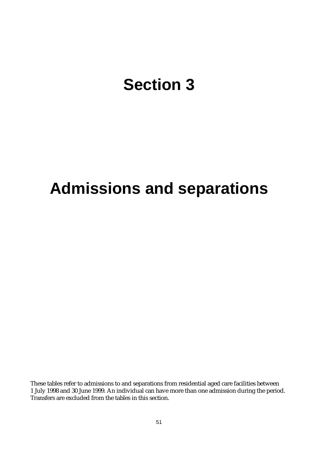## **Section 3**

## **Admissions and separations**

These tables refer to admissions to and separations from residential aged care facilities between 1 July 1998 and 30 June 1999. An individual can have more than one admission during the period. Transfers are excluded from the tables in this section.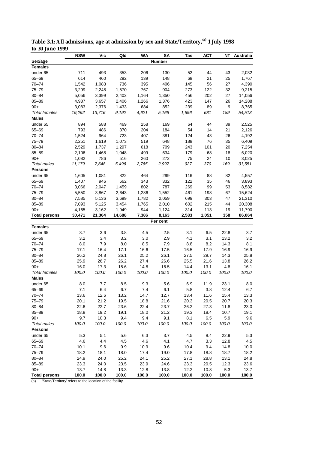|                      | <b>NSW</b> | Vic    | Qld    | <b>WA</b> | SΑ                | Tas   | ACT   | ΝT    | Australia   |
|----------------------|------------|--------|--------|-----------|-------------------|-------|-------|-------|-------------|
| Sex/age              |            |        |        |           | <b>Number</b>     |       |       |       |             |
| <b>Females</b>       |            |        |        |           |                   |       |       |       |             |
| under 65             | 711        | 493    | 353    | 206       | 130               | 52    | 44    | 43    | 2,032       |
| $65 - 69$            | 614        | 460    | 292    | 139       | 148               | 68    | 21    | 25    | 1,767       |
| $70 - 74$            | 1,542      | 1,083  | 736    | 395       | 406               | 145   | 56    | 27    | 4,390       |
| $75 - 79$            | 3,299      | 2,248  | 1,570  | 767       | 904               | 273   | 122   | 32    | 9,215       |
| $80 - 84$            | 5,056      | 3,399  | 2,402  | 1,164     | 1,350             | 456   | 202   | 27    | 14,056      |
| 85-89                | 4,987      | 3,657  | 2,406  | 1,266     | 1,376             | 423   | 147   | 26    | 14,288      |
| $90+$                | 3,083      | 2,376  | 1,433  | 684       | 852               | 239   | 89    | 9     | 8,765       |
| <b>Total females</b> | 19,292     | 13,716 | 9,192  | 4,621     | 5,166             | 1,656 | 681   | 189   | 54,513      |
| <b>Males</b>         |            |        |        |           |                   |       |       |       |             |
| under 65             | 894        | 588    | 469    | 258       | 169               | 64    | 44    | 39    | 2,525       |
| $65 - 69$            | 793        | 486    | 370    | 204       | 184               | 54    | 14    | 21    | 2,126       |
| $70 - 74$            | 1,524      | 964    | 723    | 407       | 381               | 124   | 43    | 26    | 4,192       |
| $75 - 79$            | 2,251      | 1,619  | 1,073  | 519       | 648               | 188   | 76    | 35    | 6,409       |
| $80 - 84$            | 2,529      | 1,737  | 1,297  | 618       | 709               | 243   | 101   | 20    | 7,254       |
| $85 - 89$            | 2,106      | 1,468  | 1,048  | 499       | 634               | 179   | 68    | 18    | 6,020       |
| $90+$                | 1,082      | 786    | 516    | 260       | 272               | 75    | 24    | 10    | 3,025       |
| <b>Total males</b>   | 11,179     | 7,648  | 5,496  | 2,765     | 2,997             | 927   | 370   | 169   | 31,551      |
| <b>Persons</b>       |            |        |        |           |                   |       |       |       |             |
| under 65             | 1,605      | 1,081  | 822    | 464       | 299               | 116   | 88    | 82    | 4,557       |
| $65 - 69$            | 1,407      | 946    | 662    | 343       | 332               | 122   | 35    | 46    | 3,893       |
| $70 - 74$            | 3,066      | 2,047  | 1,459  | 802       | 787               | 269   | 99    | 53    | 8,582       |
| $75 - 79$            | 5,550      | 3,867  | 2,643  | 1,286     | 1,552             | 461   | 198   | 67    | 15,624      |
| $80 - 84$            | 7,585      | 5,136  | 3,699  | 1,782     | 2,059             | 699   | 303   | 47    | 21,310      |
| $85 - 89$            | 7,093      | 5,125  | 3,454  | 1,765     | 2,010             | 602   | 215   | 44    | 20,308      |
| $90+$                |            |        |        | 944       | 1,124             | 314   | 113   | 19    |             |
|                      | 4,165      | 3,162  | 1,949  |           |                   | 2,583 | 1,051 | 358   | 11,790      |
| <b>Total persons</b> | 30,471     | 21,364 | 14,688 | 7,386     | 8,163<br>Per cent |       |       |       | 86,064      |
| <b>Females</b>       |            |        |        |           |                   |       |       |       |             |
| under 65             | 3.7        | 3.6    | 3.8    | 4.5       | 2.5               | 3.1   | 6.5   | 22.8  | 3.7         |
| 65-69                | 3.2        | 3.4    | 3.2    | 3.0       | 2.9               | 4.1   | 3.1   | 13.2  | 3.2         |
| $70 - 74$            | 8.0        | 7.9    | 8.0    | 8.5       | 7.9               | 8.8   | 8.2   | 14.3  | 8.1         |
| $75 - 79$            | 17.1       | 16.4   | 17.1   | 16.6      | 17.5              | 16.5  | 17.9  | 16.9  | 16.9        |
| $80 - 84$            | 26.2       | 24.8   | 26.1   | 25.2      | 26.1              | 27.5  | 29.7  | 14.3  | 25.8        |
| $85 - 89$            | 25.9       | 26.7   | 26.2   | 27.4      | 26.6              | 25.5  | 21.6  | 13.8  | 26.2        |
| $90+$                | 16.0       | 17.3   | 15.6   | 14.8      | 16.5              | 14.4  | 13.1  | 4.8   | 16.1        |
| <b>Total females</b> | 100.0      | 100.0  | 100.0  | 100.0     | 100.0             | 100.0 | 100.0 | 100.0 | 100.0       |
| <b>Males</b>         |            |        |        |           |                   |       |       |       |             |
| under 65             | 8.0        | 7.7    | 8.5    | 9.3       | 5.6               | 6.9   | 11.9  | 23.1  | 8.0         |
|                      |            |        |        |           |                   |       |       |       |             |
| 65-69<br>$70 - 74$   | 7.1        | 6.4    | 6.7    | 7.4       | 6.1               | 5.8   | 3.8   | 12.4  | 6.7<br>13.3 |
| $75 - 79$            | 13.6       | 12.6   | 13.2   | 14.7      | 12.7              | 13.4  | 11.6  | 15.4  |             |
| $80 - 84$            | 20.1       | 21.2   | 19.5   | 18.8      | 21.6              | 20.3  | 20.5  | 20.7  | 20.3        |
|                      | 22.6       | 22.7   | 23.6   | 22.4      | 23.7              | 26.2  | 27.3  | 11.8  | 23.0        |
| $85 - 89$            | 18.8       | 19.2   | 19.1   | 18.0      | 21.2              | 19.3  | 18.4  | 10.7  | 19.1        |
| $90+$                | 9.7        | 10.3   | 9.4    | 9.4       | 9.1               | 8.1   | 6.5   | 5.9   | 9.6         |
| <b>Total males</b>   | 100.0      | 100.0  | 100.0  | 100.0     | 100.0             | 100.0 | 100.0 | 100.0 | 100.0       |
| <b>Persons</b>       |            |        |        |           |                   |       |       |       |             |
| under 65             | 5.3        | 5.1    | 5.6    | 6.3       | 3.7               | 4.5   | 8.4   | 22.9  | 5.3         |
| $65 - 69$            | 4.6        | 4.4    | 4.5    | 4.6       | 4.1               | 4.7   | 3.3   | 12.8  | 4.5         |
| $70 - 74$            | 10.1       | 9.6    | 9.9    | 10.9      | 9.6               | 10.4  | 9.4   | 14.8  | 10.0        |
| $75 - 79$            | 18.2       | 18.1   | 18.0   | 17.4      | 19.0              | 17.8  | 18.8  | 18.7  | 18.2        |
| $80 - 84$            | 24.9       | 24.0   | 25.2   | 24.1      | 25.2              | 27.1  | 28.8  | 13.1  | 24.8        |
| $85 - 89$            | 23.3       | 24.0   | 23.5   | 23.9      | 24.6              | 23.3  | 20.5  | 12.3  | 23.6        |
| $90+$                | 13.7       | 14.8   | 13.3   | 12.8      | 13.8              | 12.2  | 10.8  | 5.3   | 13.7        |
| <b>Total persons</b> | 100.0      | 100.0  | 100.0  | 100.0     | 100.0             | 100.0 | 100.0 | 100.0 | 100.0       |

| Table 3.1: All admissions, age at admission by sex and State/Territory, <sup>(a)</sup> 1 July 1998 |  |
|----------------------------------------------------------------------------------------------------|--|
| to 30 June 1999                                                                                    |  |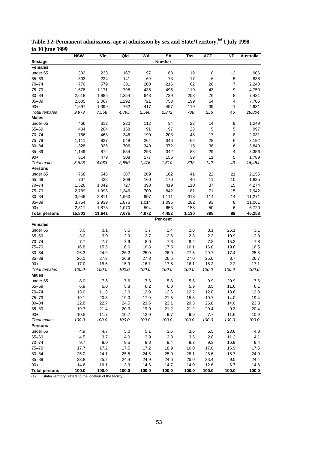|                        | <b>NSW</b>   | Vic           | Qld           | <b>WA</b>     | SA            | Tas           | АСТ           | NΤ           | Australia     |
|------------------------|--------------|---------------|---------------|---------------|---------------|---------------|---------------|--------------|---------------|
| Sex/age                |              |               |               |               | <b>Number</b> |               |               |              |               |
| <b>Females</b>         |              |               |               |               |               |               |               |              |               |
| under 65               | 302          | 233           | 167           | 97            | 68            | 19            | 8             | 12           | 906           |
| 65-69                  | 303          | 224           | 141           | 69            | 73            | 17            | 6             | 5            | 838           |
| $70 - 74$              | 770          | 579           | 381           | 208           | 216           | 62            | 20            | 7            | 2,243         |
| $75 - 79$              | 1,678        | 1,171         | 798           | 436           | 496           | 119           | 43            | 9            | 4,750         |
| $80 - 84$              | 2,618        | 1,885         | 1,254         | 648           | 739           | 203           | 76            | 8            | 7,431         |
| $85 - 89$              | 2,605        | 2,067         | 1,292         | 721           | 753           | 199           | 64            | 4            | 7,705         |
| $90+$                  | 1,697        | 1,399         | 762           | 417           | 497           | 119           | 39            | 1            | 4,931         |
| <b>Total females</b>   | 9,973        | 7,558         | 4,795         | 2,596         | 2,842         | 738           | 256           | 46           | 28,804        |
| <b>Males</b>           |              |               |               |               |               |               |               |              |               |
| under 65               | 466          | 312           | 220           | 112           | 94            | 22            | 14            | 9            | 1,249         |
| $65 - 69$              | 404          | 204           | 168           | 91            | 97            | 23            | $\mathbf 5$   | 5            | 997           |
| $70 - 74$              | 756          | 463           | 346           | 190           | 203           | 48            | 17            | 8            | 2,031         |
| $75 - 79$              | 1,111        | 827           | 548           | 264           | 346           | 62            | 28            | 6            | 3,192         |
| $80 - 84$              | 1,328        | 926           | 706           | 349           | 372           | 115           | 38            | 6            | 3,840         |
| $85 - 89$              | 1,149        | 872           | 584           | 293           | 342           | 83            | 29            | 4            | 3,356         |
| $90+$                  | 614          | 479           | 308           | 177           | 156           | 39            | 11            | 5            | 1,789         |
| Total males            | 5,828        | 4,083         | 2,880         | 1,476         | 1,610         | 392           | 142           | 43           | 16,454        |
| <b>Persons</b>         |              |               |               |               |               |               |               |              |               |
| under 65               | 768          | 545           | 387           | 209           | 162           | 41            | 22            | 21           | 2,155         |
| $65 - 69$              | 707          | 428           | 309           | 160           | 170           | 40            | 11            | 10           | 1,835         |
| $70 - 74$              | 1,526        | 1,042         | 727           | 398           | 419           | 110           | 37            | 15           | 4,274         |
| $75 - 79$              | 2,789        | 1,998         | 1,346         | 700           | 842           | 181           | 71            | 15           | 7,942         |
| $80 - 84$              | 3,946        | 2,811         | 1,960         | 997           | 1,111         | 318           | 114           | 14           | 11,271        |
| $85 - 89$              | 3,754        | 2,939         | 1,876         | 1,014         | 1,095         | 282           | 93            | 8            | 11,061        |
| $90+$                  | 2,311        | 1,878         | 1,070         | 594           | 653           | 158           | 50            | 6            | 6,720         |
| <b>Total persons</b>   | 15,801       | 11,641        | 7,675         | 4,072         | 4,452         | 1,130         | 398           | 89           | 45,258        |
|                        |              |               |               |               | Per cent      |               |               |              |               |
| <b>Females</b>         |              |               |               |               |               |               |               |              |               |
| under 65               | 3.0          | 3.1           | 3.5           | 3.7           | 2.4           | 2.6           | 3.1           | 26.1         | 3.1           |
| $65 - 69$              | 3.0          | 3.0           | 2.9           | 2.7           | 2.6           | 2.3           | 2.3           | 10.9         | 2.9           |
| $70 - 74$              | 7.7          | 7.7           | 7.9           | 8.0           | 7.6           | 8.4           | 7.8           | 15.2         | 7.8           |
| $75 - 79$              | 16.8         | 15.5          | 16.6          | 16.8          | 17.5          | 16.1          | 16.8          | 19.6         | 16.5          |
| $80 - 84$              | 26.3         | 24.9          | 26.2          | 25.0          | 26.0          | 27.5          | 29.7          | 17.4         | 25.8          |
| $85 - 89$              | 26.1         | 27.3          | 26.9          | 27.8          | 26.5          | 27.0          | 25.0          | 8.7          | 26.7          |
| $90+$                  | 17.0         | 18.5          | 15.9          | 16.1          | 17.5          | 16.1          | 15.2          | 2.2          | 17.1          |
| <b>Total females</b>   | 100.0        | 100.0         | 100.0         | 100.0         | 100.0         | 100.0         | 100.0         | 100.0        | 100.0         |
| <b>Males</b>           |              |               |               |               |               |               |               |              |               |
| under 65               | 8.0          | 7.6           | 7.6           | 7.6           | 5.8           | 5.6           | 9.9           | 20.9         | 7.6           |
| 65-69                  | 6.9          | 5.0           | 5.8           | 6.2           | 6.0           | 5.9           | 3.5           | 11.6         | 6.1           |
| $70 - 74$              | 13.0         | 11.3          | 12.0          | 12.9          | 12.6          | 12.2          | 12.0          | 18.6         | 12.3          |
| 75-79                  | 19.1         | 20.3          | 19.0          | 17.9          | 21.5          | 15.8          | 19.7          | 14.0         | 19.4          |
| $80 - 84$              | 22.8         | 22.7          | 24.5          | 23.6          | 23.1          | 29.3          | 26.8          | 14.0         | 23.3          |
| $85 - 89$              | 19.7         | 21.4          | 20.3          | 19.9          | 21.2          | 21.2          | 20.4          | 9.3          | 20.4          |
| $90+$                  | 10.5         | 11.7          | 10.7          | 12.0          | 9.7           | 9.9           | 7.7           | 11.6         | 10.9          |
| Total males            | 100.0        | 100.0         | 100.0         | 100.0         | 100.0         | 100.0         | 100.0         | 100.0        | 100.0         |
| <b>Persons</b>         |              |               |               |               |               |               |               |              |               |
| under 65               | 4.9          | 4.7           | 5.0           | 5.1           | 3.6           | 3.6           | 5.5           | 23.6         | 4.8           |
| 65-69                  | 4.5          | 3.7           | 4.0           | 3.9           | 3.8           | 3.5           | 2.8           | 11.2         | 4.1           |
| $70 - 74$<br>$75 - 79$ | 9.7          | 9.0           | 9.5           | 9.8           | 9.4           | 9.7           | 9.3           | 16.9         | 9.4           |
|                        | 17.7         | 17.2          | 17.5          | 17.2          | 18.9          | 16.0          | 17.8          | 16.9         | 17.5          |
| $80 - 84$              | 25.0         | 24.1          | 25.5          | 24.5          | 25.0          | 28.1          | 28.6          | 15.7         | 24.9          |
| $85 - 89$<br>$90+$     | 23.8<br>14.6 | 25.2          | 24.4          | 24.9          | 24.6          | 25.0          | 23.4          | 9.0          | 24.4          |
| <b>Total persons</b>   | 100.0        | 16.1<br>100.0 | 13.9<br>100.0 | 14.6<br>100.0 | 14.7<br>100.0 | 14.0<br>100.0 | 12.6<br>100.0 | 6.7<br>100.0 | 14.8<br>100.0 |
|                        |              |               |               |               |               |               |               |              |               |

**Table 3.2: Permanent admissions, age at admission by sex and State/Territory,(a) 1 July 1998 to 30 June 1999**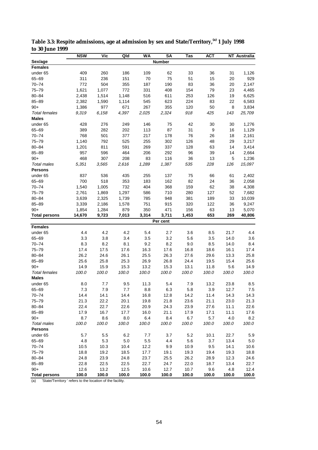|                      | <b>NSW</b> | <b>Vic</b> | Qld   | <b>WA</b> | <b>SA</b>     | Tas   | <b>ACT</b> |       | <b>NT</b> Australia |
|----------------------|------------|------------|-------|-----------|---------------|-------|------------|-------|---------------------|
| Sex/age              |            |            |       |           | <b>Number</b> |       |            |       |                     |
| <b>Females</b>       |            |            |       |           |               |       |            |       |                     |
| under 65             | 409        | 260        | 186   | 109       | 62            | 33    | 36         | 31    | 1,126               |
| $65 - 69$            | 311        | 236        | 151   | 70        | 75            | 51    | 15         | 20    | 929                 |
| $70 - 74$            | 772        | 504        | 355   | 187       | 190           | 83    | 36         | 20    | 2,147               |
| $75 - 79$            | 1,621      | 1,077      | 772   | 331       | 408           | 154   | 79         | 23    | 4,465               |
| $80 - 84$            | 2,438      | 1,514      | 1,148 | 516       | 611           | 253   | 126        | 19    | 6,625               |
| $85 - 89$            | 2,382      | 1,590      | 1,114 | 545       | 623           | 224   | 83         | 22    | 6,583               |
| $90+$                | 1,386      | 977        | 671   | 267       | 355           | 120   | 50         | 8     | 3,834               |
| <b>Total females</b> | 9,319      | 6,158      | 4,397 | 2,025     | 2,324         | 918   | 425        | 143   | 25,709              |
| <b>Males</b>         |            |            |       |           |               |       |            |       |                     |
| under 65             | 428        | 276        | 249   | 146       | 75            | 42    | 30         | 30    | 1,276               |
| $65 - 69$            | 389        | 282        | 202   | 113       | 87            | 31    | 9          | 16    | 1,129               |
| $70 - 74$            | 768        | 501        | 377   | 217       | 178           | 76    | 26         | 18    | 2,161               |
| $75 - 79$            | 1,140      | 792        | 525   | 255       | 302           | 126   | 48         | 29    | 3,217               |
| $80 - 84$            | 1,201      | 811        | 591   | 269       | 337           | 128   | 63         | 14    | 3,414               |
| $85 - 89$            | 957        | 596        | 464   | 206       | 292           | 96    | 39         | 14    | 2,664               |
| $90+$                | 468        | 307        | 208   | 83        | 116           | 36    | 13         | 5     | 1,236               |
| <b>Total males</b>   | 5,351      | 3,565      | 2,616 | 1,289     | 1,387         | 535   | 228        | 126   | 15,097              |
| <b>Persons</b>       |            |            |       |           |               |       |            |       |                     |
|                      |            |            |       |           |               |       |            |       |                     |
| under 65             | 837        | 536        | 435   | 255       | 137           | 75    | 66         | 61    | 2,402               |
| $65 - 69$            | 700        | 518        | 353   | 183       | 162           | 82    | 24         | 36    | 2,058               |
| $70 - 74$            | 1,540      | 1,005      | 732   | 404       | 368           | 159   | 62         | 38    | 4,308               |
| $75 - 79$            | 2,761      | 1,869      | 1,297 | 586       | 710           | 280   | 127        | 52    | 7,682               |
| $80 - 84$            | 3,639      | 2,325      | 1,739 | 785       | 948           | 381   | 189        | 33    | 10,039              |
| $85 - 89$            | 3,339      | 2,186      | 1,578 | 751       | 915           | 320   | 122        | 36    | 9,247               |
| $90+$                | 1,854      | 1,284      | 879   | 350       | 471           | 156   | 63         | 13    | 5,070               |
| <b>Total persons</b> | 14,670     | 9,723      | 7,013 | 3,314     | 3,711         | 1,453 | 653        | 269   | 40,806              |
|                      |            |            |       |           | Per cent      |       |            |       |                     |
| <b>Females</b>       |            |            |       |           |               |       |            |       |                     |
| under 65             | 4.4        | 4.2        | 4.2   | 5.4       | 2.7           | 3.6   | 8.5        | 21.7  | 4.4                 |
| $65 - 69$            | 3.3        | 3.8        | 3.4   | 3.5       | 3.2           | 5.6   | 3.5        | 14.0  | 3.6                 |
| $70 - 74$            | 8.3        | 8.2        | 8.1   | 9.2       | 8.2           | 9.0   | 8.5        | 14.0  | 8.4                 |
| $75 - 79$            | 17.4       | 17.5       | 17.6  | 16.3      | 17.6          | 16.8  | 18.6       | 16.1  | 17.4                |
| $80 - 84$            | 26.2       | 24.6       | 26.1  | 25.5      | 26.3          | 27.6  | 29.6       | 13.3  | 25.8                |
| $85 - 89$            | 25.6       | 25.8       | 25.3  | 26.9      | 26.8          | 24.4  | 19.5       | 15.4  | 25.6                |
| $90+$                | 14.9       | 15.9       | 15.3  | 13.2      | 15.3          | 13.1  | 11.8       | 5.6   | 14.9                |
| <b>Total females</b> | 100.0      | 100.0      | 100.0 | 100.0     | 100.0         | 100.0 | 100.0      | 100.0 | 100.0               |
| <b>Males</b>         |            |            |       |           |               |       |            |       |                     |
| under 65             | 8.0        | 7.7        | 9.5   | 11.3      | 5.4           | 7.9   | 13.2       | 23.8  | 8.5                 |
| $65 - 69$            | 7.3        | 7.9        | 7.7   | 8.8       | 6.3           | 5.8   | 3.9        | 12.7  | 7.5                 |
| $70 - 74$            | 14.4       | 14.1       | 14.4  | 16.8      | 12.8          | 14.2  | 11.4       | 14.3  | 14.3                |
| $75 - 79$            | 21.3       | 22.2       | 20.1  | 19.8      | 21.8          | 23.6  | 21.1       | 23.0  | 21.3                |
| $80 - 84$            | 22.4       | 22.7       | 22.6  | 20.9      | 24.3          | 23.9  | 27.6       | 11.1  | 22.6                |
| $85 - 89$            | 17.9       | 16.7       | 17.7  | 16.0      | 21.1          | 17.9  | 17.1       | 11.1  | 17.6                |
| $90+$                | 8.7        | 8.6        | 8.0   | 6.4       | 8.4           | 6.7   | 5.7        | 4.0   | 8.2                 |
| Total males          | 100.0      | 100.0      | 100.0 | 100.0     | 100.0         | 100.0 | 100.0      | 100.0 | 100.0               |
| <b>Persons</b>       |            |            |       |           |               |       |            |       |                     |
| under 65             | 5.7        | 5.5        | 6.2   | 7.7       | 3.7           | 5.2   | 10.1       | 22.7  | 5.9                 |
| 65-69                | 4.8        | 5.3        | 5.0   | 5.5       | 4.4           | 5.6   | 3.7        | 13.4  | 5.0                 |
| $70 - 74$            | 10.5       | 10.3       | 10.4  | 12.2      | 9.9           | 10.9  | 9.5        | 14.1  | 10.6                |
| $75 - 79$            | 18.8       | 19.2       | 18.5  | 17.7      | 19.1          | 19.3  | 19.4       | 19.3  | 18.8                |
| 80-84                | 24.8       | 23.9       | 24.8  | 23.7      | 25.5          | 26.2  | 28.9       | 12.3  | 24.6                |
| $85 - 89$            | 22.8       | 22.5       | 22.5  | 22.7      | 24.7          | 22.0  | 18.7       | 13.4  | 22.7                |
| $90+$                | 12.6       | 13.2       | 12.5  | 10.6      | 12.7          | 10.7  | 9.6        | 4.8   | 12.4                |
| <b>Total persons</b> | 100.0      | 100.0      | 100.0 | 100.0     | 100.0         | 100.0 | 100.0      | 100.0 | 100.0               |
|                      |            |            |       |           |               |       |            |       |                     |

**Table 3.3: Respite admissions, age at admission by sex and State/Territory,(a) 1 July 1998 to 30 June 1999**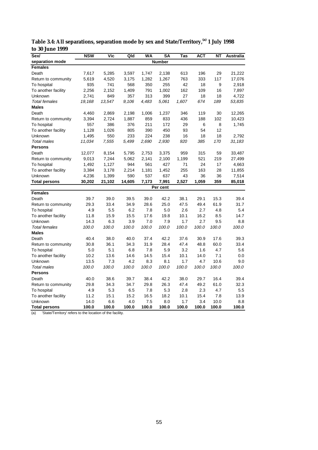| Sex/                 | <b>NSW</b> | Vic    | Qld    | <b>WA</b> | <b>SA</b>     | Tas   | <b>ACT</b> | <b>NT</b> | Australia |
|----------------------|------------|--------|--------|-----------|---------------|-------|------------|-----------|-----------|
| separation mode      |            |        |        |           | <b>Number</b> |       |            |           |           |
| <b>Females</b>       |            |        |        |           |               |       |            |           |           |
| Death                | 7,617      | 5,285  | 3,597  | 1,747     | 2,138         | 613   | 196        | 29        | 21,222    |
| Return to community  | 5,619      | 4,520  | 3,175  | 1,282     | 1,267         | 763   | 333        | 117       | 17,076    |
| To hospital          | 935        | 741    | 568    | 350       | 255           | 42    | 18         | 9         | 2,918     |
| To another facility  | 2,256      | 2,152  | 1,409  | 791       | 1,002         | 162   | 109        | 16        | 7,897     |
| Unknown              | 2,741      | 849    | 357    | 313       | 399           | 27    | 18         | 18        | 4,722     |
| <b>Total females</b> | 19,168     | 13.547 | 9,106  | 4,483     | 5,061         | 1,607 | 674        | 189       | 53,835    |
| <b>Males</b>         |            |        |        |           |               |       |            |           |           |
| Death                | 4,460      | 2,869  | 2,198  | 1,006     | 1,237         | 346   | 119        | 30        | 12,265    |
| Return to community  | 3,394      | 2,724  | 1,887  | 859       | 833           | 436   | 188        | 102       | 10,423    |
| To hospital          | 557        | 386    | 376    | 211       | 172           | 29    | 6          | 8         | 1,745     |
| To another facility  | 1,128      | 1,026  | 805    | 390       | 450           | 93    | 54         | 12        |           |
| Unknown              | 1,495      | 550    | 233    | 224       | 238           | 16    | 18         | 18        | 2,792     |
| <b>Total males</b>   | 11,034     | 7,555  | 5,499  | 2,690     | 2,930         | 920   | 385        | 170       | 31,183    |
| <b>Persons</b>       |            |        |        |           |               |       |            |           |           |
| Death                | 12,077     | 8,154  | 5,795  | 2,753     | 3,375         | 959   | 315        | 59        | 33,487    |
| Return to community  | 9,013      | 7,244  | 5,062  | 2,141     | 2,100         | 1,199 | 521        | 219       | 27,499    |
| To hospital          | 1,492      | 1,127  | 944    | 561       | 427           | 71    | 24         | 17        | 4,663     |
| To another facility  | 3,384      | 3,178  | 2,214  | 1,181     | 1,452         | 255   | 163        | 28        | 11,855    |
| Unknown              | 4,236      | 1,399  | 590    | 537       | 637           | 43    | 36         | 36        | 7,514     |
| <b>Total persons</b> | 30,202     | 21,102 | 14,605 | 7,173     | 7,991         | 2,527 | 1,059      | 359       | 85,018    |
|                      |            |        |        |           | Per cent      |       |            |           |           |
| <b>Females</b>       |            |        |        |           |               |       |            |           |           |
| Death                | 39.7       | 39.0   | 39.5   | 39.0      | 42.2          | 38.1  | 29.1       | 15.3      | 39.4      |
| Return to community  | 29.3       | 33.4   | 34.9   | 28.6      | 25.0          | 47.5  | 49.4       | 61.9      | 31.7      |
| To hospital          | 4.9        | 5.5    | 6.2    | 7.8       | 5.0           | 2.6   | 2.7        | 4.8       | 5.4       |
| To another facility  | 11.8       | 15.9   | 15.5   | 17.6      | 19.8          | 10.1  | 16.2       | 8.5       | 14.7      |
| Unknown              | 14.3       | 6.3    | 3.9    | 7.0       | 7.9           | 1.7   | 2.7        | 9.5       | 8.8       |
| <b>Total females</b> | 100.0      | 100.0  | 100.0  | 100.0     | 100.0         | 100.0 | 100.0      | 100.0     | 100.0     |
| <b>Males</b>         |            |        |        |           |               |       |            |           |           |
| Death                | 40.4       | 38.0   | 40.0   | 37.4      | 42.2          | 37.6  | 30.9       | 17.6      | 39.3      |
| Return to community  | 30.8       | 36.1   | 34.3   | 31.9      | 28.4          | 47.4  | 48.8       | 60.0      | 33.4      |
| To hospital          | 5.0        | 5.1    | 6.8    | 7.8       | 5.9           | 3.2   | 1.6        | 4.7       | 5.6       |
| To another facility  | 10.2       | 13.6   | 14.6   | 14.5      | 15.4          | 10.1  | 14.0       | 7.1       | 0.0       |
| Unknown              | 13.5       | 7.3    | 4.2    | 8.3       | 8.1           | 1.7   | 4.7        | 10.6      | 9.0       |
| <b>Total males</b>   | 100.0      | 100.0  | 100.0  | 100.0     | 100.0         | 100.0 | 100.0      | 100.0     | 100.0     |
| <b>Persons</b>       |            |        |        |           |               |       |            |           |           |
| Death                | 40.0       | 38.6   | 39.7   | 38.4      | 42.2          | 38.0  | 29.7       | 16.4      | 39.4      |
| Return to community  | 29.8       | 34.3   | 34.7   | 29.8      | 26.3          | 47.4  | 49.2       | 61.0      | 32.3      |
| To hospital          | 4.9        | 5.3    | 6.5    | 7.8       | 5.3           | 2.8   | 2.3        | 4.7       | 5.5       |
| To another facility  | 11.2       | 15.1   | 15.2   | 16.5      | 18.2          | 10.1  | 15.4       | 7.8       | 13.9      |
| Unknown              | 14.0       | 6.6    | 4.0    | 7.5       | 8.0           | 1.7   | 3.4        | 10.0      | 8.8       |
| <b>Total persons</b> | 100.0      | 100.0  | 100.0  | 100.0     | 100.0         | 100.0 | 100.0      | 100.0     | 100.0     |

**Table 3.4: All separations, separation mode by sex and State/Territory,(a) 1 July 1998 to 30 June 1999**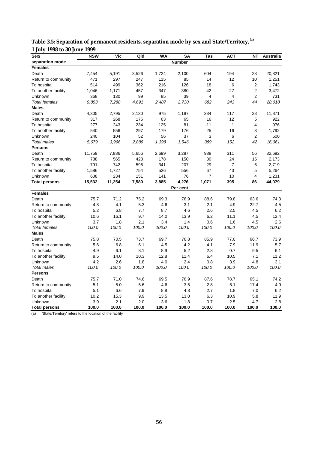| Sex/                 | <b>NSW</b> | <b>Vic</b> | Qld   | WA    | <b>SA</b>     | Tas            | <b>ACT</b>     | <b>NT</b>      | Australia |
|----------------------|------------|------------|-------|-------|---------------|----------------|----------------|----------------|-----------|
| separation mode      |            |            |       |       | <b>Number</b> |                |                |                |           |
| <b>Females</b>       |            |            |       |       |               |                |                |                |           |
| Death                | 7,454      | 5,191      | 3,526 | 1,724 | 2,100         | 604            | 194            | 28             | 20,821    |
| Return to community  | 471        | 297        | 247   | 115   | 85            | 14             | 12             | 10             | 1,251     |
| To hospital          | 514        | 499        | 362   | 216   | 126           | 18             | 6              | $\overline{2}$ | 1,743     |
| To another facility  | 1,046      | 1,171      | 457   | 347   | 380           | 42             | 27             | $\overline{2}$ | 3,472     |
| Unknown              | 368        | 130        | 99    | 85    | 39            | $\overline{4}$ | 4              | 2              | 731       |
| <b>Total females</b> | 9,853      | 7,288      | 4,691 | 2,487 | 2,730         | 682            | 243            | 44             | 28,018    |
| <b>Males</b>         |            |            |       |       |               |                |                |                |           |
| Death                | 4,305      | 2,795      | 2,130 | 975   | 1,187         | 334            | 117            | 28             | 11,871    |
| Return to community  | 317        | 268        | 176   | 63    | 65            | 16             | 12             | 5              | 922       |
| To hospital          | 277        | 243        | 234   | 125   | 81            | 11             | $\mathbf{1}$   | 4              | 976       |
| To another facility  | 540        | 556        | 297   | 179   | 176           | 25             | 16             | 3              | 1,792     |
| Unknown              | 240        | 104        | 52    | 56    | 37            | 3              | 6              | $\overline{2}$ | 500       |
| <b>Total males</b>   | 5,679      | 3,966      | 2,889 | 1,398 | 1,546         | 389            | 152            | 42             | 16,061    |
| <b>Persons</b>       |            |            |       |       |               |                |                |                |           |
| Death                | 11,759     | 7,986      | 5,656 | 2,699 | 3,287         | 938            | 311            | 56             | 32,692    |
| Return to community  | 788        | 565        | 423   | 178   | 150           | 30             | 24             | 15             | 2,173     |
| To hospital          | 791        | 742        | 596   | 341   | 207           | 29             | $\overline{7}$ | 6              | 2,719     |
| To another facility  | 1,586      | 1,727      | 754   | 526   | 556           | 67             | 43             | 5              | 5,264     |
| Unknown              | 608        | 234        | 151   | 141   | 76            | $\overline{7}$ | 10             | 4              | 1,231     |
| <b>Total persons</b> | 15,532     | 11,254     | 7,580 | 3,885 | 4,276         | 1,071          | 395            | 86             | 44,079    |
|                      |            |            |       |       | Per cent      |                |                |                |           |
| <b>Females</b>       |            |            |       |       |               |                |                |                |           |
| Death                | 75.7       | 71.2       | 75.2  | 69.3  | 76.9          | 88.6           | 79.8           | 63.6           | 74.3      |
| Return to community  | 4.8        | 4.1        | 5.3   | 4.6   | 3.1           | 2.1            | 4.9            | 22.7           | 4.5       |
| To hospital          | 5.2        | 6.8        | 7.7   | 8.7   | 4.6           | 2.6            | 2.5            | 4.5            | 6.2       |
| To another facility  | 10.6       | 16.1       | 9.7   | 14.0  | 13.9          | 6.2            | 11.1           | 4.5            | 12.4      |
| Unknown              | 3.7        | 1.8        | 2.1   | 3.4   | 1.4           | 0.6            | 1.6            | 4.5            | 2.6       |
| <b>Total females</b> | 100.0      | 100.0      | 100.0 | 100.0 | 100.0         | 100.0          | 100.0          | 100.0          | 100.0     |
| <b>Males</b>         |            |            |       |       |               |                |                |                |           |
| Death                | 75.8       | 70.5       | 73.7  | 69.7  | 76.8          | 85.9           | 77.0           | 66.7           | 73.9      |
| Return to community  | 5.6        | 6.8        | 6.1   | 4.5   | 4.2           | 4.1            | 7.9            | 11.9           | 5.7       |
| To hospital          | 4.9        | 6.1        | 8.1   | 8.9   | 5.2           | 2.8            | 0.7            | 9.5            | 6.1       |
| To another facility  | 9.5        | 14.0       | 10.3  | 12.8  | 11.4          | 6.4            | 10.5           | 7.1            | 11.2      |
| Unknown              | 4.2        | 2.6        | 1.8   | 4.0   | 2.4           | 0.8            | 3.9            | 4.8            | 3.1       |
| <b>Total males</b>   | 100.0      | 100.0      | 100.0 | 100.0 | 100.0         | 100.0          | 100.0          | 100.0          | 100.0     |
| <b>Persons</b>       |            |            |       |       |               |                |                |                |           |
| Death                | 75.7       | 71.0       | 74.6  | 69.5  | 76.9          | 87.6           | 78.7           | 65.1           | 74.2      |
| Return to community  | 5.1        | 5.0        | 5.6   | 4.6   | 3.5           | 2.8            | 6.1            | 17.4           | 4.9       |
| To hospital          | 5.1        | 6.6        | 7.9   | 8.8   | 4.8           | 2.7            | 1.8            | 7.0            | 6.2       |
| To another facility  | 10.2       | 15.3       | 9.9   | 13.5  | 13.0          | 6.3            | 10.9           | 5.8            | 11.9      |
| Unknown              | 3.9        | 2.1        | 2.0   | 3.6   | 1.8           | 0.7            | 2.5            | 4.7            | 2.8       |
| <b>Total persons</b> | 100.0      | 100.0      | 100.0 | 100.0 | 100.0         | 100.0          | 100.0          | 100.0          | 100.0     |

**Table 3.5: Separation of permanent residents, separation mode by sex and State/Territory,(a) 1 July 1998 to 30 June 1999**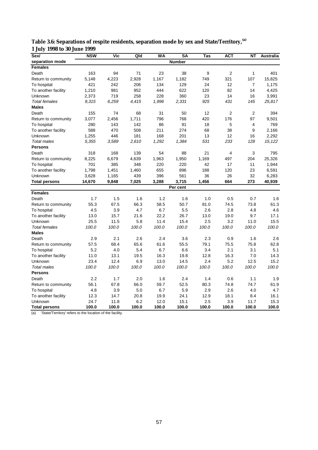| Sex/                 | <b>NSW</b> | Vic   | Qld   | <b>WA</b> | SA            | Tas   | <b>ACT</b>     | <b>NT</b>    | <b>Australia</b> |
|----------------------|------------|-------|-------|-----------|---------------|-------|----------------|--------------|------------------|
| separation mode      |            |       |       |           | <b>Number</b> |       |                |              |                  |
| <b>Females</b>       |            |       |       |           |               |       |                |              |                  |
| Death                | 163        | 94    | 71    | 23        | 38            | 9     | $\overline{2}$ | $\mathbf{1}$ | 401              |
| Return to community  | 5,148      | 4,223 | 2,928 | 1,167     | 1,182         | 749   | 321            | 107          | 15,825           |
| To hospital          | 421        | 242   | 206   | 134       | 129           | 24    | 12             | 7            | 1,175            |
| To another facility  | 1,210      | 981   | 952   | 444       | 622           | 120   | 82             | 14           | 4,425            |
| Unknown              | 2,373      | 719   | 258   | 228       | 360           | 23    | 14             | 16           | 3,991            |
| <b>Total females</b> | 9,315      | 6,259 | 4,415 | 1,996     | 2,331         | 925   | 431            | 145          | 25,817           |
| <b>Males</b>         |            |       |       |           |               |       |                |              |                  |
| Death                | 155        | 74    | 68    | 31        | 50            | 12    | $\overline{2}$ | 2            | 394              |
| Return to community  | 3,077      | 2,456 | 1,711 | 796       | 768           | 420   | 176            | 97           | 9,501            |
| To hospital          | 280        | 143   | 142   | 86        | 91            | 18    | 5              | 4            | 769              |
| To another facility  | 588        | 470   | 508   | 211       | 274           | 68    | 38             | 9            | 2,166            |
| Unknown              | 1,255      | 446   | 181   | 168       | 201           | 13    | 12             | 16           | 2,292            |
| <b>Total males</b>   | 5,355      | 3,589 | 2,610 | 1,292     | 1,384         | 531   | 233            | 128          | 15,122           |
| <b>Persons</b>       |            |       |       |           |               |       |                |              |                  |
| Death                | 318        | 168   | 139   | 54        | 88            | 21    | $\overline{4}$ | 3            | 795              |
| Return to community  | 8,225      | 6,679 | 4,639 | 1,963     | 1,950         | 1,169 | 497            | 204          | 25,326           |
| To hospital          | 701        | 385   | 348   | 220       | 220           | 42    | 17             | 11           | 1,944            |
| To another facility  | 1,798      | 1,451 | 1,460 | 655       | 896           | 188   | 120            | 23           | 6,591            |
| Unknown              | 3,628      | 1,165 | 439   | 396       | 561           | 36    | 26             | 32           | 6,283            |
| <b>Total persons</b> | 14,670     | 9,848 | 7,025 | 3,288     | 3,715         | 1,456 | 664            | 273          | 40,939           |
|                      |            |       |       |           | Per cent      |       |                |              |                  |
| <b>Females</b>       |            |       |       |           |               |       |                |              |                  |
| Death                | 1.7        | 1.5   | 1.6   | 1.2       | 1.6           | 1.0   | 0.5            | 0.7          | 1.6              |
| Return to community  | 55.3       | 67.5  | 66.3  | 58.5      | 50.7          | 81.0  | 74.5           | 73.8         | 61.3             |
| To hospital          | 4.5        | 3.9   | 4.7   | 6.7       | 5.5           | 2.6   | 2.8            | 4.8          | 4.6              |
| To another facility  | 13.0       | 15.7  | 21.6  | 22.2      | 26.7          | 13.0  | 19.0           | 9.7          | 17.1             |
| Unknown              | 25.5       | 11.5  | 5.8   | 11.4      | 15.4          | 2.5   | 3.2            | 11.0         | 15.5             |
| <b>Total females</b> | 100.0      | 100.0 | 100.0 | 100.0     | 100.0         | 100.0 | 100.0          | 100.0        | 100.0            |
| <b>Males</b>         |            |       |       |           |               |       |                |              |                  |
| Death                | 2.9        | 2.1   | 2.6   | 2.4       | 3.6           | 2.3   | 0.9            | 1.6          | 2.6              |
| Return to community  | 57.5       | 68.4  | 65.6  | 61.6      | 55.5          | 79.1  | 75.5           | 75.8         | 62.8             |
| To hospital          | 5.2        | 4.0   | 5.4   | 6.7       | 6.6           | 3.4   | 2.1            | 3.1          | 5.1              |
| To another facility  | 11.0       | 13.1  | 19.5  | 16.3      | 19.8          | 12.8  | 16.3           | 7.0          | 14.3             |
| Unknown              | 23.4       | 12.4  | 6.9   | 13.0      | 14.5          | 2.4   | 5.2            | 12.5         | 15.2             |
| <b>Total males</b>   | 100.0      | 100.0 | 100.0 | 100.0     | 100.0         | 100.0 | 100.0          | 100.0        | 100.0            |
| <b>Persons</b>       |            |       |       |           |               |       |                |              |                  |
| Death                | 2.2        | 1.7   | 2.0   | 1.6       | 2.4           | 1.4   | 0.6            | 1.1          | 1.9              |
| Return to community  | 56.1       | 67.8  | 66.0  | 59.7      | 52.5          | 80.3  | 74.8           | 74.7         | 61.9             |
| To hospital          | 4.8        | 3.9   | 5.0   | 6.7       | 5.9           | 2.9   | 2.6            | 4.0          | 4.7              |
| To another facility  | 12.3       | 14.7  | 20.8  | 19.9      | 24.1          | 12.9  | 18.1           | 8.4          | 16.1             |
| Unknown              | 24.7       | 11.8  | 6.2   | 12.0      | 15.1          | 2.5   | 3.9            | 11.7         | 15.3             |
| <b>Total persons</b> | 100.0      | 100.0 | 100.0 | 100.0     | 100.0         | 100.0 | 100.0          | 100.0        | 100.0            |

**Table 3.6: Separations of respite residents, separation mode by sex and State/Territory,(a) 1 July 1998 to 30 June 1999**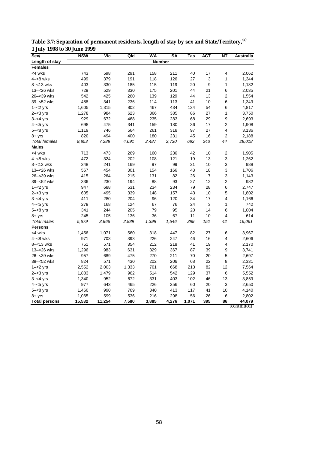| Sex/                 | <b>NSW</b> | Vic    | Qld   | <b>WA</b> | <b>SA</b>     | Tas   | <b>ACT</b>     | <b>NT</b>               | <b>Australia</b> |
|----------------------|------------|--------|-------|-----------|---------------|-------|----------------|-------------------------|------------------|
| Length of stay       |            |        |       |           | <b>Number</b> |       |                |                         |                  |
| <b>Females</b>       |            |        |       |           |               |       |                |                         |                  |
| <4 wks               | 743        | 598    | 291   | 158       | 211           | 40    | 17             | 4                       | 2,062            |
| $4 - 8$ wks          | 499        | 379    | 191   | 118       | 126           | 27    | 3              | $\mathbf{1}$            | 1,344            |
| $8 - 13$ wks         | 403        | 330    | 185   | 115       | 119           | 20    | 9              | 1                       | 1,182            |
| 13-<26 wks           | 729        | 529    | 330   | 175       | 201           | 44    | 21             | 6                       | 2,035            |
| 26-<39 wks           | 542        | 425    | 260   | 139       | 129           | 44    | 13             | $\overline{c}$          | 1,554            |
| 39-<52 wks           | 488        | 341    | 236   | 114       | 113           | 41    | 10             | 6                       | 1,349            |
| $1 - 2$ yrs          | 1,605      | 1,315  | 802   | 467       | 434           | 134   | 54             | 6                       | 4,817            |
| $2 - 3$ yrs          | 1,278      | 984    | 623   | 366       | 385           | 86    | 27             | $\mathbf{1}$            | 3,750            |
| $3 - 4$ yrs          | 929        | 672    | 468   | 235       | 283           | 68    | 29             | $\boldsymbol{9}$        | 2,693            |
| $4 - 5$ yrs          | 698        | 475    | 341   | 159       | 180           | 36    | 17             | $\overline{c}$          | 1,908            |
| $5 - < 8$ yrs        | 1,119      | 746    | 564   | 261       | 318           | 97    | 27             | $\overline{\mathbf{4}}$ | 3,136            |
| $8 + yrs$            | 820        | 494    | 400   | 180       | 231           | 45    | 16             | $\overline{c}$          | 2,188            |
| <b>Total females</b> | 9,853      | 7,288  | 4,691 | 2,487     | 2,730         | 682   | 243            | 44                      | 28,018           |
| <b>Males</b>         |            |        |       |           |               |       |                |                         |                  |
| <4 wks               | 713        | 473    | 269   | 160       | 236           | 42    | 10             | $\mathbf 2$             | 1,905            |
| $4 - 8$ wks          | 472        | 324    | 202   | 108       | 121           | 19    | 13             | $\mathbf{3}$            | 1,262            |
| $8 - 13$ wks         | 348        | 241    | 169   | 97        | 99            | 21    | 10             | 3                       | 988              |
| 13-<26 wks           | 567        | 454    | 301   | 154       | 166           | 43    | 18             | 3                       | 1,706            |
| 26-<39 wks           | 415        | 264    | 215   | 131       | 82            | 26    | $\overline{7}$ | 3                       | 1,143            |
| 39-<52 wks           | 336        | 230    | 194   | 88        | 93            | 27    | 12             | $\overline{c}$          | 982              |
| $1 - 2$ yrs          | 947        | 688    | 531   | 234       | 234           | 79    | 28             | 6                       | 2,747            |
| $2 - 3$ yrs          | 605        | 495    | 339   | 148       | 157           | 43    | 10             | 5                       | 1,802            |
| $3 - 4$ yrs          | 411        | 280    | 204   | 96        | 120           | 34    | 17             | 4                       | 1,166            |
| $4 - 5$ yrs          | 279        | 168    | 124   | 67        | 76            | 24    | 3              | $\mathbf{1}$            | 742              |
| $5 - < 8$ yrs        | 341        | 244    | 205   | 79        | 95            | 20    | 14             | 6                       | 1,004            |
| $8 + yrs$            | 245        | 105    | 136   | 36        | 67            | 11    | 10             | $\overline{4}$          | 614              |
| Total males          | 5,679      | 3,966  | 2,889 | 1,398     | 1,546         | 389   | 152            | 42                      | 16,061           |
| <b>Persons</b>       |            |        |       |           |               |       |                |                         |                  |
| <4 wks               | 1,456      | 1,071  | 560   | 318       | 447           | 82    | 27             | 6                       | 3,967            |
| $4 - 8$ wks          | 971        | 703    | 393   | 226       | 247           | 46    | 16             | $\overline{4}$          | 2,606            |
| $8 - 13$ wks         | 751        | 571    | 354   | 212       | 218           | 41    | 19             | 4                       | 2,170            |
| 13-<26 wks           | 1,296      | 983    | 631   | 329       | 367           | 87    | 39             | $\boldsymbol{9}$        | 3,741            |
| 26-<39 wks           | 957        | 689    | 475   | 270       | 211           | 70    | 20             | 5                       | 2,697            |
| 39-<52 wks           | 824        | 571    | 430   | 202       | 206           | 68    | 22             | 8                       | 2,331            |
| $1 - 2$ yrs          | 2,552      | 2,003  | 1,333 | 701       | 668           | 213   | 82             | 12                      | 7,564            |
| $2 - < 3$ yrs        | 1,883      | 1,479  | 962   | 514       | 542           | 129   | 37             | 6                       | 5,552            |
| $3 - 4$ yrs          | 1,340      | 952    | 672   | 331       | 403           | 102   | 46             | 13                      | 3,859            |
| $4 - 5$ yrs          | 977        | 643    | 465   | 226       | 256           | 60    | 20             | 3                       | 2,650            |
| $5 - < 8$ yrs        | 1,460      | 990    | 769   | 340       | 413           | 117   | 41             | 10                      | 4,140            |
| $8 + yrs$            | 1,065      | 599    | 536   | 216       | 298           | 56    | 26             | 6                       | 2,802            |
| <b>Total persons</b> | 15,532     | 11,254 | 7.580 | 3,885     | 4.276         | 1.071 | 395            | 86                      | 44,079           |
|                      |            |        |       |           |               |       |                |                         | (continued)      |

**Table 3.7: Separation of permanent residents, length of stay by sex and State/Territory,(a) 1 July 1998 to 30 June 1999**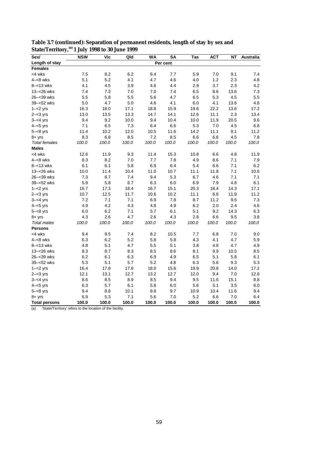| Sex/                 | <b>NSW</b> | <b>Vic</b> | Qld   | <b>WA</b> | <b>SA</b> | Tas   | <b>ACT</b> | <b>NT</b> | <b>Australia</b> |
|----------------------|------------|------------|-------|-----------|-----------|-------|------------|-----------|------------------|
| Length of stay       |            |            |       |           | Per cent  |       |            |           |                  |
| <b>Females</b>       |            |            |       |           |           |       |            |           |                  |
| <4 wks               | 7.5        | 8.2        | 6.2   | 6.4       | 7.7       | 5.9   | 7.0        | 9.1       | 7.4              |
| $4 - 8$ wks          | 5.1        | 5.2        | 4.1   | 4.7       | 4.6       | 4.0   | 1.2        | 2.3       | 4.8              |
| $8 - 13$ wks         | 4.1        | 4.5        | 3.9   | 4.6       | 4.4       | 2.9   | 3.7        | 2.3       | 4.2              |
| 13-<26 wks           | 7.4        | 7.3        | 7.0   | 7.0       | 7.4       | 6.5   | 8.6        | 13.6      | 7.3              |
| 26-<39 wks           | 5.5        | 5.8        | 5.5   | 5.6       | 4.7       | 6.5   | 5.3        | 4.5       | 5.5              |
| 39-<52 wks           | 5.0        | 4.7        | 5.0   | 4.6       | 4.1       | 6.0   | 4.1        | 13.6      | 4.8              |
| $1 - 2$ yrs          | 16.3       | 18.0       | 17.1  | 18.8      | 15.9      | 19.6  | 22.2       | 13.6      | 17.2             |
| $2 - < 3$ yrs        | 13.0       | 13.5       | 13.3  | 14.7      | 14.1      | 12.6  | 11.1       | 2.3       | 13.4             |
| $3 - 4$ yrs          | 9.4        | 9.2        | 10.0  | 9.4       | 10.4      | 10.0  | 11.9       | 20.5      | 9.6              |
| $4 - 5$ yrs          | 7.1        | 6.5        | 7.3   | 6.4       | 6.6       | 5.3   | 7.0        | 4.5       | 6.8              |
| $5 - < 8$ yrs        | 11.4       | 10.2       | 12.0  | 10.5      | 11.6      | 14.2  | 11.1       | 9.1       | 11.2             |
| $8 + yrs$            | 8.3        | 6.8        | 8.5   | 7.2       | 8.5       | 6.6   | 6.6        | 4.5       | 7.8              |
| <b>Total females</b> | 100.0      | 100.0      | 100.0 | 100.0     | 100.0     | 100.0 | 100.0      | 100.0     | 100.0            |
| <b>Males</b>         |            |            |       |           |           |       |            |           |                  |
| <4 wks               | 12.6       | 11.9       | 9.3   | 11.4      | 15.3      | 10.8  | 6.6        | 4.8       | 11.9             |
| $4 - 8$ wks          | 8.3        | 8.2        | 7.0   | 7.7       | 7.8       | 4.9   | 8.6        | 7.1       | 7.9              |
| $8 - 13$ wks         | 6.1        | 6.1        | 5.8   | 6.9       | 6.4       | 5.4   | 6.6        | 7.1       | 6.2              |
| 13-<26 wks           | 10.0       | 11.4       | 10.4  | 11.0      | 10.7      | 11.1  | 11.8       | 7.1       | 10.6             |
| 26-<39 wks           | 7.3        | 6.7        | 7.4   | 9.4       | 5.3       | 6.7   | 4.6        | 7.1       | 7.1              |
| 39-<52 wks           | 5.9        | 5.8        | 6.7   | 6.3       | 6.0       | 6.9   | 7.9        | 4.8       | 6.1              |
| $1 - 2$ yrs          | 16.7       | 17.3       | 18.4  | 16.7      | 15.1      | 20.3  | 18.4       | 14.3      | 17.1             |
| $2 - < 3$ yrs        | 10.7       | 12.5       | 11.7  | 10.6      | 10.2      | 11.1  | 6.6        | 11.9      | 11.2             |
| $3 - 4$ yrs          | 7.2        | 7.1        | 7.1   | 6.9       | 7.8       | 8.7   | 11.2       | 9.5       | 7.3              |
| $4 - 5$ yrs          | 4.9        | 4.2        | 4.3   | 4.8       | 4.9       | 6.2   | 2.0        | 2.4       | 4.6              |
| $5 - < 8$ yrs        | 6.0        | 6.2        | 7.1   | 5.7       | 6.1       | 5.1   | 9.2        | 14.3      | 6.3              |
| $8 + yrs$            | 4.3        | 2.6        | 4.7   | 2.6       | 4.3       | 2.8   | 6.6        | 9.5       | 3.8              |
| <b>Total males</b>   | 100.0      | 100.0      | 100.0 | 100.0     | 100.0     | 100.0 | 100.0      | 100.0     | 100.0            |
| <b>Persons</b>       |            |            |       |           |           |       |            |           |                  |
| <4 wks               | 9.4        | 9.5        | 7.4   | 8.2       | 10.5      | 7.7   | 6.8        | 7.0       | 9.0              |
| $4 - 8$ wks          | 6.3        | 6.2        | 5.2   | 5.8       | 5.8       | 4.3   | 4.1        | 4.7       | 5.9              |
| $8 - 13$ wks         | 4.8        | 5.1        | 4.7   | 5.5       | 5.1       | 3.8   | 4.8        | 4.7       | 4.9              |
| 13-<26 wks           | 8.3        | 8.7        | 8.3   | 8.5       | 8.6       | 8.1   | 9.9        | 10.5      | 8.5              |
| 26-<39 wks           | 6.2        | 6.1        | 6.3   | 6.9       | 4.9       | 6.5   | 5.1        | 5.8       | 6.1              |
| 39-<52 wks           | 5.3        | 5.1        | 5.7   | 5.2       | 4.8       | 6.3   | 5.6        | 9.3       | 5.3              |
| $1 - 2$ yrs          | 16.4       | 17.8       | 17.6  | 18.0      | 15.6      | 19.9  | 20.8       | 14.0      | 17.2             |
| $2 - < 3$ yrs        | 12.1       | 13.1       | 12.7  | 13.2      | 12.7      | 12.0  | 9.4        | 7.0       | 12.6             |
| $3 - 4$ yrs          | 8.6        | 8.5        | 8.9   | 8.5       | 9.4       | 9.5   | 11.6       | 15.1      | 8.8              |
| $4 - 5$ yrs          | 6.3        | 5.7        | 6.1   | 5.8       | 6.0       | 5.6   | 5.1        | 3.5       | 6.0              |
| $5 - < 8$ yrs        | 9.4        | 8.8        | 10.1  | 8.8       | 9.7       | 10.9  | 10.4       | 11.6      | 9.4              |
| $8 + yrs$            | 6.9        | 5.3        | 7.1   | 5.6       | $7.0$     | 5.2   | 6.6        | 7.0       | 6.4              |
| <b>Total persons</b> | 100.0      | 100.0      | 100.0 | 100.0     | 100.0     | 100.0 | 100.0      | 100.0     | 100.0            |

**Table 3.7 (continued): Separation of permanent residents, length of stay by sex and State/Territory,(a) 1 July 1998 to 30 June 1999**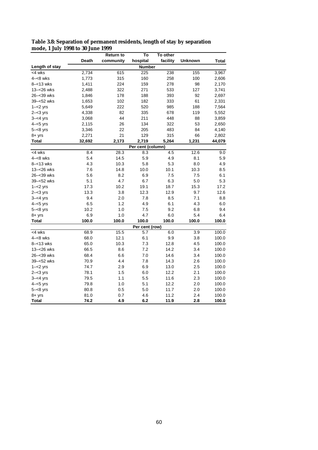| moue, 1 July 1990 to 90 Julie 1999 |        |                  |                   |          |                |        |
|------------------------------------|--------|------------------|-------------------|----------|----------------|--------|
|                                    |        | <b>Return to</b> | To                | To other |                |        |
|                                    | Death  | community        | hospital          | facility | <b>Unknown</b> | Total  |
| Length of stay                     |        |                  | <b>Number</b>     |          |                |        |
| <4 wks                             | 2,734  | 615              | 225               | 238      | 155            | 3,967  |
| $4 - 8$ wks                        | 1,773  | 315              | 160               | 258      | 100            | 2,606  |
| $8 - 13$ wks                       | 1,411  | 224              | 159               | 278      | 98             | 2,170  |
| 13-<26 wks                         | 2,488  | 322              | 271               | 533      | 127            | 3,741  |
| 26–<39 wks                         | 1,846  | 178              | 188               | 393      | 92             | 2,697  |
| 39-<52 wks                         | 1,653  | 102              | 182               | 333      | 61             | 2,331  |
| $1 - 2$ yrs                        | 5,649  | 222              | 520               | 985      | 188            | 7,564  |
| $2 - < 3$ yrs                      | 4,338  | 82               | 335               | 678      | 119            | 5,552  |
| $3 - 4$ yrs                        | 3,068  | 44               | 211               | 448      | 88             | 3,859  |
| $4 - 5$ yrs                        | 2,115  | 26               | 134               | 322      | 53             | 2,650  |
| $5 - < 8$ yrs                      | 3,346  | 22               | 205               | 483      | 84             | 4,140  |
| $8 + yrs$                          | 2,271  | 21               | 129               | 315      | 66             | 2,802  |
| Total                              | 32,692 | 2,173            | 2,719             | 5,264    | 1,231          | 44,079 |
|                                    |        |                  | Per cent (column) |          |                |        |
| <4 wks                             | 8.4    | 28.3             | 8.3               | 4.5      | 12.6           | 9.0    |
| $4 - 8$ wks                        | 5.4    | 14.5             | 5.9               | 4.9      | 8.1            | 5.9    |
| 8–<13 wks                          | 4.3    | 10.3             | 5.8               | 5.3      | 8.0            | 4.9    |
| 13-<26 wks                         | 7.6    | 14.8             | 10.0              | 10.1     | 10.3           | 8.5    |
| 26-<39 wks                         | 5.6    | 8.2              | 6.9               | 7.5      | 7.5            | 6.1    |
| 39-<52 wks                         | 5.1    | 4.7              | 6.7               | 6.3      | 5.0            | 5.3    |
| $1 - 2$ yrs                        | 17.3   | 10.2             | 19.1              | 18.7     | 15.3           | 17.2   |
| $2 - < 3$ yrs                      | 13.3   | 3.8              | 12.3              | 12.9     | 9.7            | 12.6   |
| $3 - 4$ yrs                        | 9.4    | 2.0              | 7.8               | 8.5      | 7.1            | 8.8    |
| $4 - 5$ yrs                        | 6.5    | 1.2              | 4.9               | 6.1      | 4.3            | 6.0    |
| $5 - < 8$ yrs                      | 10.2   | 1.0              | 7.5               | 9.2      | 6.8            | 9.4    |
| $8 + yrs$                          | 6.9    | 1.0              | 4.7               | 6.0      | 5.4            | 6.4    |
| <b>Total</b>                       | 100.0  | 100.0            | 100.0             | 100.0    | 100.0          | 100.0  |
|                                    |        |                  | Per cent (row)    |          |                |        |
| <4 wks                             | 68.9   | 15.5             | 5.7               | 6.0      | 3.9            | 100.0  |
| $4 - 8$ wks                        | 68.0   | 12.1             | 6.1               | 9.9      | 3.8            | 100.0  |
| $8 - 13$ wks                       | 65.0   | 10.3             | 7.3               | 12.8     | 4.5            | 100.0  |
| 13-<26 wks                         | 66.5   | 8.6              | 7.2               | 14.2     | 3.4            | 100.0  |
| 26-<39 wks                         | 68.4   | 6.6              | 7.0               | 14.6     | 3.4            | 100.0  |
| 39-<52 wks                         | 70.9   | 4.4              | 7.8               | 14.3     | 2.6            | 100.0  |
| $1 - 2$ yrs                        | 74.7   | 2.9              | 6.9               | 13.0     | 2.5            | 100.0  |
| $2 - 3$ yrs                        | 78.1   | 1.5              | 6.0               | 12.2     | 2.1            | 100.0  |
| $3 - 4$ yrs                        | 79.5   | 1.1              | 5.5               | 11.6     | 2.3            | 100.0  |
| $4 - 5$ yrs                        | 79.8   | 1.0              | 5.1               | 12.2     | 2.0            | 100.0  |
| $5 - < 8$ yrs                      | 80.8   | 0.5              | 5.0               | 11.7     | 2.0            | 100.0  |
| $8 + yrs$                          | 81.0   | 0.7              | 4.6               | 11.2     | 2.4            | 100.0  |
| Total                              | 74.2   | 4.9              | 6.2               | 11.9     | 2.8            | 100.0  |

**Table 3.8: Separation of permanent residents, length of stay by separation mode, 1 July 1998 to 30 June 1999**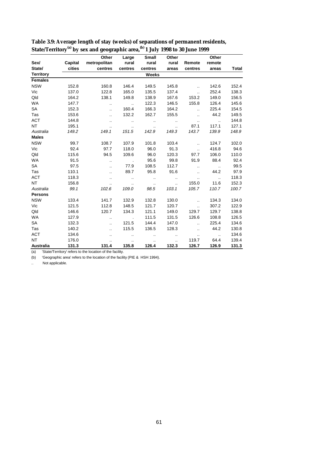|                  |         | Other                | Large                | <b>Small</b>         | Other                |                             | Other                |              |
|------------------|---------|----------------------|----------------------|----------------------|----------------------|-----------------------------|----------------------|--------------|
| Sex/             | Capital | metropolitan         | rural                | rural                | rural                | Remote                      | remote               |              |
| State/           | cities  | centres              | centres              | centres              | areas                | centres                     | areas                | <b>Total</b> |
| <b>Territory</b> |         |                      |                      | <b>Weeks</b>         |                      |                             |                      |              |
| <b>Females</b>   |         |                      |                      |                      |                      |                             |                      |              |
| <b>NSW</b>       | 152.8   | 160.8                | 146.4                | 149.5                | 145.8                | $\ddotsc$                   | 142.6                | 152.4        |
| Vic              | 137.0   | 122.8                | 165.0                | 135.5                | 137.4                | $\ddot{\phantom{a}}$        | 252.4                | 138.3        |
| Qld              | 164.2   | 138.1                | 149.8                | 138.9                | 167.6                | 153.2                       | 149.0                | 156.5        |
| <b>WA</b>        | 147.7   | $\ddotsc$            | $\sim$               | 122.3                | 146.5                | 155.8                       | 126.4                | 145.6        |
| <b>SA</b>        | 152.3   |                      | 160.4                | 166.3                | 164.2                | $\ddotsc$                   | 225.4                | 154.5        |
| Tas              | 153.6   | Ω.                   | 132.2                | 162.7                | 155.5                | $\mathcal{L}_{\mathcal{A}}$ | 44.2                 | 149.5        |
| <b>ACT</b>       | 144.8   | $\ddot{\phantom{a}}$ | $\ddotsc$            | $\ddot{\phantom{a}}$ | $\ddot{\phantom{a}}$ | $\ldots$                    | $\ddot{\phantom{a}}$ | 144.8        |
| <b>NT</b>        | 195.1   | $\ddotsc$            | $\ddotsc$            | $\ldots$             | $\ddot{\phantom{a}}$ | 87.1                        | 117.1                | 127.1        |
| Australia        | 149.2   | 149.1                | 151.5                | 142.9                | 149.3                | 143.7                       | 139.9                | 148.9        |
| <b>Males</b>     |         |                      |                      |                      |                      |                             |                      |              |
| <b>NSW</b>       | 99.7    | 108.7                | 107.9                | 101.8                | 103.4                | $\ddot{\phantom{a}}$        | 124.7                | 102.0        |
| Vic              | 92.4    | 97.7                 | 118.0                | 96.0                 | 91.3                 | $\mathcal{L}_{\mathcal{A}}$ | 416.8                | 94.6         |
| Qld              | 115.6   | 94.5                 | 109.6                | 96.0                 | 120.3                | 97.7                        | 106.0                | 110.0        |
| <b>WA</b>        | 91.5    |                      |                      | 95.6                 | 99.8                 | 91.9                        | 88.4                 | 92.4         |
| <b>SA</b>        | 97.5    |                      | 77.9                 | 108.5                | 112.7                | Ω.                          | $\ddot{\phantom{a}}$ | 99.5         |
| Tas              | 110.1   |                      | 89.7                 | 95.8                 | 91.6                 | $\ddotsc$                   | 44.2                 | 97.9         |
| <b>ACT</b>       | 118.3   | $\sim$ $\sim$        | $\ddotsc$            | $\ddot{\phantom{a}}$ | $\ddot{\phantom{a}}$ | $\ddotsc$                   | $\ddot{\phantom{a}}$ | 118.3        |
| <b>NT</b>        | 156.8   | $\ddotsc$            | $\ddotsc$            | $\ddot{\phantom{a}}$ | $\ddot{\phantom{a}}$ | 155.0                       | 11.6                 | 152.3        |
| Australia        | 99.1    | 102.6                | 109.0                | 98.5                 | 103.1                | 105.7                       | 110.7                | 100.7        |
| <b>Persons</b>   |         |                      |                      |                      |                      |                             |                      |              |
| <b>NSW</b>       | 133.4   | 141.7                | 132.9                | 132.8                | 130.0                | $\ddotsc$                   | 134.3                | 134.0        |
| Vic              | 121.5   | 112.8                | 148.5                | 121.7                | 120.7                | $\ddotsc$                   | 307.2                | 122.9        |
| Qld              | 146.6   | 120.7                | 134.3                | 121.1                | 149.0                | 129.7                       | 129.7                | 138.8        |
| <b>WA</b>        | 127.9   | $\sim$ $\sim$        |                      | 111.5                | 131.5                | 126.6                       | 108.8                | 126.5        |
| <b>SA</b>        | 132.3   | ٠.                   | 121.5                | 144.4                | 147.0                | $\ddotsc$                   | 225.4                | 134.6        |
| Tas              | 140.2   | $\ddotsc$            | 115.5                | 136.5                | 128.3                | $\ddot{\phantom{a}}$        | 44.2                 | 130.8        |
| <b>ACT</b>       | 134.6   | $\cdot$ .            |                      | $\ddotsc$            | $\cdot$ .            | $\cdot$ .                   | $\ddotsc$            | 134.6        |
| <b>NT</b>        | 176.0   | $\ddot{\phantom{a}}$ | $\ddot{\phantom{a}}$ | $\ddotsc$            | $\ddot{\phantom{a}}$ | 119.7                       | 64.4                 | 139.4        |
| Australia        | 131.3   | 131.4                | 135.8                | 126.4                | 132.3                | 126.7                       | 126.9                | 131.3        |

| Table 3.9: Average length of stay (weeks) of separations of permanent residents,                      |  |
|-------------------------------------------------------------------------------------------------------|--|
| State/Territory <sup>(a)</sup> by sex and geographic area, <sup>(b)</sup> 1 July 1998 to 30 June 1999 |  |

(b) 'Geographic area' refers to the location of the facility (PIE & HSH 1994).

.. Not applicable.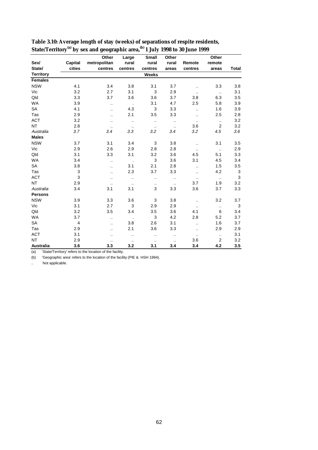|                  |                         | Other                | Large                | <b>Small</b>         | Other                |                      | Other            |              |
|------------------|-------------------------|----------------------|----------------------|----------------------|----------------------|----------------------|------------------|--------------|
| Sex/             | Capital                 | metropolitan         | rural                | rural                | rural                | Remote               | remote           |              |
| State/           | cities                  | centres              | centres              | centres              | areas                | centres              | areas            | <b>Total</b> |
| <b>Territory</b> |                         |                      |                      | Weeks                |                      |                      |                  |              |
| <b>Females</b>   |                         |                      |                      |                      |                      |                      |                  |              |
| <b>NSW</b>       | 4.1                     | 3.4                  | 3.8                  | 3.1                  | 3.7                  | $\ddotsc$            | 3.3              | 3.8          |
| Vic              | 3.2                     | 2.7                  | 3.1                  | 3                    | 2.9                  | $\ddotsc$            | $\ddotsc$        | 3.1          |
| Qld              | 3.3                     | 3.7                  | 3.6                  | 3.6                  | 3.7                  | 3.8                  | 6.3              | 3.5          |
| <b>WA</b>        | 3.9                     | $\ddotsc$            | $\sim$               | 3.1                  | 4.7                  | 2.5                  | 5.8              | 3.9          |
| <b>SA</b>        | 4.1                     |                      | 4.3                  | 3                    | 3.3                  | $\ddotsc$            | 1.6              | 3.9          |
| Tas              | 2.9                     | $\ddotsc$            | 2.1                  | 3.5                  | 3.3                  | $\ddot{\phantom{a}}$ | 2.5              | 2.8          |
| <b>ACT</b>       | 3.2                     |                      | $\cdot$ .            | $\ddot{\phantom{a}}$ | $\ddot{\phantom{a}}$ | $\ddot{\phantom{a}}$ | $\cdot$ .        | 3.2          |
| <b>NT</b>        | 2.8                     | $\ddotsc$            | $\ddotsc$            | $\ddotsc$            | $\ldots$             | 3.6                  | $\overline{2}$   | 3.2          |
| Australia        | 3.7                     | 3.4                  | 3.3                  | 3.2                  | 3.4                  | $3.2\,$              | 4.5              | 3.6          |
| <b>Males</b>     |                         |                      |                      |                      |                      |                      |                  |              |
| <b>NSW</b>       | 3.7                     | 3.1                  | 3.4                  | 3                    | 3.8                  | $\ddotsc$            | 3.1              | 3.5          |
| Vic              | 2.9                     | 2.6                  | 2.9                  | 2.8                  | 2.8                  | $\ddotsc$            | $\sim$           | 2.9          |
| Qld              | 3.1                     | 3.3                  | 3.1                  | 3.2                  | 3.6                  | 4.5                  | 5.1              | 3.3          |
| <b>WA</b>        | 3.4                     | $\ddot{\phantom{a}}$ |                      | 3                    | 3.6                  | 3.1                  | 4.5              | 3.4          |
| <b>SA</b>        | 3.8                     |                      | 3.1                  | 2.1                  | 2.8                  | $\ddot{\phantom{a}}$ | 1.5              | 3.5          |
| Tas              | 3                       | $\ddot{\phantom{a}}$ | 2.3                  | 3.7                  | 3.3                  | $\ddot{\phantom{a}}$ | 4.2              | $\sqrt{3}$   |
| <b>ACT</b>       | 3                       | $\ddot{\phantom{a}}$ | $\ddotsc$            | $\ddot{\phantom{a}}$ | $\ddot{\phantom{a}}$ | $\ddot{\phantom{a}}$ | $\ddotsc$        | $\mathsf 3$  |
| <b>NT</b>        | 2.9                     |                      | $\ddotsc$            | $\cdot$ .            | $\ddot{\phantom{a}}$ | 3.7                  | 1.9              | 3.2          |
| Australia        | 3.4                     | 3.1                  | 3.1                  | 3                    | 3.3                  | 3.6                  | 3.7              | 3.3          |
| <b>Persons</b>   |                         |                      |                      |                      |                      |                      |                  |              |
| <b>NSW</b>       | 3.9                     | 3.3                  | 3.6                  | 3                    | 3.8                  | $\ddotsc$            | 3.2              | 3.7          |
| Vic              | 3.1                     | 2.7                  | 3                    | 2.9                  | 2.9                  | $\ddotsc$            | $\ldots$         | $\mathbf{3}$ |
| Qld              | 3.2                     | 3.5                  | 3.4                  | 3.5                  | 3.6                  | 4.1                  | 6                | 3.4          |
| <b>WA</b>        | 3.7                     | $\ddot{\phantom{a}}$ |                      | 3                    | 4.2                  | 2.8                  | 5.2              | 3.7          |
| <b>SA</b>        | $\overline{\mathbf{4}}$ |                      | 3.8                  | 2.6                  | 3.1                  | $\ddot{\phantom{a}}$ | 1.6              | 3.7          |
| Tas              | 2.9                     | $\ddot{\phantom{a}}$ | 2.1                  | 3.6                  | 3.3                  | $\ddot{\phantom{a}}$ | 2.9              | 2.9          |
| <b>ACT</b>       | 3.1                     |                      | $\ddot{\phantom{a}}$ | $\ddot{\phantom{0}}$ | $\ddotsc$            | $\ddotsc$            | $\ddotsc$        | 3.1          |
| <b>NT</b>        | 2.9                     | $\ddot{\phantom{a}}$ | $\cdot$ .            | $\cdot$ .            | $\sim$ $\sim$        | 3.6                  | $\boldsymbol{2}$ | 3.2          |
| <b>Australia</b> | 3.6                     | 3.3                  | 3.2                  | 3.1                  | 3.4                  | 3.4                  | 4.2              | 3.5          |

| Table 3.10: Average length of stay (weeks) of separations of respite residents,                       |  |
|-------------------------------------------------------------------------------------------------------|--|
| State/Territory <sup>(a)</sup> by sex and geographic area, <sup>(b)</sup> 1 July 1998 to 30 June 1999 |  |

(b) 'Geographic area' refers to the location of the facility (PIE & HSH 1994).

.. Not applicable.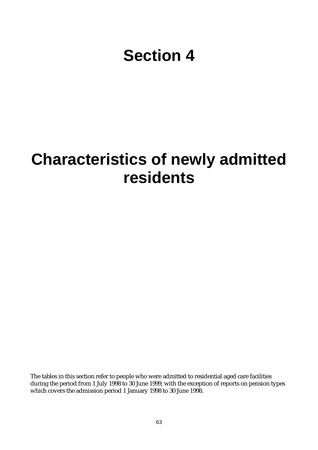# **Section 4**

## **Characteristics of newly admitted residents**

The tables in this section refer to people who were admitted to residential aged care facilities during the period from 1 July 1998 to 30 June 1999, with the exception of reports on pension types which covers the admission period 1 January 1998 to 30 June 1998.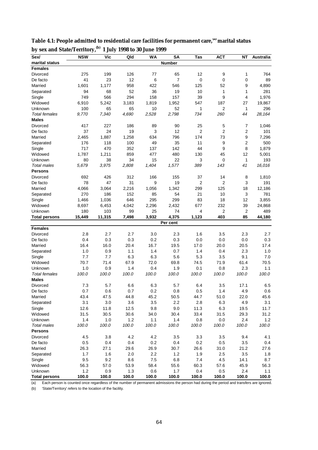| Sex/                 | <b>NSW</b> | <b>Vic</b> | Qld   | <b>WA</b> | <b>SA</b>      | Tas   | <b>ACT</b>     | ΝT               | <b>Australia</b> |
|----------------------|------------|------------|-------|-----------|----------------|-------|----------------|------------------|------------------|
| marital status       |            |            |       |           | <b>Number</b>  |       |                |                  |                  |
| <b>Females</b>       |            |            |       |           |                |       |                |                  |                  |
| Divorced             | 275        | 199        | 126   | 77        | 65             | 12    | 9              | 1                | 764              |
| De facto             | 41         | 23         | 12    | 6         | $\overline{7}$ | 0     | $\mathbf 0$    | $\mathbf 0$      | 89               |
| Married              | 1,601      | 1,177      | 958   | 422       | 546            | 125   | 52             | 9                | 4,890            |
| Separated            | 94         | 68         | 52    | 36        | 19             | 10    | 1              | 1                | 281              |
| Single               | 749        | 566        | 294   | 158       | 157            | 39    | 9              | 4                | 1,976            |
| Widowed              | 6,910      | 5,242      | 3,183 | 1,819     | 1,952          | 547   | 187            | 27               | 19,867           |
| Unknown              | 100        | 65         | 65    | 10        | 52             | 1     | 2              | 1                | 296              |
| <b>Total females</b> | 9,770      | 7,340      | 4,690 | 2,528     | 2,798          | 734   | 260            | 44               | 28,164           |
| <b>Males</b>         |            |            |       |           |                |       |                |                  |                  |
| Divorced             | 417        | 227        | 186   | 89        | 90             | 25    | 5              | 7                | 1,046            |
| De facto             | 37         | 24         | 19    | 3         | 12             | 2     | $\overline{2}$ | 2                | 101              |
| Married              | 2,465      | 1,887      | 1,258 | 634       | 796            | 174   | 73             | $\boldsymbol{9}$ | 7,296            |
| Separated            | 176        | 118        | 100   | 49        | 35             | 11    | 9              | 2                | 500              |
| Single               | 717        | 470        | 352   | 137       | 142            | 44    | 9              | 8                | 1,879            |
| Widowed              | 1,787      | 1,211      | 859   | 477       | 480            | 130   | 45             | 12               | 5,001            |
| Unknown              | 80         | 38         | 34    | 15        | 22             | 3     | 0              | $\mathbf{1}$     | 193              |
| <b>Total males</b>   | 5,679      | 3,975      | 2,808 | 1,404     | 1.577          | 389   | 143            | 41               | 16,016           |
| Persons              |            |            |       |           |                |       |                |                  |                  |
| Divorced             | 692        | 426        | 312   | 166       | 155            | 37    | 14             | 8                | 1,810            |
| De facto             | 78         | 47         | 31    | 9         | 19             | 2     | $\overline{2}$ | 3                | 191              |
| Married              | 4,066      | 3,064      | 2,216 | 1,056     | 1,342          | 299   | 125            | 18               | 12,186           |
| Separated            | 270        | 186        | 152   | 85        | 54             | 21    | 10             | 3                | 781              |
| Single               | 1,466      | 1,036      | 646   | 295       | 299            | 83    | 18             | 12               | 3,855            |
| Widowed              | 8,697      | 6,453      | 4,042 | 2,296     | 2,432          | 677   | 232            | 39               | 24,868           |
| Unknown              | 180        | 103        | 99    | 25        | 74             | 4     | $\overline{c}$ | 2                | 489              |
| Total persons        | 15,449     | 11,315     | 7,498 | 3,932     | 4,375          | 1,123 | 403            | 85               | 44,180           |
|                      |            |            |       |           | Per cent       |       |                |                  |                  |
| <b>Females</b>       |            |            |       |           |                |       |                |                  |                  |
| Divorced             | 2.8        | 2.7        | 2.7   | 3.0       | 2.3            | 1.6   | 3.5            | 2.3              | 2.7              |
| De facto             | 0.4        | 0.3        | 0.3   | 0.2       | 0.3            | 0.0   | 0.0            | 0.0              | 0.3              |
| Married              | 16.4       | 16.0       | 20.4  | 16.7      | 19.5           | 17.0  | 20.0           | 20.5             | 17.4             |
| Separated            | 1.0        | 0.9        | 1.1   | 1.4       | 0.7            | 1.4   | 0.4            | 2.3              | 1.0              |
| Single               | 7.7        | 7.7        | 6.3   | 6.3       | 5.6            | 5.3   | 3.5            | 9.1              | 7.0              |
| Widowed              | 70.7       | 71.4       | 67.9  | 72.0      | 69.8           | 74.5  | 71.9           | 61.4             | 70.5             |
| Unknown              | 1.0        | 0.9        | 1.4   | 0.4       | 1.9            | 0.1   | 0.8            | 2.3              | 1.1              |
| <b>Total females</b> | 100.0      | 100.0      | 100.0 | 100.0     | 100.0          | 100.0 | 100.0          | 100.0            | 100.0            |
| <b>Males</b>         |            |            |       |           |                |       |                |                  |                  |
| Divorced             | 7.3        | 5.7        | 6.6   | 6.3       | 5.7            | 6.4   | 3.5            | 17.1             | 6.5              |
| De facto             | 0.7        | 0.6        | 0.7   | 0.2       | 0.8            | 0.5   | 1.4            | 4.9              | 0.6              |
| Married              | 43.4       | 47.5       | 44.8  | 45.2      | 50.5           | 44.7  | 51.0           | 22.0             | 45.6             |
| Separated            | 3.1        | $3.0\,$    | 3.6   | 3.5       | 2.2            | 2.8   | 6.3            | 4.9              | 3.1              |
| Single               | 12.6       | 11.8       | 12.5  | 9.8       | 9.0            | 11.3  | 6.3            | 19.5             | 11.7             |
| Widowed              | 31.5       | 30.5       | 30.6  | 34.0      | 30.4           | 33.4  | 31.5           | 29.3             | 31.2             |
| Unknown              | 1.4        | 1.0        | 1.2   | 1.1       | 1.4            | 0.8   | 0.0            | 2.4              | 1.2              |
| <b>Total males</b>   | 100.0      | 100.0      | 100.0 | 100.0     | 100.0          | 100.0 | 100.0          | 100.0            | 100.0            |
| <b>Persons</b>       |            |            |       |           |                |       |                |                  |                  |
| Divorced             | 4.5        | 3.8        | 4.2   | 4.2       | 3.5            | 3.3   | 3.5            | 9.4              | 4.1              |
| De facto             | 0.5        | 0.4        | 0.4   | $0.2\,$   | 0.4            | 0.2   | $0.5\,$        | 3.5              | 0.4              |
| Married              | 26.3       | 27.1       | 29.6  | 26.9      | 30.7           | 26.6  | 31.0           | 21.2             | 27.6             |
| Separated            | 1.7        | 1.6        | 2.0   | 2.2       | $1.2$          | 1.9   | 2.5            | 3.5              | 1.8              |
| Single               | 9.5        | 9.2        | 8.6   | 7.5       | 6.8            | 7.4   | 4.5            | 14.1             | 8.7              |
| Widowed              | 56.3       | 57.0       | 53.9  | 58.4      | 55.6           | 60.3  | 57.6           | 45.9             | 56.3             |
| Unknown              | 1.2        | 0.9        | 1.3   | 0.6       | 1.7            | 0.4   | 0.5            | 2.4              | 1.1              |
| <b>Total persons</b> | 100.0      | 100.0      | 100.0 | 100.0     | 100.0          | 100.0 | 100.0          | 100.0            | 100.0            |

**Table 4.1: People admitted to residential care facilities for permanent care,(a) marital status by sex and State/Territory,(b) 1 July 1998 to 30 June 1999**

(a) Each person is counted once regardless of the number of permanent admissions the person had during the period and transfers are ignored.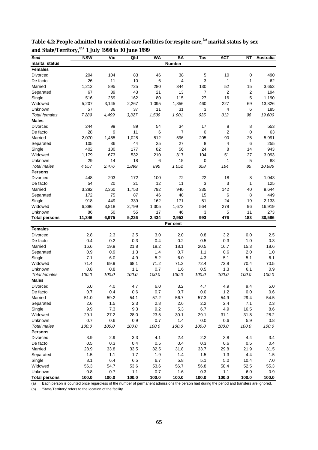| Sex/                 | <b>NSW</b> | <b>Vic</b> | Qld   | <b>WA</b> | <b>SA</b>     | Tas   | ACT            | ΝT        | Australia |
|----------------------|------------|------------|-------|-----------|---------------|-------|----------------|-----------|-----------|
| marital status       |            |            |       |           | <b>Number</b> |       |                |           |           |
| <b>Females</b>       |            |            |       |           |               |       |                |           |           |
| Divorced             | 204        | 104        | 83    | 46        | 38            | 5     | 10             | 0         | 490       |
| De facto             | 26         | 11         | 10    | 6         | 4             | 3     | 1              | 1         | 62        |
| Married              | 1,212      | 895        | 725   | 280       | 344           | 130   | 52             | 15        | 3,653     |
| Separated            | 67         | 39         | 43    | 21        | 13            | 7     | 2              | 2         | 194       |
| Single               | 516        | 269        | 162   | 80        | 115           | 27    | 16             | 5         | 1,190     |
| Widowed              | 5,207      | 3,145      | 2,267 | 1,095     | 1,356         | 460   | 227            | 69        | 13,826    |
| Unknown              | 57         | 36         | 37    | 11        | 31            | 3     | 4              | 6         | 185       |
| <b>Total females</b> | 7,289      | 4.499      | 3,327 | 1,539     | 1,901         | 635   | 312            | 98        | 19,600    |
| <b>Males</b>         |            |            |       |           |               |       |                |           |           |
| Divorced             | 244        | 99         | 89    | 54        | 34            | 17    | 8              | 8         | 553       |
| De facto             | 28         | 9          | 11    | 6         | 7             | 0     | $\overline{2}$ | $\pmb{0}$ | 63        |
| Married              | 2,070      | 1,465      | 1,028 | 512       | 596           | 205   | 90             | 25        | 5,991     |
| Separated            | 105        | 36         | 44    | 25        | 27            | 8     | 4              | 6         | 255       |
| Single               | 402        | 180        | 177   | 82        | 56            | 24    | 8              | 14        | 943       |
| Widowed              | 1,179      | 673        | 532   | 210       | 317           | 104   | 51             | 27        | 3,093     |
| Unknown              | 29         | 14         | 18    | 6         | 15            | 0     | 1              | 5         | 88        |
| Total males          | 4,057      | 2,476      | 1,899 | 895       | 1,052         | 358   | 164            | 85        | 10,986    |
| <b>Persons</b>       |            |            |       |           |               |       |                |           |           |
| Divorced             | 448        | 203        | 172   | 100       | 72            | 22    | 18             | 8         | 1,043     |
| De facto             | 54         | 20         | 21    | 12        | 11            | 3     | 3              | 1         | 125       |
| Married              | 3,282      | 2,360      | 1,753 | 792       | 940           | 335   | 142            | 40        | 9,644     |
| Separated            | 172        | 75         | 87    | 46        | 40            | 15    | 6              | 8         | 449       |
| Single               | 918        | 449        | 339   | 162       | 171           | 51    | 24             | 19        | 2,133     |
| Widowed              | 6,386      | 3,818      | 2,799 | 1,305     | 1,673         | 564   | 278            | 96        | 16,919    |
| Unknown              | 86         | 50         | 55    | 17        | 46            | 3     | 5              | 11        | 273       |
| <b>Total persons</b> | 11,346     | 6,975      | 5,226 | 2,434     | 2,953         | 993   | 476            | 183       | 30,586    |
|                      |            |            |       |           | Per cent      |       |                |           |           |
| <b>Females</b>       |            |            |       |           |               |       |                |           |           |
| Divorced             | 2.8        | 2.3        | 2.5   | 3.0       | 2.0           | 0.8   | 3.2            | 0.0       | 2.5       |
| De facto             | 0.4        | 0.2        | 0.3   | 0.4       | 0.2           | 0.5   | 0.3            | 1.0       | 0.3       |
| Married              | 16.6       | 19.9       | 21.8  | 18.2      | 18.1          | 20.5  | 16.7           | 15.3      | 18.6      |
| Separated            | 0.9        | 0.9        | 1.3   | 1.4       | 0.7           | 1.1   | 0.6            | 2.0       | 1.0       |
| Single               | 7.1        | 6.0        | 4.9   | 5.2       | 6.0           | 4.3   | 5.1            | 5.1       | 6.1       |
| Widowed              | 71.4       | 69.9       | 68.1  | 71.2      | 71.3          | 72.4  | 72.8           | 70.4      | 70.5      |
| Unknown              | 0.8        | 0.8        | 1.1   | 0.7       | 1.6           | 0.5   | 1.3            | 6.1       | 0.9       |
| <b>Total females</b> | 100.0      | 100.0      | 100.0 | 100.0     | 100.0         | 100.0 | 100.0          | 100.0     | 100.0     |
| <b>Males</b>         |            |            |       |           |               |       |                |           |           |
| Divorced             | 6.0        | 4.0        | 4.7   | 6.0       | 3.2           | 4.7   | 4.9            | 9.4       | 5.0       |
| De facto             | 0.7        | 0.4        | 0.6   | 0.7       | 0.7           | 0.0   | 1.2            | 0.0       | 0.6       |
| Married              | 51.0       | 59.2       | 54.1  | 57.2      | 56.7          | 57.3  | 54.9           | 29.4      | 54.5      |
| Separated            | 2.6        | 1.5        | 2.3   | 2.8       | 2.6           | 2.2   | 2.4            | 7.1       | 2.3       |
| Single               | 9.9        | 7.3        | 9.3   | 9.2       | 5.3           | 6.7   | 4.9            | 16.5      | 8.6       |
| Widowed              | 29.1       | 27.2       | 28.0  | 23.5      | 30.1          | 29.1  | 31.1           | 31.8      | 28.2      |
| Unknown              | 0.7        | 0.6        | 0.9   | 0.7       | 1.4           | 0.0   | 0.6            | 5.9       | 0.8       |
| Total males          | 100.0      | 100.0      | 100.0 | 100.0     | 100.0         | 100.0 | 100.0          | 100.0     | 100.0     |
| <b>Persons</b>       |            |            |       |           |               |       |                |           |           |
| Divorced             | 3.9        | 2.9        | 3.3   | 4.1       | 2.4           | 2.2   | 3.8            | 4.4       | 3.4       |
| De facto             | 0.5        | 0.3        | 0.4   | 0.5       | 0.4           | 0.3   | 0.6            | 0.5       | 0.4       |
| Married              | 28.9       | 33.8       | 33.5  | 32.5      | 31.8          | 33.7  | 29.8           | 21.9      | 31.5      |
| Separated            | 1.5        | 1.1        | 1.7   | 1.9       | 1.4           | $1.5$ | 1.3            | 4.4       | 1.5       |
| Single               | 8.1        | 6.4        | 6.5   | 6.7       | 5.8           | 5.1   | 5.0            | 10.4      | 7.0       |
| Widowed              | 56.3       | 54.7       | 53.6  | 53.6      | 56.7          | 56.8  | 58.4           | 52.5      | 55.3      |
| Unknown              | 0.8        | 0.7        | 1.1   | 0.7       | 1.6           | 0.3   | 1.1            | 6.0       | 0.9       |
| <b>Total persons</b> | 100.0      | 100.0      | 100.0 | 100.0     | 100.0         | 100.0 | 100.0          | 100.0     | 100.0     |

**Table 4.2: People admitted to residential care facilities for respite care,(a) marital status by sex and State/Territory,(b) 1 July 1998 to 30 June 1999**

(a) Each person is counted once regardless of the number of permanent admissions the person had during the period and transfers are ignored.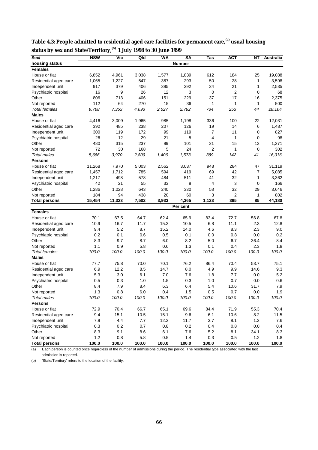| Sex/                  | <b>NSW</b> | <b>Vic</b> | Qld   | WA      | <b>SA</b>     | Tas            | <b>ACT</b> | NΤ           | Australia |
|-----------------------|------------|------------|-------|---------|---------------|----------------|------------|--------------|-----------|
| housing status        |            |            |       |         | <b>Number</b> |                |            |              |           |
| <b>Females</b>        |            |            |       |         |               |                |            |              |           |
| House or flat         | 6,852      | 4,961      | 3,038 | 1,577   | 1,839         | 612            | 184        | 25           | 19,088    |
| Residential aged care | 1,065      | 1,227      | 547   | 387     | 293           | 50             | 28         | 1            | 3,598     |
| Independent unit      | 917        | 379        | 406   | 385     | 392           | 34             | 21         | 1            | 2,535     |
| Psychiatric hospital  | 16         | 9          | 26    | 12      | 3             | 0              | 2          | 0            | 68        |
| Other                 | 806        | 713        | 406   | 151     | 229           | 37             | 17         | 16           | 2,375     |
| Not reported          | 112        | 64         | 270   | 15      | 36            | 1              | 1          | $\mathbf{1}$ | 500       |
| <b>Total females</b>  | 9,768      | 7,353      | 4,693 | 2,527   | 2,792         | 734            | 253        | 44           | 28,164    |
| <b>Males</b>          |            |            |       |         |               |                |            |              |           |
| House or flat         | 4,416      | 3,009      | 1,965 | 985     | 1,198         | 336            | 100        | 22           | 12,031    |
| Residential aged care | 392        | 485        | 238   | 207     | 126           | 19             | 14         | 6            | 1,487     |
| Independent unit      | 300        | 119        | 172   | 99      | 119           | $\overline{7}$ | 11         | 0            | 827       |
| Psychiatric hospital  | 26         | 12         | 29    | 21      | 5             | $\overline{4}$ | 1          | 0            | 98        |
| Other                 | 480        | 315        | 237   | 89      | 101           | 21             | 15         | 13           | 1,271     |
| Not reported          | 72         | 30         | 168   | 5       | 24            | 2              | 1          | $\mathbf 0$  | 302       |
| <b>Total males</b>    | 5,686      | 3,970      | 2,809 | 1,406   | 1,573         | 389            | 142        | 41           | 16,016    |
| Persons               |            |            |       |         |               |                |            |              |           |
| House or flat         | 11,268     | 7,970      | 5,003 | 2,562   | 3,037         | 948            | 284        | 47           | 31,119    |
| Residential aged care | 1,457      | 1,712      | 785   | 594     | 419           | 69             | 42         | 7            | 5,085     |
| Independent unit      | 1,217      | 498        | 578   | 484     | 511           | 41             | 32         | 1            | 3,362     |
| Psychiatric hospital  | 42         | 21         | 55    | 33      | 8             | 4              | 3          | 0            | 166       |
| Other                 | 1,286      | 1,028      | 643   | 240     | 330           | 58             | 32         | 29           | 3,646     |
| Not reported          | 184        | 94         | 438   | 20      | 60            | 3              | 2          | 1            | 802       |
| <b>Total persons</b>  | 15,454     | 11,323     | 7,502 | 3,933   | 4,365         | 1,123          | 395        | 85           | 44,180    |
|                       |            |            |       |         | Per cent      |                |            |              |           |
| <b>Females</b>        |            |            |       |         |               |                |            |              |           |
| House or flat         | 70.1       | 67.5       | 64.7  | 62.4    | 65.9          | 83.4           | 72.7       | 56.8         | 67.8      |
| Residential aged care | 10.9       | 16.7       | 11.7  | 15.3    | 10.5          | 6.8            | 11.1       | 2.3          | 12.8      |
| Independent unit      | 9.4        | 5.2        | 8.7   | 15.2    | 14.0          | 4.6            | 8.3        | 2.3          | 9.0       |
| Psychiatric hospital  | 0.2        | 0.1        | 0.6   | 0.5     | 0.1           | 0.0            | 0.8        | 0.0          | 0.2       |
| Other                 | 8.3        | 9.7        | 8.7   | 6.0     | 8.2           | 5.0            | 6.7        | 36.4         | 8.4       |
| Not reported          | 1.1        | 0.9        | 5.8   | 0.6     | 1.3           | 0.1            | 0.4        | 2.3          | 1.8       |
| <b>Total females</b>  | 100.0      | 100.0      | 100.0 | 100.0   | 100.0         | 100.0          | 100.0      | 100.0        | 100.0     |
| <b>Males</b>          |            |            |       |         |               |                |            |              |           |
| House or flat         | 77.7       | 75.8       | 70.0  | 70.1    | 76.2          | 86.4           | 70.4       | 53.7         | 75.1      |
| Residential aged care | 6.9        | 12.2       | 8.5   | 14.7    | 8.0           | 4.9            | 9.9        | 14.6         | 9.3       |
| Independent unit      | 5.3        | 3.0        | 6.1   | 7.0     | 7.6           | 1.8            | 7.7        | 0.0          | 5.2       |
| Psychiatric hospital  | 0.5        | 0.3        | 1.0   | 1.5     | 0.3           | 1.0            | 0.7        | 0.0          | 0.6       |
| Other                 | 8.4        | 7.9        | 8.4   | 6.3     | 6.4           | 5.4            | 10.6       | 31.7         | 7.9       |
| Not reported          | 1.3        | 0.8        | 6.0   | 0.4     | 1.5           | 0.5            | 0.7        | 0.0          | 1.9       |
| Total males           | 100.0      | 100.0      | 100.0 | 100.0   | 100.0         | 100.0          | 100.0      | 100.0        | 100.0     |
| <b>Persons</b>        |            |            |       |         |               |                |            |              |           |
| House or flat         | 72.9       | 70.4       | 66.7  | 65.1    | 69.6          | 84.4           | 71.9       | 55.3         | 70.4      |
| Residential aged care | 9.4        | 15.1       | 10.5  | 15.1    | 9.6           | 6.1            | 10.6       | 8.2          | 11.5      |
| Independent unit      | 7.9        | 4.4        | 7.7   | 12.3    | 11.7          | 3.7            | 8.1        | 1.2          | 7.6       |
| Psychiatric hospital  | 0.3        | 0.2        | 0.7   | 0.8     | 0.2           | 0.4            | 0.8        | $0.0\,$      | 0.4       |
| Other                 | 8.3        | 9.1        | 8.6   | 6.1     | 7.6           | 5.2            | 8.1        | 34.1         | 8.3       |
| Not reported          | 1.2        | 0.8        | 5.8   | $0.5\,$ | $1.4$         | 0.3            | 0.5        | 1.2          | 1.8       |
| <b>Total persons</b>  | 100.0      | 100.0      | 100.0 | 100.0   | 100.0         | 100.0          | 100.0      | 100.0        | 100.0     |

**Table 4.3: People admitted to residential aged care facilities for permanent care,(a) usual housing status by sex and State/Territory,(b) 1 July 1998 to 30 June 1999**

 $\overline{a}$  Each person is counted once regardless of the number of admissions during the period. The residential type associated with the last admission is reported.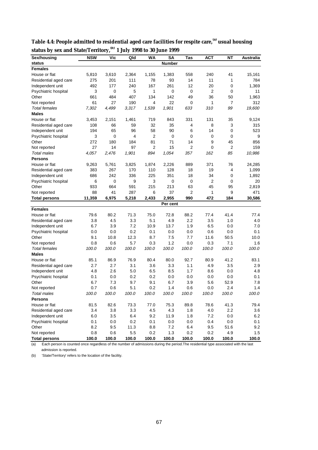| Sex/housing                          | <b>NSW</b> | Vic          | Qld         | WA             | SΑ            | Tas          | АСТ          | <b>NT</b>      | Australia  |
|--------------------------------------|------------|--------------|-------------|----------------|---------------|--------------|--------------|----------------|------------|
| status                               |            |              |             |                | <b>Number</b> |              |              |                |            |
| <b>Females</b>                       |            |              |             |                |               |              |              |                |            |
| House or flat                        | 5,810      | 3,610        | 2,364       | 1,155          | 1,383         | 558          | 240          | 41             | 15,161     |
| Residential aged care                | 275        | 201          | 111         | 78             | 93            | 14           | 11           | 1              | 784        |
| Independent unit                     | 492        | 177          | 240         | 167            | 261           | 12           | 20           | 0              | 1,369      |
| Psychiatric hospital                 | 3          | 0            | 5           | 1              | 0             | 0            | 2            | 0              | 11         |
| Other                                | 661        | 484          | 407         | 134            | 142           | 49           | 36           | 50             | 1,963      |
| Not reported                         | 61         | 27           | 190         | 4              | 22            | 0            | 1            | $\overline{7}$ | 312        |
| <b>Total females</b>                 | 7,302      | 4,499        | 3,317       | 1,539          | 1,901         | 633          | 310          | 99             | 19,600     |
| <b>Males</b>                         |            |              |             |                |               |              |              |                |            |
| House or flat                        | 3,453      | 2,151        | 1,461       | 719            | 843           | 331          | 131          | 35             | 9,124      |
| Residential aged care                | 108        | 66           | 59          | 32             | 35            | 4            | 8            | 3              | 315        |
| Independent unit                     | 194        | 65           | 96          | 58             | 90            | 6            | 14           | 0              | 523        |
| Psychiatric hospital                 | 3          | 0            | 4           | 2              | 0             | 0            | 0            | 0              | 9          |
| Other                                | 272        | 180          | 184         | 81             | 71            | 14           | 9            | 45             | 856        |
| Not reported                         | 27         | 14           | 97          | $\overline{2}$ | 15            | 2            | 0            | $\overline{2}$ | 159        |
| <b>Total males</b>                   | 4,057      | 2,476        | 1,901       | 894            | 1,054         | 357          | 162          | 85             | 10,986     |
| <b>Persons</b>                       |            |              |             |                |               |              |              |                |            |
| House or flat                        | 9,263      | 5,761        | 3,825       | 1,874          | 2,226         | 889          | 371          | 76             | 24,285     |
| Residential aged care                | 383        | 267          | 170         | 110            | 128           | 18           | 19           | 4              | 1,099      |
| Independent unit                     | 686        | 242          | 336         | 225            | 351           | 18           | 34           | 0              | 1,892      |
| Psychiatric hospital                 | 6          | 0            | 9           | 3              | 0             | 0            | 2            | 0              | 20         |
| Other                                | 933        | 664          | 591         | 215            | 213           | 63           | 45           | 95             | 2,819      |
| Not reported                         | 88         | 41           | 287         | 6              | 37            | 2            | 1            | 9              | 471        |
| <b>Total persons</b>                 | 11,359     | 6,975        | 5,218       | 2,433          | 2,955         | 990          | 472          | 184            | 30,586     |
|                                      |            |              |             |                | Per cent      |              |              |                |            |
| <b>Females</b>                       |            |              |             |                |               |              |              |                |            |
| House or flat                        | 79.6       | 80.2         | 71.3        | 75.0           | 72.8          | 88.2         | 77.4         | 41.4           | 77.4       |
| Residential aged care                | 3.8        | 4.5          | 3.3         | 5.1            | 4.9           | 2.2          | 3.5          | 1.0            | 4.0        |
| Independent unit                     | 6.7        | 3.9          | 7.2         | 10.9           | 13.7          | 1.9          | 6.5          | 0.0            | 7.0        |
| Psychiatric hospital                 | 0.0        | 0.0          | 0.2         | 0.1            | 0.0           | 0.0          | 0.6          | 0.0            | 0.1        |
| Other                                | 9.1        | 10.8         | 12.3        | 8.7            | 7.5           | 7.7          | 11.6         | 50.5           | 10.0       |
| Not reported                         | 0.8        | 0.6          | 5.7         | 0.3            | 1.2           | 0.0          | 0.3          | 7.1            | 1.6        |
| <b>Total females</b>                 | 100.0      | 100.0        | 100.0       | 100.0          | 100.0         | 100.0        | 100.0        | 100.0          | 100.0      |
| <b>Males</b>                         |            |              |             |                |               |              |              |                |            |
| House or flat                        | 85.1       | 86.9         | 76.9        | 80.4           | 80.0          | 92.7         | 80.9         | 41.2           | 83.1       |
| Residential aged care                | 2.7        | 2.7          | 3.1         | 3.6            | 3.3           | 1.1          | 4.9          | 3.5            | 2.9        |
| Independent unit                     | 4.8        | 2.6          | 5.0         | 6.5            | 8.5           | 1.7          | 8.6          | 0.0            | 4.8        |
| Psychiatric hospital                 | 0.1        | 0.0          | 0.2         | 0.2            | 0.0           | 0.0          | 0.0          | 0.0            | 0.1        |
| Other                                | 6.7        | 7.3          | 9.7         | 9.1            | 6.7           | 3.9          | 5.6          | 52.9           | 7.8        |
| Not reported                         | 0.7        | 0.6          | 5.1         | 0.2            | 1.4           | 0.6          | 0.0          | 2.4            | 1.4        |
| Total males                          | 100.0      | 100.0        | 100.0       | 100.0          | 100.0         | 100.0        | 100.0        | 100.0          | 100.0      |
| <b>Persons</b>                       |            |              |             |                |               |              |              |                |            |
| House or flat                        | 81.5       | 82.6         | 73.3        | 77.0           | 75.3          | 89.8         | 78.6         | 41.3           | 79.4       |
| Residential aged care                | 3.4        | 3.8          | 3.3         | 4.5            | 4.3           | 1.8          | 4.0          | 2.2            | 3.6        |
| Independent unit                     |            |              | 6.4         | 9.2            |               |              | 7.2          |                | $6.2\,$    |
| Psychiatric hospital                 | 6.0        | 3.5          |             | 0.1            | 11.9          | 1.8          | 0.4          | 0.0<br>0.0     |            |
| Other                                | 0.1<br>8.2 | 0.0          | 0.2         | 8.8            | 0.0<br>7.2    | 0.0<br>6.4   |              |                | 0.1<br>9.2 |
|                                      | 0.8        | 9.5          | 11.3<br>5.5 | 0.2            |               |              | 9.5          | 51.6           | 1.5        |
| Not reported<br><b>Total persons</b> | 100.0      | 0.6<br>100.0 | 100.0       | 100.0          | 1.3<br>100.0  | 0.2<br>100.0 | 0.2<br>100.0 | 4.9<br>100.0   | 100.0      |
|                                      |            |              |             |                |               |              |              |                |            |

**Table 4.4: People admitted to residential aged care facilities for respite care,(a) usual housing status by sex and State/Territory,(b) 1 July 1998 to 30 June 1999**

(a) Each person is counted once regardless of the number of admissions during the period.The residential type associated with the last admission is reported.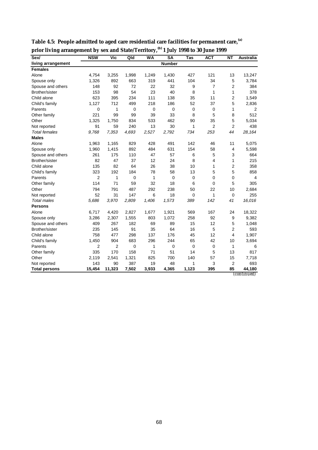| Sex/                 | <b>NSW</b>  | Vic    | $Q$ ld      | <b>WA</b> | <b>SA</b>   | Tas          | <b>ACT</b>     | $\overline{NT}$ | <b>Australia</b>   |
|----------------------|-------------|--------|-------------|-----------|-------------|--------------|----------------|-----------------|--------------------|
| living arrangement   |             |        |             |           | Number      |              |                |                 |                    |
| <b>Females</b>       |             |        |             |           |             |              |                |                 |                    |
| Alone                | 4,754       | 3,255  | 1,998       | 1,249     | 1,430       | 427          | 121            | 13              | 13,247             |
| Spouse only          | 1,326       | 892    | 663         | 319       | 441         | 104          | 34             | 5               | 3,784              |
| Spouse and others    | 148         | 92     | 72          | 22        | 32          | 9            | 7              | $\overline{2}$  | 384                |
| Brother/sister       | 153         | 98     | 54          | 23        | 40          | 8            | 1              | 1               | 378                |
| Child alone          | 623         | 395    | 234         | 111       | 138         | 35           | 11             | $\overline{2}$  | 1,549              |
| Child's family       | 1,127       | 712    | 499         | 218       | 186         | 52           | 37             | 5               | 2,836              |
| Parents              | $\mathbf 0$ | 1      | $\mathbf 0$ | 0         | $\mathbf 0$ | $\mathbf 0$  | 0              | 1               | 2                  |
| Other family         | 221         | 99     | 99          | 39        | 33          | 8            | 5              | 8               | 512                |
| Other                | 1,325       | 1,750  | 834         | 533       | 462         | 90           | 35             | 5               | 5,034              |
| Not reported         | 91          | 59     | 240         | 13        | 30          | 1            | $\overline{2}$ | $\overline{2}$  | 438                |
| <b>Total females</b> | 9,768       | 7,353  | 4,693       | 2,527     | 2,792       | 734          | 253            | 44              | 28,164             |
| <b>Males</b>         |             |        |             |           |             |              |                |                 |                    |
| Alone                | 1,963       | 1,165  | 829         | 428       | 491         | 142          | 46             | 11              | 5,075              |
| Spouse only          | 1,960       | 1,415  | 892         | 484       | 631         | 154          | 58             | $\overline{4}$  | 5,598              |
| Spouse and others    | 261         | 175    | 110         | 47        | 57          | 6            | 5              | 3               | 664                |
| Brother/sister       | 82          | 47     | 37          | 12        | 24          | 8            | 4              | 1               | 215                |
| Child alone          | 135         | 82     | 64          | 26        | 38          | 10           | 1              | $\mathbf 2$     | 358                |
| Child's family       | 323         | 192    | 184         | 78        | 58          | 13           | 5              | 5               | 858                |
| Parents              | 2           | 1      | 0           | 1         | 0           | $\mathbf 0$  | 0              | 0               | 4                  |
| Other family         | 114         | 71     | 59          | 32        | 18          | 6            | 0              | 5               | 305                |
| Other                | 794         | 791    | 487         | 292       | 238         | 50           | 22             | 10              | 2,684              |
| Not reported         | 52          | 31     | 147         | 6         | 18          | $\mathbf 0$  | 1              | $\mathbf 0$     | 255                |
| <b>Total males</b>   | 5,686       | 3,970  | 2,809       | 1,406     | 1,573       | 389          | 142            | 41              | 16,016             |
| <b>Persons</b>       |             |        |             |           |             |              |                |                 |                    |
| Alone                | 6,717       | 4,420  | 2,827       | 1,677     | 1,921       | 569          | 167            | 24              | 18,322             |
| Spouse only          | 3,286       | 2,307  | 1,555       | 803       | 1,072       | 258          | 92             | 9               | 9,382              |
| Spouse and others    | 409         | 267    | 182         | 69        | 89          | 15           | 12             | 5               | 1,048              |
| Brother/sister       | 235         | 145    | 91          | 35        | 64          | 16           | 5              | $\overline{2}$  | 593                |
| Child alone          | 758         | 477    | 298         | 137       | 176         | 45           | 12             | 4               | 1,907              |
| Child's family       | 1,450       | 904    | 683         | 296       | 244         | 65           | 42             | 10              | 3,694              |
| Parents              | 2           | 2      | 0           | 1         | 0           | $\mathbf 0$  | 0              | 1               | 6                  |
| Other family         | 335         | 170    | 158         | 71        | 51          | 14           | 5              | 13              | 817                |
| Other                | 2,119       | 2,541  | 1,321       | 825       | 700         | 140          | 57             | 15              | 7,718              |
| Not reported         | 143         | 90     | 387         | 19        | 48          | $\mathbf{1}$ | 3              | $\overline{2}$  | 693                |
| <b>Total persons</b> | 15,454      | 11,323 | 7,502       | 3,933     | 4,365       | 1,123        | 395            | 85              | 44,180             |
|                      |             |        |             |           |             |              |                |                 | <i>(continued)</i> |

**Table 4.5: People admitted to aged care residential care facilities for permanent care,(a) prior living arrangement by sex and State/Territory,(b) 1 July 1998 to 30 June 1999**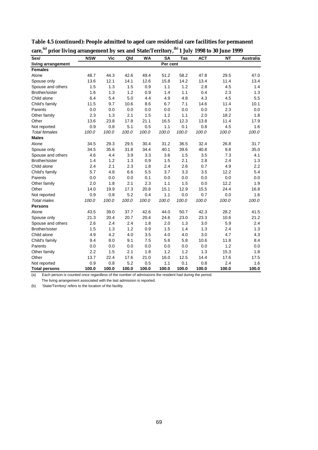| о<br>Sex/            | <b>NSW</b> | Vic   | Qld   | <b>WA</b> | <b>SA</b> | Tas   | <b>ACT</b> | <b>NT</b> | Australia |
|----------------------|------------|-------|-------|-----------|-----------|-------|------------|-----------|-----------|
| living arrangement   |            |       |       |           | Per cent  |       |            |           |           |
| <b>Females</b>       |            |       |       |           |           |       |            |           |           |
| Alone                | 48.7       | 44.3  | 42.6  | 49.4      | 51.2      | 58.2  | 47.8       | 29.5      | 47.0      |
| Spouse only          | 13.6       | 12.1  | 14.1  | 12.6      | 15.8      | 14.2  | 13.4       | 11.4      | 13.4      |
| Spouse and others    | 1.5        | 1.3   | 1.5   | 0.9       | 1.1       | 1.2   | 2.8        | 4.5       | 1.4       |
| Brother/sister       | 1.6        | 1.3   | 1.2   | 0.9       | 1.4       | 1.1   | 0.4        | 2.3       | 1.3       |
| Child alone          | 6.4        | 5.4   | 5.0   | 4.4       | 4.9       | 4.8   | 4.3        | 4.5       | 5.5       |
| Child's family       | 11.5       | 9.7   | 10.6  | 8.6       | 6.7       | 7.1   | 14.6       | 11.4      | 10.1      |
| Parents              | 0.0        | 0.0   | 0.0   | 0.0       | 0.0       | 0.0   | 0.0        | 2.3       | 0.0       |
| Other family         | 2.3        | 1.3   | 2.1   | 1.5       | 1.2       | 1.1   | 2.0        | 18.2      | 1.8       |
| Other                | 13.6       | 23.8  | 17.8  | 21.1      | 16.5      | 12.3  | 13.8       | 11.4      | 17.9      |
| Not reported         | 0.9        | 0.8   | 5.1   | 0.5       | 1.1       | 0.1   | 0.8        | 4.5       | 1.6       |
| <b>Total females</b> | 100.0      | 100.0 | 100.0 | 100.0     | 100.0     | 100.0 | 100.0      | 100.0     | 100.0     |
| <b>Males</b>         |            |       |       |           |           |       |            |           |           |
| Alone                | 34.5       | 29.3  | 29.5  | 30.4      | 31.2      | 36.5  | 32.4       | 26.8      | 31.7      |
| Spouse only          | 34.5       | 35.6  | 31.8  | 34.4      | 40.1      | 39.6  | 40.8       | 9.8       | 35.0      |
| Spouse and others    | 4.6        | 4.4   | 3.9   | 3.3       | 3.6       | 1.5   | 3.5        | 7.3       | 4.1       |
| Brother/sister       | 1.4        | 1.2   | 1.3   | 0.9       | 1.5       | 2.1   | 2.8        | 2.4       | 1.3       |
| Child alone          | 2.4        | 2.1   | 2.3   | 1.8       | 2.4       | 2.6   | 0.7        | 4.9       | 2.2       |
| Child's family       | 5.7        | 4.8   | 6.6   | 5.5       | 3.7       | 3.3   | 3.5        | 12.2      | 5.4       |
| Parents              | 0.0        | 0.0   | 0.0   | 0.1       | 0.0       | 0.0   | 0.0        | 0.0       | 0.0       |
| Other family         | 2.0        | 1.8   | 2.1   | 2.3       | 1.1       | 1.5   | 0.0        | 12.2      | 1.9       |
| Other                | 14.0       | 19.9  | 17.3  | 20.8      | 15.1      | 12.9  | 15.5       | 24.4      | 16.8      |
| Not reported         | 0.9        | 0.8   | 5.2   | 0.4       | 1.1       | 0.0   | 0.7        | 0.0       | 1.6       |
| <b>Total males</b>   | 100.0      | 100.0 | 100.0 | 100.0     | 100.0     | 100.0 | 100.0      | 100.0     | 100.0     |
| <b>Persons</b>       |            |       |       |           |           |       |            |           |           |
| Alone                | 43.5       | 39.0  | 37.7  | 42.6      | 44.0      | 50.7  | 42.3       | 28.2      | 41.5      |
| Spouse only          | 21.3       | 20.4  | 20.7  | 20.4      | 24.6      | 23.0  | 23.3       | 10.6      | 21.2      |
| Spouse and others    | 2.6        | 2.4   | 2.4   | 1.8       | 2.0       | 1.3   | 3.0        | 5.9       | 2.4       |
| Brother/sister       | 1.5        | 1.3   | 1.2   | 0.9       | 1.5       | 1.4   | 1.3        | 2.4       | 1.3       |
| Child alone          | 4.9        | 4.2   | 4.0   | 3.5       | 4.0       | 4.0   | 3.0        | 4.7       | 4.3       |
| Child's family       | 9.4        | 8.0   | 9.1   | 7.5       | 5.6       | 5.8   | 10.6       | 11.8      | 8.4       |
| Parents              | 0.0        | 0.0   | 0.0   | 0.0       | 0.0       | 0.0   | 0.0        | 1.2       | 0.0       |
| Other family         | 2.2        | 1.5   | 2.1   | 1.8       | 1.2       | 1.2   | 1.3        | 15.3      | 1.8       |
| Other                | 13.7       | 22.4  | 17.6  | 21.0      | 16.0      | 12.5  | 14.4       | 17.6      | 17.5      |
| Not reported         | 0.9        | 0.8   | 5.2   | 0.5       | 1.1       | 0.1   | 0.8        | 2.4       | 1.6       |
| <b>Total persons</b> | 100.0      | 100.0 | 100.0 | 100.0     | 100.0     | 100.0 | 100.0      | 100.0     | 100.0     |

**Table 4.5 (continued): People admitted to aged care residential care facilities for permanent care,(a) prior living arrangement by sex and State/Territory,(b) 1 July 1998 to 30 June 1999**

(a) Each person is counted once regardless of the number of admissions the resident had during the period. The living arrangement associated with the last admission is reported.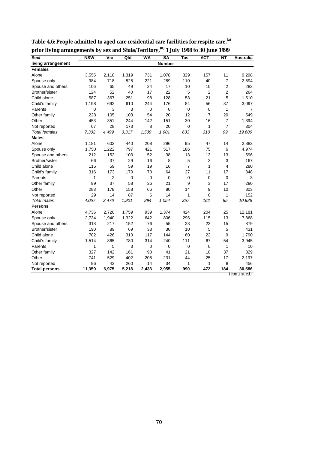| Sex/                 | <b>NSW</b>  | Vic            | Qld         | <b>WA</b> | <b>SA</b>     | Tas            | <b>ACT</b>     | <b>NT</b>      | <b>Australia</b> |
|----------------------|-------------|----------------|-------------|-----------|---------------|----------------|----------------|----------------|------------------|
| living arrangement   |             |                |             |           | <b>Number</b> |                |                |                |                  |
| <b>Females</b>       |             |                |             |           |               |                |                |                |                  |
| Alone                | 3,555       | 2,118          | 1,319       | 731       | 1,078         | 329            | 157            | 11             | 9,298            |
| Spouse only          | 984         | 718            | 525         | 221       | 289           | 110            | 40             | $\overline{7}$ | 2,894            |
| Spouse and others    | 106         | 65             | 49          | 24        | 17            | 10             | 10             | 2              | 283              |
| Brother/sister       | 124         | 52             | 40          | 17        | 22            | 5              | $\overline{2}$ | 2              | 264              |
| Child alone          | 587         | 367            | 251         | 98        | 128           | 53             | 21             | 5              | 1,510            |
| Child's family       | 1,198       | 692            | 610         | 244       | 176           | 84             | 56             | 37             | 3,097            |
| Parents              | $\mathbf 0$ | 3              | 3           | 0         | $\mathbf 0$   | $\mathbf 0$    | $\mathbf 0$    | 1              | 7                |
| Other family         | 228         | 105            | 103         | 54        | 20            | 12             | 7              | 20             | 549              |
| Other                | 453         | 351            | 244         | 142       | 151           | 30             | 16             | $\overline{7}$ | 1,394            |
| Not reported         | 67          | 28             | 173         | 8         | 20            | $\mathbf 0$    | 1              | $\overline{7}$ | 304              |
| <b>Total females</b> | 7,302       | 4,499          | 3,317       | 1,539     | 1,901         | 633            | 310            | 99             | 19,600           |
| <b>Males</b>         |             |                |             |           |               |                |                |                |                  |
| Alone                | 1,181       | 602            | 440         | 208       | 296           | 95             | 47             | 14             | 2,883            |
| Spouse only          | 1,750       | 1,222          | 797         | 421       | 517           | 186            | 75             | 6              | 4,974            |
| Spouse and others    | 212         | 152            | 103         | 52        | 38            | 13             | 13             | 13             | 596              |
| Brother/sister       | 66          | 37             | 29          | 16        | 8             | 5              | 3              | 3              | 167              |
| Child alone          | 115         | 59             | 59          | 19        | 16            | $\overline{7}$ | 1              | 4              | 280              |
| Child's family       | 316         | 173            | 170         | 70        | 64            | 27             | 11             | 17             | 848              |
| Parents              | 1           | $\overline{2}$ | $\mathbf 0$ | 0         | $\mathbf 0$   | 0              | $\mathbf 0$    | $\mathbf 0$    | 3                |
| Other family         | 99          | 37             | 58          | 36        | 21            | 9              | 3              | 17             | 280              |
| Other                | 288         | 178            | 158         | 66        | 80            | 14             | 9              | 10             | 803              |
| Not reported         | 29          | 14             | 87          | 6         | 14            | 1              | 0              | $\mathbf{1}$   | 152              |
| <b>Total males</b>   | 4,057       | 2,476          | 1,901       | 894       | 1,054         | 357            | 162            | 85             | 10,986           |
| <b>Persons</b>       |             |                |             |           |               |                |                |                |                  |
| Alone                | 4,736       | 2,720          | 1,759       | 939       | 1,374         | 424            | 204            | 25             | 12,181           |
| Spouse only          | 2,734       | 1,940          | 1,322       | 642       | 806           | 296            | 115            | 13             | 7,868            |
| Spouse and others    | 318         | 217            | 152         | 76        | 55            | 23             | 23             | 15             | 879              |
| Brother/sister       | 190         | 89             | 69          | 33        | 30            | 10             | 5              | 5              | 431              |
| Child alone          | 702         | 426            | 310         | 117       | 144           | 60             | 22             | 9              | 1,790            |
| Child's family       | 1,514       | 865            | 780         | 314       | 240           | 111            | 67             | 54             | 3,945            |
| Parents              | 1           | 5              | 3           | 0         | $\mathbf 0$   | 0              | $\overline{0}$ | 1              | 10               |
| Other family         | 327         | 142            | 161         | 90        | 41            | 21             | 10             | 37             | 829              |
| Other                | 741         | 529            | 402         | 208       | 231           | 44             | 25             | 17             | 2,197            |
| Not reported         | 96          | 42             | 260         | 14        | 34            | 1              | 1              | 8              | 456              |
| <b>Total persons</b> | 11,359      | 6,975          | 5,218       | 2,433     | 2,955         | 990            | 472            | 184            | 30,586           |
|                      |             |                |             |           |               |                |                |                | (continued)      |

**Table 4.6: People admitted to aged care residential care facilities for respite care,(a) prior living arrangements by sex and State/Territory,(b) 1 July 1998 to 30 June 1999**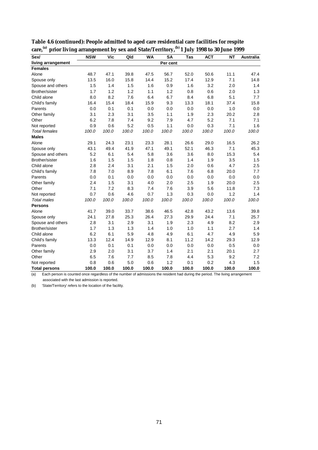| Sex/                 | <b>NSW</b> | Vic   | Qld   | <b>WA</b> | <b>SA</b> | <b>Tas</b> | <b>ACT</b> | <b>NT</b> | <b>Australia</b> |
|----------------------|------------|-------|-------|-----------|-----------|------------|------------|-----------|------------------|
| living arrangement   |            |       |       |           | Per cent  |            |            |           |                  |
| <b>Females</b>       |            |       |       |           |           |            |            |           |                  |
| Alone                | 48.7       | 47.1  | 39.8  | 47.5      | 56.7      | 52.0       | 50.6       | 11.1      | 47.4             |
| Spouse only          | 13.5       | 16.0  | 15.8  | 14.4      | 15.2      | 17.4       | 12.9       | 7.1       | 14.8             |
| Spouse and others    | 1.5        | 1.4   | 1.5   | 1.6       | 0.9       | 1.6        | 3.2        | 2.0       | 1.4              |
| Brother/sister       | 1.7        | 1.2   | 1.2   | 1.1       | 1.2       | 0.8        | 0.6        | 2.0       | 1.3              |
| Child alone          | 8.0        | 8.2   | 7.6   | 6.4       | 6.7       | 8.4        | 6.8        | 5.1       | 7.7              |
| Child's family       | 16.4       | 15.4  | 18.4  | 15.9      | 9.3       | 13.3       | 18.1       | 37.4      | 15.8             |
| Parents              | 0.0        | 0.1   | 0.1   | 0.0       | 0.0       | 0.0        | 0.0        | 1.0       | 0.0              |
| Other family         | 3.1        | 2.3   | 3.1   | 3.5       | 1.1       | 1.9        | 2.3        | 20.2      | 2.8              |
| Other                | 6.2        | 7.8   | 7.4   | 9.2       | 7.9       | 4.7        | 5.2        | 7.1       | 7.1              |
| Not reported         | 0.9        | 0.6   | 5.2   | 0.5       | 1.1       | 0.0        | 0.3        | 7.1       | 1.6              |
| <b>Total females</b> | 100.0      | 100.0 | 100.0 | 100.0     | 100.0     | 100.0      | 100.0      | 100.0     | 100.0            |
| <b>Males</b>         |            |       |       |           |           |            |            |           |                  |
| Alone                | 29.1       | 24.3  | 23.1  | 23.3      | 28.1      | 26.6       | 29.0       | 16.5      | 26.2             |
| Spouse only          | 43.1       | 49.4  | 41.9  | 47.1      | 49.1      | 52.1       | 46.3       | 7.1       | 45.3             |
| Spouse and others    | 5.2        | 6.1   | 5.4   | 5.8       | 3.6       | 3.6        | 8.0        | 15.3      | 5.4              |
| Brother/sister       | 1.6        | 1.5   | 1.5   | 1.8       | 0.8       | 1.4        | 1.9        | 3.5       | 1.5              |
| Child alone          | 2.8        | 2.4   | 3.1   | 2.1       | 1.5       | 2.0        | 0.6        | 4.7       | 2.5              |
| Child's family       | 7.8        | 7.0   | 8.9   | 7.8       | 6.1       | 7.6        | 6.8        | 20.0      | 7.7              |
| Parents              | 0.0        | 0.1   | 0.0   | 0.0       | 0.0       | 0.0        | 0.0        | 0.0       | 0.0              |
| Other family         | 2.4        | 1.5   | 3.1   | 4.0       | 2.0       | 2.5        | 1.9        | 20.0      | 2.5              |
| Other                | 7.1        | 7.2   | 8.3   | 7.4       | 7.6       | 3.9        | 5.6        | 11.8      | 7.3              |
| Not reported         | 0.7        | 0.6   | 4.6   | 0.7       | 1.3       | 0.3        | 0.0        | 1.2       | 1.4              |
| <b>Total males</b>   | 100.0      | 100.0 | 100.0 | 100.0     | 100.0     | 100.0      | 100.0      | 100.0     | 100.0            |
| <b>Persons</b>       |            |       |       |           |           |            |            |           |                  |
| Alone                | 41.7       | 39.0  | 33.7  | 38.6      | 46.5      | 42.8       | 43.2       | 13.6      | 39.8             |
| Spouse only          | 24.1       | 27.8  | 25.3  | 26.4      | 27.3      | 29.9       | 24.4       | 7.1       | 25.7             |
| Spouse and others    | 2.8        | 3.1   | 2.9   | 3.1       | 1.9       | 2.3        | 4.9        | 8.2       | 2.9              |
| Brother/sister       | 1.7        | 1.3   | 1.3   | 1.4       | 1.0       | 1.0        | 1.1        | 2.7       | 1.4              |
| Child alone          | 6.2        | 6.1   | 5.9   | 4.8       | 4.9       | 6.1        | 4.7        | 4.9       | 5.9              |
| Child's family       | 13.3       | 12.4  | 14.9  | 12.9      | 8.1       | 11.2       | 14.2       | 29.3      | 12.9             |
| Parents              | 0.0        | 0.1   | 0.1   | 0.0       | 0.0       | 0.0        | 0.0        | 0.5       | 0.0              |
| Other family         | 2.9        | 2.0   | 3.1   | 3.7       | 1.4       | 2.1        | 2.1        | 20.1      | 2.7              |
| Other                | 6.5        | 7.6   | 7.7   | 8.5       | 7.8       | 4.4        | 5.3        | 9.2       | 7.2              |
| Not reported         | 0.8        | 0.6   | 5.0   | 0.6       | 1.2       | 0.1        | 0.2        | 4.3       | 1.5              |
| <b>Total persons</b> | 100.0      | 100.0 | 100.0 | 100.0     | 100.0     | 100.0      | 100.0      | 100.0     | 100.0            |

| Table 4.6 (continued): People admitted to aged care residential care facilities for respite                          |  |
|----------------------------------------------------------------------------------------------------------------------|--|
| care, <sup>(a)</sup> prior living arrangement by sex and State/Territory, <sup>(b)</sup> 1 July 1998 to 30 June 1999 |  |

(a) Each person is counted once regardless of the number of admissions the resident had during the period. The living arrangement associated with the last admission is reported.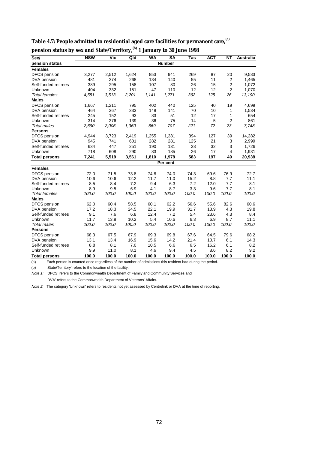| Sex/                 | <b>NSW</b> | <b>Vic</b> | Qld   | <b>WA</b> | $\overline{\text{SA}}$ | Tas   | <b>ACT</b> | <b>NT</b>      | <b>Australia</b> |
|----------------------|------------|------------|-------|-----------|------------------------|-------|------------|----------------|------------------|
| pension status       |            |            |       |           | <b>Number</b>          |       |            |                |                  |
| <b>Females</b>       |            |            |       |           |                        |       |            |                |                  |
| DFCS pension         | 3,277      | 2,512      | 1,624 | 853       | 941                    | 269   | 87         | 20             | 9,583            |
| DVA pension          | 481        | 374        | 268   | 134       | 140                    | 55    | 11         | $\overline{2}$ | 1,465            |
| Self-funded retirees | 389        | 295        | 158   | 107       | 80                     | 26    | 15         | 2              | 1,072            |
| Unknown              | 404        | 332        | 151   | 47        | 110                    | 12    | 12         | 2              | 1,070            |
| <b>Total females</b> | 4,551      | 3,513      | 2,201 | 1,141     | 1,271                  | 362   | 125        | 26             | 13,190           |
| <b>Males</b>         |            |            |       |           |                        |       |            |                |                  |
| DFCS pension         | 1,667      | 1,211      | 795   | 402       | 440                    | 125   | 40         | 19             | 4,699            |
| DVA pension          | 464        | 367        | 333   | 148       | 141                    | 70    | 10         | 1              | 1,534            |
| Self-funded retirees | 245        | 152        | 93    | 83        | 51                     | 12    | 17         | 1              | 654              |
| Unknown              | 314        | 276        | 139   | 36        | 75                     | 14    | 5          | 2              | 861              |
| <b>Total males</b>   | 2,690      | 2,006      | 1,360 | 669       | 707                    | 221   | 72         | 23             | 7,748            |
| <b>Persons</b>       |            |            |       |           |                        |       |            |                |                  |
| DFCS pension         | 4,944      | 3,723      | 2,419 | 1,255     | 1,381                  | 394   | 127        | 39             | 14,282           |
| DVA pension          | 945        | 741        | 601   | 282       | 281                    | 125   | 21         | 3              | 2,999            |
| Self-funded retirees | 634        | 447        | 251   | 190       | 131                    | 38    | 32         | 3              | 1,726            |
| Unknown              | 718        | 608        | 290   | 83        | 185                    | 26    | 17         | 4              | 1,931            |
| <b>Total persons</b> | 7,241      | 5,519      | 3,561 | 1,810     | 1,978                  | 583   | 197        | 49             | 20,938           |
|                      |            |            |       |           | Per cent               |       |            |                |                  |
| <b>Females</b>       |            |            |       |           |                        |       |            |                |                  |
| DFCS pension         | 72.0       | 71.5       | 73.8  | 74.8      | 74.0                   | 74.3  | 69.6       | 76.9           | 72.7             |
| DVA pension          | 10.6       | 10.6       | 12.2  | 11.7      | 11.0                   | 15.2  | 8.8        | 7.7            | 11.1             |
| Self-funded retirees | 8.5        | 8.4        | 7.2   | 9.4       | 6.3                    | 7.2   | 12.0       | 7.7            | 8.1              |
| <b>Unknown</b>       | 8.9        | 9.5        | 6.9   | 4.1       | 8.7                    | 3.3   | 9.6        | 7.7            | 8.1              |
| <b>Total females</b> | 100.0      | 100.0      | 100.0 | 100.0     | 100.0                  | 100.0 | 100.0      | 100.0          | 100.0            |
| <b>Males</b>         |            |            |       |           |                        |       |            |                |                  |
| <b>DFCS</b> pension  | 62.0       | 60.4       | 58.5  | 60.1      | 62.2                   | 56.6  | 55.6       | 82.6           | 60.6             |
| DVA pension          | 17.2       | 18.3       | 24.5  | 22.1      | 19.9                   | 31.7  | 13.9       | 4.3            | 19.8             |
| Self-funded retirees | 9.1        | 7.6        | 6.8   | 12.4      | 7.2                    | 5.4   | 23.6       | 4.3            | 8.4              |
| Unknown              | 11.7       | 13.8       | 10.2  | 5.4       | 10.6                   | 6.3   | 6.9        | 8.7            | 11.1             |
| <b>Total males</b>   | 100.0      | 100.0      | 100.0 | 100.0     | 100.0                  | 100.0 | 100.0      | 100.0          | 100.0            |
| <b>Persons</b>       |            |            |       |           |                        |       |            |                |                  |
| DFCS pension         | 68.3       | 67.5       | 67.9  | 69.3      | 69.8                   | 67.6  | 64.5       | 79.6           | 68.2             |
| DVA pension          | 13.1       | 13.4       | 16.9  | 15.6      | 14.2                   | 21.4  | 10.7       | 6.1            | 14.3             |
| Self-funded retirees | 8.8        | 8.1        | 7.0   | 10.5      | 6.6                    | 6.5   | 16.2       | 6.1            | 8.2              |
| Unknown              | 9.9        | 11.0       | 8.1   | 4.6       | 9.4                    | 4.5   | 8.6        | 8.2            | 9.2              |
| <b>Total persons</b> | 100.0      | 100.0      | 100.0 | 100.0     | 100.0                  | 100.0 | 100.0      | 100.0          | 100.0            |

| Table 4.7: People admitted to residential aged care facilities for permanent care, (a) |  |  |  |
|----------------------------------------------------------------------------------------|--|--|--|
|                                                                                        |  |  |  |

| <b>Females</b>       |       |       |       |       |       |     |     |  |
|----------------------|-------|-------|-------|-------|-------|-----|-----|--|
| DFCS pension         | 3.277 | 2.512 | 1.624 | 853   | 941   | 269 | 87  |  |
| DVA pension          | 481   | 374   | 268   | 134   | 140   | 55  | 11  |  |
| Self-funded retirees | 389   | 295   | 158   | 107   | 80    | 26  | 15  |  |
| Unknown              | 404   | 332   | 151   | 47    | 110   | 12  | 12  |  |
| Total females        | 4.551 | 3.513 | 2.201 | 1.141 | 1.271 | 362 | 125 |  |
| <b>Males</b>         |       |       |       |       |       |     |     |  |
| DFCS pension         | 1.667 | 1.211 | 795   | 402   | 440   | 125 | 40  |  |
|                      |       |       |       |       |       |     |     |  |

**pension status by sex and State/Territory,(b) 1 January to 30 June 1998**

(a) Each person is counted once regardless of the number of admissions this resident had during the period.

(b) 'State/Territory' refers to the location of the facility.

Note 1: 'DFCS' refers to the Commonwealth Department of Family and Community Services and

'DVA' refers to the Commonwealth Department of Veterans' Affairs.

Note 2: The category 'Unknown' refers to residents not yet assessed by Centrelink or DVA at the time of reporting.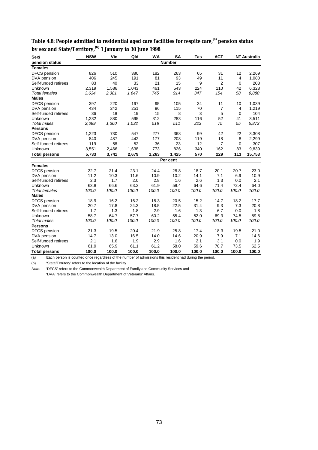| Sex/                 | <b>NSW</b> | Vic   | Qld   | <b>WA</b> | <b>SA</b>     | Tas   | <b>ACT</b>     |             | <b>NT Australia</b> |
|----------------------|------------|-------|-------|-----------|---------------|-------|----------------|-------------|---------------------|
| pension status       |            |       |       |           | <b>Number</b> |       |                |             |                     |
| <b>Females</b>       |            |       |       |           |               |       |                |             |                     |
| <b>DFCS</b> pension  | 826        | 510   | 380   | 182       | 263           | 65    | 31             | 12          | 2,269               |
| DVA pension          | 406        | 245   | 191   | 81        | 93            | 49    | 11             | 4           | 1,080               |
| Self-funded retirees | 83         | 40    | 33    | 21        | 15            | 9     | $\overline{2}$ | $\mathbf 0$ | 203                 |
| Unknown              | 2,319      | 1.586 | 1.043 | 461       | 543           | 224   | 110            | 42          | 6,328               |
| <b>Total females</b> | 3,634      | 2,381 | 1,647 | 745       | 914           | 347   | 154            | 58          | 9,880               |
| <b>Males</b>         |            |       |       |           |               |       |                |             |                     |
| DFCS pension         | 397        | 220   | 167   | 95        | 105           | 34    | 11             | 10          | 1,039               |
| DVA pension          | 434        | 242   | 251   | 96        | 115           | 70    | 7              | 4           | 1,219               |
| Self-funded retirees | 36         | 18    | 19    | 15        | 8             | 3     | 5              | $\Omega$    | 104                 |
| Unknown              | 1,232      | 880   | 595   | 312       | 283           | 116   | 52             | 41          | 3,511               |
| <b>Total males</b>   | 2,099      | 1,360 | 1,032 | 518       | 511           | 223   | 75             | 55          | 5,873               |
| <b>Persons</b>       |            |       |       |           |               |       |                |             |                     |
| DFCS pension         | 1,223      | 730   | 547   | 277       | 368           | 99    | 42             | 22          | 3,308               |
| DVA pension          | 840        | 487   | 442   | 177       | 208           | 119   | 18             | 8           | 2,299               |
| Self-funded retirees | 119        | 58    | 52    | 36        | 23            | 12    | $\overline{7}$ | 0           | 307                 |
| Unknown              | 3,551      | 2,466 | 1,638 | 773       | 826           | 340   | 162            | 83          | 9,839               |
| <b>Total persons</b> | 5,733      | 3,741 | 2,679 | 1,263     | 1,425         | 570   | 229            | 113         | 15,753              |
|                      |            |       |       |           | Per cent      |       |                |             |                     |
| <b>Females</b>       |            |       |       |           |               |       |                |             |                     |
| DFCS pension         | 22.7       | 21.4  | 23.1  | 24.4      | 28.8          | 18.7  | 20.1           | 20.7        | 23.0                |
| DVA pension          | 11.2       | 10.3  | 11.6  | 10.9      | 10.2          | 14.1  | 7.1            | 6.9         | 10.9                |
| Self-funded retirees | 2.3        | 1.7   | 2.0   | 2.8       | 1.6           | 2.6   | 1.3            | 0.0         | 2.1                 |
| Unknown              | 63.8       | 66.6  | 63.3  | 61.9      | 59.4          | 64.6  | 71.4           | 72.4        | 64.0                |
| <b>Total females</b> | 100.0      | 100.0 | 100.0 | 100.0     | 100.0         | 100.0 | 100.0          | 100.0       | 100.0               |
| <b>Males</b>         |            |       |       |           |               |       |                |             |                     |
| <b>DFCS</b> pension  | 18.9       | 16.2  | 16.2  | 18.3      | 20.5          | 15.2  | 14.7           | 18.2        | 17.7                |
| DVA pension          | 20.7       | 17.8  | 24.3  | 18.5      | 22.5          | 31.4  | 9.3            | 7.3         | 20.8                |
| Self-funded retirees | 1.7        | 1.3   | 1.8   | 2.9       | 1.6           | 1.3   | 6.7            | 0.0         | 1.8                 |
| Unknown              | 58.7       | 64.7  | 57.7  | 60.2      | 55.4          | 52.0  | 69.3           | 74.5        | 59.8                |
| <b>Total males</b>   | 100.0      | 100.0 | 100.0 | 100.0     | 100.0         | 100.0 | 100.0          | 100.0       | 100.0               |
| <b>Persons</b>       |            |       |       |           |               |       |                |             |                     |
| DFCS pension         | 21.3       | 19.5  | 20.4  | 21.9      | 25.8          | 17.4  | 18.3           | 19.5        | 21.0                |
| DVA pension          | 14.7       | 13.0  | 16.5  | 14.0      | 14.6          | 20.9  | 7.9            | 7.1         | 14.6                |
| Self-funded retirees | 2.1        | 1.6   | 1.9   | 2.9       | 1.6           | 2.1   | 3.1            | 0.0         | 1.9                 |
| Unknown              | 61.9       | 65.9  | 61.1  | 61.2      | 58.0          | 59.6  | 70.7           | 73.5        | 62.5                |
| <b>Total persons</b> | 100.0      | 100.0 | 100.0 | 100.0     | 100.0         | 100.0 | 100.0          | 100.0       | 100.0               |

**Table 4.8: People admitted to residential aged care facilities for respite care,(a) pension status by sex and State/Territory,(b) 1 January to 30 June 1998**

(a) Each person is counted once regardless of the number of admissions this resident had during the period.

(b) 'State/Territory' refers to the location of the facility.

Note: 'DFCS' refers to the Commonwealth Department of Family and Community Services and 'DVA' refers to the Commonwealth Department of Veterans' Affairs.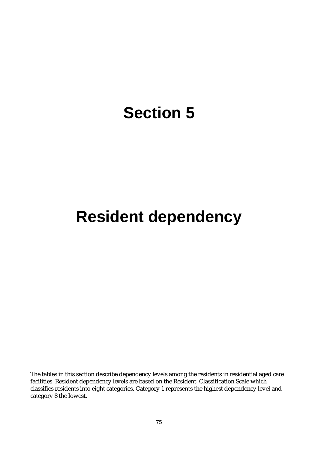## **Section 5**

## **Resident dependency**

The tables in this section describe dependency levels among the residents in residential aged care facilities. Resident dependency levels are based on the Resident Classification Scale which classifies residents into eight categories. Category 1 represents the highest dependency level and category 8 the lowest.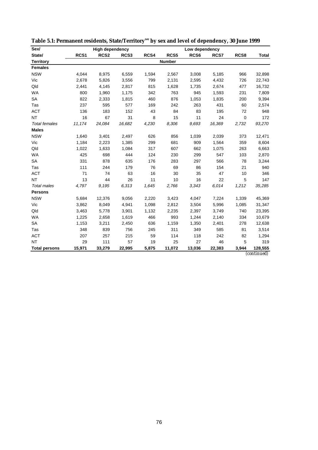| Sex/                 |                  | <b>High dependency</b> |        |       | Low dependency |                  |        |           |              |  |
|----------------------|------------------|------------------------|--------|-------|----------------|------------------|--------|-----------|--------------|--|
| State/               | RCS <sub>1</sub> | RCS <sub>2</sub>       | RCS3   | RCS4  | RCS5           | RCS <sub>6</sub> | RCS7   | RCS8      | <b>Total</b> |  |
| <b>Territory</b>     |                  |                        |        |       | <b>Number</b>  |                  |        |           |              |  |
| <b>Females</b>       |                  |                        |        |       |                |                  |        |           |              |  |
| <b>NSW</b>           | 4,044            | 8,975                  | 6,559  | 1,594 | 2,567          | 3,008            | 5,185  | 966       | 32,898       |  |
| Vic                  | 2,678            | 5,826                  | 3,556  | 799   | 2,131          | 2,595            | 4,432  | 726       | 22,743       |  |
| Qld                  | 2,441            | 4,145                  | 2,817  | 815   | 1,628          | 1,735            | 2,674  | 477       | 16,732       |  |
| <b>WA</b>            | 800              | 1,960                  | 1,175  | 342   | 763            | 945              | 1,593  | 231       | 7,809        |  |
| <b>SA</b>            | 822              | 2,333                  | 1,815  | 460   | 876            | 1,053            | 1,835  | 200       | 9,394        |  |
| Tas                  | 237              | 595                    | 577    | 169   | 242            | 263              | 431    | 60        | 2,574        |  |
| <b>ACT</b>           | 136              | 183                    | 152    | 43    | 84             | 83               | 195    | 72        | 948          |  |
| <b>NT</b>            | 16               | 67                     | 31     | 8     | 15             | 11               | 24     | $\pmb{0}$ | 172          |  |
| <b>Total females</b> | 11,174           | 24,084                 | 16,682 | 4,230 | 8,306          | 9,693            | 16,369 | 2,732     | 93,270       |  |
| <b>Males</b>         |                  |                        |        |       |                |                  |        |           |              |  |
| <b>NSW</b>           | 1,640            | 3,401                  | 2,497  | 626   | 856            | 1,039            | 2,039  | 373       | 12,471       |  |
| Vic                  | 1,184            | 2,223                  | 1,385  | 299   | 681            | 909              | 1,564  | 359       | 8,604        |  |
| Qld                  | 1,022            | 1,633                  | 1,084  | 317   | 607            | 662              | 1,075  | 263       | 6,663        |  |
| <b>WA</b>            | 425              | 698                    | 444    | 124   | 230            | 299              | 547    | 103       | 2,870        |  |
| SA                   | 331              | 878                    | 635    | 176   | 283            | 297              | 566    | 78        | 3,244        |  |
| Tas                  | 111              | 244                    | 179    | 76    | 69             | 86               | 154    | 21        | 940          |  |
| <b>ACT</b>           | 71               | 74                     | 63     | 16    | 30             | 35               | 47     | 10        | 346          |  |
| <b>NT</b>            | 13               | 44                     | 26     | 11    | 10             | 16               | 22     | 5         | 147          |  |
| <b>Total males</b>   | 4,797            | 9,195                  | 6,313  | 1,645 | 2,766          | 3,343            | 6.014  | 1,212     | 35,285       |  |
| <b>Persons</b>       |                  |                        |        |       |                |                  |        |           |              |  |
| <b>NSW</b>           | 5,684            | 12,376                 | 9,056  | 2,220 | 3,423          | 4,047            | 7,224  | 1,339     | 45,369       |  |
| Vic                  | 3,862            | 8,049                  | 4,941  | 1,098 | 2,812          | 3,504            | 5,996  | 1,085     | 31,347       |  |
| Qld                  | 3,463            | 5,778                  | 3,901  | 1,132 | 2,235          | 2,397            | 3,749  | 740       | 23,395       |  |
| <b>WA</b>            | 1,225            | 2,658                  | 1,619  | 466   | 993            | 1,244            | 2,140  | 334       | 10,679       |  |
| <b>SA</b>            | 1,153            | 3,211                  | 2,450  | 636   | 1,159          | 1,350            | 2,401  | 278       | 12,638       |  |
| Tas                  | 348              | 839                    | 756    | 245   | 311            | 349              | 585    | 81        | 3,514        |  |
| <b>ACT</b>           | 207              | 257                    | 215    | 59    | 114            | 118              | 242    | 82        | 1,294        |  |
| <b>NT</b>            | 29               | 111                    | 57     | 19    | 25             | 27               | 46     | 5         | 319          |  |
| <b>Total persons</b> | 15,971           | 33,279                 | 22,995 | 5,875 | 11,072         | 13,036           | 22,383 | 3,944     | 128,555      |  |

**Table 5.1: Permanent residents, State/Territory(a) by sex and level of dependency, 30 June 1999**

*(continued)*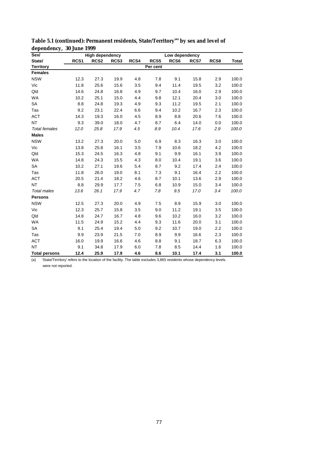| Sex/                 | <b>High dependency</b><br>Low dependency |                  |      |      |          |      |      |      |              |
|----------------------|------------------------------------------|------------------|------|------|----------|------|------|------|--------------|
| State/               | RCS <sub>1</sub>                         | RCS <sub>2</sub> | RCS3 | RCS4 | RCS5     | RCS6 | RCS7 | RCS8 | <b>Total</b> |
| <b>Territory</b>     |                                          |                  |      |      | Per cent |      |      |      |              |
| <b>Females</b>       |                                          |                  |      |      |          |      |      |      |              |
| <b>NSW</b>           | 12.3                                     | 27.3             | 19.9 | 4.8  | 7.8      | 9.1  | 15.8 | 2.9  | 100.0        |
| Vic                  | 11.8                                     | 25.6             | 15.6 | 3.5  | 9.4      | 11.4 | 19.5 | 3.2  | 100.0        |
| Qld                  | 14.6                                     | 24.8             | 16.8 | 4.9  | 9.7      | 10.4 | 16.0 | 2.9  | 100.0        |
| <b>WA</b>            | 10.2                                     | 25.1             | 15.0 | 4.4  | 9.8      | 12.1 | 20.4 | 3.0  | 100.0        |
| SA                   | 8.8                                      | 24.8             | 19.3 | 4.9  | 9.3      | 11.2 | 19.5 | 2.1  | 100.0        |
| Tas                  | 9.2                                      | 23.1             | 22.4 | 6.6  | 9.4      | 10.2 | 16.7 | 2.3  | 100.0        |
| <b>ACT</b>           | 14.3                                     | 19.3             | 16.0 | 4.5  | 8.9      | 8.8  | 20.6 | 7.6  | 100.0        |
| <b>NT</b>            | 9.3                                      | 39.0             | 18.0 | 4.7  | 8.7      | 6.4  | 14.0 | 0.0  | 100.0        |
| <b>Total females</b> | 12.0                                     | 25.8             | 17.9 | 4.5  | 8.9      | 10.4 | 17.6 | 2.9  | 100.0        |
| <b>Males</b>         |                                          |                  |      |      |          |      |      |      |              |
| <b>NSW</b>           | 13.2                                     | 27.3             | 20.0 | 5.0  | 6.9      | 8.3  | 16.3 | 3.0  | 100.0        |
| Vic                  | 13.8                                     | 25.8             | 16.1 | 3.5  | 7.9      | 10.6 | 18.2 | 4.2  | 100.0        |
| Qld                  | 15.3                                     | 24.5             | 16.3 | 4.8  | 9.1      | 9.9  | 16.1 | 3.9  | 100.0        |
| WA                   | 14.8                                     | 24.3             | 15.5 | 4.3  | 8.0      | 10.4 | 19.1 | 3.6  | 100.0        |
| SA                   | 10.2                                     | 27.1             | 19.6 | 5.4  | 8.7      | 9.2  | 17.4 | 2.4  | 100.0        |
| Tas                  | 11.8                                     | 26.0             | 19.0 | 8.1  | 7.3      | 9.1  | 16.4 | 2.2  | 100.0        |
| <b>ACT</b>           | 20.5                                     | 21.4             | 18.2 | 4.6  | 8.7      | 10.1 | 13.6 | 2.9  | 100.0        |
| <b>NT</b>            | 8.8                                      | 29.9             | 17.7 | 7.5  | 6.8      | 10.9 | 15.0 | 3.4  | 100.0        |
| <b>Total males</b>   | 13.6                                     | 26.1             | 17.9 | 4.7  | 7.8      | 9.5  | 17.0 | 3.4  | 100.0        |
| <b>Persons</b>       |                                          |                  |      |      |          |      |      |      |              |
| <b>NSW</b>           | 12.5                                     | 27.3             | 20.0 | 4.9  | 7.5      | 8.9  | 15.9 | 3.0  | 100.0        |
| Vic                  | 12.3                                     | 25.7             | 15.8 | 3.5  | 9.0      | 11.2 | 19.1 | 3.5  | 100.0        |
| Qld                  | 14.8                                     | 24.7             | 16.7 | 4.8  | 9.6      | 10.2 | 16.0 | 3.2  | 100.0        |
| <b>WA</b>            | 11.5                                     | 24.9             | 15.2 | 4.4  | 9.3      | 11.6 | 20.0 | 3.1  | 100.0        |
| SA                   | 9.1                                      | 25.4             | 19.4 | 5.0  | 9.2      | 10.7 | 19.0 | 2.2  | 100.0        |
| Tas                  | 9.9                                      | 23.9             | 21.5 | 7.0  | 8.9      | 9.9  | 16.6 | 2.3  | 100.0        |
| <b>ACT</b>           | 16.0                                     | 19.9             | 16.6 | 4.6  | 8.8      | 9.1  | 18.7 | 6.3  | 100.0        |
| <b>NT</b>            | 9.1                                      | 34.8             | 17.9 | 6.0  | 7.8      | 8.5  | 14.4 | 1.6  | 100.0        |
| <b>Total persons</b> | 12.4                                     | 25.9             | 17.9 | 4.6  | 8.6      | 10.1 | 17.4 | 3.1  | 100.0        |

Table 5.1 (continued): Permanent residents, State/Territory<sup>(a)</sup> by sex and level of **dependency, 30 June 1999**

(a) 'State/Territory' refers to the location of the facility. The table excludes 3,865 residents whose dependency levels.

were not reported.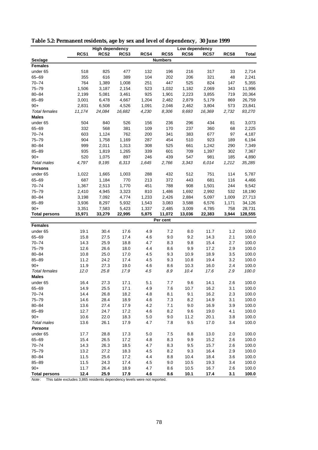|                      |        | <b>High dependency</b> |        |       |                | Low dependency   |        |       |              |
|----------------------|--------|------------------------|--------|-------|----------------|------------------|--------|-------|--------------|
|                      | RCS1   | RCS <sub>2</sub>       | RCS3   | RCS4  | RCS5           | RCS <sub>6</sub> | RCS7   | RCS8  | <b>Total</b> |
| Sex/age              |        |                        |        |       | <b>Numbers</b> |                  |        |       |              |
| <b>Females</b>       |        |                        |        |       |                |                  |        |       |              |
| under 65             | 518    | 825                    | 477    | 132   | 196            | 216              | 317    | 33    | 2,714        |
| 65-69                | 355    | 616                    | 389    | 104   | 202            | 206              | 321    | 48    | 2,241        |
| $70 - 74$            | 764    | 1,389                  | 1,008  | 251   | 447            | 525              | 824    | 147   | 5,355        |
| $75 - 79$            | 1,506  | 3,187                  | 2,154  | 523   | 1,032          | 1,182            | 2,069  | 343   | 11,996       |
| $80 - 84$            | 2,199  | 5,081                  | 3,461  | 925   | 1,901          | 2,223            | 3,855  | 719   | 20,364       |
| $85 - 89$            | 3,001  | 6,478                  | 4,667  | 1,204 | 2,482          | 2,879            | 5,179  | 869   | 26,759       |
| $90+$                | 2,831  | 6,508                  | 4,526  | 1,091 | 2,046          | 2,462            | 3,804  | 573   | 23,841       |
| <b>Total females</b> | 11,174 | 24,084                 | 16,682 | 4,230 | 8,306          | 9,693            | 16,369 | 2,732 | 93,270       |
| <b>Males</b>         |        |                        |        |       |                |                  |        |       |              |
| under 65             | 504    | 840                    | 526    | 156   | 236            | 296              | 434    | 81    | 3,073        |
| 65-69                | 332    | 568                    | 381    | 109   | 170            | 237              | 360    | 68    | 2,225        |
| $70 - 74$            | 603    | 1,124                  | 762    | 200   | 341            | 383              | 677    | 97    | 4,187        |
| $75 - 79$            | 904    | 1,758                  | 1,169  | 287   | 454            | 510              | 923    | 189   | 6,194        |
| $80 - 84$            | 999    | 2,011                  | 1,313  | 308   | 525            | 661              | 1,242  | 290   | 7,349        |
| $85 - 89$            | 935    | 1,819                  | 1,265  | 339   | 601            | 709              | 1,397  | 302   | 7,367        |
| $90+$                | 520    | 1,075                  | 897    | 246   | 439            | 547              | 981    | 185   | 4,890        |
| <b>Total males</b>   | 4,797  | 9,195                  | 6,313  | 1,645 | 2,766          | 3,343            | 6,014  | 1,212 | 35,285       |
| <b>Persons</b>       |        |                        |        |       |                |                  |        |       |              |
| under 65             | 1,022  | 1,665                  | 1,003  | 288   | 432            | 512              | 751    | 114   | 5,787        |
| 65-69                | 687    | 1,184                  | 770    | 213   | 372            | 443              | 681    | 116   | 4,466        |
| $70 - 74$            | 1,367  | 2,513                  | 1,770  | 451   | 788            | 908              | 1,501  | 244   | 9,542        |
| $75 - 79$            | 2,410  | 4,945                  | 3,323  | 810   | 1,486          | 1,692            | 2,992  | 532   | 18,190       |
| $80 - 84$            | 3,198  | 7,092                  | 4,774  | 1,233 | 2,426          | 2,884            | 5,097  | 1,009 | 27,713       |
| $85 - 89$            | 3,936  | 8,297                  | 5,932  | 1,543 | 3,083          | 3,588            | 6,576  | 1,171 | 34,126       |
| $90+$                | 3,351  | 7,583                  | 5,423  | 1,337 | 2,485          | 3,009            | 4,785  | 758   | 28,731       |
| <b>Total persons</b> | 15,971 | 33,279                 | 22,995 | 5,875 | 11,072         | 13,036           | 22,383 | 3,944 | 128,555      |
|                      |        |                        |        |       | Per cent       |                  |        |       |              |
| <b>Females</b>       |        |                        |        |       |                |                  |        |       |              |
| under 65             | 19.1   | 30.4                   | 17.6   | 4.9   | 7.2            | 8.0              | 11.7   | 1.2   | 100.0        |
| 65-69                | 15.8   | 27.5                   | 17.4   | 4.6   | 9.0            | 9.2              | 14.3   | 2.1   | 100.0        |
| $70 - 74$            | 14.3   | 25.9                   | 18.8   | 4.7   | 8.3            | 9.8              | 15.4   | 2.7   | 100.0        |
| $75 - 79$            | 12.6   | 26.6                   | 18.0   | 4.4   | 8.6            | 9.9              | 17.2   | 2.9   | 100.0        |
| $80 - 84$            | 10.8   | 25.0                   | 17.0   | 4.5   | 9.3            | 10.9             | 18.9   | 3.5   | 100.0        |
| $85 - 89$            | 11.2   | 24.2                   | 17.4   | 4.5   | 9.3            | 10.8             | 19.4   | 3.2   | 100.0        |
| $90+$                | 11.9   | 27.3                   | 19.0   | 4.6   | 8.6            | 10.3             | 16.0   | 2.4   | 100.0        |
| <b>Total females</b> | 12.0   | 25.8                   | 17.9   | 4.5   | 8.9            | 10.4             | 17.6   | 2.9   | 100.0        |
| <b>Males</b>         |        |                        |        |       |                |                  |        |       |              |
| under 65             | 16.4   | 27.3                   | 17.1   | 5.1   | 7.7            | 9.6              | 14.1   | 2.6   | 100.0        |
| $65 - 69$            | 14.9   | 25.5                   | 17.1   | 4.9   | 7.6            | 10.7             | 16.2   | 3.1   | 100.0        |
|                      |        |                        |        |       |                |                  |        |       | 100.0        |
| $70 - 74$            | 14.4   | 26.8                   | 18.2   | 4.8   | 8.1            | 9.1              | 16.2   | 2.3   |              |
| $75 - 79$            | 14.6   | 28.4                   | 18.9   | 4.6   | 7.3            | 8.2              | 14.9   | 3.1   | 100.0        |
| $80 - 84$            | 13.6   | 27.4                   | 17.9   | 4.2   | 7.1            | 9.0              | 16.9   | 3.9   | 100.0        |
| $85 - 89$            | 12.7   | 24.7                   | 17.2   | 4.6   | 8.2            | 9.6              | 19.0   | 4.1   | 100.0        |
| $90+$                | 10.6   | 22.0                   | 18.3   | 5.0   | 9.0            | 11.2             | 20.1   | 3.8   | 100.0        |
| Total males          | 13.6   | 26.1                   | 17.9   | 4.7   | 7.8            | 9.5              | 17.0   | 3.4   | 100.0        |
| <b>Persons</b>       |        |                        |        |       |                |                  |        |       |              |
| under 65             | 17.7   | 28.8                   | 17.3   | 5.0   | 7.5            | 8.8              | 13.0   | 2.0   | 100.0        |
| $65 - 69$            | 15.4   | 26.5                   | 17.2   | 4.8   | 8.3            | 9.9              | 15.2   | 2.6   | 100.0        |
| $70 - 74$            | 14.3   | 26.3                   | 18.5   | 4.7   | 8.3            | 9.5              | 15.7   | 2.6   | 100.0        |
| $75 - 79$            | 13.2   | 27.2                   | 18.3   | 4.5   | 8.2            | 9.3              | 16.4   | 2.9   | 100.0        |
| $80 - 84$            | 11.5   | 25.6                   | 17.2   | 4.4   | 8.8            | 10.4             | 18.4   | 3.6   | 100.0        |
| $85 - 89$            | 11.5   | 24.3                   | 17.4   | 4.5   | 9.0            | 10.5             | 19.3   | 3.4   | 100.0        |
| $90+$                | 11.7   | 26.4                   | 18.9   | 4.7   | 8.6            | 10.5             | 16.7   | 2.6   | 100.0        |
| <b>Total persons</b> | 12.4   | 25.9                   | 17.9   | 4.6   | 8.6            | 10.1             | 17.4   | 3.1   | 100.0        |

**Table 5.2: Permanent residents, age by sex and level of dependency, 30 June 1999**

Note: This table excludes 3,865 residents dependency levels were not reported.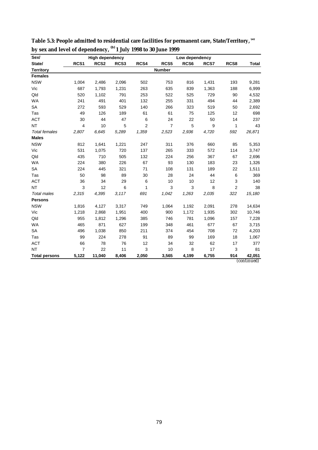| Sex/                 |                | <b>High dependency</b> |       |                |                | Low dependency   |       |                |                              |
|----------------------|----------------|------------------------|-------|----------------|----------------|------------------|-------|----------------|------------------------------|
| State/               | RCS1           | RCS <sub>2</sub>       | RCS3  | RCS4           | RCS5           | RCS <sub>6</sub> | RCS7  | RCS8           | <b>Total</b>                 |
| <b>Territory</b>     |                |                        |       |                | <b>Number</b>  |                  |       |                |                              |
| <b>Females</b>       |                |                        |       |                |                |                  |       |                |                              |
| <b>NSW</b>           | 1,004          | 2,486                  | 2,096 | 502            | 753            | 816              | 1,431 | 193            | 9,281                        |
| Vic                  | 687            | 1,793                  | 1,231 | 263            | 635            | 839              | 1,363 | 188            | 6,999                        |
| Qld                  | 520            | 1,102                  | 791   | 253            | 522            | 525              | 729   | 90             | 4,532                        |
| <b>WA</b>            | 241            | 491                    | 401   | 132            | 255            | 331              | 494   | 44             | 2,389                        |
| <b>SA</b>            | 272            | 593                    | 529   | 140            | 266            | 323              | 519   | 50             | 2,692                        |
| Tas                  | 49             | 126                    | 189   | 61             | 61             | 75               | 125   | 12             | 698                          |
| <b>ACT</b>           | 30             | 44                     | 47    | 6              | 24             | 22               | 50    | 14             | 237                          |
| <b>NT</b>            | 4              | 10                     | 5     | $\overline{2}$ | $\overline{7}$ | 5                | 9     | 1              | 43                           |
| <b>Total females</b> | 2,807          | 6,645                  | 5,289 | 1,359          | 2,523          | 2,936            | 4,720 | 592            | 26,871                       |
| <b>Males</b>         |                |                        |       |                |                |                  |       |                |                              |
| <b>NSW</b>           | 812            | 1,641                  | 1,221 | 247            | 311            | 376              | 660   | 85             | 5,353                        |
| Vic                  | 531            | 1,075                  | 720   | 137            | 265            | 333              | 572   | 114            | 3,747                        |
| Qld                  | 435            | 710                    | 505   | 132            | 224            | 256              | 367   | 67             | 2,696                        |
| <b>WA</b>            | 224            | 380                    | 226   | 67             | 93             | 130              | 183   | 23             | 1,326                        |
| SA                   | 224            | 445                    | 321   | 71             | 108            | 131              | 189   | 22             | 1,511                        |
| Tas                  | 50             | 98                     | 89    | 30             | 28             | 24               | 44    | 6              | 369                          |
| <b>ACT</b>           | 36             | 34                     | 29    | 6              | 10             | 10               | 12    | 3              | 140                          |
| <b>NT</b>            | 3              | 12                     | 6     | 1              | 3              | 3                | 8     | $\overline{2}$ | 38                           |
| <b>Total males</b>   | 2,315          | 4,395                  | 3,117 | 691            | 1,042          | 1,263            | 2,035 | 322            | 15,180                       |
| <b>Persons</b>       |                |                        |       |                |                |                  |       |                |                              |
| <b>NSW</b>           | 1,816          | 4,127                  | 3,317 | 749            | 1,064          | 1,192            | 2,091 | 278            | 14,634                       |
| Vic                  | 1,218          | 2,868                  | 1,951 | 400            | 900            | 1,172            | 1,935 | 302            | 10,746                       |
| Qld                  | 955            | 1,812                  | 1,296 | 385            | 746            | 781              | 1,096 | 157            | 7,228                        |
| <b>WA</b>            | 465            | 871                    | 627   | 199            | 348            | 461              | 677   | 67             | 3,715                        |
| <b>SA</b>            | 496            | 1,038                  | 850   | 211            | 374            | 454              | 708   | 72             | 4,203                        |
| Tas                  | 99             | 224                    | 278   | 91             | 89             | 99               | 169   | 18             | 1,067                        |
| <b>ACT</b>           | 66             | 78                     | 76    | 12             | 34             | 32               | 62    | 17             | 377                          |
| <b>NT</b>            | $\overline{7}$ | 22                     | 11    | 3              | 10             | 8                | 17    | 3              | 81                           |
| <b>Total persons</b> | 5,122          | 11,040                 | 8,406 | 2,050          | 3,565          | 4,199            | 6,755 | 914            | 42,051<br><i>(continued)</i> |

**Table 5.3: People admitted to residential care facilities for permanent care, State/Territory, (a) by sex and level of dependency, (b) 1 July 1998 to 30 June 1999**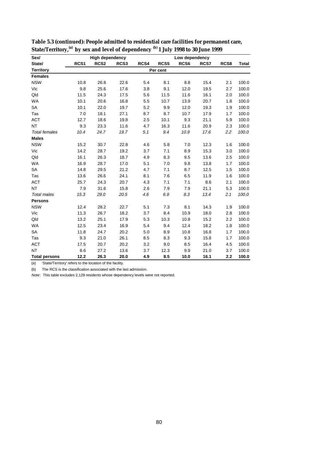| Sex/                 |                  | <b>High dependency</b> |      |      |          | Low dependency |      |      |              |
|----------------------|------------------|------------------------|------|------|----------|----------------|------|------|--------------|
| State/               | RCS <sub>1</sub> | RCS <sub>2</sub>       | RCS3 | RCS4 | RCS5     | RCS6           | RCS7 | RCS8 | <b>Total</b> |
| <b>Territory</b>     |                  |                        |      |      | Per cent |                |      |      |              |
| <b>Females</b>       |                  |                        |      |      |          |                |      |      |              |
| <b>NSW</b>           | 10.8             | 26.8                   | 22.6 | 5.4  | 8.1      | 8.8            | 15.4 | 2.1  | 100.0        |
| Vic                  | 9.8              | 25.6                   | 17.6 | 3.8  | 9.1      | 12.0           | 19.5 | 2.7  | 100.0        |
| Qld                  | 11.5             | 24.3                   | 17.5 | 5.6  | 11.5     | 11.6           | 16.1 | 2.0  | 100.0        |
| <b>WA</b>            | 10.1             | 20.6                   | 16.8 | 5.5  | 10.7     | 13.9           | 20.7 | 1.8  | 100.0        |
| SA                   | 10.1             | 22.0                   | 19.7 | 5.2  | 9.9      | 12.0           | 19.3 | 1.9  | 100.0        |
| Tas                  | 7.0              | 18.1                   | 27.1 | 8.7  | 8.7      | 10.7           | 17.9 | 1.7  | 100.0        |
| <b>ACT</b>           | 12.7             | 18.6                   | 19.8 | 2.5  | 10.1     | 9.3            | 21.1 | 5.9  | 100.0        |
| <b>NT</b>            | 9.3              | 23.3                   | 11.6 | 4.7  | 16.3     | 11.6           | 20.9 | 2.3  | 100.0        |
| <b>Total females</b> | 10.4             | 24.7                   | 19.7 | 5.1  | 9.4      | 10.9           | 17.6 | 2.2  | 100.0        |
| <b>Males</b>         |                  |                        |      |      |          |                |      |      |              |
| <b>NSW</b>           | 15.2             | 30.7                   | 22.8 | 4.6  | 5.8      | 7.0            | 12.3 | 1.6  | 100.0        |
| Vic                  | 14.2             | 28.7                   | 19.2 | 3.7  | 7.1      | 8.9            | 15.3 | 3.0  | 100.0        |
| Qld                  | 16.1             | 26.3                   | 18.7 | 4.9  | 8.3      | 9.5            | 13.6 | 2.5  | 100.0        |
| <b>WA</b>            | 16.9             | 28.7                   | 17.0 | 5.1  | 7.0      | 9.8            | 13.8 | 1.7  | 100.0        |
| SA                   | 14.8             | 29.5                   | 21.2 | 4.7  | 7.1      | 8.7            | 12.5 | 1.5  | 100.0        |
| Tas                  | 13.6             | 26.6                   | 24.1 | 8.1  | 7.6      | 6.5            | 11.9 | 1.6  | 100.0        |
| <b>ACT</b>           | 25.7             | 24.3                   | 20.7 | 4.3  | 7.1      | 7.1            | 8.6  | 2.1  | 100.0        |
| <b>NT</b>            | 7.9              | 31.6                   | 15.8 | 2.6  | 7.9      | 7.9            | 21.1 | 5.3  | 100.0        |
| <b>Total males</b>   | 15.3             | 29.0                   | 20.5 | 4.6  | 6.9      | 8.3            | 13.4 | 2.1  | 100.0        |
| <b>Persons</b>       |                  |                        |      |      |          |                |      |      |              |
| <b>NSW</b>           | 12.4             | 28.2                   | 22.7 | 5.1  | 7.3      | 8.1            | 14.3 | 1.9  | 100.0        |
| Vic                  | 11.3             | 26.7                   | 18.2 | 3.7  | 8.4      | 10.9           | 18.0 | 2.8  | 100.0        |
| Qld                  | 13.2             | 25.1                   | 17.9 | 5.3  | 10.3     | 10.8           | 15.2 | 2.2  | 100.0        |
| <b>WA</b>            | 12.5             | 23.4                   | 16.9 | 5.4  | 9.4      | 12.4           | 18.2 | 1.8  | 100.0        |
| <b>SA</b>            | 11.8             | 24.7                   | 20.2 | 5.0  | 8.9      | 10.8           | 16.8 | 1.7  | 100.0        |
| Tas                  | 9.3              | 21.0                   | 26.1 | 8.5  | 8.3      | 9.3            | 15.8 | 1.7  | 100.0        |
| <b>ACT</b>           | 17.5             | 20.7                   | 20.2 | 3.2  | 9.0      | 8.5            | 16.4 | 4.5  | 100.0        |
| <b>NT</b>            | 8.6              | 27.2                   | 13.6 | 3.7  | 12.3     | 9.9            | 21.0 | 3.7  | 100.0        |
| <b>Total persons</b> | 12.2             | 26.3                   | 20.0 | 4.9  | 8.5      | 10.0           | 16.1 | 2.2  | 100.0        |

| Table 5.3 (continued): People admitted to residential care facilities for permanent care,                 |
|-----------------------------------------------------------------------------------------------------------|
| State/Territory, <sup>(a)</sup> by sex and level of dependency <sup>(b)</sup> 1 July 1998 to 30 June 1999 |

(a) 'State/Territory' refers to the location of the facility.

(b) The RCS is the classification associated with the last admission.

Note: This table excludes 2,129 residents whose dependency levels were not reported.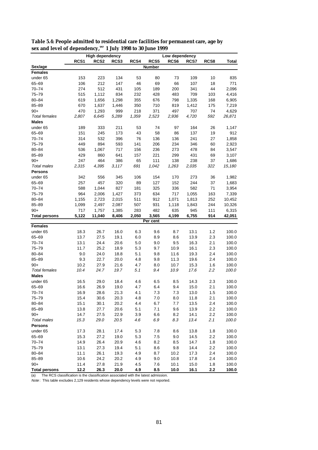|                      | <b>High dependency</b><br>Low dependency |                  |       |       |               |                  |       |         |              |
|----------------------|------------------------------------------|------------------|-------|-------|---------------|------------------|-------|---------|--------------|
|                      | RCS1                                     | RCS <sub>2</sub> | RCS3  | RCS4  | RCS5          | RCS <sub>6</sub> | RCS7  | RCS8    | <b>Total</b> |
| Sex/age              |                                          |                  |       |       | <b>Number</b> |                  |       |         |              |
| <b>Females</b>       |                                          |                  |       |       |               |                  |       |         |              |
| under 65             | 153                                      | 223              | 134   | 53    | 80            | 73               | 109   | 10      | 835          |
| 65-69                | 106                                      | 212              | 147   | 46    | 69            | 66               | 107   | 18      | 771          |
| $70 - 74$            | 274                                      | 512              | 431   | 105   | 189           | 200              | 341   | 44      | 2,096        |
| 75-79                | 515                                      | 1,112            | 834   | 232   | 428           | 483              | 709   | 103     | 4,416        |
| $80 - 84$            | 619                                      | 1,656            | 1,298 | 355   | 676           | 798              | 1,335 | 168     | 6,905        |
| $85 - 89$            | 670                                      | 1,637            | 1,446 | 350   | 710           | 819              | 1,412 | 175     | 7,219        |
| $90+$                | 470                                      | 1,293            | 999   | 218   | 371           | 497              | 707   | 74      | 4,629        |
| <b>Total females</b> | 2,807                                    | 6.645            | 5,289 | 1,359 | 2,523         | 2,936            | 4,720 | 592     | 26,871       |
| Males                |                                          |                  |       |       |               |                  |       |         |              |
| under 65             | 189                                      | 333              | 211   | 53    | 74            | 97               | 164   | 26      | 1,147        |
| 65-69                | 151                                      | 245              | 173   | 43    | 58            | 86               | 137   | 19      | 912          |
| $70 - 74$            | 314                                      | 532              | 396   | 76    | 136           | 136              | 241   | 27      | 1,858        |
| $75 - 79$            | 449                                      | 894              | 593   | 141   | 206           | 234              | 346   | 60      | 2,923        |
| $80 - 84$            | 536                                      | 1,067            | 717   | 156   | 236           | 273              | 478   | 84      | 3,547        |
| $85 - 89$            | 429                                      | 860              | 641   | 157   | 221           | 299              | 431   | 69      | 3,107        |
| $90+$                | 247                                      | 464              | 386   | 65    | 111           | 138              | 238   | 37      | 1,686        |
| <b>Total males</b>   | 2,315                                    | 4,395            | 3,117 | 691   | 1,042         | 1,263            | 2,035 | 322     | 15,180       |
| Persons              |                                          |                  |       |       |               |                  |       |         |              |
| under 65             | 342                                      | 556              | 345   | 106   | 154           | 170              | 273   | 36      | 1,982        |
| 65-69                | 257                                      | 457              | 320   | 89    | 127           | 152              | 244   | 37      | 1,683        |
| $70 - 74$            | 588                                      | 1,044            | 827   | 181   | 325           | 336              | 582   | 71      | 3,954        |
| $75 - 79$            | 964                                      | 2,006            | 1,427 | 373   | 634           | 717              | 1,055 | 163     | 7,339        |
| $80 - 84$            | 1,155                                    | 2,723            | 2,015 | 511   | 912           | 1,071            | 1,813 | 252     | 10,452       |
| $85 - 89$            | 1,099                                    | 2,497            | 2,087 | 507   | 931           | 1,118            | 1,843 | 244     | 10,326       |
| $90+$                | 717                                      | 1,757            | 1,385 | 283   | 482           | 635              | 945   | 111     | 6,315        |
| Total persons        | 5,122                                    | 11,040           | 8,406 | 2,050 | 3,565         | 4,199            | 6,755 | 914     | 42,051       |
|                      |                                          |                  |       |       | Per cent      |                  |       |         |              |
| <b>Females</b>       |                                          |                  |       |       |               |                  |       |         |              |
| under 65             | 18.3                                     | 26.7             | 16.0  | 6.3   | 9.6           | 8.7              | 13.1  | 1.2     | 100.0        |
| 65-69                | 13.7                                     | 27.5             | 19.1  | 6.0   | 8.9           | 8.6              | 13.9  | 2.3     | 100.0        |
| $70 - 74$            | 13.1                                     | 24.4             | 20.6  | 5.0   | 9.0           | 9.5              | 16.3  | 2.1     | 100.0        |
| $75 - 79$            | 11.7                                     | 25.2             | 18.9  | 5.3   | 9.7           | 10.9             | 16.1  | 2.3     | 100.0        |
| $80 - 84$            | 9.0                                      | 24.0             | 18.8  | 5.1   | 9.8           | 11.6             | 19.3  | 2.4     | 100.0        |
| $85 - 89$            | 9.3                                      | 22.7             | 20.0  | 4.8   | 9.8           | 11.3             | 19.6  | 2.4     | 100.0        |
| $90+$                | 10.2                                     | 27.9             | 21.6  | 4.7   | 8.0           | 10.7             | 15.3  | 1.6     | 100.0        |
| <b>Total females</b> | 10.4                                     | 24.7             | 19.7  | 5.1   | 9.4           | 10.9             | 17.6  | 2.2     | 100.0        |
| <b>Males</b>         |                                          |                  |       |       |               |                  |       |         |              |
| under 65             | 16.5                                     | 29.0             | 18.4  | 4.6   | 6.5           | 8.5              | 14.3  | 2.3     | 100.0        |
| 65-69                | 16.6                                     | 26.9             | 19.0  | 4.7   | 6.4           | 9.4              | 15.0  | 2.1     | 100.0        |
| $70 - 74$            | 16.9                                     | 28.6             | 21.3  | 4.1   | $7.3\,$       | $7.3$            | 13.0  | $1.5\,$ | 100.0        |
| 75-79                | 15.4                                     | 30.6             | 20.3  | 4.8   | 7.0           | 8.0              | 11.8  | 2.1     | 100.0        |
| $80 - 84$            | 15.1                                     | 30.1             | 20.2  | 4.4   | 6.7           | 7.7              | 13.5  | 2.4     | 100.0        |
| $85 - 89$            | 13.8                                     | 27.7             | 20.6  | 5.1   | 7.1           | 9.6              | 13.9  | 2.2     | 100.0        |
| $90+$                | 14.7                                     | 27.5             | 22.9  | 3.9   | 6.6           | 8.2              | 14.1  | 2.2     | 100.0        |
| Total males          | 15.3                                     | 29.0             | 20.5  | 4.6   | 6.9           | 8.3              | 13.4  | 2.1     | 100.0        |
| <b>Persons</b>       |                                          |                  |       |       |               |                  |       |         |              |
| under 65             | 17.3                                     | 28.1             | 17.4  | 5.3   | 7.8           | 8.6              | 13.8  | 1.8     | 100.0        |
| 65-69                | 15.3                                     | 27.2             | 19.0  | 5.3   | 7.5           | 9.0              | 14.5  | 2.2     | 100.0        |
| $70 - 74$            | 14.9                                     | 26.4             | 20.9  | 4.6   | 8.2           | 8.5              | 14.7  | $1.8$   | 100.0        |
| $75 - 79$            | 13.1                                     | 27.3             | 19.4  | 5.1   | 8.6           | 9.8              | 14.4  | 2.2     | 100.0        |
| $80 - 84$            | 11.1                                     | 26.1             | 19.3  | 4.9   | 8.7           | 10.2             | 17.3  | 2.4     | 100.0        |
| 85-89                | 10.6                                     | 24.2             | 20.2  | 4.9   | 9.0           | 10.8             | 17.8  | 2.4     | 100.0        |
| $90+$                | 11.4                                     | 27.8             | 21.9  | 4.5   | 7.6           | 10.1             | 15.0  | $1.8$   | 100.0        |
| <b>Total persons</b> | 12.2                                     | 26.3             | 20.0  | 4.9   | 8.5           | 10.0             | 16.1  | $2.2\,$ | 100.0        |

**Table 5.4: People admitted to residential care facilities for permanent care, age by sex and level of dependency,(a) 1 July 1998 to 30 June 1999**

(a) The RCS classification is the classification associated with the latest admission.

 $Note$ : This table excludes 2,129 residents whose dependency levels were not reported.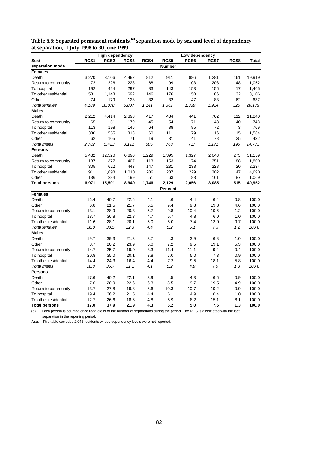|                                                                                                                                                                                                                                                                                                                                    |                                                                                                                           | <b>High dependency</b>                                                                                                       |                                                                                                                              |                                                                                                              | Low dependency                                                                                                 |                                                                                                          |                                                                                                                     |                                                                                                                     |                                                                                                                                                       |
|------------------------------------------------------------------------------------------------------------------------------------------------------------------------------------------------------------------------------------------------------------------------------------------------------------------------------------|---------------------------------------------------------------------------------------------------------------------------|------------------------------------------------------------------------------------------------------------------------------|------------------------------------------------------------------------------------------------------------------------------|--------------------------------------------------------------------------------------------------------------|----------------------------------------------------------------------------------------------------------------|----------------------------------------------------------------------------------------------------------|---------------------------------------------------------------------------------------------------------------------|---------------------------------------------------------------------------------------------------------------------|-------------------------------------------------------------------------------------------------------------------------------------------------------|
| Sex/                                                                                                                                                                                                                                                                                                                               | RCS <sub>1</sub>                                                                                                          | RCS <sub>2</sub>                                                                                                             | RCS3                                                                                                                         | RCS4                                                                                                         | RCS5                                                                                                           | RCS6                                                                                                     | RCS7                                                                                                                | RCS8                                                                                                                | Total                                                                                                                                                 |
| separation mode                                                                                                                                                                                                                                                                                                                    |                                                                                                                           |                                                                                                                              |                                                                                                                              |                                                                                                              | Number                                                                                                         |                                                                                                          |                                                                                                                     |                                                                                                                     |                                                                                                                                                       |
| <b>Females</b>                                                                                                                                                                                                                                                                                                                     |                                                                                                                           |                                                                                                                              |                                                                                                                              |                                                                                                              |                                                                                                                |                                                                                                          |                                                                                                                     |                                                                                                                     |                                                                                                                                                       |
| Death                                                                                                                                                                                                                                                                                                                              | 3,270                                                                                                                     | 8,106                                                                                                                        | 4,492                                                                                                                        | 812                                                                                                          | 911                                                                                                            | 886                                                                                                      | 1,281                                                                                                               | 161                                                                                                                 | 19,919                                                                                                                                                |
| Return to community                                                                                                                                                                                                                                                                                                                | 72                                                                                                                        | 226                                                                                                                          | 228                                                                                                                          | 68                                                                                                           | 99                                                                                                             | 103                                                                                                      | 208                                                                                                                 | 48                                                                                                                  | 1,052                                                                                                                                                 |
| To hospital                                                                                                                                                                                                                                                                                                                        | 192                                                                                                                       | 424                                                                                                                          | 297                                                                                                                          | 83                                                                                                           | 143                                                                                                            | 153                                                                                                      | 156                                                                                                                 | 17                                                                                                                  | 1,465                                                                                                                                                 |
| To other residential                                                                                                                                                                                                                                                                                                               | 581                                                                                                                       | 1,143                                                                                                                        | 692                                                                                                                          | 146                                                                                                          | 176                                                                                                            | 150                                                                                                      | 186                                                                                                                 | 32                                                                                                                  | 3,106                                                                                                                                                 |
| Other                                                                                                                                                                                                                                                                                                                              | 74                                                                                                                        | 179                                                                                                                          | 128                                                                                                                          | 32                                                                                                           | 32                                                                                                             | 47                                                                                                       | 83                                                                                                                  | 62                                                                                                                  | 637                                                                                                                                                   |
| <b>Total females</b>                                                                                                                                                                                                                                                                                                               | 4,189                                                                                                                     | 10,078                                                                                                                       | 5,837                                                                                                                        | 1,141                                                                                                        | 1,361                                                                                                          | 1,339                                                                                                    | 1,914                                                                                                               | 320                                                                                                                 | 26,179                                                                                                                                                |
| <b>Males</b>                                                                                                                                                                                                                                                                                                                       |                                                                                                                           |                                                                                                                              |                                                                                                                              |                                                                                                              |                                                                                                                |                                                                                                          |                                                                                                                     |                                                                                                                     |                                                                                                                                                       |
| Death                                                                                                                                                                                                                                                                                                                              | 2,212                                                                                                                     | 4,414                                                                                                                        | 2,398                                                                                                                        | 417                                                                                                          | 484                                                                                                            | 441                                                                                                      | 762                                                                                                                 | 112                                                                                                                 | 11,240                                                                                                                                                |
| Return to community                                                                                                                                                                                                                                                                                                                | 65                                                                                                                        | 151                                                                                                                          | 179                                                                                                                          | 45                                                                                                           | 54                                                                                                             | 71                                                                                                       | 143                                                                                                                 | 40                                                                                                                  | 748                                                                                                                                                   |
| To hospital                                                                                                                                                                                                                                                                                                                        | 113                                                                                                                       | 198                                                                                                                          | 146                                                                                                                          | 64                                                                                                           | 88                                                                                                             | 85                                                                                                       | 72                                                                                                                  | 3                                                                                                                   | 769                                                                                                                                                   |
| To other residential                                                                                                                                                                                                                                                                                                               | 330                                                                                                                       | 555                                                                                                                          | 318                                                                                                                          | 60                                                                                                           | 111                                                                                                            | 79                                                                                                       | 116                                                                                                                 | 15                                                                                                                  | 1,584                                                                                                                                                 |
| Other                                                                                                                                                                                                                                                                                                                              | 62                                                                                                                        | 105                                                                                                                          | 71                                                                                                                           | 19                                                                                                           | 31                                                                                                             | 41                                                                                                       | 78                                                                                                                  | 25                                                                                                                  | 432                                                                                                                                                   |
| <b>Total males</b>                                                                                                                                                                                                                                                                                                                 | 2.782                                                                                                                     | 5,423                                                                                                                        | 3,112                                                                                                                        | 605                                                                                                          | 768                                                                                                            | 717                                                                                                      | 1,171                                                                                                               | 195                                                                                                                 | 14,773                                                                                                                                                |
| <b>Persons</b>                                                                                                                                                                                                                                                                                                                     |                                                                                                                           |                                                                                                                              |                                                                                                                              |                                                                                                              |                                                                                                                |                                                                                                          |                                                                                                                     |                                                                                                                     |                                                                                                                                                       |
| Death                                                                                                                                                                                                                                                                                                                              | 5,482                                                                                                                     | 12,520                                                                                                                       | 6,890                                                                                                                        | 1,229                                                                                                        | 1,395                                                                                                          | 1,327                                                                                                    | 2,043                                                                                                               | 273                                                                                                                 | 31,159                                                                                                                                                |
| Return to community                                                                                                                                                                                                                                                                                                                | 137                                                                                                                       | 377                                                                                                                          | 407                                                                                                                          | 113                                                                                                          | 153                                                                                                            | 174                                                                                                      | 351                                                                                                                 | 88                                                                                                                  | 1,800                                                                                                                                                 |
| To hospital                                                                                                                                                                                                                                                                                                                        | 305                                                                                                                       | 622                                                                                                                          | 443                                                                                                                          | 147                                                                                                          | 231                                                                                                            | 238                                                                                                      | 228                                                                                                                 | 20                                                                                                                  | 2,234                                                                                                                                                 |
| To other residential                                                                                                                                                                                                                                                                                                               | 911                                                                                                                       | 1,698                                                                                                                        | 1,010                                                                                                                        | 206                                                                                                          | 287                                                                                                            | 229                                                                                                      | 302                                                                                                                 | 47                                                                                                                  | 4,690                                                                                                                                                 |
| Other                                                                                                                                                                                                                                                                                                                              | 136                                                                                                                       | 284                                                                                                                          | 199                                                                                                                          | 51                                                                                                           | 63                                                                                                             | 88                                                                                                       | 161                                                                                                                 | 87                                                                                                                  | 1,069                                                                                                                                                 |
| <b>Total persons</b>                                                                                                                                                                                                                                                                                                               | 6,971                                                                                                                     | 15,501                                                                                                                       | 8,949                                                                                                                        | 1,746                                                                                                        | 2,129                                                                                                          | 2,056                                                                                                    | 3,085                                                                                                               | 515                                                                                                                 | 40,952                                                                                                                                                |
|                                                                                                                                                                                                                                                                                                                                    |                                                                                                                           |                                                                                                                              |                                                                                                                              |                                                                                                              | Per cent                                                                                                       |                                                                                                          |                                                                                                                     |                                                                                                                     |                                                                                                                                                       |
| <b>Females</b>                                                                                                                                                                                                                                                                                                                     |                                                                                                                           |                                                                                                                              |                                                                                                                              |                                                                                                              |                                                                                                                |                                                                                                          |                                                                                                                     |                                                                                                                     |                                                                                                                                                       |
| Death                                                                                                                                                                                                                                                                                                                              | 16.4                                                                                                                      | 40.7                                                                                                                         | 22.6                                                                                                                         | 4.1                                                                                                          | 4.6                                                                                                            | 4.4                                                                                                      | 6.4                                                                                                                 | 0.8                                                                                                                 |                                                                                                                                                       |
| Other                                                                                                                                                                                                                                                                                                                              |                                                                                                                           | 21.5                                                                                                                         | 21.7                                                                                                                         |                                                                                                              | 9.4                                                                                                            |                                                                                                          | 19.8                                                                                                                |                                                                                                                     |                                                                                                                                                       |
|                                                                                                                                                                                                                                                                                                                                    |                                                                                                                           |                                                                                                                              |                                                                                                                              |                                                                                                              |                                                                                                                |                                                                                                          |                                                                                                                     |                                                                                                                     |                                                                                                                                                       |
|                                                                                                                                                                                                                                                                                                                                    | 18.7                                                                                                                      |                                                                                                                              |                                                                                                                              | 4.7                                                                                                          |                                                                                                                | 4.8                                                                                                      |                                                                                                                     |                                                                                                                     | 100.0                                                                                                                                                 |
|                                                                                                                                                                                                                                                                                                                                    |                                                                                                                           |                                                                                                                              |                                                                                                                              |                                                                                                              |                                                                                                                | 7.4                                                                                                      |                                                                                                                     |                                                                                                                     |                                                                                                                                                       |
|                                                                                                                                                                                                                                                                                                                                    |                                                                                                                           |                                                                                                                              |                                                                                                                              |                                                                                                              |                                                                                                                |                                                                                                          |                                                                                                                     |                                                                                                                     |                                                                                                                                                       |
|                                                                                                                                                                                                                                                                                                                                    |                                                                                                                           |                                                                                                                              |                                                                                                                              |                                                                                                              |                                                                                                                |                                                                                                          |                                                                                                                     |                                                                                                                     |                                                                                                                                                       |
|                                                                                                                                                                                                                                                                                                                                    |                                                                                                                           |                                                                                                                              |                                                                                                                              |                                                                                                              |                                                                                                                |                                                                                                          |                                                                                                                     |                                                                                                                     |                                                                                                                                                       |
|                                                                                                                                                                                                                                                                                                                                    |                                                                                                                           |                                                                                                                              |                                                                                                                              |                                                                                                              |                                                                                                                |                                                                                                          |                                                                                                                     |                                                                                                                     |                                                                                                                                                       |
|                                                                                                                                                                                                                                                                                                                                    |                                                                                                                           |                                                                                                                              |                                                                                                                              |                                                                                                              |                                                                                                                |                                                                                                          |                                                                                                                     |                                                                                                                     |                                                                                                                                                       |
|                                                                                                                                                                                                                                                                                                                                    |                                                                                                                           |                                                                                                                              |                                                                                                                              |                                                                                                              |                                                                                                                |                                                                                                          |                                                                                                                     |                                                                                                                     |                                                                                                                                                       |
|                                                                                                                                                                                                                                                                                                                                    |                                                                                                                           |                                                                                                                              |                                                                                                                              |                                                                                                              |                                                                                                                |                                                                                                          |                                                                                                                     |                                                                                                                     |                                                                                                                                                       |
|                                                                                                                                                                                                                                                                                                                                    |                                                                                                                           |                                                                                                                              |                                                                                                                              |                                                                                                              |                                                                                                                |                                                                                                          |                                                                                                                     |                                                                                                                     |                                                                                                                                                       |
|                                                                                                                                                                                                                                                                                                                                    |                                                                                                                           |                                                                                                                              |                                                                                                                              |                                                                                                              |                                                                                                                |                                                                                                          |                                                                                                                     |                                                                                                                     |                                                                                                                                                       |
|                                                                                                                                                                                                                                                                                                                                    |                                                                                                                           |                                                                                                                              |                                                                                                                              |                                                                                                              |                                                                                                                |                                                                                                          |                                                                                                                     |                                                                                                                     |                                                                                                                                                       |
|                                                                                                                                                                                                                                                                                                                                    |                                                                                                                           |                                                                                                                              |                                                                                                                              |                                                                                                              |                                                                                                                |                                                                                                          |                                                                                                                     |                                                                                                                     |                                                                                                                                                       |
|                                                                                                                                                                                                                                                                                                                                    |                                                                                                                           |                                                                                                                              |                                                                                                                              |                                                                                                              |                                                                                                                |                                                                                                          |                                                                                                                     |                                                                                                                     |                                                                                                                                                       |
|                                                                                                                                                                                                                                                                                                                                    |                                                                                                                           |                                                                                                                              |                                                                                                                              |                                                                                                              |                                                                                                                |                                                                                                          |                                                                                                                     |                                                                                                                     |                                                                                                                                                       |
|                                                                                                                                                                                                                                                                                                                                    |                                                                                                                           |                                                                                                                              |                                                                                                                              |                                                                                                              |                                                                                                                |                                                                                                          |                                                                                                                     |                                                                                                                     |                                                                                                                                                       |
|                                                                                                                                                                                                                                                                                                                                    |                                                                                                                           |                                                                                                                              |                                                                                                                              |                                                                                                              |                                                                                                                |                                                                                                          |                                                                                                                     |                                                                                                                     |                                                                                                                                                       |
| Return to community<br>To hospital<br>To other residential<br><b>Total females</b><br><b>Males</b><br>Death<br>Other<br>Return to community<br>To hospital<br>To other residential<br><b>Total males</b><br><b>Persons</b><br>Death<br>Other<br>Return to community<br>To hospital<br>To other residential<br><b>Total persons</b> | 6.8<br>13.1<br>11.6<br>16.0<br>19.7<br>8.7<br>14.7<br>20.8<br>14.4<br>18.8<br>17.6<br>7.6<br>13.7<br>19.4<br>12.7<br>17.0 | 28.9<br>36.8<br>28.1<br>38.5<br>39.3<br>20.2<br>25.7<br>35.0<br>24.3<br>36.7<br>40.2<br>20.9<br>27.8<br>36.2<br>26.6<br>37.9 | 20.3<br>22.3<br>20.1<br>22.3<br>21.3<br>23.9<br>19.0<br>20.1<br>16.4<br>21.1<br>22.1<br>22.6<br>19.8<br>21.5<br>18.6<br>21.9 | 6.5<br>5.7<br>5.0<br>4.4<br>3.7<br>6.0<br>8.3<br>3.8<br>4.4<br>4.1<br>3.9<br>6.3<br>6.6<br>4.4<br>4.8<br>4.3 | 9.8<br>5.7<br>5.0<br>5.2<br>4.3<br>7.2<br>11.4<br>7.0<br>7.2<br>5.2<br>4.5<br>8.5<br>10.3<br>6.1<br>5.9<br>5.2 | 9.8<br>10.4<br>5.1<br>3.9<br>9.5<br>11.1<br>5.0<br>9.5<br>4.9<br>4.3<br>9.7<br>10.7<br>4.9<br>8.2<br>5.0 | 10.6<br>6.0<br>13.0<br>7.3<br>6.8<br>19.1<br>9.4<br>7.3<br>18.1<br>7.9<br>6.6<br>19.5<br>10.2<br>6.4<br>15.1<br>7.5 | 4.6<br>1.2<br>1.0<br>9.7<br>1.2<br>1.0<br>5.3<br>0.4<br>0.9<br>5.8<br>1.3<br>0.9<br>4.9<br>0.9<br>1.0<br>8.1<br>1.3 | 100.0<br>100.0<br>100.0<br>100.0<br>100.0<br>100.0<br>100.0<br>100.0<br>100.0<br>100.0<br>100.0<br>100.0<br>100.0<br>100.0<br>100.0<br>100.0<br>100.0 |

**Table 5.5: Separated permanent residents,(a) separation mode by sex and level of dependency at separation, 1 July 1998 to 30 June 1999**

(a) Each person is counted once regardless of the number of separations during the period. The RCS is associated with the last separation in the reporting period.

Note: This table excludes 2,046 residents whose dependency levels were not reported.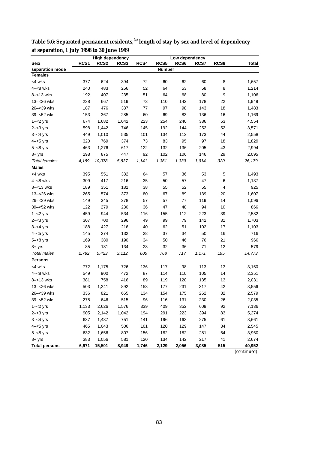|                      | <b>High dependency</b> |                  |                  |       |               | Low dependency   |       |      |                    |  |
|----------------------|------------------------|------------------|------------------|-------|---------------|------------------|-------|------|--------------------|--|
| Sex/                 | RCS <sub>1</sub>       | RCS <sub>2</sub> | RCS <sub>3</sub> | RCS4  | RCS5          | RCS <sub>6</sub> | RCS7  | RCS8 | Total              |  |
| separation mode      |                        |                  |                  |       | <b>Number</b> |                  |       |      |                    |  |
| <b>Females</b>       |                        |                  |                  |       |               |                  |       |      |                    |  |
| <4 wks               | 377                    | 624              | 394              | 72    | 60            | 62               | 60    | 8    | 1,657              |  |
| $4 - 8$ wks          | 240                    | 483              | 256              | 52    | 64            | 53               | 58    | 8    | 1,214              |  |
| $8 - 13$ wks         | 192                    | 407              | 235              | 51    | 64            | 68               | 80    | 9    | 1,106              |  |
| 13-<26 wks           | 238                    | 667              | 519              | 73    | 110           | 142              | 178   | 22   | 1,949              |  |
| 26-<39 wks           | 187                    | 476              | 387              | 77    | 97            | 98               | 143   | 18   | 1,483              |  |
| 39-<52 wks           | 153                    | 367              | 285              | 60    | 69            | 83               | 136   | 16   | 1,169              |  |
| $1 - 2$ yrs          | 674                    | 1,682            | 1,042            | 223   | 254           | 240              | 386   | 53   | 4,554              |  |
| $2 - 3$ yrs          | 598                    | 1,442            | 746              | 145   | 192           | 144              | 252   | 52   | 3,571              |  |
| $3 - 4$ yrs          | 449                    | 1,010            | 535              | 101   | 134           | 112              | 173   | 44   | 2,558              |  |
| $4 - 5$ yrs          | 320                    | 769              | 374              | 73    | 83            | 95               | 97    | 18   | 1,829              |  |
| $5 - < 8$ yrs        | 463                    | 1,276            | 617              | 122   | 132           | 136              | 205   | 43   | 2,994              |  |
| $8 + yrs$            | 298                    | 875              | 447              | 92    | 102           | 106              | 146   | 29   | 2,095              |  |
| <b>Total females</b> | 4,189                  | 10,078           | 5,837            | 1,141 | 1,361         | 1,339            | 1,914 | 320  | 26,179             |  |
| <b>Males</b>         |                        |                  |                  |       |               |                  |       |      |                    |  |
| <4 wks               | 395                    | 551              | 332              | 64    | 57            | 36               | 53    | 5    | 1,493              |  |
| $4 - 8$ wks          | 309                    | 417              | 216              | 35    | 50            | 57               | 47    | 6    | 1,137              |  |
| $8 - 13$ wks         | 189                    | 351              | 181              | 38    | 55            | 52               | 55    | 4    | 925                |  |
| 13-<26 wks           | 265                    | 574              | 373              | 80    | 67            | 89               | 139   | 20   | 1,607              |  |
| 26-<39 wks           | 149                    | 345              | 278              | 57    | 57            | 77               | 119   | 14   | 1,096              |  |
| 39-<52 wks           | 122                    | 279              | 230              | 36    | 47            | 48               | 94    | 10   | 866                |  |
| $1 - 2$ yrs          | 459                    | 944              | 534              | 116   | 155           | 112              | 223   | 39   | 2,582              |  |
| $2 - 3$ yrs          | 307                    | 700              | 296              | 49    | 99            | 79               | 142   | 31   | 1,703              |  |
| $3 - 4$ yrs          | 188                    | 427              | 216              | 40    | 62            | 51               | 102   | 17   | 1,103              |  |
| $4 - 5$ yrs          | 145                    | 274              | 132              | 28    | 37            | 34               | 50    | 16   | 716                |  |
| $5 - < 8$ yrs        | 169                    | 380              | 190              | 34    | 50            | 46               | 76    | 21   | 966                |  |
| $8 + yrs$            | 85                     | 181              | 134              | 28    | 32            | 36               | 71    | 12   | 579                |  |
| <b>Total males</b>   | 2,782                  | 5,423            | 3,112            | 605   | 768           | 717              | 1,171 | 195  | 14,773             |  |
| <b>Persons</b>       |                        |                  |                  |       |               |                  |       |      |                    |  |
| <4 wks               | 772                    | 1,175            | 726              | 136   | 117           | 98               | 113   | 13   | 3,150              |  |
| $4 - 8$ wks          | 549                    | 900              | 472              | 87    | 114           | 110              | 105   | 14   | 2,351              |  |
| $8 - 13$ wks         | 381                    | 758              | 416              | 89    | 119           | 120              | 135   | 13   | 2,031              |  |
| 13-<26 wks           | 503                    | 1,241            | 892              | 153   | 177           | 231              | 317   | 42   | 3,556              |  |
| 26-<39 wks           | 336                    | 821              | 665              | 134   | 154           | 175              | 262   | 32   | 2,579              |  |
| 39-<52 wks           | 275                    | 646              | 515              | 96    | 116           | 131              | 230   | 26   | 2,035              |  |
| $1 - 2$ yrs          | 1,133                  | 2,626            | 1,576            | 339   | 409           | 352              | 609   | 92   | 7,136              |  |
| $2 - 3$ yrs          | 905                    | 2,142            | 1,042            | 194   | 291           | 223              | 394   | 83   | 5,274              |  |
| $3 - 4$ yrs          | 637                    | 1,437            | 751              | 141   | 196           | 163              | 275   | 61   | 3,661              |  |
| $4 - 5$ yrs          | 465                    | 1,043            | 506              | 101   | 120           | 129              | 147   | 34   | 2,545              |  |
| $5 - < 8$ yrs        | 632                    | 1,656            | 807              | 156   | 182           | 182              | 281   | 64   | 3,960              |  |
| $8 + yrs$            | 383                    | 1,056            | 581              | 120   | 134           | 142              | 217   | 41   | 2,674              |  |
| <b>Total persons</b> | 6,971                  | 15,501           | 8,949            | 1,746 | 2,129         | 2,056            | 3,085 | 515  | 40,952             |  |
|                      |                        |                  |                  |       |               |                  |       |      | <i>(continued)</i> |  |

**Table 5.6: Separated permanent residents,(a) length of stay by sex and level of dependency at separation, 1 July 1998 to 30 June 1999**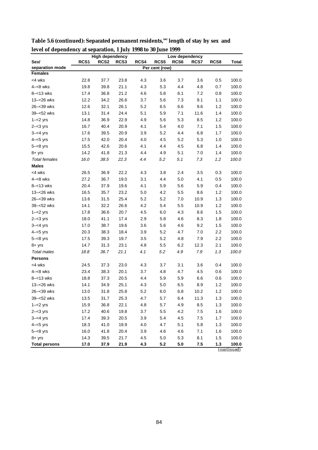| rever or dependency at separation, I sury 1990 to 50 sune 1999 |      | <b>High dependency</b> |      |      |                | Low dependency |      |      |             |
|----------------------------------------------------------------|------|------------------------|------|------|----------------|----------------|------|------|-------------|
| Sex/                                                           | RCS1 | RCS <sub>2</sub>       | RCS3 | RCS4 | RCS5           | RCS6           | RCS7 | RCS8 | Total       |
| separation mode                                                |      |                        |      |      | Per cent (row) |                |      |      |             |
| <b>Females</b>                                                 |      |                        |      |      |                |                |      |      |             |
| <4 wks                                                         | 22.8 | 37.7                   | 23.8 | 4.3  | 3.6            | 3.7            | 3.6  | 0.5  | 100.0       |
| $4 - 8$ wks                                                    | 19.8 | 39.8                   | 21.1 | 4.3  | 5.3            | 4.4            | 4.8  | 0.7  | 100.0       |
| $8 - 13$ wks                                                   | 17.4 | 36.8                   | 21.2 | 4.6  | 5.8            | 6.1            | 7.2  | 0.8  | 100.0       |
| 13-<26 wks                                                     | 12.2 | 34.2                   | 26.6 | 3.7  | 5.6            | 7.3            | 9.1  | 1.1  | 100.0       |
| 26-<39 wks                                                     | 12.6 | 32.1                   | 26.1 | 5.2  | 6.5            | 6.6            | 9.6  | 1.2  | 100.0       |
| 39-<52 wks                                                     | 13.1 | 31.4                   | 24.4 | 5.1  | 5.9            | 7.1            | 11.6 | 1.4  | 100.0       |
| $1 - 2$ yrs                                                    | 14.8 | 36.9                   | 22.9 | 4.9  | 5.6            | 5.3            | 8.5  | 1.2  | 100.0       |
| $2 - 3$ yrs                                                    | 16.7 | 40.4                   | 20.9 | 4.1  | 5.4            | 4.0            | 7.1  | 1.5  | 100.0       |
| $3 - 4$ yrs                                                    | 17.6 | 39.5                   | 20.9 | 3.9  | 5.2            | 4.4            | 6.8  | 1.7  | 100.0       |
| $4 - 5$ yrs                                                    | 17.5 | 42.0                   | 20.4 | 4.0  | 4.5            | 5.2            | 5.3  | 1.0  | 100.0       |
| $5 - < 8$ yrs                                                  | 15.5 | 42.6                   | 20.6 | 4.1  | 4.4            | 4.5            | 6.8  | 1.4  | 100.0       |
| $8 + yrs$                                                      | 14.2 | 41.8                   | 21.3 | 4.4  | 4.9            | 5.1            | 7.0  | 1.4  | 100.0       |
| <b>Total females</b>                                           | 16.0 | 38.5                   | 22.3 | 4.4  | 5.2            | 5.1            | 7.3  | 1.2  | 100.0       |
| <b>Males</b>                                                   |      |                        |      |      |                |                |      |      |             |
| <4 wks                                                         | 26.5 | 36.9                   | 22.2 | 4.3  | 3.8            | 2.4            | 3.5  | 0.3  | 100.0       |
| $4 - 8$ wks                                                    | 27.2 | 36.7                   | 19.0 | 3.1  | 4.4            | 5.0            | 4.1  | 0.5  | 100.0       |
| $8 - 13$ wks                                                   | 20.4 | 37.9                   | 19.6 | 4.1  | 5.9            | 5.6            | 5.9  | 0.4  | 100.0       |
| 13-<26 wks                                                     | 16.5 | 35.7                   | 23.2 | 5.0  | 4.2            | 5.5            | 8.6  | 1.2  | 100.0       |
| 26-<39 wks                                                     | 13.6 | 31.5                   | 25.4 | 5.2  | 5.2            | 7.0            | 10.9 | 1.3  | 100.0       |
| 39-<52 wks                                                     | 14.1 | 32.2                   | 26.6 | 4.2  | 5.4            | 5.5            | 10.9 | 1.2  | 100.0       |
| $1 - 2$ yrs                                                    | 17.8 | 36.6                   | 20.7 | 4.5  | 6.0            | 4.3            | 8.6  | 1.5  | 100.0       |
| $2 - 3$ yrs                                                    | 18.0 | 41.1                   | 17.4 | 2.9  | 5.8            | 4.6            | 8.3  | 1.8  | 100.0       |
| $3 - 4$ yrs                                                    | 17.0 | 38.7                   | 19.6 | 3.6  | 5.6            | 4.6            | 9.2  | 1.5  | 100.0       |
| $4 - 5$ yrs                                                    | 20.3 | 38.3                   | 18.4 | 3.9  | 5.2            | 4.7            | 7.0  | 2.2  | 100.0       |
| $5 - < 8$ yrs                                                  | 17.5 | 39.3                   | 19.7 | 3.5  | 5.2            | 4.8            | 7.9  | 2.2  | 100.0       |
| $8 + yrs$                                                      | 14.7 | 31.3                   | 23.1 | 4.8  | 5.5            | 6.2            | 12.3 | 2.1  | 100.0       |
| Total males                                                    | 18.8 | 36.7                   | 21.1 | 4.1  | 5.2            | 4.9            | 7.9  | 1.3  | 100.0       |
| <b>Persons</b>                                                 |      |                        |      |      |                |                |      |      |             |
| <4 wks                                                         | 24.5 | 37.3                   | 23.0 | 4.3  | 3.7            | 3.1            | 3.6  | 0.4  | 100.0       |
| $4 - 8$ wks                                                    | 23.4 | 38.3                   | 20.1 | 3.7  | 4.8            | 4.7            | 4.5  | 0.6  | 100.0       |
| $8 - 13$ wks                                                   | 18.8 | 37.3                   | 20.5 | 4.4  | 5.9            | 5.9            | 6.6  | 0.6  | 100.0       |
| 13-<26 wks                                                     | 14.1 | 34.9                   | 25.1 | 4.3  | 5.0            | 6.5            | 8.9  | 1.2  | 100.0       |
| 26–<39 wks                                                     | 13.0 | 31.8                   | 25.8 | 5.2  | 6.0            | 6.8            | 10.2 | 1.2  | 100.0       |
| 39-<52 wks                                                     | 13.5 | 31.7                   | 25.3 | 4.7  | 5.7            | 6.4            | 11.3 | 1.3  | 100.0       |
| $1 - 2$ yrs                                                    | 15.9 | 36.8                   | 22.1 | 4.8  | 5.7            | 4.9            | 8.5  | 1.3  | 100.0       |
| $2 - < 3$ yrs                                                  | 17.2 | 40.6                   | 19.8 | 3.7  | 5.5            | 4.2            | 7.5  | 1.6  | 100.0       |
| $3 - 4$ yrs                                                    | 17.4 | 39.3                   | 20.5 | 3.9  | 5.4            | 4.5            | 7.5  | 1.7  | 100.0       |
| $4 - 5$ yrs                                                    | 18.3 | 41.0                   | 19.9 | 4.0  | 4.7            | 5.1            | 5.8  | 1.3  | 100.0       |
| $5 - < 8$ yrs                                                  | 16.0 | 41.8                   | 20.4 | 3.9  | 4.6            | 4.6            | 7.1  | 1.6  | 100.0       |
| $8 + yrs$                                                      | 14.3 | 39.5                   | 21.7 | 4.5  | 5.0            | 5.3            | 8.1  | 1.5  | 100.0       |
| <b>Total persons</b>                                           | 17.0 | 37.9                   | 21.9 | 4.3  | $5.2$          | 5.0            | 7.5  | 1.3  | 100.0       |
|                                                                |      |                        |      |      |                |                |      |      | (continued) |

**Table 5.6 (continued): Separated permanent residents,(a) length of stay by sex and level of dependency at separation, 1 July 1998 to 30 June 1999**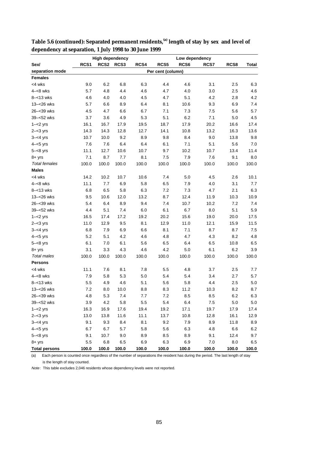|                      | <b>High dependency</b> |       |       |       |                   | Low dependency |       |         |       |  |
|----------------------|------------------------|-------|-------|-------|-------------------|----------------|-------|---------|-------|--|
| Sex/                 | RCS <sub>1</sub>       | RCS2  | RCS3  | RCS4  | RCS5              | RCS6           | RCS7  | RCS8    | Total |  |
| separation mode      |                        |       |       |       | Per cent (column) |                |       |         |       |  |
| <b>Females</b>       |                        |       |       |       |                   |                |       |         |       |  |
| <4 wks               | 9.0                    | 6.2   | 6.8   | 6.3   | 4.4               | 4.6            | 3.1   | 2.5     | 6.3   |  |
| $4 - 8$ wks          | 5.7                    | 4.8   | 4.4   | 4.6   | 4.7               | 4.0            | 3.0   | 2.5     | 4.6   |  |
| $8 - 13$ wks         | 4.6                    | 4.0   | 4.0   | 4.5   | 4.7               | 5.1            | 4.2   | 2.8     | 4.2   |  |
| 13-<26 wks           | 5.7                    | 6.6   | 8.9   | 6.4   | 8.1               | 10.6           | 9.3   | 6.9     | 7.4   |  |
| 26-<39 wks           | 4.5                    | 4.7   | 6.6   | 6.7   | 7.1               | 7.3            | 7.5   | 5.6     | 5.7   |  |
| 39-<52 wks           | 3.7                    | 3.6   | 4.9   | 5.3   | 5.1               | 6.2            | 7.1   | 5.0     | 4.5   |  |
| $1 - 2$ yrs          | 16.1                   | 16.7  | 17.9  | 19.5  | 18.7              | 17.9           | 20.2  | 16.6    | 17.4  |  |
| $2 - 3$ yrs          | 14.3                   | 14.3  | 12.8  | 12.7  | 14.1              | 10.8           | 13.2  | 16.3    | 13.6  |  |
| $3 - 4$ yrs          | 10.7                   | 10.0  | 9.2   | 8.9   | 9.8               | 8.4            | 9.0   | 13.8    | 9.8   |  |
| $4 - 5$ yrs          | 7.6                    | 7.6   | 6.4   | 6.4   | 6.1               | 7.1            | 5.1   | 5.6     | 7.0   |  |
| $5 - < 8$ yrs        | 11.1                   | 12.7  | 10.6  | 10.7  | 9.7               | 10.2           | 10.7  | 13.4    | 11.4  |  |
| $8 + yrs$            | 7.1                    | 8.7   | 7.7   | 8.1   | 7.5               | 7.9            | 7.6   | 9.1     | 8.0   |  |
| <b>Total females</b> | 100.0                  | 100.0 | 100.0 | 100.0 | 100.0             | 100.0          | 100.0 | 100.0   | 100.0 |  |
| <b>Males</b>         |                        |       |       |       |                   |                |       |         |       |  |
| <4 wks               | 14.2                   | 10.2  | 10.7  | 10.6  | 7.4               | 5.0            | 4.5   | 2.6     | 10.1  |  |
| $4 - 8$ wks          | 11.1                   | 7.7   | 6.9   | 5.8   | 6.5               | 7.9            | 4.0   | 3.1     | 7.7   |  |
| $8 - 13$ wks         | 6.8                    | 6.5   | 5.8   | 6.3   | 7.2               | 7.3            | 4.7   | 2.1     | 6.3   |  |
| 13-<26 wks           | 9.5                    | 10.6  | 12.0  | 13.2  | 8.7               | 12.4           | 11.9  | 10.3    | 10.9  |  |
| 26-<39 wks           | 5.4                    | 6.4   | 8.9   | 9.4   | 7.4               | 10.7           | 10.2  | 7.2     | 7.4   |  |
| 39-<52 wks           | 4.4                    | 5.1   | 7.4   | 6.0   | 6.1               | 6.7            | 8.0   | 5.1     | 5.9   |  |
| $1 - 2$ yrs          | 16.5                   | 17.4  | 17.2  | 19.2  | 20.2              | 15.6           | 19.0  | 20.0    | 17.5  |  |
| $2 - < 3$ yrs        | 11.0                   | 12.9  | 9.5   | 8.1   | 12.9              | 11.0           | 12.1  | 15.9    | 11.5  |  |
| $3 - 4$ yrs          | 6.8                    | 7.9   | 6.9   | 6.6   | 8.1               | 7.1            | 8.7   | 8.7     | 7.5   |  |
| $4 - 5$ yrs          | 5.2                    | 5.1   | 4.2   | 4.6   | 4.8               | 4.7            | 4.3   | 8.2     | 4.8   |  |
| $5 - < 8$ yrs        | 6.1                    | 7.0   | 6.1   | 5.6   | 6.5               | 6.4            | 6.5   | 10.8    | 6.5   |  |
| $8 + yrs$            | 3.1                    | 3.3   | 4.3   | 4.6   | 4.2               | 5.0            | 6.1   | 6.2     | 3.9   |  |
| <b>Total males</b>   | 100.0                  | 100.0 | 100.0 | 100.0 | 100.0             | 100.0          | 100.0 | 100.0   | 100.0 |  |
| <b>Persons</b>       |                        |       |       |       |                   |                |       |         |       |  |
| <4 wks               | 11.1                   | 7.6   | 8.1   | 7.8   | 5.5               | 4.8            | 3.7   | 2.5     | 7.7   |  |
| $4 - 8$ wks          | 7.9                    | 5.8   | 5.3   | 5.0   | 5.4               | 5.4            | 3.4   | 2.7     | 5.7   |  |
| $8 - 13$ wks         | 5.5                    | 4.9   | 4.6   | 5.1   | 5.6               | 5.8            | 4.4   | 2.5     | 5.0   |  |
| 13-<26 wks           | 7.2                    | 8.0   | 10.0  | 8.8   | 8.3               | 11.2           | 10.3  | 8.2     | 8.7   |  |
| 26-<39 wks           | 4.8                    | 5.3   | 7.4   | 7.7   | 7.2               | 8.5            | 8.5   | 6.2     | 6.3   |  |
| 39-<52 wks           | 3.9                    | 4.2   | 5.8   | 5.5   | 5.4               | 6.4            | 7.5   | 5.0     | 5.0   |  |
| $1 - 2$ yrs          | 16.3                   | 16.9  | 17.6  | 19.4  | 19.2              | 17.1           | 19.7  | 17.9    | 17.4  |  |
| $2 - < 3$ yrs        | 13.0                   | 13.8  | 11.6  | 11.1  | 13.7              | 10.8           | 12.8  | 16.1    | 12.9  |  |
| $3 - 4$ yrs          | 9.1                    | 9.3   | 8.4   | 8.1   | 9.2               | 7.9            | 8.9   | 11.8    | 8.9   |  |
| $4 - 5$ yrs          | 6.7                    | 6.7   | 5.7   | 5.8   | 5.6               | 6.3            | 4.8   | $6.6\,$ | 6.2   |  |
| $5 - < 8$ yrs        | 9.1                    | 10.7  | 9.0   | 8.9   | 8.5               | 8.9            | 9.1   | 12.4    | 9.7   |  |
| $8 + yrs$            | 5.5                    | 6.8   | 6.5   | 6.9   | 6.3               | 6.9            | 7.0   | 8.0     | 6.5   |  |
| <b>Total persons</b> | 100.0                  | 100.0 | 100.0 | 100.0 | 100.0             | 100.0          | 100.0 | 100.0   | 100.0 |  |

**Table 5.6 (continued): Separated permanent residents,(a) length of stay by sex and level of dependency at separation, 1 July 1998 to 30 June 1999**

 $\overline{a}$  Each person is counted once regardless of the number of separations the resident has during the period. The last length of stay is the length of stay counted.

Note: This table excludes 2,046 residents whose dependency levels were not reported.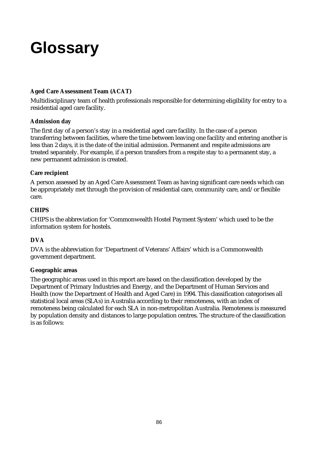# **Glossary**

### **Aged Care Assessment Team (ACAT)**

Multidisciplinary team of health professionals responsible for determining eligibility for entry to a residential aged care facility.

#### **Admission day**

The first day of a person's stay in a residential aged care facility. In the case of a person transferring between facilities, where the time between leaving one facility and entering another is less than 2 days, it is the date of the initial admission. Permanent and respite admissions are treated separately. For example, if a person transfers from a respite stay to a permanent stay, a new permanent admission is created.

### **Care recipient**

A person assessed by an Aged Care Assessment Team as having significant care needs which can be appropriately met through the provision of residential care, community care, and/or flexible care.

### **CHIPS**

CHIPS is the abbreviation for 'Commonwealth Hostel Payment System' which used to be the information system for hostels.

## **DVA**

DVA is the abbreviation for 'Department of Veterans' Affairs' which is a Commonwealth government department.

#### **Geographic areas**

The geographic areas used in this report are based on the classification developed by the Department of Primary Industries and Energy, and the Department of Human Services and Health (now the Department of Health and Aged Care) in 1994. This classification categorises all statistical local areas (SLAs) in Australia according to their remoteness, with an index of remoteness being calculated for each SLA in non-metropolitan Australia. Remoteness is measured by population density and distances to large population centres. The structure of the classification is as follows: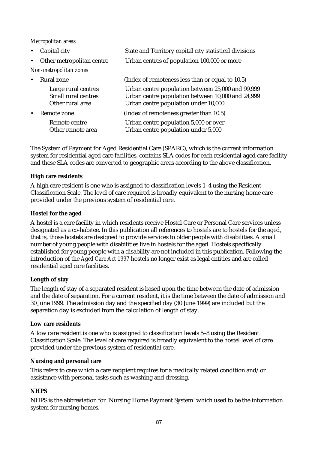#### *Metropolitan areas*

| $\bullet$              | Capital city                                                          | State and Territory capital city statistical divisions                                                                                         |
|------------------------|-----------------------------------------------------------------------|------------------------------------------------------------------------------------------------------------------------------------------------|
| $\bullet$              | Other metropolitan centre                                             | Urban centres of population 100,000 or more                                                                                                    |
| Non-metropolitan zones |                                                                       |                                                                                                                                                |
| $\bullet$              | Rural zone                                                            | (Index of remoteness less than or equal to 10.5)                                                                                               |
|                        | Large rural centres<br><b>Small rural centres</b><br>Other rural area | Urban centre population between 25,000 and 99,999<br>Urban centre population between 10,000 and 24,999<br>Urban centre population under 10,000 |
|                        | Remote zone                                                           | (Index of remoteness greater than 10.5)                                                                                                        |
|                        | Remote centre<br>Other remote area                                    | Urban centre population 5,000 or over<br>Urban centre population under 5,000                                                                   |

The System of Payment for Aged Residential Care (SPARC), which is the current information system for residential aged care facilities, contains SLA codes for each residential aged care facility and these SLA codes are converted to geographic areas according to the above classification.

#### **High care residents**

A high care resident is one who is assigned to classification levels 1–4 using the Resident Classification Scale. The level of care required is broadly equivalent to the nursing home care provided under the previous system of residential care.

#### **Hostel for the aged**

A hostel is a care facility in which residents receive Hostel Care or Personal Care services unless designated as a co-habitee. In this publication all references to hostels are to hostels for the aged, that is, those hostels are designed to provide services to older people with disabilities. A small number of young people with disabilities live in hostels for the aged. Hostels specifically established for young people with a disability are not included in this publication. Following the introduction of the *Aged Care Act 1997* hostels no longer exist as legal entities and are called residential aged care facilities.

#### **Length of stay**

The length of stay of a separated resident is based upon the time between the date of admission and the date of separation. For a current resident, it is the time between the date of admission and 30 June 1999. The admission day and the specified day (30 June 1999) are included but the separation day is excluded from the calculation of length of stay.

#### **Low care residents**

A low care resident is one who is assigned to classification levels 5–8 using the Resident Classification Scale. The level of care required is broadly equivalent to the hostel level of care provided under the previous system of residential care.

#### **Nursing and personal care**

This refers to care which a care recipient requires for a medically related condition and/or assistance with personal tasks such as washing and dressing.

#### **NHPS**

NHPS is the abbreviation for 'Nursing Home Payment System' which used to be the information system for nursing homes.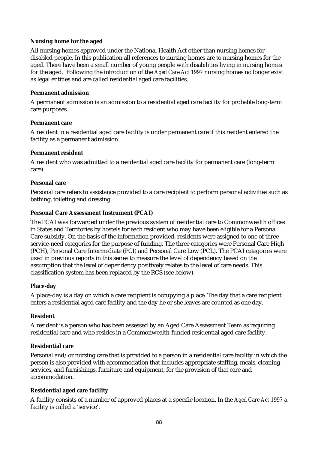#### **Nursing home for the aged**

All nursing homes approved under the National Health Act other than nursing homes for disabled people. In this publication all references to nursing homes are to nursing homes for the aged. There have been a small number of young people with disabilities living in nursing homes for the aged. Following the introduction of the *Aged Care Act 1997* nursing homes no longer exist as legal entities and are called residential aged care facilities.

#### **Permanent admission**

A permanent admission is an admission to a residential aged care facility for probable long-term care purposes.

#### **Permanent care**

A resident in a residential aged care facility is under permanent care if this resident entered the facility as a permanent admission.

#### **Permanent resident**

A resident who was admitted to a residential aged care facility for permanent care (long-term care).

#### **Personal care**

Personal care refers to assistance provided to a care recipient to perform personal activities such as bathing, toileting and dressing.

#### **Personal Care Assessment Instrument (PCAI)**

The PCAI was forwarded under the previous system of residential care to Commonwealth offices in States and Territories by hostels for each resident who may have been eligible for a Personal Care subsidy. On the basis of the information provided, residents were assigned to one of three service-need categories for the purpose of funding. The three categories were Personal Care High (PCH), Personal Care Intermediate (PCI) and Personal Care Low (PCL). The PCAI categories were used in previous reports in this series to measure the level of dependency based on the assumption that the level of dependency positively relates to the level of care needs. This classification system has been replaced by the RCS (see below).

#### **Place-day**

A place-day is a day on which a care recipient is occupying a place. The day that a care recipient enters a residential aged care facility and the day he or she leaves are counted as one day.

#### **Resident**

A resident is a person who has been assessed by an Aged Care Assessment Team as requiring residential care and who resides in a Commonwealth-funded residential aged care facility.

#### **Residential care**

Personal and/or nursing care that is provided to a person in a residential care facility in which the person is also provided with accommodation that includes appropriate staffing, meals, cleaning services, and furnishings, furniture and equipment, for the provision of that care and accommodation.

#### **Residential aged care facility**

A facility consists of a number of approved places at a specific location. In the *Aged Care Act 1997* a facility is called a 'service'.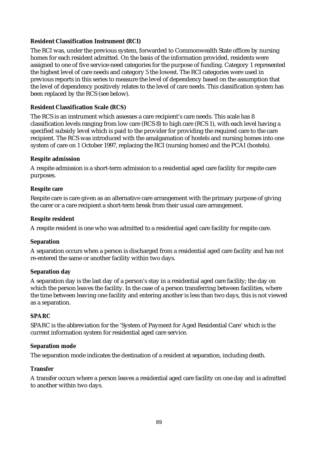#### **Resident Classification Instrument (RCI)**

The RCI was, under the previous system, forwarded to Commonwealth State offices by nursing homes for each resident admitted. On the basis of the information provided, residents were assigned to one of five service-need categories for the purpose of funding. Category 1 represented the highest level of care needs and category 5 the lowest. The RCI categories were used in previous reports in this series to measure the level of dependency based on the assumption that the level of dependency positively relates to the level of care needs. This classification system has been replaced by the RCS (see below).

#### **Resident Classification Scale (RCS)**

The RCS is an instrument which assesses a care recipient's care needs. This scale has 8 classification levels ranging from low care (RCS 8) to high care (RCS 1), with each level having a specified subsidy level which is paid to the provider for providing the required care to the care recipient. The RCS was introduced with the amalgamation of hostels and nursing homes into one system of care on 1 October 1997, replacing the RCI (nursing homes) and the PCAI (hostels).

#### **Respite admission**

A respite admission is a short-term admission to a residential aged care facility for respite care purposes.

#### **Respite care**

Respite care is care given as an alternative care arrangement with the primary purpose of giving the carer or a care recipient a short-term break from their usual care arrangement.

#### **Respite resident**

A respite resident is one who was admitted to a residential aged care facility for respite care.

#### **Separation**

A separation occurs when a person is discharged from a residential aged care facility and has not re-entered the same or another facility within two days.

#### **Separation day**

A separation day is the last day of a person's stay in a residential aged care facility; the day on which the person leaves the facility. In the case of a person transferring between facilities, where the time between leaving one facility and entering another is less than two days, this is not viewed as a separation.

#### **SPARC**

SPARC is the abbreviation for the 'System of Payment for Aged Residential Care' which is the current information system for residential aged care service.

#### **Separation mode**

The separation mode indicates the destination of a resident at separation, including death.

#### **Transfer**

A transfer occurs where a person leaves a residential aged care facility on one day and is admitted to another within two days.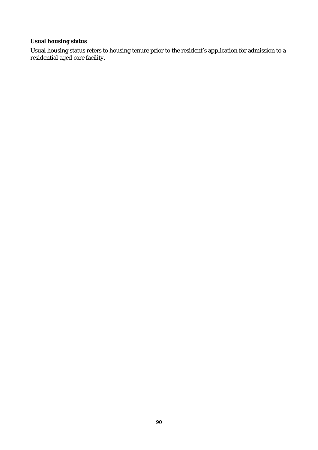## **Usual housing status**

Usual housing status refers to housing tenure prior to the resident's application for admission to a residential aged care facility.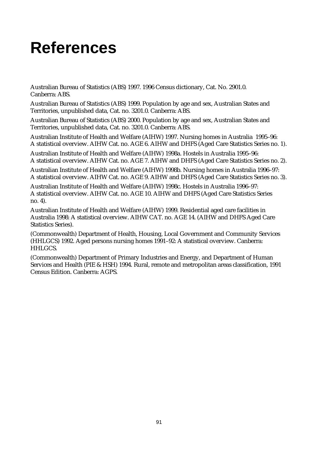# **References**

Australian Bureau of Statistics (ABS) 1997. 1996 Census dictionary, Cat. No. 2901.0. Canberra: ABS.

Australian Bureau of Statistics (ABS) 1999. Population by age and sex, Australian States and Territories, unpublished data, Cat. no. 3201.0. Canberra: ABS.

Australian Bureau of Statistics (ABS) 2000. Population by age and sex, Australian States and Territories, unpublished data, Cat. no. 3201.0. Canberra: ABS.

Australian Institute of Health and Welfare (AIHW) 1997. Nursing homes in Australia 1995–96: A statistical overview. AIHW Cat. no. AGE 6. AIHW and DHFS (Aged Care Statistics Series no. 1).

Australian Institute of Health and Welfare (AIHW) 1998a. Hostels in Australia 1995–96: A statistical overview. AIHW Cat. no. AGE 7. AIHW and DHFS (Aged Care Statistics Series no. 2).

Australian Institute of Health and Welfare (AIHW) 1998b. Nursing homes in Australia 1996–97: A statistical overview. AIHW Cat. no. AGE 9. AIHW and DHFS (Aged Care Statistics Series no. 3).

Australian Institute of Health and Welfare (AIHW) 1998c. Hostels in Australia 1996–97: A statistical overview. AIHW Cat. no. AGE 10. AIHW and DHFS (Aged Care Statistics Series no. 4).

Australian Institute of Health and Welfare (AIHW) 1999. Residential aged care facilities in Australia 1998: A statistical overview. AIHW CAT. no. AGE 14. (AIHW and DHFS Aged Care Statistics Series).

(Commonwealth) Department of Health, Housing, Local Government and Community Services (HHLGCS) 1992. Aged persons nursing homes 1991–92: A statistical overview. Canberra: HHLGCS.

(Commonwealth) Department of Primary Industries and Energy, and Department of Human Services and Health (PIE & HSH) 1994. Rural, remote and metropolitan areas classification, 1991 Census Edition. Canberra: AGPS.